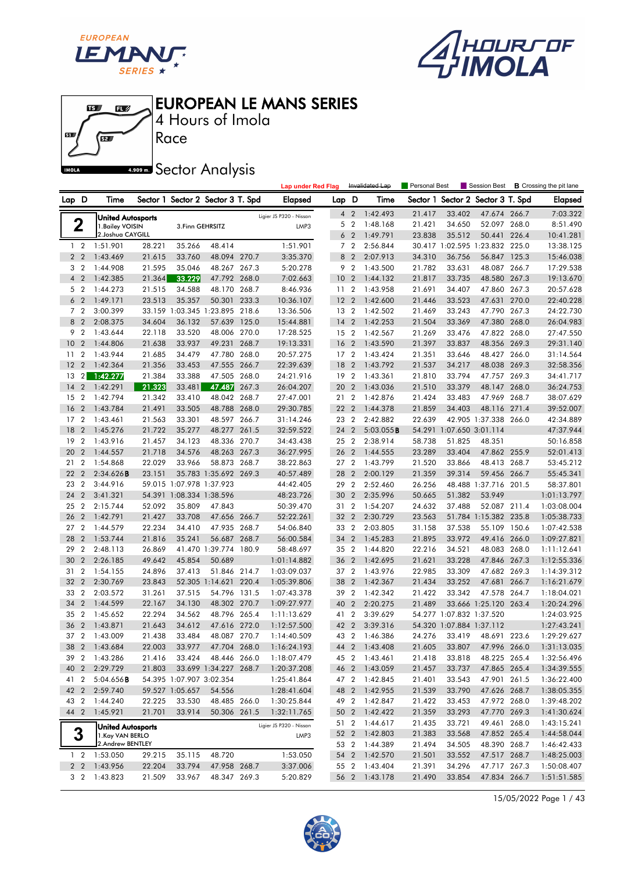

 $\mathbf{E}$ 

 $\mathbf{B}$ 

何

61

**IMOLA** 





4 Hours of Imola

**ARDOW Sector Analysis** 

Race

|       |                        |                                              |                  |                                             |                                   |       | <b>Lap under Red Flag</b>  |                 |                | Invalidated Lap      | Personal Best    |                                    | Session Best                   |       | <b>B</b> Crossing the pit lane |
|-------|------------------------|----------------------------------------------|------------------|---------------------------------------------|-----------------------------------|-------|----------------------------|-----------------|----------------|----------------------|------------------|------------------------------------|--------------------------------|-------|--------------------------------|
| Lap D |                        | Time                                         |                  |                                             | Sector 1 Sector 2 Sector 3 T. Spd |       | Elapsed                    | Lap D           |                | Time                 | Sector 1         |                                    | Sector 2 Sector 3 T. Spd       |       | <b>Elapsed</b>                 |
|       |                        |                                              |                  |                                             |                                   |       | Ligier JS P320 - Nissan    |                 | 4 <sup>2</sup> | 1:42.493             | 21.417           | 33.402                             | 47.674 266.7                   |       | 7:03.322                       |
|       | 2                      | <b>United Autosports</b><br>1. Bailey VOISIN |                  | 3. Finn GEHRSITZ                            |                                   |       | LMP3                       |                 | 5 <sub>2</sub> | 1:48.168             | 21.421           | 34.650                             | 52.097                         | 268.0 | 8:51.490                       |
|       |                        | 2. Joshua CAYGILL                            |                  |                                             |                                   |       |                            |                 | 6 <sub>2</sub> | 1:49.791             | 23.838           | 35.512                             | 50.441                         | 226.4 | 10:41.281                      |
|       | $1\quad2$              | 1:51.901                                     | 28.221           | 35.266                                      | 48.414                            |       | 1:51.901                   |                 | 7 <sub>2</sub> | 2:56.844             |                  |                                    | 30.417 1:02.595 1:23.832 225.0 |       | 13:38.125                      |
|       | 2 <sub>2</sub>         | 1:43.469                                     | 21.615           | 33.760                                      | 48.094 270.7                      |       | 3:35.370                   | 8               | $\overline{2}$ | 2:07.913             | 34.310           | 36.756                             | 56.847                         | 125.3 | 15:46.038                      |
| 3     | $\overline{2}$         | 1:44.908                                     | 21.595           | 35.046                                      | 48.267 267.3                      |       | 5:20.278                   |                 | 9 <sub>2</sub> | 1:43.500             | 21.782           | 33.631                             | 48.087                         | 266.7 | 17:29.538                      |
|       | 4 <sup>2</sup>         | 1:42.385                                     | 21.364           | 33.229                                      | 47.792 268.0                      |       | 7:02.663                   | 10 <sub>2</sub> |                | 1:44.132             | 21.817           | 33.735                             | 48.580 267.3                   |       | 19:13.670                      |
| 5     | $\overline{2}$         | 1:44.273                                     | 21.515           | 34.588                                      | 48.170 268.7                      |       | 8:46.936                   | 11              | $\overline{2}$ | 1:43.958             | 21.691           | 34.407                             | 47.860 267.3                   |       | 20:57.628                      |
|       | 6 <sub>2</sub>         | 1:49.171                                     | 23.513           | 35.357                                      | 50.301                            | 233.3 | 10:36.107                  | 12 <sup>2</sup> | $\overline{2}$ | 1:42.600             | 21.446           | 33.523                             | 47.631                         | 270.0 | 22:40.228                      |
|       | 7 <sup>2</sup>         | 3:00.399                                     |                  |                                             | 33.159 1:03.345 1:23.895          | 218.6 | 13:36.506                  | 13 <sub>2</sub> |                | 1:42.502             | 21.469           | 33.243                             | 47.790 267.3                   |       | 24:22.730                      |
| 8     | $\overline{2}$         | 2:08.375                                     | 34.604           | 36.132                                      | 57.639 125.0                      |       | 15:44.881                  | 14              | $\overline{2}$ | 1:42.253             | 21.504           | 33.369                             | 47.380 268.0                   |       | 26:04.983                      |
| 9     | $\overline{2}$         | 1:43.644                                     | 22.118           | 33.520                                      | 48.006 270.0                      |       | 17:28.525                  | 15 2            |                | 1:42.567             | 21.269           | 33.476                             | 47.822 268.0                   |       | 27:47.550                      |
| 10    | $\overline{2}$         | 1:44.806                                     | 21.638           | 33.937                                      | 49.231                            | 268.7 | 19:13.331                  | 16              | $\overline{2}$ | 1:43.590             | 21.397           | 33.837                             | 48.356 269.3                   |       | 29:31.140                      |
| 11    | $\overline{2}$         | 1:43.944                                     | 21.685           | 34.479                                      | 47.780 268.0                      |       | 20:57.275                  | 17 <sup>2</sup> |                | 1:43.424             | 21.351           | 33.646                             | 48.427 266.0                   |       | 31:14.564                      |
| 12    | $\overline{2}$         | 1:42.364                                     | 21.356           | 33.453                                      | 47.555 266.7                      |       | 22:39.639                  | 18              | $\overline{2}$ | 1:43.792             | 21.537           | 34.217                             | 48.038 269.3                   |       | 32:58.356                      |
| 13    | 2 <sub>1</sub>         | 1:42.277                                     | 21.384           | 33.388                                      | 47.505 268.0                      |       | 24:21.916                  | 19 2            |                | 1:43.361             | 21.810           | 33.794                             | 47.757 269.3                   |       | 34:41.717                      |
| 14    | $\overline{2}$         | 1:42.291                                     | 21.323           | 33.481                                      | 47.487                            | 267.3 | 26:04.207                  | 20              | $\overline{2}$ | 1:43.036             | 21.510           | 33.379                             | 48.147                         | 268.0 | 36:24.753                      |
| 15    | $\overline{2}$         | 1:42.794                                     | 21.342           | 33.410                                      | 48.042 268.7                      |       | 27:47.001                  | 21              | $\overline{2}$ | 1:42.876             | 21.424           | 33.483                             | 47.969                         | 268.7 | 38:07.629                      |
| 16    | $\overline{2}$         | 1:43.784                                     | 21.491           | 33.505                                      | 48.788 268.0                      |       | 29:30.785                  | 22 <sub>2</sub> | $\overline{2}$ | 1:44.378             | 21.859           | 34.403                             | 48.116 271.4                   |       | 39:52.007                      |
| 17    | $\overline{2}$         | 1:43.461                                     | 21.563           | 33.301                                      | 48.597 266.7                      |       | 31:14.246                  | 23 2            |                | 2:42.882             | 22.639           |                                    | 42.905 1:37.338 266.0          |       | 42:34.889                      |
| 18    | $\overline{2}$         | 1:45.276                                     | 21.722           | 35.277                                      | 48.277                            | 261.5 | 32:59.522                  | 24              | $\overline{2}$ | 5:03.055B            | 54.291           |                                    | 1:07.650 3:01.114              |       | 47:37.944                      |
| 19    | $\overline{2}$         | 1:43.916                                     | 21.457           | 34.123                                      | 48.336 270.7                      |       | 34:43.438                  | 25 2            |                | 2:38.914             | 58.738           | 51.825                             | 48.351                         |       | 50:16.858                      |
| 20    | $\overline{2}$         | 1:44.557                                     | 21.718           | 34.576                                      | 48.263 267.3                      |       | 36:27.995                  | 26              | $\overline{2}$ | 1:44.555             | 23.289           | 33.404                             | 47.862 255.9                   |       | 52:01.413                      |
| 21    | 2                      | 1:54.868                                     | 22.029           | 33.966                                      | 58.873 268.7                      |       | 38:22.863                  | 27 <sub>2</sub> |                | 1:43.799             | 21.520           | 33.866                             | 48.413 268.7                   |       | 53:45.212                      |
| 22    | $\overline{2}$         | 2:34.626B                                    | 23.151           |                                             | 35.783 1:35.692 269.3             |       | 40:57.489                  | 28              | $\overline{2}$ | 2:00.129             | 21.359           | 39.314                             | 59.456 266.7                   |       | 55:45.341                      |
| 23    | $\overline{2}$         | 3:44.916                                     |                  | 59.015 1:07.978 1:37.923                    |                                   |       | 44:42.405                  | 29              | $\overline{2}$ | 2:52.460             | 26.256           |                                    | 48.488 1:37.716 201.5          |       | 58:37.801                      |
| 24    | $\overline{2}$         | 3:41.321                                     |                  | 54.391 1:08.334 1:38.596                    |                                   |       | 48:23.726                  | 30              | $\overline{2}$ | 2:35.996             | 50.665           | 51.382                             | 53.949                         |       | 1:01:13.797                    |
| 25    | 2                      | 2:15.744                                     | 52.092           | 35.809                                      | 47.843                            |       | 50:39.470                  | 31              | $\overline{2}$ | 1:54.207             | 24.632           | 37.488                             | 52.087 211.4                   |       | 1:03:08.004                    |
| 26    | $\overline{2}$         | 1:42.791                                     | 21.427           | 33.708                                      | 47.656 266.7                      |       | 52:22.261                  | 32              | $\overline{2}$ | 2:30.729             | 23.563           |                                    | 51.784 1:15.382 235.8          |       | 1:05:38.733                    |
|       | 27 <sub>2</sub>        | 1:44.579                                     | 22.234           | 34.410                                      | 47.935 268.7                      |       | 54:06.840                  | 33 2            |                | 2:03.805             | 31.158           | 37.538                             | 55.109 150.6                   |       | 1:07:42.538                    |
| 28    | $\overline{2}$         | 1:53.744                                     | 21.816           | 35.241                                      | 56.687 268.7                      |       | 56:00.584                  | 34              | $\overline{2}$ | 1:45.283             | 21.895           | 33.972                             | 49.416 266.0                   |       | 1:09:27.821                    |
| 29    | $\overline{2}$         | 2:48.113                                     | 26.869           |                                             | 41.470 1:39.774 180.9             |       | 58:48.697                  | 35 2            |                | 1:44.820             | 22.216           | 34.521                             | 48.083 268.0                   |       | 1:11:12.641                    |
| 30    | $\overline{2}$         | 2:26.185                                     | 49.642           | 45.854                                      | 50.689                            |       | 1:01:14.882                | 36              | $\overline{2}$ | 1:42.695             | 21.621           | 33.228                             | 47.846 267.3                   |       | 1:12:55.336                    |
| 31    | $\overline{2}$         | 1:54.155                                     | 24.896           | 37.413                                      | 51.846 214.7                      |       | 1:03:09.037                | 37 2            |                | 1:43.976             | 22.985           | 33.309                             | 47.682 269.3                   |       | 1:14:39.312                    |
| 32    | $\overline{2}$         | 2:30.769                                     | 23.843           |                                             | 52.305 1:14.621                   | 220.4 | 1:05:39.806                | 38              | $\overline{2}$ | 1:42.367             | 21.434           | 33.252                             | 47.681                         | 266.7 | 1:16:21.679                    |
| 33    | $\overline{2}$         | 2:03.572                                     | 31.261           | 37.515                                      | 54.796 131.5                      |       | 1:07:43.378                | 39              | $\overline{2}$ | 1:42.342             | 21.422           | 33.342                             | 47.578 264.7                   |       | 1:18:04.021                    |
| 34    | $\overline{2}$         | 1:44.599                                     | 22.167           | 34.130                                      | 48.302 270.7                      |       | 1:09:27.977                | 40              | $\overline{2}$ | 2:20.275             | 21.489           |                                    | 33.666 1:25.120 263.4          |       | 1:20:24.296                    |
| 35    | $\overline{2}$         | 1:45.652                                     | 22.294           | 34.562                                      | 48.796 265.4                      |       | 1:11:13.629                | 41              | $\overline{2}$ | 3:39.629             |                  | 54.277 1:07.832 1:37.520           |                                |       | 1:24:03.925                    |
| 36    | $\overline{2}$         | 1:43.871                                     | 21.643           | 34.612                                      | 47.616 272.0                      |       | 1:12:57.500                | 42 2            |                | 3:39.316             |                  | 54.320 1:07.884 1:37.112<br>33.419 |                                |       | 1:27:43.241                    |
| 37    | $\overline{2}$         | 1:43.009                                     | 21.438<br>22.003 | 33.484                                      | 48.087 270.7<br>47.704 268.0      |       | 1:14:40.509                | 43 2            |                | 1:46.386             | 24.276           |                                    | 48.691 223.6                   |       | 1:29:29.627                    |
| 38    |                        | 2 1:43.684                                   |                  | 33.977                                      |                                   |       | 1:16:24.193                |                 |                | 44 2 1:43.408        | 21.605           |                                    | 33.807 47.996 266.0            |       | 1:31:13.035                    |
|       |                        | 39 2 1:43.286                                | 21.416           | 33.424                                      | 48.446 266.0                      |       | 1:18:07.479                |                 |                | 45 2 1:43.461        | 21.418<br>21.457 | 33.818                             | 48.225 265.4                   |       | 1:32:56.496                    |
|       | 40 2                   | 2:29.729                                     | 21.803           |                                             | 33.699 1:34.227 268.7             |       | 1:20:37.208                | 47 2            | 46 2           | 1:43.059             |                  | 33.737                             | 47.865 265.4                   |       | 1:34:39.555                    |
| 41    | $\overline{2}$<br>42 2 | 5:04.656B<br>2:59.740                        |                  | 54.395 1:07.907 3:02.354<br>59.527 1:05.657 | 54.556                            |       | 1:25:41.864                |                 | 48 2           | 1:42.845<br>1:42.955 | 21.401<br>21.539 | 33.543<br>33.790                   | 47.901 261.5<br>47.626 268.7   |       | 1:36:22.400<br>1:38:05.355     |
|       | 43 2                   | 1:44.240                                     | 22.225           | 33.530                                      | 48.485 266.0                      |       | 1:28:41.604<br>1:30:25.844 | 49 2            |                | 1:42.847             | 21.422           | 33.453                             | 47.972 268.0                   |       | 1:39:48.202                    |
| 44 2  |                        | 1:45.921                                     | 21.701           | 33.914                                      | 50.306 261.5                      |       | 1:32:11.765                |                 | 50 2           | 1:42.422             | 21.359           | 33.293                             | 47.770 269.3                   |       | 1:41:30.624                    |
|       |                        |                                              |                  |                                             |                                   |       |                            | 51 2            |                | 1:44.617             | 21.435           | 33.721                             | 49.461 268.0                   |       | 1:43:15.241                    |
|       | 3                      | <b>United Autosports</b>                     |                  |                                             |                                   |       | Ligier JS P320 - Nissan    | 52 2            |                | 1:42.803             | 21.383           | 33.568                             | 47.852 265.4                   |       | 1:44:58.044                    |
|       |                        | 1. Kay VAN BERLO<br>2.Andrew BENTLEY         |                  |                                             |                                   |       | LMP3                       | 53 2            |                | 1:44.389             | 21.494           | 34.505                             | 48.390 268.7                   |       | 1:46:42.433                    |
|       | $1\quad 2$             | 1:53.050                                     | 29.215           | 35.115                                      | 48.720                            |       | 1:53.050                   |                 |                | 54 2 1:42.570        | 21.501           | 33.552                             | 47.517 268.7                   |       | 1:48:25.003                    |
|       | 2 <sub>2</sub>         | 1:43.956                                     | 22.204           | 33.794                                      | 47.958 268.7                      |       | 3:37.006                   | 55 2            |                | 1:43.404             | 21.391           | 34.296                             | 47.717 267.3                   |       | 1:50:08.407                    |
|       | 3 <sub>2</sub>         | 1:43.823                                     | 21.509           | 33.967                                      | 48.347 269.3                      |       | 5:20.829                   | 56 2            |                | 1:43.178             | 21.490           | 33.854                             | 47.834 266.7                   |       | 1:51:51.585                    |
|       |                        |                                              |                  |                                             |                                   |       |                            |                 |                |                      |                  |                                    |                                |       |                                |

15/05/2022 Page 1 / 43

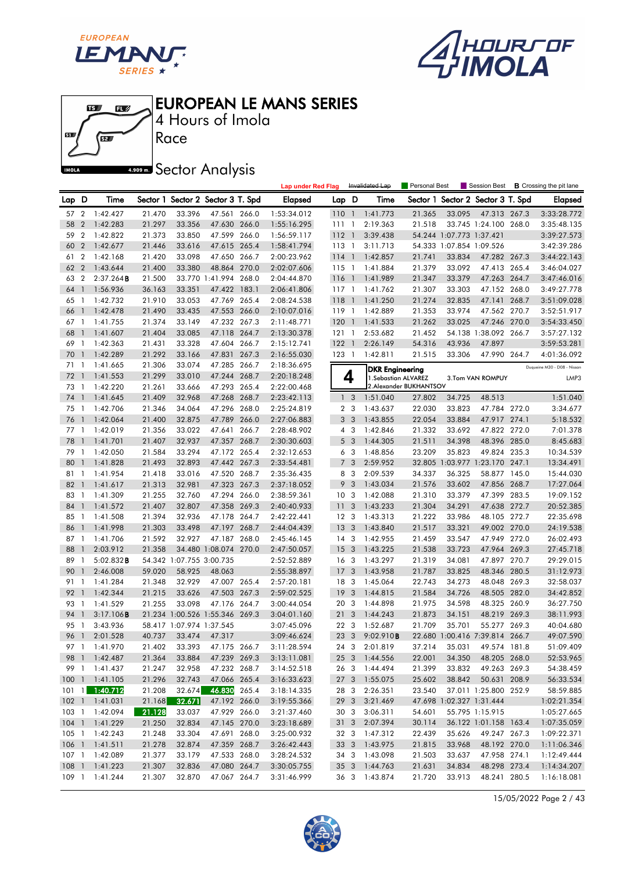





4 Hours of Imola

# **A.509 mm** Sector Analysis

|     |                |                |                 |                          |                                   |       | <b>Lap under Red Flag</b> |                 |                | Invalidated Lap                                | Personal Best          |                          | Session Best                      |       | <b>B</b> Crossing the pit lane |
|-----|----------------|----------------|-----------------|--------------------------|-----------------------------------|-------|---------------------------|-----------------|----------------|------------------------------------------------|------------------------|--------------------------|-----------------------------------|-------|--------------------------------|
| Lap | D              | Time           |                 |                          | Sector 1 Sector 2 Sector 3 T. Spd |       | <b>Elapsed</b>            | Lap D           |                | Time                                           |                        |                          | Sector 1 Sector 2 Sector 3 T. Spd |       | <b>Elapsed</b>                 |
| 57  | $\overline{2}$ | 1:42.427       | 21.470          | 33.396                   | 47.561 266.0                      |       | 1:53:34.012               | 110 1           |                | 1:41.773                                       | 21.365                 | 33.095                   | 47.313 267.3                      |       | 3:33:28.772                    |
| 58  | $\overline{2}$ | 1:42.283       | 21.297          | 33.356                   | 47.630 266.0                      |       | 1:55:16.295               | 111             | $\overline{1}$ | 2:19.363                                       | 21.518                 |                          | 33.745 1:24.100 268.0             |       | 3:35:48.135                    |
| 59  | $\overline{2}$ | 1:42.822       | 21.373          | 33.850                   | 47.599 266.0                      |       | 1:56:59.117               | 112             | $\overline{1}$ | 3:39.438                                       |                        | 54.244 1:07.773 1:37.421 |                                   |       | 3:39:27.573                    |
| 60  | $\overline{2}$ | 1:42.677       | 21.446          | 33.616                   | 47.615 265.4                      |       | 1:58:41.794               | $113-1$         |                | 3:11.713                                       |                        | 54.333 1:07.854 1:09.526 |                                   |       | 3:42:39.286                    |
| 61  | $\overline{2}$ | 1:42.168       | 21.420          | 33.098                   | 47.650 266.7                      |       | 2:00:23.962               | $114-1$         |                | 1:42.857                                       | 21.741                 | 33.834                   | 47.282 267.3                      |       | 3:44:22.143                    |
| 62  | $\overline{2}$ | 1:43.644       | 21.400          | 33.380                   | 48.864                            | 270.0 | 2:02:07.606               | $115-1$         |                | 1:41.884                                       | 21.379                 | 33.092                   | 47.413 265.4                      |       | 3:46:04.027                    |
| 63  | 2              | $2:37.264$ B   | 21.500          |                          | 33.770 1:41.994 268.0             |       | 2:04:44.870               | 116             | $\overline{1}$ | 1:41.989                                       | 21.347                 | 33.379                   | 47.263 264.7                      |       | 3:47:46.016                    |
| 64  | $\mathbf{1}$   | 1:56.936       | 36.163          | 33.351                   | 47.422 183.1                      |       | 2:06:41.806               | 117 1           |                | 1:41.762                                       | 21.307                 | 33.303                   | 47.152 268.0                      |       | 3:49:27.778                    |
| 65  | $\mathbf{1}$   | 1:42.732       | 21.910          | 33.053                   | 47.769 265.4                      |       | 2:08:24.538               | 118             | $\overline{1}$ | 1:41.250                                       | 21.274                 | 32.835                   | 47.141                            | 268.7 | 3:51:09.028                    |
| 66  | $\mathbf{1}$   | 1:42.478       | 21.490          | 33.435                   | 47.553 266.0                      |       | 2:10:07.016               | 119             | $\overline{1}$ | 1:42.889                                       | 21.353                 | 33.974                   | 47.562 270.7                      |       | 3:52:51.917                    |
| 67  | - 1            | 1:41.755       | 21.374          | 33.149                   | 47.232 267.3                      |       | 2:11:48.771               | 120             | $\overline{1}$ | 1:41.533                                       | 21.262                 | 33.025                   | 47.246 270.0                      |       | 3:54:33.450                    |
| 68  | $\mathbf{1}$   | 1:41.607       | 21.404          | 33.085                   | 47.118 264.7                      |       | 2:13:30.378               | 121             | $\overline{1}$ | 2:53.682                                       | 21.452                 |                          | 54.138 1:38.092 266.7             |       | 3:57:27.132                    |
| 69  | $\mathbf{1}$   | 1:42.363       | 21.431          | 33.328                   | 47.604                            | 266.7 | 2:15:12.741               | 122             | $\overline{1}$ | 2:26.149                                       | 54.316                 | 43.936                   | 47.897                            |       | 3:59:53.281                    |
| 70  | $\mathbf{1}$   | 1:42.289       | 21.292          | 33.166                   | 47.831                            | 267.3 | 2:16:55.030               | 123 1           |                | 1:42.811                                       | 21.515                 | 33.306                   | 47.990 264.7                      |       | 4:01:36.092                    |
| 71  | $\overline{1}$ | 1:41.665       | 21.306          | 33.074                   | 47.285 266.7                      |       | 2:18:36.695               |                 |                |                                                |                        |                          |                                   |       | Duqueine M30 - D08 - Nissan    |
| 72  | $\overline{1}$ | 1:41.553       | 21.299          | 33.010                   | 47.244 268.7                      |       | 2:20:18.248               |                 | 4              | <b>DKR Engineering</b><br>1. Sebastian ALVAREZ |                        |                          | 3.Tom VAN ROMPUY                  |       | LMP3                           |
| 73  | -1             | 1:42.220       | 21.261          | 33.666                   | 47.293 265.4                      |       | 2:22:00.468               |                 |                |                                                | 2.Alexander BUKHANTSOV |                          |                                   |       |                                |
| 74  | $\mathbf{1}$   | 1:41.645       | 21.409          | 32.968                   | 47.268 268.7                      |       | 2:23:42.113               |                 | 1 <sub>3</sub> | 1:51.040                                       | 27.802                 | 34.725                   | 48.513                            |       | 1:51.040                       |
| 75  | $\overline{1}$ | 1:42.706       | 21.346          | 34.064                   | 47.296 268.0                      |       | 2:25:24.819               |                 | 2 <sub>3</sub> | 1:43.637                                       | 22.030                 | 33.823                   | 47.784 272.0                      |       | 3:34.677                       |
| 76  | $\overline{1}$ | 1:42.064       | 21.400          | 32.875                   | 47.789                            | 266.0 | 2:27:06.883               |                 | 3 <sub>3</sub> | 1:43.855                                       | 22.054                 | 33.884                   | 47.917 274.1                      |       | 5:18.532                       |
| 77  | $\overline{1}$ | 1:42.019       | 21.356          | 33.022                   | 47.641                            | 266.7 | 2:28:48.902               |                 | $4 \quad 3$    | 1:42.846                                       | 21.332                 | 33.692                   | 47.822 272.0                      |       | 7:01.378                       |
| 78  | $\mathbf{1}$   | 1:41.701       | 21.407          | 32.937                   | 47.357                            | 268.7 | 2:30:30.603               |                 | 5 <sub>3</sub> | 1:44.305                                       | 21.511                 | 34.398                   | 48.396 285.0                      |       | 8:45.683                       |
| 79  | $\overline{1}$ | 1:42.050       | 21.584          | 33.294                   | 47.172 265.4                      |       | 2:32:12.653               |                 | 6 3            | 1:48.856                                       | 23.209                 | 35.823                   | 49.824 235.3                      |       | 10:34.539                      |
| 80  | $\mathbf{1}$   | 1:41.828       | 21.493          | 32.893                   | 47.442 267.3                      |       | 2:33:54.481               | 7               | 3              | 2:59.952                                       |                        |                          | 32.805 1:03.977 1:23.170 247.1    |       | 13:34.491                      |
| 81  | $\mathbf{1}$   | 1:41.954       | 21.418          | 33.016                   | 47.520 268.7                      |       | 2:35:36.435               | 8               | -3             | 2:09.539                                       | 34.337                 | 36.325                   | 58.877 145.0                      |       | 15:44.030                      |
| 82  | $\mathbf{1}$   | 1:41.617       | 21.313          | 32.981                   | 47.323 267.3                      |       | 2:37:18.052               | 9               | 3              | 1:43.034                                       | 21.576                 | 33.602                   | 47.856 268.7                      |       | 17:27.064                      |
| 83  | $\mathbf{1}$   | 1:41.309       | 21.255          | 32.760                   | 47.294 266.0                      |       | 2:38:59.361               | 10 <sup>3</sup> |                | 1:42.088                                       | 21.310                 | 33.379                   | 47.399 283.5                      |       | 19:09.152                      |
| 84  | $\overline{1}$ | 1:41.572       | 21.407          | 32.807                   | 47.358 269.3                      |       | 2:40:40.933               | 11              | 3              | 1:43.233                                       | 21.304                 | 34.291                   | 47.638 272.7                      |       | 20:52.385                      |
| 85  | $\mathbf{1}$   | 1:41.508       | 21.394          | 32.936                   | 47.178 264.7                      |       | 2:42:22.441               | 12 <sup>3</sup> |                | 1:43.313                                       | 21.222                 | 33.986                   | 48.105 272.7                      |       | 22:35.698                      |
| 86  | $\mathbf{1}$   | 1:41.998       | 21.303          | 33.498                   | 47.197 268.7                      |       | 2:44:04.439               | 13 <sup>7</sup> | 3              | 1:43.840                                       | 21.517                 | 33.321                   | 49.002 270.0                      |       | 24:19.538                      |
| 87  | $\overline{1}$ | 1:41.706       | 21.592          | 32.927                   | 47.187 268.0                      |       | 2:45:46.145               | $14 \quad 3$    |                | 1:42.955                                       | 21.459                 | 33.547                   | 47.949 272.0                      |       | 26:02.493                      |
| 88  | $\mathbf{1}$   | 2:03.912       | 21.358          |                          | 34.480 1:08.074 270.0             |       | 2:47:50.057               | 15              | 3              | 1:43.225                                       | 21.538                 | 33.723                   | 47.964                            | 269.3 | 27:45.718                      |
| 89  | 1              | $5:02.832$ B   |                 | 54.342 1:07.755 3:00.735 |                                   |       | 2:52:52.889               | 16              | -3             | 1:43.297                                       | 21.319                 | 34.081                   | 47.897 270.7                      |       | 29:29.015                      |
| 90  |                | 2:46.008       | 59.020          | 58.925                   | 48.063                            |       | 2:55:38.897               | 17              | 3              | 1:43.958                                       | 21.787                 | 33.825                   | 48.346 280.5                      |       | 31:12.973                      |
| 91  | 1              | 1:41.284       | 21.348          | 32.929                   | 47.007 265.4                      |       | 2:57:20.181               | 18 3            |                | 1:45.064                                       | 22.743                 | 34.273                   | 48.048 269.3                      |       | 32:58.037                      |
| 92  | $\overline{1}$ | 1:42.344       | 21.215          | 33.626                   | 47.503 267.3                      |       | 2:59:02.525               | 19              | 3              | 1:44.815                                       | 21.584                 | 34.726                   | 48.505 282.0                      |       | 34:42.852                      |
| 93  | 1              | 1:41.529       | 21.255          | 33.098                   | 47.176 264.7                      |       | 3:00:44.054               | 20 3            |                | 1:44.898                                       | 21.975                 | 34.598                   | 48.325 260.9                      |       | 36:27.750                      |
| 94  |                | 3:17.106B      |                 |                          | 21.234 1:00.526 1:55.346 269.3    |       | 3:04:01.160               | 21              | 3              | 1:44.243                                       | 21.873                 | 34.151                   | 48.219 269.3                      |       | 38:11.993                      |
| 95  | -1             | 3:43.936       |                 | 58.417 1:07.974 1:37.545 |                                   |       | 3:07:45.096               | 22 <sub>3</sub> |                | 1:52.687                                       | 21.709                 | 35.701                   | 55.277 269.3                      |       | 40:04.680                      |
| 96  | $\overline{1}$ | 2:01.528       | 40.737          | 33.474                   | 47.317                            |       | 3:09:46.624               | 23 3            |                | 9:02.910B                                      |                        |                          | 22.680 1:00.416 7:39.814 266.7    |       | 49:07.590                      |
|     |                | 97 1 1:41.970  | 21.402          | 33.393                   | 47.175 266.7                      |       | 3:11:28.594               |                 | 24 3           | 2:01.819                                       | 37.214                 | 35.031                   | 49.574 181.8                      |       | 51:09.409                      |
|     |                | 98 1 1:42.487  | 21.364          | 33.884                   | 47.239 269.3                      |       | 3:13:11.081               |                 |                | 25 3 1:44.556                                  | 22.001                 | 34.350                   | 48.205 268.0                      |       | 52:53.965                      |
|     |                | 99 1 1:41.437  | 21.247          | 32.958                   | 47.232 268.7                      |       | 3:14:52.518               |                 |                | 26 3 1:44.494                                  | 21.399                 | 33.832                   | 49.263 269.3                      |       | 54:38.459                      |
|     |                | 100 1 1:41.105 | 21.296          | 32.743                   | 47.066 265.4                      |       | 3:16:33.623               |                 |                | 27 3 1:55.075                                  | 25.602                 | 38.842                   | 50.631 208.9                      |       | 56:33.534                      |
|     |                | 101 1 1:40.712 | 21.208          | 32.674                   | 46.830 265.4                      |       | 3:18:14.335               | 28 3            |                | 2:26.351                                       | 23.540                 |                          | 37.011 1:25.800 252.9             |       | 58:59.885                      |
|     |                | 102 1 1:41.031 | 21.168          | 32.671                   | 47.192 266.0                      |       | 3:19:55.366               |                 | 29 3           | 3:21.469                                       |                        | 47.698 1:02.327 1:31.444 |                                   |       | 1:02:21.354                    |
|     |                | 103 1 1:42.094 | $\sqrt{21.128}$ | 33.037                   | 47.929 266.0                      |       | 3:21:37.460               |                 | 30 3           | 3:06.311                                       | 54.601                 |                          | 55.795 1:15.915                   |       | 1:05:27.665                    |
|     |                | 104 1 1:41.229 | 21.250          | 32.834                   | 47.145 270.0                      |       | 3:23:18.689               |                 | 31 3           | 2:07.394                                       | 30.114                 |                          | 36.122 1:01.158 163.4             |       | 1:07:35.059                    |
|     |                | 105 1 1:42.243 | 21.248          | 33.304                   | 47.691 268.0                      |       | 3:25:00.932               |                 | 32 3           | 1:47.312                                       | 22.439                 | 35.626                   | 49.247 267.3                      |       | 1:09:22.371                    |
|     |                | 106 1 1:41.511 | 21.278          | 32.874                   | 47.359 268.7                      |       | 3:26:42.443               | 33 3            |                | 1:43.975                                       | 21.815                 | 33.968                   | 48.192 270.0                      |       | 1:11:06.346                    |
|     |                | 107 1 1:42.089 | 21.377          | 33.179                   | 47.533 268.0                      |       | 3:28:24.532               |                 |                | 34 3 1:43.098                                  | 21.503                 | 33.637                   | 47.958 274.1                      |       | 1:12:49.444                    |
|     |                | 108 1 1:41.223 | 21.307          | 32.836                   | 47.080 264.7                      |       | 3:30:05.755               |                 |                | 35 3 1:44.763                                  | 21.631                 | 34.834                   | 48.298 273.4                      |       | 1:14:34.207                    |
|     |                | 109 1 1:41.244 | 21.307          | 32.870                   | 47.067 264.7                      |       | 3:31:46.999               |                 |                | 36 3 1:43.874                                  | 21.720                 | 33.913                   | 48.241 280.5                      |       | 1:16:18.081                    |

15/05/2022 Page 2 / 43

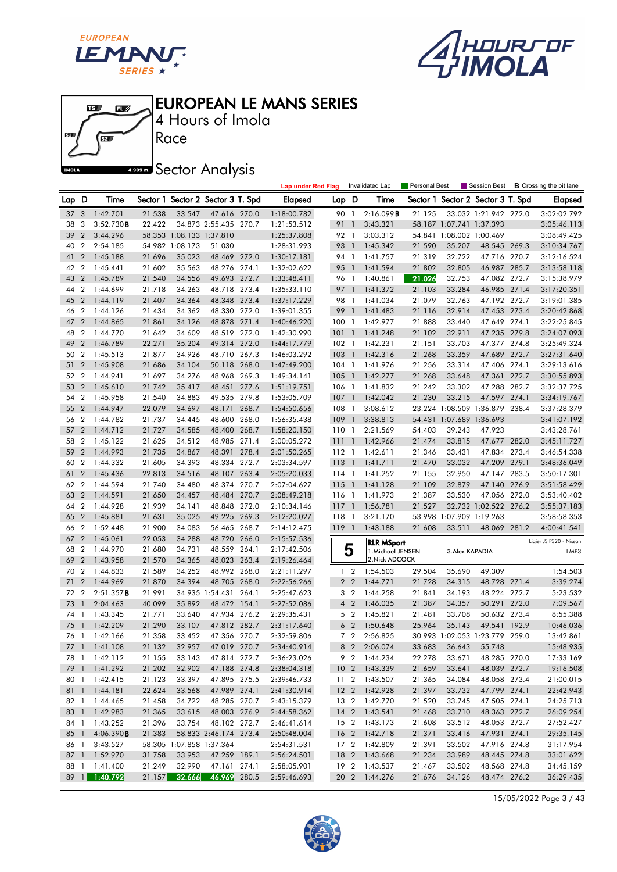





4 Hours of Imola

**A.909mm** Sector Analysis

|       |                  |                   |        |                          |                                   |       | <b>Lap under Red Flag</b> |           |                          | Invalidated Lap   | Personal Best |                          | Session Best                      |       | <b>B</b> Crossing the pit lane |
|-------|------------------|-------------------|--------|--------------------------|-----------------------------------|-------|---------------------------|-----------|--------------------------|-------------------|---------------|--------------------------|-----------------------------------|-------|--------------------------------|
| Lap D |                  | Time              |        |                          | Sector 1 Sector 2 Sector 3 T. Spd |       | Elapsed                   | Lap D     |                          | Time              |               |                          | Sector 1 Sector 2 Sector 3 T. Spd |       | <b>Elapsed</b>                 |
| 37    | 3                | 1:42.701          | 21.538 | 33.547                   | 47.616 270.0                      |       | 1:18:00.782               | 90 1      |                          | 2:16.099B         | 21.125        |                          | 33.032 1:21.942 272.0             |       | 3:02:02.792                    |
| 38    | 3                | 3:52.730B         | 22.422 |                          | 34.873 2:55.435 270.7             |       | 1:21:53.512               | 91        | $\overline{1}$           | 3:43.321          |               | 58.187 1:07.741 1:37.393 |                                   |       | 3:05:46.113                    |
| 39    | $\overline{2}$   | 3:44.296          |        | 58.353 1:08.133 1:37.810 |                                   |       | 1:25:37.808               | 92 1      |                          | 3:03.312          |               | 54.841 1:08.002 1:00.469 |                                   |       | 3:08:49.425                    |
| 40    | $\boldsymbol{2}$ | 2:54.185          |        | 54.982 1:08.173          | 51.030                            |       | 1:28:31.993               | 93 1      |                          | 1:45.342          | 21.590        | 35.207                   | 48.545 269.3                      |       | 3:10:34.767                    |
| 41    | $\overline{2}$   | 1:45.188          | 21.696 | 35.023                   | 48.469 272.0                      |       | 1:30:17.181               | 94 1      |                          | 1:41.757          | 21.319        | 32.722                   | 47.716 270.7                      |       | 3:12:16.524                    |
| 42    | $\boldsymbol{2}$ | 1:45.441          | 21.602 | 35.563                   | 48.276 274.1                      |       | 1:32:02.622               | 95 1      |                          | 1:41.594          | 21.802        | 32.805                   | 46.987 285.7                      |       | 3:13:58.118                    |
| 43    | $\overline{2}$   | 1:45.789          | 21.540 | 34.556                   | 49.693 272.7                      |       | 1:33:48.411               | 96 1      |                          | 1:40.861          | 21.026        | 32.753                   | 47.082 272.7                      |       | 3:15:38.979                    |
| 44    | $\overline{2}$   | 1:44.699          | 21.718 | 34.263                   | 48.718 273.4                      |       | 1:35:33.110               | 97 1      |                          | 1:41.372          | 21.103        | 33.284                   | 46.985 271.4                      |       | 3:17:20.351                    |
| 45    | $\overline{2}$   | 1:44.119          | 21.407 | 34.364                   | 48.348 273.4                      |       | 1:37:17.229               | 98 1      |                          | 1:41.034          | 21.079        | 32.763                   | 47.192 272.7                      |       | 3:19:01.385                    |
| 46    | $\overline{2}$   | 1:44.126          | 21.434 | 34.362                   | 48.330                            | 272.0 | 1:39:01.355               | 99        | $\overline{1}$           | 1:41.483          | 21.116        | 32.914                   | 47.453 273.4                      |       | 3:20:42.868                    |
| 47    | $\overline{2}$   | 1:44.865          | 21.861 | 34.126                   | 48.878 271.4                      |       | 1:40:46.220               | 100 1     |                          | 1:42.977          | 21.888        | 33.440                   | 47.649 274.1                      |       | 3:22:25.845                    |
| 48    | $\overline{2}$   | 1:44.770          | 21.642 | 34.609                   | 48.519 272.0                      |       | 1:42:30.990               | 101       | $\overline{1}$           | 1:41.248          | 21.102        | 32.911                   | 47.235 279.8                      |       | 3:24:07.093                    |
| 49    | $\overline{2}$   | 1:46.789          | 22.271 | 35.204                   | 49.314                            | 272.0 | 1:44:17.779               | $102 - 1$ |                          | 1:42.231          | 21.151        | 33.703                   | 47.377 274.8                      |       | 3:25:49.324                    |
| 50    | $\overline{2}$   | 1:45.513          | 21.877 | 34.926                   | 48.710 267.3                      |       | 1:46:03.292               | 103       | $\overline{1}$           | 1:42.316          | 21.268        | 33.359                   | 47.689 272.7                      |       | 3:27:31.640                    |
| 51    | $\overline{2}$   | 1:45.908          | 21.686 | 34.104                   | 50.118 268.0                      |       | 1:47:49.200               | $104$ 1   |                          | 1:41.976          | 21.256        | 33.314                   | 47.406 274.1                      |       | 3:29:13.616                    |
| 52    | $\overline{2}$   | 1:44.941          | 21.697 | 34.276                   | 48.968 269.3                      |       | 1:49:34.141               | 105       | $\overline{1}$           | 1:42.277          | 21.268        | 33.648                   | 47.361                            | 272.7 | 3:30:55.893                    |
| 53    | $\overline{2}$   | 1:45.610          | 21.742 | 35.417                   | 48.451 277.6                      |       | 1:51:19.751               | 106 1     |                          | 1:41.832          | 21.242        | 33.302                   | 47.288 282.7                      |       | 3:32:37.725                    |
| 54    | $\overline{2}$   | 1:45.958          | 21.540 | 34.883                   | 49.535 279.8                      |       | 1:53:05.709               | 107       | $\overline{1}$           | 1:42.042          | 21.230        | 33.215                   | 47.597 274.1                      |       | 3:34:19.767                    |
| 55    | $\overline{2}$   | 1:44.947          | 22.079 | 34.697                   | 48.171 268.7                      |       | 1:54:50.656               | $108-1$   |                          | 3:08.612          |               |                          | 23.224 1:08.509 1:36.879 238.4    |       | 3:37:28.379                    |
| 56    | $\overline{2}$   | 1:44.782          | 21.737 | 34.445                   | 48.600 268.0                      |       | 1:56:35.438               | 109       | $\overline{1}$           | 3:38.813          |               | 54.431 1:07.689 1:36.693 |                                   |       | 3:41:07.192                    |
| 57    | $\overline{2}$   | 1:44.712          | 21.727 | 34.585                   | 48.400 268.7                      |       | 1:58:20.150               | 1101      |                          | 2:21.569          | 54.403        | 39.243                   | 47.923                            |       | 3:43:28.761                    |
| 58    | $\overline{2}$   | 1:45.122          | 21.625 | 34.512                   | 48.985 271.4                      |       | 2:00:05.272               | 111       | $\overline{1}$           | 1:42.966          | 21.474        | 33.815                   | 47.677 282.0                      |       | 3:45:11.727                    |
| 59    | $\overline{2}$   | 1:44.993          | 21.735 | 34.867                   | 48.391 278.4                      |       | 2:01:50.265               | $112-1$   |                          | 1:42.611          | 21.346        | 33.431                   | 47.834 273.4                      |       | 3:46:54.338                    |
| 60    | $\overline{2}$   | 1:44.332          | 21.605 | 34.393                   | 48.334 272.7                      |       | 2:03:34.597               | $113-1$   |                          | 1:41.711          | 21.470        | 33.032                   | 47.209 279.1                      |       | 3:48:36.049                    |
| 61    | $\overline{2}$   | 1:45.436          | 22.813 | 34.516                   | 48.107 263.4                      |       | 2:05:20.033               | 114 1     |                          | 1:41.252          | 21.155        | 32.950                   | 47.147                            | 283.5 | 3:50:17.301                    |
| 62    | $\overline{2}$   | 1:44.594          | 21.740 | 34.480                   | 48.374 270.7                      |       | 2:07:04.627               | $115-1$   |                          | 1:41.128          | 21.109        | 32.879                   | 47.140 276.9                      |       | 3:51:58.429                    |
| 63    | $\overline{2}$   | 1:44.591          | 21.650 | 34.457                   | 48.484 270.7                      |       | 2:08:49.218               | 116 1     |                          | 1:41.973          | 21.387        | 33.530                   | 47.056 272.0                      |       | 3:53:40.402                    |
| 64    | $\overline{2}$   | 1:44.928          | 21.939 | 34.141                   | 48.848 272.0                      |       | 2:10:34.146               | $117-1$   |                          | 1:56.781          | 21.527        |                          | 32.732 1:02.522 276.2             |       | 3:55:37.183                    |
| 65    | $\overline{2}$   | 1:45.881          | 21.631 | 35.025                   | 49.225 269.3                      |       | 2:12:20.027               | 118       | $\overline{\phantom{a}}$ | 3:21.170          |               | 53.998 1:07.909 1:19.263 |                                   |       | 3:58:58.353                    |
| 66    | $\overline{2}$   | 1:52.448          | 21.900 | 34.083                   | 56.465 268.7                      |       | 2:14:12.475               | 119 1     |                          | 1:43.188          | 21.608        | 33.511                   | 48.069 281.2                      |       | 4:00:41.541                    |
| 67    | $\overline{2}$   | 1:45.061          | 22.053 | 34.288                   | 48.720 266.0                      |       | 2:15:57.536               |           |                          | <b>RLR MSport</b> |               |                          |                                   |       | Ligier JS P320 - Nissan        |
| 68    | $\overline{2}$   | 1:44.970          | 21.680 | 34.731                   | 48.559 264.1                      |       | 2:17:42.506               |           | 5                        | 1. Michael JENSEN |               | 3. Alex KAPADIA          |                                   |       | LMP3                           |
| 69    | $\overline{2}$   | 1:43.958          | 21.570 | 34.365                   | 48.023 263.4                      |       | 2:19:26.464               |           |                          | 2. Nick ADCOCK    |               |                          |                                   |       |                                |
| 70 2  |                  | 1:44.833          | 21.589 | 34.252                   | 48.992 268.0                      |       | 2:21:11.297               |           | 1 <sub>2</sub>           | 1:54.503          | 29.504        | 35.690                   | 49.309                            |       | 1:54.503                       |
| 71    | $\overline{2}$   | 1:44.969          | 21.870 | 34.394                   | 48.705 268.0                      |       | 2:22:56.266               |           | 2 <sub>2</sub>           | 1:44.771          | 21.728        | 34.315                   | 48.728 271.4                      |       | 3:39.274                       |
| 72    | $\overline{2}$   | 2:51.357B         | 21.991 |                          | 34.935 1:54.431 264.1             |       | 2:25:47.623               |           | 3 <sub>2</sub>           | 1:44.258          | 21.841        | 34.193                   | 48.224 272.7                      |       | 5:23.532                       |
| 73    | $\overline{1}$   | 2:04.463          | 40.099 | 35.892                   | 48.472 154.1                      |       | 2:27:52.086               |           | 4 <sup>2</sup>           | 1:46.035          | 21.387        | 34.357                   | 50.291                            | 272.0 | 7:09.567                       |
| 74 1  |                  | 1:43.345          | 21.771 | 33.640                   | 47.934 276.2                      |       | 2:29:35.431               |           | 5 <sub>2</sub>           | 1:45.821          | 21.481        | 33.708                   | 50.632 273.4                      |       | 8:55.388                       |
| 75    | $\overline{1}$   | 1:42.209          | 21.290 | 33.107                   | 47.812 282.7                      |       | 2:31:17.640               |           | 6 <sub>2</sub>           | 1:50.648          | 25.964        | 35.143                   | 49.541                            | 192.9 | 10:46.036                      |
| 76 1  |                  | 1:42.166          | 21.358 | 33.452                   | 47.356 270.7                      |       | 2:32:59.806               |           | 7 <sub>2</sub>           | 2:56.825          |               |                          | 30.993 1:02.053 1:23.779 259.0    |       | 13:42.861                      |
|       |                  | 77 1 1:41.108     | 21.132 | 32.957                   | 47.019 270.7                      |       | 2:34:40.914               |           |                          | 8 2 2:06.074      | 33.683        |                          | 36.643 55.748                     |       | 15:48.935                      |
|       |                  | 78 1 1:42.112     | 21.155 | 33.143                   | 47.814 272.7                      |       | 2:36:23.026               |           |                          | 9 2 1:44.234      | 22.278        | 33.671                   | 48.285 270.0                      |       | 17:33.169                      |
|       |                  | 79 1 1:41.292     | 21.202 | 32.902                   | 47.188 274.8                      |       | 2:38:04.318               |           |                          | 10 2 1:43.339     | 21.659        | 33.641                   | 48.039 272.7                      |       | 19:16.508                      |
|       |                  | 80 1 1:42.415     | 21.123 | 33.397                   | 47.895 275.5                      |       | 2:39:46.733               |           |                          | 11 2 1:43.507     | 21.365        | 34.084                   | 48.058 273.4                      |       | 21:00.015                      |
|       |                  | 81 1 1:44.181     | 22.624 | 33.568                   | 47.989 274.1                      |       | 2:41:30.914               |           |                          | 12 2 1:42.928     | 21.397        | 33.732                   | 47.799 274.1                      |       | 22:42.943                      |
|       |                  | 82 1 1:44.465     | 21.458 | 34.722                   | 48.285 270.7                      |       | 2:43:15.379               |           |                          | 13 2 1:42.770     | 21.520        | 33.745                   | 47.505 274.1                      |       | 24:25.713                      |
|       |                  | 83 1 1:42.983     | 21.365 | 33.615                   | 48.003 276.9                      |       | 2:44:58.362               |           |                          | 14 2 1:43.541     | 21.468        | 33.710                   | 48.363 272.7                      |       | 26:09.254                      |
|       |                  | 84 1 1:43.252     | 21.396 | 33.754                   | 48.102 272.7                      |       | 2:46:41.614               |           |                          | 15 2 1:43.173     | 21.608        | 33.512                   | 48.053 272.7                      |       | 27:52.427                      |
| 85 1  |                  | 4:06.390 <b>B</b> | 21.383 |                          | 58.833 2:46.174 273.4             |       | 2:50:48.004               |           |                          | 16 2 1:42.718     | 21.371        | 33.416                   | 47.931 274.1                      |       | 29:35.145                      |
| 86 1  |                  | 3:43.527          |        | 58.305 1:07.858 1:37.364 |                                   |       | 2:54:31.531               |           |                          | 17 2 1:42.809     | 21.391        | 33.502                   | 47.916 274.8                      |       | 31:17.954                      |
|       |                  | 87 1 1:52.970     | 31.758 | 33.953                   | 47.259 189.1                      |       | 2:56:24.501               |           |                          | 18 2 1:43.668     | 21.234        | 33.989                   | 48.445 274.8                      |       | 33:01.622                      |
|       |                  | 88 1 1:41.400     | 21.249 | 32.990                   | 47.161 274.1                      |       | 2:58:05.901               |           |                          | 19 2 1:43.537     | 21.467        | 33.502                   | 48.568 274.8                      |       | 34:45.159                      |
|       |                  | 89 1 1:40.792     | 21.157 | 32.666                   | 46.969 280.5                      |       | 2:59:46.693               |           |                          | 20 2 1:44.276     | 21.676        | 34.126                   | 48.474 276.2                      |       | 36:29.435                      |

15/05/2022 Page 3 / 43

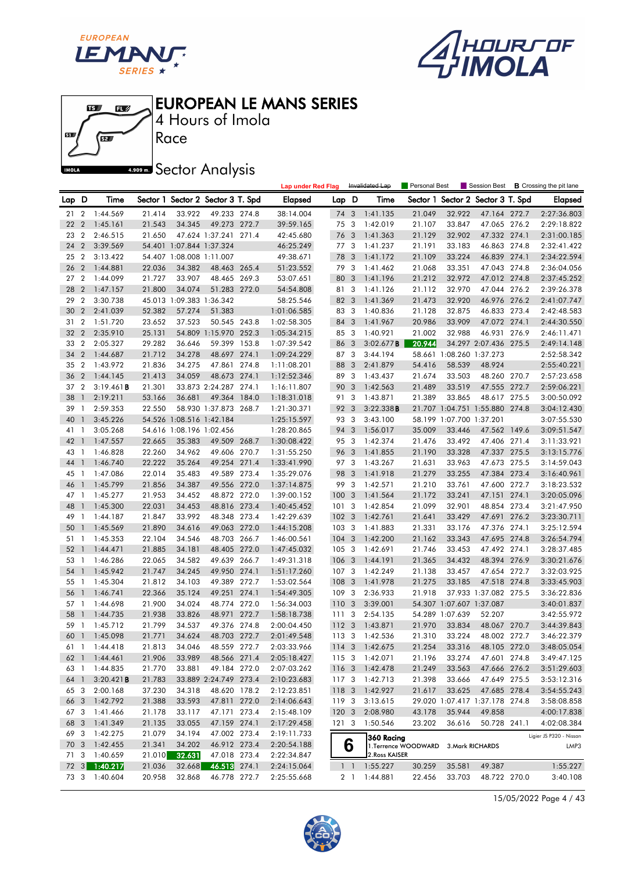

 $\mathbf{E}$ 

 $\mathbf{E}$ 

何

61

**IMOLA** 



EUROPEAN LE MANS SERIES

Race 4 Hours of Imola

**ARDOW A** Sector Analysis

|                 |                |               |        |                          |                                   |       | <b>Lap under Red Flag</b> |                  |                         | Invalidated Lap | <b>Personal Best</b> |                          | Session Best                   |       | <b>B</b> Crossing the pit lane |
|-----------------|----------------|---------------|--------|--------------------------|-----------------------------------|-------|---------------------------|------------------|-------------------------|-----------------|----------------------|--------------------------|--------------------------------|-------|--------------------------------|
| Lap D           |                | Time          |        |                          | Sector 1 Sector 2 Sector 3 T. Spd |       | Elapsed                   | Lap D            |                         | Time            | Sector 1             |                          | Sector 2 Sector 3 T. Spd       |       | Elapsed                        |
| 21              | $\overline{2}$ | 1:44.569      | 21.414 | 33.922                   | 49.233 274.8                      |       | 38:14.004                 | 74               | 3                       | 1:41.135        | 21.049               | 32.922                   | 47.164 272.7                   |       | 2:27:36.803                    |
| 22              | $\overline{2}$ | 1:45.161      | 21.543 | 34.345                   | 49.273 272.7                      |       | 39:59.165                 | 75 3             |                         | 1:42.019        | 21.107               | 33.847                   | 47.065 276.2                   |       | 2:29:18.822                    |
| 23              | $\overline{2}$ | 2:46.515      | 21.650 |                          | 47.624 1:37.241 271.4             |       | 42:45.680                 | 76               | 3                       | 1:41.363        | 21.129               | 32.902                   | 47.332 274.1                   |       | 2:31:00.185                    |
| 24              | $\overline{2}$ | 3:39.569      |        | 54.401 1:07.844 1:37.324 |                                   |       | 46:25.249                 | 77 3             |                         | 1:41.237        | 21.191               | 33.183                   | 46.863 274.8                   |       | 2:32:41.422                    |
| 25              | $\overline{2}$ | 3:13.422      |        | 54.407 1:08.008 1:11.007 |                                   |       | 49:38.671                 | 78               | 3                       | 1:41.172        | 21.109               | 33.224                   | 46.839 274.1                   |       | 2:34:22.594                    |
| 26              | $\overline{2}$ | 1:44.881      | 22.036 | 34.382                   | 48.463 265.4                      |       | 51:23.552                 | 79 3             |                         | 1:41.462        | 21.068               | 33.351                   | 47.043 274.8                   |       | 2:36:04.056                    |
| 27 <sub>2</sub> |                | 1:44.099      | 21.727 | 33.907                   | 48.465 269.3                      |       | 53:07.651                 | 80               | 3                       | 1:41.196        | 21.212               | 32.972                   | 47.012 274.8                   |       | 2:37:45.252                    |
| 28              | $\overline{2}$ | 1:47.157      | 21.800 | 34.074                   | 51.283 272.0                      |       | 54:54.808                 | 81 3             |                         | 1:41.126        | 21.112               | 32.970                   | 47.044 276.2                   |       | 2:39:26.378                    |
| 29              | $\overline{2}$ | 3:30.738      |        | 45.013 1:09.383 1:36.342 |                                   |       | 58:25.546                 | 82 3             |                         | 1:41.369        | 21.473               | 32.920                   | 46.976 276.2                   |       | 2:41:07.747                    |
| 30              | $\overline{2}$ | 2:41.039      | 52.382 | 57.274                   | 51.383                            |       | 1:01:06.585               | 83 3             |                         | 1:40.836        | 21.128               | 32.875                   | 46.833 273.4                   |       | 2:42:48.583                    |
| 31              | $\overline{2}$ | 1:51.720      | 23.652 | 37.523                   | 50.545 243.8                      |       | 1:02:58.305               | 84               | 3                       | 1:41.967        | 20.986               | 33.909                   | 47.072 274.1                   |       | 2:44:30.550                    |
| 32              | $\overline{2}$ | 2:35.910      | 25.131 |                          | 54.809 1:15.970 252.3             |       | 1:05:34.215               | 85 3             |                         | 1:40.921        | 21.002               | 32.988                   | 46.931 276.9                   |       | 2:46:11.471                    |
| 33              | $\overline{2}$ | 2:05.327      | 29.282 | 36.646                   | 59.399 153.8                      |       | 1:07:39.542               | 86 3             |                         | 3:02.677B       | 20.944               |                          | 34.297 2:07.436 275.5          |       | 2:49:14.148                    |
| 34              | $\overline{2}$ | 1:44.687      | 21.712 | 34.278                   | 48.697 274.1                      |       | 1:09:24.229               | 87 3             |                         | 3:44.194        | 58.661               | 1:08.260 1:37.273        |                                |       | 2:52:58.342                    |
| 35              | $\overline{2}$ | 1:43.972      | 21.836 | 34.275                   | 47.861 274.8                      |       | 1:11:08.201               | 88               | 3                       | 2:41.879        | 54.416               | 58.539                   | 48.924                         |       | 2:55:40.221                    |
| 36              | $\overline{2}$ | 1:44.145      | 21.413 | 34.059                   | 48.673 274.1                      |       | 1:12:52.346               | 89 3             |                         | 1:43.437        | 21.674               | 33.503                   | 48.260 270.7                   |       | 2:57:23.658                    |
| 37              | $\overline{2}$ | 3:19.461B     | 21.301 |                          | 33.873 2:24.287 274.1             |       | 1:16:11.807               | 90               | 3                       | 1:42.563        | 21.489               | 33.519                   | 47.555 272.7                   |       | 2:59:06.221                    |
| 38              | $\mathbf{1}$   | 2:19.211      | 53.166 | 36.681                   | 49.364 184.0                      |       | 1:18:31.018               | 91               | 3                       | 1:43.871        | 21.389               | 33.865                   | 48.617 275.5                   |       | 3:00:50.092                    |
| 39              | -1             | 2:59.353      | 22.550 |                          | 58.930 1:37.873 268.7             |       | 1:21:30.371               | 92               | 3                       | 3:22.338B       |                      |                          | 21.707 1:04.751 1:55.880 274.8 |       | 3:04:12.430                    |
| 40              | $\mathbf{1}$   | 3:45.226      |        | 54.526 1:08.516 1:42.184 |                                   |       | 1:25:15.597               | 93 3             |                         | 3:43.100        |                      | 58.199 1:07.700 1:37.201 |                                |       | 3:07:55.530                    |
| 41              | $\overline{1}$ | 3:05.268      |        | 54.616 1:08.196 1:02.456 |                                   |       | 1:28:20.865               | 94               | 3                       | 1:56.017        | 35.009               | 33.446                   | 47.562 149.6                   |       | 3:09:51.547                    |
| 42              | -1             | 1:47.557      | 22.665 | 35.383                   | 49.509 268.7                      |       | 1:30:08.422               | 95 3             |                         | 1:42.374        | 21.476               | 33.492                   | 47.406 271.4                   |       | 3:11:33.921                    |
| 43              | - 1            | 1:46.828      | 22.260 | 34.962                   | 49.606 270.7                      |       | 1:31:55.250               | 96               | 3                       | 1:41.855        | 21.190               | 33.328                   | 47.337 275.5                   |       | 3:13:15.776                    |
| 44              | -1             | 1:46.740      | 22.222 | 35.264                   | 49.254 271.4                      |       | 1:33:41.990               | 97 3             |                         | 1:43.267        | 21.631               | 33.963                   | 47.673 275.5                   |       | 3:14:59.043                    |
| 45              | $\overline{1}$ | 1:47.086      | 22.014 | 35.483                   | 49.589 273.4                      |       | 1:35:29.076               | 98               | $\overline{\mathbf{3}}$ | 1:41.918        | 21.279               | 33.255                   | 47.384 273.4                   |       | 3:16:40.961                    |
| 46              | -1             | 1:45.799      | 21.856 | 34.387                   | 49.556 272.0                      |       | 1:37:14.875               | 99               | 3                       | 1:42.571        | 21.210               | 33.761                   | 47.600 272.7                   |       | 3:18:23.532                    |
| 47 1            |                | 1:45.277      | 21.953 | 34.452                   | 48.872 272.0                      |       | 1:39:00.152               | 1003             |                         | 1:41.564        | 21.172               | 33.241                   | 47.151 274.1                   |       | 3:20:05.096                    |
| 48              | $\overline{1}$ | 1:45.300      | 22.031 | 34.453                   | 48.816 273.4                      |       | 1:40:45.452               | 101              | $\overline{\mathbf{3}}$ | 1:42.854        | 21.099               | 32.901                   | 48.854 273.4                   |       | 3:21:47.950                    |
| 49              | $\overline{1}$ | 1:44.187      | 21.847 | 33.992                   | 48.348 273.4                      |       | 1:42:29.639               | 1023             |                         | 1:42.761        | 21.641               | 33.429                   | 47.691                         | 276.2 | 3:23:30.711                    |
| 50              | $\mathbf{1}$   | 1:45.569      | 21.890 | 34.616                   | 49.063 272.0                      |       | 1:44:15.208               | 103 <sub>3</sub> |                         | 1:41.883        | 21.331               | 33.176                   | 47.376 274.1                   |       | 3:25:12.594                    |
| 51              | $\overline{1}$ | 1:45.353      | 22.104 | 34.546                   | 48.703 266.7                      |       | 1:46:00.561               | $104 - 3$        |                         | 1:42.200        | 21.162               | 33.343                   | 47.695 274.8                   |       | 3:26:54.794                    |
| 52              | $\mathbf{1}$   | 1:44.471      | 21.885 | 34.181                   | 48.405 272.0                      |       | 1:47:45.032               | 1053             |                         | 1:42.691        | 21.746               | 33.453                   | 47.492 274.1                   |       | 3:28:37.485                    |
| 53              | -1             | 1:46.286      | 22.065 | 34.582                   | 49.639                            | 266.7 | 1:49:31.318               | 106              | $\overline{\mathbf{3}}$ | 1:44.191        | 21.365               | 34.432                   | 48.394 276.9                   |       | 3:30:21.676                    |
| 54              | $\mathbf{1}$   | 1:45.942      | 21.747 | 34.245                   | 49.950 274.1                      |       | 1:51:17.260               | 1073             |                         | 1:42.249        | 21.138               | 33.457                   | 47.654 272.7                   |       | 3:32:03.925                    |
| 55              | - 1            | 1:45.304      | 21.812 | 34.103                   | 49.389 272.7                      |       | 1:53:02.564               | 108 3            |                         | 1:41.978        | 21.275               | 33.185                   | 47.518 274.8                   |       | 3:33:45.903                    |
| 56              | -1             | 1:46.741      | 22.366 | 35.124                   | 49.251 274.1                      |       | 1:54:49.305               | 109              | -3                      | 2:36.933        | 21.918               |                          | 37.933 1:37.082 275.5          |       | 3:36:22.836                    |
| 57              | $\overline{1}$ | 1:44.698      | 21.900 | 34.024                   | 48.774                            | 272.0 | 1:56:34.003               | 110              | $\overline{\mathbf{3}}$ | 3:39.001        |                      | 54.307 1:07.607 1:37.087 |                                |       | 3:40:01.837                    |
| 58              | $\mathbf{1}$   | 1:44.735      | 21.938 | 33.826                   | 48.971 272.7                      |       | 1:58:18.738               | 1113             |                         | 2:54.135        |                      | 54.289 1:07.639          | 52.207                         |       | 3:42:55.972                    |
| 59              | $\mathbf{1}$   | 1:45.712      | 21.799 | 34.537                   | 49.376 274.8                      |       | 2:00:04.450               | 112 3            |                         | 1:43.871        | 21.970               | 33.834                   | 48.067 270.7                   |       | 3:44:39.843                    |
| 60 1            |                | 1:45.098      | 21.771 | 34.624                   | 48.703 272.7                      |       | 2:01:49.548               | 1133             |                         | 1:42.536        | 21.310               | 33.224                   | 48.002 272.7                   |       | 3:46:22.379                    |
|                 |                | 61 1 1:44.418 | 21.813 | 34.046                   | 48.559 272.7                      |       | 2:03:33.966               |                  |                         | 114 3 1:42.675  | 21.254               |                          | 33.316 48.105 272.0            |       | 3:48:05.054                    |
|                 |                | 62 1 1:44.461 | 21.906 | 33.989                   | 48.566 271.4                      |       | 2:05:18.427               |                  |                         | 115 3 1:42.071  | 21.196               | 33.274                   | 47.601 274.8                   |       | 3:49:47.125                    |
| 63 1            |                | 1:44.835      | 21.770 | 33.881                   | 49.184 272.0                      |       | 2:07:03.262               |                  |                         | 116 3 1:42.478  | 21.249               | 33.563                   | 47.666 276.2                   |       | 3:51:29.603                    |
| 64 1            |                | 3:20.421B     | 21.783 |                          | 33.889 2:24.749 273.4             |       | 2:10:23.683               | 117 3            |                         | 1:42.713        | 21.398               | 33.666                   | 47.649 275.5                   |       | 3:53:12.316                    |
| 65 3            |                | 2:00.168      | 37.230 | 34.318                   | 48.620 178.2                      |       | 2:12:23.851               |                  |                         | 118 3 1:42.927  | 21.617               | 33.625                   | 47.685 278.4                   |       | 3:54:55.243                    |
| 66 3            |                | 1:42.792      | 21.388 | 33.593                   | 47.811 272.0                      |       | 2:14:06.643               | 119 3            |                         | 3:13.615        |                      |                          | 29.020 1:07.417 1:37.178 274.8 |       | 3:58:08.858                    |
| 67 3            |                | 1:41.466      | 21.178 | 33.117                   | 47.171 273.4                      |       | 2:15:48.109               | $120 \t3$        |                         | 2:08.980        | 43.178               | 35.944                   | 49.858                         |       | 4:00:17.838                    |
| 68 3            |                | 1:41.349      | 21.135 | 33.055                   | 47.159 274.1                      |       | 2:17:29.458               | 1213             |                         | 1:50.546        | 23.202               | 36.616                   | 50.728 241.1                   |       | 4:02:08.384                    |
| 69 3            |                | 1:42.275      | 21.079 | 34.194                   | 47.002 273.4                      |       | 2:19:11.733               |                  |                         | 360 Racing      |                      |                          |                                |       | Ligier JS P320 - Nissan        |
| 70 3            |                | 1:42.455      | 21.341 | 34.202                   | 46.912 273.4                      |       | 2:20:54.188               |                  | წ                       |                 | 1.Terrence WOODWARD  |                          | 3. Mark RICHARDS               |       | LMP3                           |
| 71 3            |                | 1:40.659      | 21.010 | 32.631                   | 47.018 273.4                      |       | 2:22:34.847               |                  |                         | 2. Ross KAISER  |                      |                          |                                |       |                                |
|                 |                | 72 3 1:40.217 | 21.036 | 32.668                   | 46.513 274.1                      |       | 2:24:15.064               |                  | $1\quad$                | 1:55.227        | 30.259               | 35.581                   | 49.387                         |       | 1:55.227                       |
|                 |                | 73 3 1:40.604 | 20.958 | 32.868                   | 46.778 272.7                      |       | 2:25:55.668               |                  | 2 <sub>1</sub>          | 1:44.881        | 22.456               | 33.703                   | 48.722 270.0                   |       | 3:40.108                       |

15/05/2022 Page 4 / 43

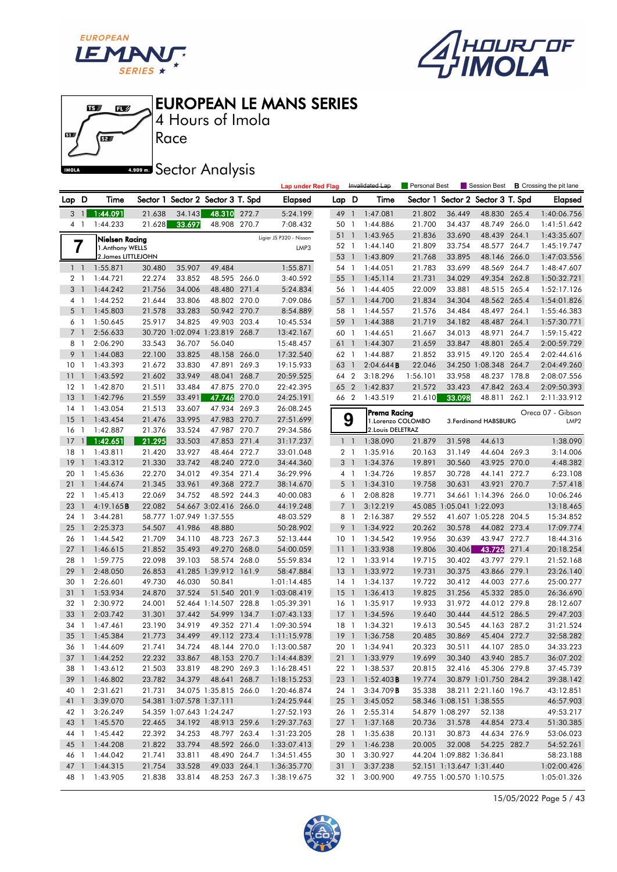





4 Hours of Imola

**ARDER** Sector Analysis

Race

|                 |                              |                      |                  |                          |                                   |       | <b>Lap under Red Flag</b> |                 |                | Invalidated Lap        | Personal Best    |                          | Session Best                      |       | <b>B</b> Crossing the pit lane |
|-----------------|------------------------------|----------------------|------------------|--------------------------|-----------------------------------|-------|---------------------------|-----------------|----------------|------------------------|------------------|--------------------------|-----------------------------------|-------|--------------------------------|
| Lap D           |                              | Time                 |                  |                          | Sector 1 Sector 2 Sector 3 T. Spd |       | Elapsed                   | Lap D           |                | Time                   |                  |                          | Sector 1 Sector 2 Sector 3 T. Spd |       | <b>Elapsed</b>                 |
| 3               | $\overline{1}$               | 1:44.091             | 21.638           | 34.143                   | 48.310 272.7                      |       | 5:24.199                  | 49              | $\overline{1}$ | 1:47.081               | 21.802           | 36.449                   | 48.830 265.4                      |       | 1:40:06.756                    |
|                 | 4 1                          | 1:44.233             | 21.628           | 33.697                   | 48.908 270.7                      |       | 7:08.432                  | 50              | -1             | 1:44.886               | 21.700           | 34.437                   | 48.749 266.0                      |       | 1:41:51.642                    |
|                 |                              | Nielsen Racina       |                  |                          |                                   |       | Ligier JS P320 - Nissan   | 51 1            |                | 1:43.965               | 21.836           | 33.690                   | 48.439 264.1                      |       | 1:43:35.607                    |
|                 | 7                            | 1. Anthony WELLS     |                  |                          |                                   |       | LMP3                      | 52 1            |                | 1:44.140               | 21.809           | 33.754                   | 48.577 264.7                      |       | 1:45:19.747                    |
|                 |                              | 2. James LITTLEJOHN  |                  |                          |                                   |       |                           | 53              | $\overline{1}$ | 1:43.809               | 21.768           | 33.895                   | 48.146 266.0                      |       | 1:47:03.556                    |
|                 | $1\quad$                     | 1:55.871             | 30.480           | 35.907                   | 49.484                            |       | 1:55.871                  | 54 1            |                | 1:44.051               | 21.783           | 33.699                   | 48.569 264.7                      |       | 1:48:47.607                    |
|                 | 2 <sub>1</sub>               | 1:44.721             | 22.274           | 33.852                   | 48.595 266.0                      |       | 3:40.592                  | 55              | $\overline{1}$ | 1:45.114               | 21.731           | 34.029                   | 49.354 262.8                      |       | 1:50:32.721                    |
|                 | 3 <sup>1</sup>               | 1:44.242             | 21.756           | 34.006                   | 48.480 271.4                      |       | 5:24.834                  | 56 1            |                | 1:44.405               | 22.009           | 33.881                   | 48.515 265.4                      |       | 1:52:17.126                    |
|                 | 4 1                          | 1:44.252             | 21.644           | 33.806                   | 48.802 270.0                      |       | 7:09.086                  | 57 1            |                | 1:44.700               | 21.834           | 34.304                   | 48.562 265.4                      |       | 1:54:01.826                    |
| 5               | - 1                          | 1:45.803             | 21.578           | 33.283                   | 50.942 270.7                      |       | 8:54.889                  | 58              | $\overline{1}$ | 1:44.557               | 21.576           | 34.484                   | 48.497 264.1                      |       | 1:55:46.383                    |
|                 | 6 1                          | 1:50.645             | 25.917           | 34.825                   | 49.903 203.4                      |       | 10:45.534                 | 59              | $\overline{1}$ | 1:44.388               | 21.719           | 34.182                   | 48.487 264.1                      |       | 1:57:30.771                    |
| $7^{\circ}$     | $\overline{1}$               | 2:56.633             |                  |                          | 30.720 1:02.094 1:23.819 268.7    |       | 13:42.167                 | 60 1            |                | 1:44.651               | 21.667           | 34.013                   | 48.971                            | 264.7 | 1:59:15.422                    |
| 8               | $\overline{1}$               | 2:06.290             | 33.543           | 36.707                   | 56.040                            |       | 15:48.457                 | 61 1            |                | 1:44.307               | 21.659           | 33.847                   | 48.801                            | 265.4 | 2:00:59.729                    |
| 9               | $\overline{1}$               | 1:44.083             | 22.100           | 33.825                   | 48.158 266.0                      |       | 17:32.540                 | 62 1            |                | 1:44.887               | 21.852           | 33.915                   | 49.120 265.4                      |       | 2:02:44.616                    |
| 10 <sub>1</sub> |                              | 1:43.393             | 21.672           | 33.830                   | 47.891 269.3                      |       | 19:15.933                 | 63              | $\overline{1}$ | 2:04.644B              | 22.046           |                          | 34.250 1:08.348 264.7             |       | 2:04:49.260                    |
| 11              | $\overline{1}$               | 1:43.592             | 21.602           | 33.949                   | 48.041                            | 268.7 | 20:59.525                 | 64 2            |                | 3:18.296               | 1:56.101         | 33.958                   | 48.237 178.8                      |       | 2:08:07.556                    |
| 12              | $\blacksquare$               | 1:42.870             | 21.511           | 33.484                   | 47.875 270.0                      |       | 22:42.395                 | 65 2            |                | 1:42.837               | 21.572           | 33.423                   | 47.842 263.4                      |       | 2:09:50.393                    |
| 13              | $\mathbf{1}$                 | 1:42.796             | 21.559           | 33.491                   | 47.746                            | 270.0 | 24:25.191                 | 66 2            |                | 1:43.519               | 21.610           | 33.098                   | 48.811 262.1                      |       | 2:11:33.912                    |
| $14-1$          |                              | 1:43.054             | 21.513           | 33.607                   | 47.934 269.3                      |       | 26:08.245                 |                 |                | Prema Racina           |                  |                          |                                   |       | Oreca 07 - Gibson              |
| 15              | $\overline{1}$               | 1:43.454             | 21.476           | 33.995                   | 47.983 270.7                      |       | 27:51.699                 |                 | 9              | 1.Lorenzo COLOMBO      |                  |                          | 3. Ferdinand HABSBURG             |       | LMP <sub>2</sub>               |
| 16              | $\mathbf{1}$                 | 1:42.887             | 21.376           | 33.524                   | 47.987 270.7                      |       | 29:34.586                 |                 |                | 2. Louis DELETRAZ      |                  |                          |                                   |       |                                |
| 17              | $\mathbf{1}$                 | 1:42.651             | 21.295           | 33.503                   | 47.853 271.4                      |       | 31:17.237                 |                 | $1\quad1$      | 1:38.090               | 21.879           | 31.598                   | 44.613                            |       | 1:38.090                       |
| 18              | $\mathbf{1}$                 | 1:43.811             | 21.420           | 33.927                   | 48.464 272.7                      |       | 33:01.048                 |                 | 2 <sub>1</sub> | 1:35.916               | 20.163           | 31.149                   | 44.604 269.3                      |       | 3:14.006                       |
| 19              | $\mathbf{1}$                 | 1:43.312             | 21.330           | 33.742                   | 48.240 272.0                      |       | 34:44.360                 |                 | 3 1            | 1:34.376               | 19.891           | 30.560                   | 43.925 270.0                      |       | 4:48.382                       |
| 20              | $\mathbf{1}$                 | 1:45.636             | 22.270           | 34.012                   | 49.354 271.4                      |       | 36:29.996                 |                 | 4 1            | 1:34.726               | 19.857           | 30.728                   | 44.141                            | 272.7 | 6:23.108                       |
| 21              | $\mathbf{1}$                 | 1:44.674             | 21.345           | 33.961                   | 49.368 272.7                      |       | 38:14.670                 |                 | 5 <sub>1</sub> | 1:34.310               | 19.758           | 30.631                   | 43.921 270.7                      |       | 7:57.418                       |
| 22 1            |                              | 1:45.413             | 22.069           | 34.752                   | 48.592 244.3                      |       | 40:00.083                 |                 | 6 1            | 2:08.828               | 19.771           |                          | 34.661 1:14.396 266.0             |       | 10:06.246                      |
| 23              | $\overline{1}$               | 4:19.165B            | 22.082           |                          | 54.667 3:02.416 266.0             |       | 44:19.248                 |                 | 7 <sub>1</sub> | 3:12.219               |                  | 45.085 1:05.041 1:22.093 |                                   |       | 13:18.465                      |
| 24<br>25        | $\mathbf{1}$<br>$\mathbf{1}$ | 3:44.281             |                  | 58.777 1:07.949 1:37.555 | 48.880                            |       | 48:03.529                 | 8 1             | 9 1            | 2:16.387               | 29.552<br>20.262 | 30.578                   | 41.607 1:05.228 204.5             |       | 15:34.852                      |
| 26              | -1                           | 2:25.373<br>1:44.542 | 54.507<br>21.709 | 41.986<br>34.110         | 48.723 267.3                      |       | 50:28.902<br>52:13.444    | 10 <sub>1</sub> |                | 1:34.922<br>1:34.542   | 19.956           | 30.639                   | 44.082 273.4<br>43.947 272.7      |       | 17:09.774<br>18:44.316         |
| 27              | $\overline{\phantom{a}}$     | 1:46.615             | 21.852           | 35.493                   | 49.270 268.0                      |       | 54:00.059                 | 11 <sub>1</sub> |                | 1:33.938               | 19.806           | 30.406                   | 43.726                            | 271.4 | 20:18.254                      |
| 28              | -1                           | 1:59.775             | 22.098           | 39.103                   | 58.574 268.0                      |       | 55:59.834                 | $12-1$          |                | 1:33.914               | 19.715           | 30.402                   | 43.797                            | 279.1 | 21:52.168                      |
| 29              | $\mathbf{1}$                 | 2:48.050             | 26.853           |                          | 41.285 1:39.912 161.9             |       | 58:47.884                 | $13-1$          |                | 1:33.972               | 19.731           | 30.375                   | 43.866 279.1                      |       | 23:26.140                      |
| 30              | -1                           | 2:26.601             | 49.730           | 46.030                   | 50.841                            |       | 1:01:14.485               | $14-1$          |                | 1:34.137               | 19.722           | 30.412                   | 44.003 277.6                      |       | 25:00.277                      |
| 31              | $\overline{1}$               | 1:53.934             | 24.870           | 37.524                   | 51.540 201.9                      |       | 1:03:08.419               | $15-1$          |                | 1:36.413               | 19.825           | 31.256                   | 45.332 285.0                      |       | 26:36.690                      |
| 32              | $\mathbf{1}$                 | 2:30.972             | 24.001           |                          | 52.464 1:14.507 228.8             |       | 1:05:39.391               | $16-1$          |                | 1:35.917               | 19.933           | 31.972                   | 44.012 279.8                      |       | 28:12.607                      |
| 33              | $\mathbf{1}$                 | 2:03.742             | 31.301           | 37.442                   | 54.999 134.7                      |       | 1:07:43.133               | $17-1$          |                | 1:34.596               | 19.640           | 30.444                   | 44.512 286.5                      |       | 29:47.203                      |
| 34              | $\mathbf{1}$                 | 1:47.461             | 23.190           | 34.919                   | 49.352 271.4                      |       | 1:09:30.594               | $18-1$          |                | 1:34.321               | 19.613           | 30.545                   | 44.163                            | 287.2 | 31:21.524                      |
| 35              | $\overline{1}$               | 1:45.384             | 21.773           | 34.499                   | 49.112 273.4                      |       | 1:11:15.978               |                 |                | 19 1 1:36.758          | 20.485           | 30.869                   | 45.404 272.7                      |       | 32:58.282                      |
|                 |                              | 36 1 1:44.609        | 21.741           | 34.724                   | 48.144 270.0                      |       | 1:13:00.587               |                 |                | 20 1 1:34.941          | 20.323           | 30.511                   | 44.107 285.0                      |       | 34:33.223                      |
|                 |                              | 37 1 1:44.252        | 22.232           | 33.867                   | 48.153 270.7                      |       | 1:14:44.839               |                 |                | 21 1 1:33.979          | 19.699           | 30.340                   | 43.940 285.7                      |       | 36:07.202                      |
| 38 1            |                              | 1:43.612             | 21.503           | 33.819                   | 48.290 269.3                      |       | 1:16:28.451               | 22 1            |                | 1:38.537               | 20.815           | 32.416                   | 45.306 279.8                      |       | 37:45.739                      |
|                 |                              | 39 1 1:46.802        | 23.782           | 34.379                   | 48.641 268.7                      |       | 1:18:15.253               |                 |                | 23 1 1:52.403 <b>B</b> | 19.774           |                          | 30.879 1:01.750 284.2             |       | 39:38.142                      |
| 40 1            |                              | 2:31.621             | 21.731           |                          | 34.075 1:35.815 266.0             |       | 1:20:46.874               | 24 1            |                | 3:34.709B              | 35.338           |                          | 38.211 2:21.160 196.7             |       | 43:12.851                      |
| 41 1            |                              | 3:39.070             |                  | 54.381 1:07.578 1:37.111 |                                   |       | 1:24:25.944               |                 | 25 1           | 3:45.052               |                  | 58.346 1:08.151 1:38.555 |                                   |       | 46:57.903                      |
| 42 1            |                              | 3:26.249             |                  | 54.359 1:07.643 1:24.247 |                                   |       | 1:27:52.193               |                 | 26 1           | 2:55.314               |                  | 54.879 1:08.297          | 52.138                            |       | 49:53.217                      |
| 43 1            |                              | 1:45.570             | 22.465           | 34.192                   | 48.913 259.6                      |       | 1:29:37.763               |                 |                | 27 1 1:37.168          | 20.736           | 31.578                   | 44.854 273.4                      |       | 51:30.385                      |
| 44 1            |                              | 1:45.442             | 22.392           | 34.253                   | 48.797 263.4                      |       | 1:31:23.205               |                 | 28 1           | 1:35.638               | 20.131           | 30.873                   | 44.634 276.9                      |       | 53:06.023                      |
| 45 1            |                              | 1:44.208             | 21.822           | 33.794                   | 48.592 266.0                      |       | 1:33:07.413               |                 |                | 29 1 1:46.238          | 20.005           | 32.008                   | 54.225 282.7                      |       | 54:52.261                      |
| 46 1            |                              | 1:44.042             | 21.741           | 33.811                   | 48.490 264.7                      |       | 1:34:51.455               | 30 1            |                | 3:30.927               |                  | 44.204 1:09.882 1:36.841 |                                   |       | 58:23.188                      |
| 47 1            |                              | 1:44.315             | 21.754           | 33.528                   | 49.033 264.1                      |       | 1:36:35.770               |                 | 31 1           | 3:37.238               |                  | 52.151 1:13.647 1:31.440 |                                   |       | 1:02:00.426                    |
| 48 1            |                              | 1:43.905             | 21.838           | 33.814                   | 48.253 267.3                      |       | 1:38:19.675               | 32 1            |                | 3:00.900               |                  |                          | 49.755 1:00.570 1:10.575          |       | 1:05:01.326                    |

15/05/2022 Page 5 / 43

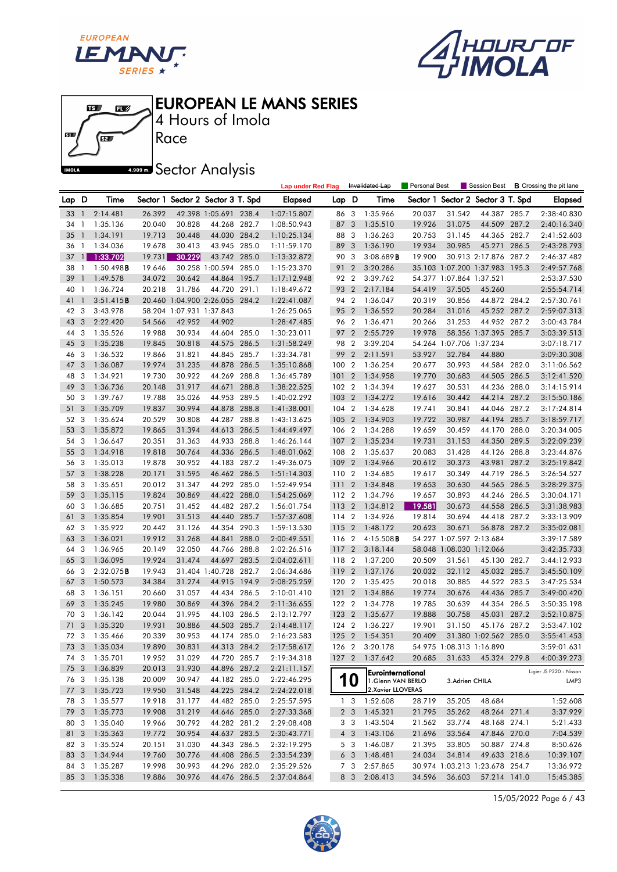





Race 4 Hours of Imola

**A.509 mm** Sector Analysis

|       |                         |               |        |                          |                                   |       | <b>Lap under Red Flag</b> |       |                | Invalidated Lap     | Personal Best |                          | Session Best                   |       | <b>B</b> Crossing the pit lane |
|-------|-------------------------|---------------|--------|--------------------------|-----------------------------------|-------|---------------------------|-------|----------------|---------------------|---------------|--------------------------|--------------------------------|-------|--------------------------------|
| Lap D |                         | Time          |        |                          | Sector 1 Sector 2 Sector 3 T. Spd |       | Elapsed                   | Lap D |                | Time                | Sector 1      |                          | Sector 2 Sector 3 T. Spd       |       | <b>Elapsed</b>                 |
| 33    | $\mathbf{1}$            | 2:14.481      | 26.392 |                          | 42.398 1:05.691 238.4             |       | 1:07:15.807               | 86    | 3              | 1:35.966            | 20.037        | 31.542                   | 44.387 285.7                   |       | 2:38:40.830                    |
| 34    | -1                      | 1:35.136      | 20.040 | 30.828                   | 44.268 282.7                      |       | 1:08:50.943               | 87    | 3              | 1:35.510            | 19.926        | 31.075                   | 44.509 287.2                   |       | 2:40:16.340                    |
| 35    | $\mathbf{1}$            | 1:34.191      | 19.713 | 30.448                   | 44.030 284.2                      |       | 1:10:25.134               | 88    | 3              | 1:36.263            | 20.753        | 31.145                   | 44.365 282.7                   |       | 2:41:52.603                    |
| 36    | $\mathbf{1}$            | 1:34.036      | 19.678 | 30.413                   | 43.945 285.0                      |       | 1:11:59.170               | 89 3  |                | 1:36.190            | 19.934        | 30.985                   | 45.271                         | 286.5 | 2:43:28.793                    |
| 37    | $\mathbf{1}$            | 1:33.702      | 19.731 | 30.229                   | 43.742 285.0                      |       | 1:13:32.872               | 90    | 3              | 3:08.689B           | 19.900        |                          | 30.913 2:17.876 287.2          |       | 2:46:37.482                    |
| 38    | $\mathbf{1}$            | 1:50.498B     | 19.646 |                          | 30.258 1:00.594                   | 285.0 | 1:15:23.370               | 91    | $\overline{2}$ | 3:20.286            |               |                          | 35.103 1:07.200 1:37.983 195.3 |       | 2:49:57.768                    |
| 39    | $\mathbf{1}$            | 1:49.578      | 34.072 | 30.642                   | 44.864 195.7                      |       | 1:17:12.948               | 92 2  |                | 3:39.762            |               | 54.377 1:07.864 1:37.521 |                                |       | 2:53:37.530                    |
| 40    | $\mathbf{1}$            | 1:36.724      | 20.218 | 31.786                   | 44.720 291.1                      |       | 1:18:49.672               | 93 2  |                | 2:17.184            | 54.419        | 37.505                   | 45.260                         |       | 2:55:54.714                    |
| 41    | $\mathbf{1}$            | 3:51.415B     |        |                          | 20.460 1:04.900 2:26.055 284.2    |       | 1:22:41.087               | 94 2  |                | 1:36.047            | 20.319        | 30.856                   | 44.872 284.2                   |       | 2:57:30.761                    |
| 42    | 3                       | 3:43.978      |        | 58.204 1:07.931 1:37.843 |                                   |       | 1:26:25.065               | 95 2  |                | 1:36.552            | 20.284        | 31.016                   | 45.252 287.2                   |       | 2:59:07.313                    |
| 43    | 3                       | 2:22.420      | 54.566 | 42.952                   | 44.902                            |       | 1:28:47.485               | 96 2  |                | 1:36.471            | 20.266        | 31.253                   | 44.952 287.2                   |       | 3:00:43.784                    |
| 44    | 3                       | 1:35.526      | 19.988 | 30.934                   | 44.604 285.0                      |       | 1:30:23.011               | 97 2  |                | 2:55.729            | 19.978        |                          | 58.356 1:37.395 285.7          |       | 3:03:39.513                    |
| 45    | $\overline{3}$          | 1:35.238      | 19.845 | 30.818                   | 44.575 286.5                      |       | 1:31:58.249               | 98    | $\overline{2}$ | 3:39.204            |               | 54.264 1:07.706 1:37.234 |                                |       | 3:07:18.717                    |
| 46    | 3                       | 1:36.532      | 19.866 | 31.821                   | 44.845 285.7                      |       | 1:33:34.781               | 99    | $\overline{2}$ | 2:11.591            | 53.927        | 32.784                   | 44.880                         |       | 3:09:30.308                    |
| 47    | 3                       | 1:36.087      | 19.974 | 31.235                   | 44.878 286.5                      |       | 1:35:10.868               | 100 2 |                | 1:36.254            | 20.677        | 30.993                   | 44.584 282.0                   |       | 3:11:06.562                    |
| 48    | 3                       | 1:34.921      | 19.730 | 30.922                   | 44.269 288.8                      |       | 1:36:45.789               | 101   | $\overline{2}$ | 1:34.958            | 19.770        | 30.683                   | 44.505 286.5                   |       | 3:12:41.520                    |
| 49    | 3                       | 1:36.736      | 20.148 | 31.917                   | 44.671                            | 288.8 | 1:38:22.525               | 102 2 |                | 1:34.394            | 19.627        | 30.531                   | 44.236 288.0                   |       | 3:14:15.914                    |
| 50    | 3                       | 1:39.767      | 19.788 | 35.026                   | 44.953 289.5                      |       | 1:40:02.292               | 103 2 |                | 1:34.272            | 19.616        | 30.442                   | 44.214 287.2                   |       | 3:15:50.186                    |
| 51    | $\overline{3}$          | 1:35.709      | 19.837 | 30.994                   | 44.878 288.8                      |       | 1:41:38.001               | 104 2 |                | 1:34.628            | 19.741        | 30.841                   | 44.046 287.2                   |       | 3:17:24.814                    |
| 52 3  |                         | 1:35.624      | 20.529 | 30.808                   | 44.287 288.8                      |       | 1:43:13.625               | 105 2 |                | 1:34.903            | 19.722        | 30.987                   | 44.194                         | 285.7 | 3:18:59.717                    |
| 53    | 3                       | 1:35.872      | 19.865 | 31.394                   | 44.613 286.5                      |       | 1:44:49.497               | 106 2 |                | 1:34.288            | 19.659        | 30.459                   | 44.170                         | 288.0 | 3:20:34.005                    |
| 54    | $\overline{\mathbf{3}}$ | 1:36.647      | 20.351 | 31.363                   | 44.933 288.8                      |       | 1:46:26.144               | 107 2 |                | 1:35.234            | 19.731        | 31.153                   | 44.350 289.5                   |       | 3:22:09.239                    |
| 55    | 3                       | 1:34.918      | 19.818 | 30.764                   | 44.336 286.5                      |       | 1:48:01.062               | 108 2 |                | 1:35.637            | 20.083        | 31.428                   | 44.126 288.8                   |       | 3:23:44.876                    |
| 56    | -3                      | 1:35.013      | 19.878 | 30.952                   | 44.183 287.2                      |       | 1:49:36.075               | 109   | $\overline{2}$ | 1:34.966            | 20.612        | 30.373                   | 43.981                         | 287.2 | 3:25:19.842                    |
| 57    | 3                       | 1:38.228      | 20.171 | 31.595                   | 46.462 286.5                      |       | 1:51:14.303               | 110 2 |                | 1:34.685            | 19.617        | 30.349                   | 44.719 286.5                   |       | 3:26:54.527                    |
| 58    | $\overline{3}$          | 1:35.651      | 20.012 | 31.347                   | 44.292 285.0                      |       | 1:52:49.954               | 111   | $\overline{2}$ | 1:34.848            | 19.653        | 30.630                   | 44.565 286.5                   |       | 3:28:29.375                    |
| 59    | 3                       | 1:35.115      | 19.824 | 30.869                   | 44.422 288.0                      |       | 1:54:25.069               | 112 2 |                | 1:34.796            | 19.657        | 30.893                   | 44.246 286.5                   |       | 3:30:04.171                    |
| 60    | -3                      | 1:36.685      | 20.751 | 31.452                   | 44.482 287.2                      |       | 1:56:01.754               | 113 2 |                | 1:34.812            | 19.581        | 30.673                   | 44.558 286.5                   |       | 3:31:38.983                    |
| 61    | 3                       | 1:35.854      | 19.901 | 31.513                   | 44.440 285.7                      |       | 1:57:37.608               | 114 2 |                | 1:34.926            | 19.814        | 30.694                   | 44.418 287.2                   |       | 3:33:13.909                    |
| 62    | $\overline{\mathbf{3}}$ | 1:35.922      | 20.442 | 31.126                   | 44.354 290.3                      |       | 1:59:13.530               | 115 2 |                | 1:48.172            | 20.623        | 30.671                   | 56.878 287.2                   |       | 3:35:02.081                    |
| 63    | 3                       | 1:36.021      | 19.912 | 31.268                   | 44.841                            | 288.0 | 2:00:49.551               | 116 2 |                | $4:15.508$ <b>B</b> |               | 54.227 1:07.597 2:13.684 |                                |       | 3:39:17.589                    |
| 64    | 3                       | 1:36.965      | 20.149 | 32.050                   | 44.766 288.8                      |       | 2:02:26.516               | 117 2 |                | 3:18.144            |               | 58.048 1:08.030 1:12.066 |                                |       | 3:42:35.733                    |
| 65    | 3                       | 1:36.095      | 19.924 | 31.474                   | 44.697 283.5                      |       | 2:04:02.611               | 118 2 |                | 1:37.200            | 20.509        | 31.561                   | 45.130 282.7                   |       | 3:44:12.933                    |
| 66    | 3                       | 2:32.075B     | 19.943 |                          | 31.404 1:40.728 282.7             |       | 2:06:34.686               | 119   | $\overline{2}$ | 1:37.176            | 20.032        | 32.112                   | 45.032 285.7                   |       | 3:45:50.109                    |
| 67    | 3                       | 1:50.573      | 34.384 | 31.274                   | 44.915 194.9                      |       | 2:08:25.259               | 120 2 |                | 1:35.425            | 20.018        | 30.885                   | 44.522 283.5                   |       | 3:47:25.534                    |
| 68    | 3                       | 1:36.151      | 20.660 | 31.057                   | 44.434 286.5                      |       | 2:10:01.410               | 121   | $\overline{2}$ | 1:34.886            | 19.774        | 30.676                   | 44.436                         | 285.7 | 3:49:00.420                    |
| 69    | 3                       | 1:35.245      | 19.980 | 30.869                   | 44.396 284.2                      |       | 2:11:36.655               | 122 2 |                | 1:34.778            | 19.785        | 30.639                   | 44.354                         | 286.5 | 3:50:35.198                    |
| 70 3  |                         | 1:36.142      | 20.044 | 31.995                   | 44.103 286.5                      |       | 2:13:12.797               | 123 2 |                | 1:35.677            | 19.888        | 30.758                   | 45.031                         | 287.2 | 3:52:10.875                    |
| 71    | 3                       | 1:35.320      | 19.931 | 30.886                   | 44.503 285.7                      |       | 2:14:48.117               | 124 2 |                | 1:36.227            | 19.901        | 31.150                   | 45.176 287.2                   |       | 3:53:47.102                    |
| 72    | $\mathbf{3}$            | 1:35.466      | 20.339 | 30.953                   | 44.174 285.0                      |       | 2:16:23.583               | 125 2 |                | 1:54.351            | 20.409        |                          | 31.380 1:02.562 285.0          |       | 3:55:41.453                    |
|       |                         | 73 3 1:35.034 | 19.890 | 30.831                   | 44.313 284.2                      |       | 2:17:58.617               | 126 2 |                | 3:20.178            |               | 54.975 1:08.313 1:16.890 |                                |       | 3:59:01.631                    |
|       |                         | 74 3 1:35.701 | 19.952 | 31.029                   | 44.720 285.7                      |       | 2:19:34.318               |       |                | 127 2 1:37.642      | 20.685        |                          | 31.633 45.324 279.8            |       | 4:00:39.273                    |
| 75 3  |                         | 1:36.839      | 20.013 | 31.930                   | 44.896 287.2                      |       | 2:21:11.157               |       |                | Eurointernational   |               |                          |                                |       | Ligier JS P320 - Nissan        |
| 76 3  |                         | 1:35.138      | 20.009 | 30.947                   | 44.182 285.0                      |       | 2:22:46.295               |       | 10             | 1.Glenn VAN BERLO   |               | 3.Adrien CHILA           |                                |       | LMP3                           |
| 77 3  |                         | 1:35.723      | 19.950 | 31.548                   | 44.225 284.2                      |       | 2:24:22.018               |       |                | 2. Xavier LLOVERAS  |               |                          |                                |       |                                |
| 78 3  |                         | 1:35.577      | 19.918 | 31.177                   | 44.482 285.0                      |       | 2:25:57.595               |       | 1 3            | 1:52.608            | 28.719        | 35.205                   | 48.684                         |       | 1:52.608                       |
| 79 3  |                         | 1:35.773      | 19.908 | 31.219                   | 44.646 285.0                      |       | 2:27:33.368               |       | 2 <sub>3</sub> | 1:45.321            | 21.795        | 35.262                   | 48.264 271.4                   |       | 3:37.929                       |
| 80 3  |                         | 1:35.040      | 19.966 | 30.792                   | 44.282 281.2                      |       | 2:29:08.408               |       | 3 <sub>3</sub> | 1:43.504            | 21.562        | 33.774                   | 48.168 274.1                   |       | 5:21.433                       |
| 81 3  |                         | 1:35.363      | 19.772 | 30.954                   | 44.637 283.5                      |       | 2:30:43.771               |       | $4 \quad 3$    | 1:43.106            | 21.696        | 33.564                   | 47.846 270.0                   |       | 7:04.539                       |
| 82 3  |                         | 1:35.524      | 20.151 | 31.030                   | 44.343 286.5                      |       | 2:32:19.295               |       | 5 3            | 1:46.087            | 21.395        | 33.805                   | 50.887 274.8                   |       | 8:50.626                       |
| 83 3  |                         | 1:34.944      | 19.760 | 30.776                   | 44.408 286.5                      |       | 2:33:54.239               |       | 6 <sub>3</sub> | 1:48.481            | 24.034        | 34.814                   | 49.633 218.6                   |       | 10:39.107                      |
| 84 3  |                         | 1:35.287      | 19.998 | 30.993                   | 44.296 282.0                      |       | 2:35:29.526               |       | 7 <sup>3</sup> | 2:57.865            |               |                          | 30.974 1:03.213 1:23.678 254.7 |       | 13:36.972                      |
| 85 3  |                         | 1:35.338      | 19.886 | 30.976                   | 44.476 286.5                      |       | 2:37:04.864               |       | 8 3            | 2:08.413            | 34.596        | 36.603                   | 57.214 141.0                   |       | 15:45.385                      |

15/05/2022 Page 6 / 43

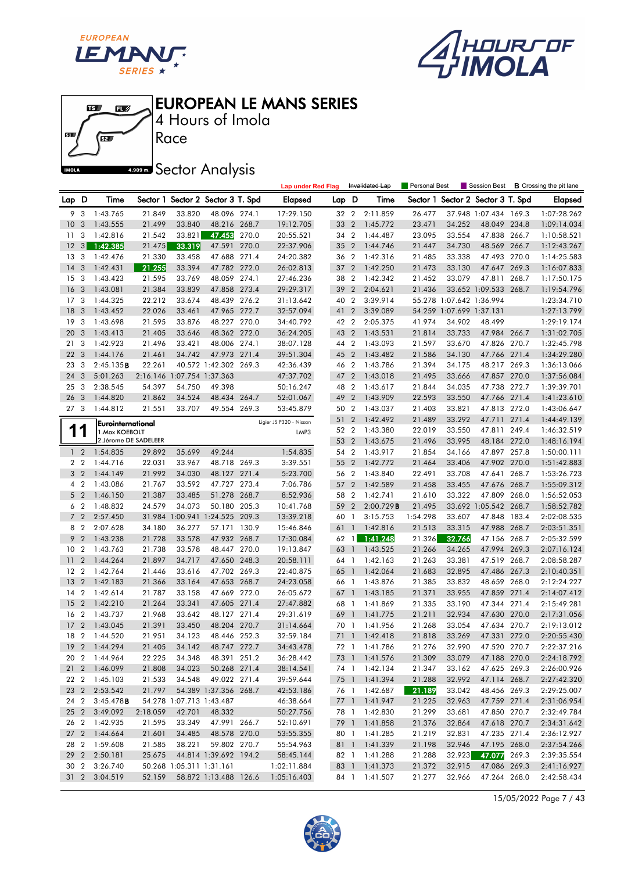





Race 4 Hours of Imola

**A.509 mm** Sector Analysis

|                 |                  |                                     |          |        |                                   |       | <b>Lap under Red Flag</b>       |       |                | Invalidated Lap | Personal Best |                          | Session Best                      |       | <b>B</b> Crossing the pit lane |
|-----------------|------------------|-------------------------------------|----------|--------|-----------------------------------|-------|---------------------------------|-------|----------------|-----------------|---------------|--------------------------|-----------------------------------|-------|--------------------------------|
| Lap D           |                  | Time                                |          |        | Sector 1 Sector 2 Sector 3 T. Spd |       | Elapsed                         | Lap D |                | Time            |               |                          | Sector 1 Sector 2 Sector 3 T. Spd |       | <b>Elapsed</b>                 |
| 9               | 3                | 1:43.765                            | 21.849   | 33.820 | 48.096 274.1                      |       | 17:29.150                       | 32 2  |                | 2:11.859        | 26.477        |                          | 37.948 1:07.434 169.3             |       | 1:07:28.262                    |
| 10              | 3                | 1:43.555                            | 21.499   | 33.840 | 48.216 268.7                      |       | 19:12.705                       | 33    | $\overline{2}$ | 1:45.772        | 23.471        | 34.252                   | 48.049 234.8                      |       | 1:09:14.034                    |
| 11              | 3                | 1:42.816                            | 21.542   | 33.821 | 47.453                            | 270.0 | 20:55.521                       | 34 2  |                | 1:44.487        | 23.095        | 33.554                   | 47.838 266.7                      |       | 1:10:58.521                    |
| 12              | 3                | 1:42.385                            | 21.475   | 33.319 | 47.591                            | 270.0 | 22:37.906                       | 35 2  |                | 1:44.746        | 21.447        | 34.730                   | 48.569 266.7                      |       | 1:12:43.267                    |
| 13              | 3                | 1:42.476                            | 21.330   | 33.458 | 47.688                            | 271.4 | 24:20.382                       | 36 2  |                | 1:42.316        | 21.485        | 33.338                   | 47.493 270.0                      |       | 1:14:25.583                    |
| 14              | 3                | 1:42.431                            | 21.255   | 33.394 | 47.782 272.0                      |       | 26:02.813                       | 37    | $\overline{2}$ | 1:42.250        | 21.473        | 33.130                   | 47.647                            | 269.3 | 1:16:07.833                    |
| 15              | -3               | 1:43.423                            | 21.595   | 33.769 | 48.059 274.1                      |       | 27:46.236                       | 38 2  |                | 1:42.342        | 21.452        | 33.079                   | 47.811 268.7                      |       | 1:17:50.175                    |
| 16              | 3                | 1:43.081                            | 21.384   | 33.839 | 47.858 273.4                      |       | 29:29.317                       | 39 2  |                | 2:04.621        | 21.436        |                          | 33.652 1:09.533 268.7             |       | 1:19:54.796                    |
| 17              | 3                | 1:44.325                            | 22.212   | 33.674 | 48.439 276.2                      |       | 31:13.642                       | 40 2  |                | 3:39.914        |               | 55.278 1:07.642 1:36.994 |                                   |       | 1:23:34.710                    |
| 18              | 3                | 1:43.452                            | 22.026   | 33.461 | 47.965 272.7                      |       | 32:57.094                       | 41    | $\overline{2}$ | 3:39.089        |               | 54.259 1:07.699 1:37.131 |                                   |       | 1:27:13.799                    |
| 19              | 3                | 1:43.698                            | 21.595   | 33.876 | 48.227 270.0                      |       | 34:40.792                       | 42 2  |                | 2:05.375        | 41.974        | 34.902                   | 48.499                            |       | 1:29:19.174                    |
| 20              | 3                | 1:43.413                            | 21.405   | 33.646 | 48.362 272.0                      |       | 36:24.205                       | 43 2  |                | 1:43.531        | 21.814        | 33.733                   | 47.984 266.7                      |       | 1:31:02.705                    |
| 21              | 3                | 1:42.923                            | 21.496   | 33.421 | 48.006 274.1                      |       | 38:07.128                       | 44 2  |                | 1:43.093        | 21.597        | 33.670                   | 47.826 270.7                      |       | 1:32:45.798                    |
| 22              | $\overline{3}$   | 1:44.176                            | 21.461   | 34.742 | 47.973 271.4                      |       | 39:51.304                       | 45    | $\overline{2}$ | 1:43.482        | 21.586        | 34.130                   | 47.766 271.4                      |       | 1:34:29.280                    |
| 23              | 3                | 2:45.135B                           | 22.261   |        | 40.572 1:42.302 269.3             |       | 42:36.439                       | 46 2  |                | 1:43.786        | 21.394        | 34.175                   | 48.217 269.3                      |       | 1:36:13.066                    |
| 24              | 3                | 5:01.263                            |          |        | 2:16.146 1:07.754 1:37.363        |       | 47:37.702                       | 47 2  |                | 1:43.018        | 21.495        | 33.666                   | 47.857                            | 270.0 | 1:37:56.084                    |
| 25              | 3                | 2:38.545                            | 54.397   | 54.750 | 49.398                            |       | 50:16.247                       | 48 2  |                | 1:43.617        | 21.844        | 34.035                   | 47.738 272.7                      |       | 1:39:39.701                    |
| 26              | 3                | 1:44.820                            | 21.862   | 34.524 | 48.434 264.7                      |       | 52:01.067                       | 49    | $\overline{2}$ | 1:43.909        | 22.593        | 33.550                   | 47.766 271.4                      |       | 1:41:23.610                    |
| 27 <sub>3</sub> |                  | 1:44.812                            | 21.551   | 33.707 | 49.554 269.3                      |       | 53:45.879                       | 50 2  |                | 1:43.037        | 21.403        | 33.821                   | 47.813 272.0                      |       | 1:43:06.647                    |
|                 |                  |                                     |          |        |                                   |       |                                 | 51    | $\overline{2}$ | 1:42.492        | 21.489        | 33.292                   | 47.711                            | 271.4 | 1:44:49.139                    |
| 1               | 1                | Eurointernational<br>1. Max KOEBOLT |          |        |                                   |       | Ligier JS P320 - Nissan<br>LMP3 | 52 2  |                | 1:43.380        | 22.019        | 33.550                   | 47.811                            | 249.4 | 1:46:32.519                    |
|                 |                  | 2. Jérome DE SADELEER               |          |        |                                   |       |                                 | 53 2  |                | 1:43.675        | 21.496        | 33.995                   | 48.184 272.0                      |       | 1:48:16.194                    |
|                 | $1\quad 2$       | 1:54.835                            | 29.892   | 35.699 | 49.244                            |       | 1:54.835                        | 54 2  |                | 1:43.917        | 21.854        | 34.166                   | 47.897 257.8                      |       | 1:50:00.111                    |
|                 | 2 <sub>2</sub>   | 1:44.716                            | 22.031   | 33.967 | 48.718 269.3                      |       | 3:39.551                        | 55 2  |                | 1:42.772        | 21.464        | 33.406                   | 47.902 270.0                      |       | 1:51:42.883                    |
| 3               | $\overline{2}$   | 1:44.149                            | 21.992   | 34.030 | 48.127 271.4                      |       | 5:23.700                        | 56 2  |                | 1:43.840        | 22.491        | 33.708                   | 47.641                            | 268.7 | 1:53:26.723                    |
|                 | 4 2              | 1:43.086                            | 21.767   | 33.592 | 47.727 273.4                      |       | 7:06.786                        | 57    | $\overline{2}$ | 1:42.589        | 21.458        | 33.455                   | 47.676 268.7                      |       | 1:55:09.312                    |
| 5               | $\overline{2}$   | 1:46.150                            | 21.387   | 33.485 | 51.278 268.7                      |       | 8:52.936                        | 58 2  |                | 1:42.741        | 21.610        | 33.322                   | 47.809 268.0                      |       | 1:56:52.053                    |
|                 | 6 2              | 1:48.832                            | 24.579   | 34.073 | 50.180 205.3                      |       | 10:41.768                       | 59    | $\overline{2}$ | 2:00.729B       | 21.495        |                          | 33.692 1:05.542 268.7             |       | 1:58:52.782                    |
| $7^{\circ}$     | $\overline{2}$   | 2:57.450                            |          |        | 31.984 1:00.941 1:24.525 209.3    |       | 13:39.218                       | 60    | $\overline{1}$ | 3:15.753        | 1:54.298      | 33.607                   | 47.848 183.4                      |       | 2:02:08.535                    |
|                 | 8 2              | 2:07.628                            | 34.180   | 36.277 | 57.171 130.9                      |       | 15:46.846                       | 61    | $\mathbf{1}$   | 1:42.816        | 21.513        | 33.315                   | 47.988 268.7                      |       | 2:03:51.351                    |
| 9               | $\overline{2}$   | 1:43.238                            | 21.728   | 33.578 | 47.932 268.7                      |       | 17:30.084                       | 62 1  |                | 1:41.248        | 21.326        | 32.766                   | 47.156 268.7                      |       | 2:05:32.599                    |
| 10              | $\overline{2}$   | 1:43.763                            | 21.738   | 33.578 | 48.447 270.0                      |       | 19:13.847                       | 63    | $\overline{1}$ | 1:43.525        | 21.266        | 34.265                   | 47.994                            | 269.3 | 2:07:16.124                    |
| 11              | $\boldsymbol{2}$ | 1:44.264                            | 21.897   | 34.717 | 47.650 248.3                      |       | 20:58.111                       | 64    | $\overline{1}$ | 1:42.163        | 21.263        | 33.381                   | 47.519 268.7                      |       | 2:08:58.287                    |
| 12              | $\overline{2}$   | 1:42.764                            | 21.446   | 33.616 | 47.702 269.3                      |       | 22:40.875                       | 65    | $\mathbf{1}$   | 1:42.064        | 21.683        | 32.895                   | 47.486 267.3                      |       | 2:10:40.351                    |
| 13              | $\overline{2}$   | 1:42.183                            | 21.366   | 33.164 | 47.653 268.7                      |       | 24:23.058                       | 66 1  |                | 1:43.876        | 21.385        | 33.832                   | 48.659 268.0                      |       | 2:12:24.227                    |
| 14              | $\overline{2}$   | 1:42.614                            | 21.787   | 33.158 | 47.669 272.0                      |       | 26:05.672                       | 67    | $\overline{1}$ | 1:43.185        | 21.371        | 33.955                   | 47.859                            | 271.4 | 2:14:07.412                    |
| 15              | $\overline{2}$   | 1:42.210                            | 21.264   | 33.341 | 47.605 271.4                      |       | 27:47.882                       | 68    | $\overline{1}$ | 1:41.869        | 21.335        | 33.190                   | 47.344 271.4                      |       | 2:15:49.281                    |
| 16              | $\overline{2}$   | 1:43.737                            | 21.968   | 33.642 | 48.127 271.4                      |       | 29:31.619                       | 69    | $\overline{1}$ | 1:41.775        | 21.211        | 32.934                   | 47.630 270.0                      |       | 2:17:31.056                    |
| 17              | $\overline{2}$   | 1:43.045                            | 21.391   | 33.450 | 48.204 270.7                      |       | 31:14.664                       | 70 1  |                | 1:41.956        | 21.268        | 33.054                   | 47.634 270.7                      |       | 2:19:13.012                    |
| 18              | $\overline{2}$   | 1:44.520                            | 21.951   | 34.123 | 48.446 252.3                      |       | 32:59.184                       |       | 71 1           | 1:42.418        | 21.818        | 33.269                   | 47.331 272.0                      |       | 2:20:55.430                    |
|                 |                  | 19 2 1:44.294                       | 21.405   | 34.142 | 48.747 272.7                      |       | 34:43.478                       |       |                | 72 1 1:41.786   | 21.276        | 32.990                   | 47.520 270.7                      |       | 2:22:37.216                    |
|                 |                  | 20 2 1:44.964                       | 22.225   | 34.348 | 48.391 251.2                      |       | 36:28.442                       |       |                | 73 1 1:41.576   | 21.309        | 33.079                   | 47.188 270.0                      |       | 2:24:18.792                    |
|                 |                  | 21 2 1:46.099                       | 21.808   | 34.023 | 50.268 271.4                      |       | 38:14.541                       |       |                | 74 1 1:42.134   | 21.347        | 33.162                   | 47.625 269.3                      |       | 2:26:00.926                    |
|                 |                  | 22 2 1:45.103                       | 21.533   | 34.548 | 49.022 271.4                      |       | 39:59.644                       |       |                | 75 1 1:41.394   | 21.288        | 32.992                   | 47.114 268.7                      |       | 2:27:42.320                    |
|                 |                  | 23 2 2:53.542                       | 21.797   |        | 54.389 1:37.356 268.7             |       | 42:53.186                       |       |                | 76 1 1:42.687   | 21.189        | 33.042                   | 48.456 269.3                      |       | 2:29:25.007                    |
|                 |                  | 24 2 3:45.478B                      |          |        | 54.278 1:07.713 1:43.487          |       | 46:38.664                       |       |                | 77 1 1:41.947   | 21.225        | 32.963                   | 47.759 271.4                      |       | 2:31:06.954                    |
|                 |                  | 25 2 3:49.092                       | 2:18.059 | 42.701 | 48.332                            |       | 50:27.756                       |       |                | 78 1 1:42.830   | 21.299        | 33.681                   | 47.850 270.7                      |       | 2:32:49.784                    |
| 26 2            |                  | 1:42.935                            | 21.595   | 33.349 | 47.991 266.7                      |       | 52:10.691                       |       |                | 79 1 1:41.858   | 21.376        | 32.864                   | 47.618 270.7                      |       | 2:34:31.642                    |
|                 |                  | 27 2 1:44.664                       | 21.601   | 34.485 | 48.578 270.0                      |       | 53:55.355                       |       |                | 80 1 1:41.285   | 21.219        | 32.831                   | 47.235 271.4                      |       | 2:36:12.927                    |
|                 |                  | 28 2 1:59.608                       | 21.585   | 38.221 | 59.802 270.7                      |       | 55:54.963                       |       |                | 81 1 1:41.339   | 21.198        | 32.946                   | 47.195 268.0                      |       | 2:37:54.266                    |
|                 |                  | 29 2 2:50.181                       | 25.675   |        | 44.814 1:39.692 194.2             |       | 58:45.144                       |       |                | 82 1 1:41.288   | 21.288        | 32.923                   | 47.077 269.3                      |       | 2:39:35.554                    |
|                 | 30 2             | 3:26.740                            |          |        | 50.268 1:05.311 1:31.161          |       | 1:02:11.884                     |       |                | 83 1 1:41.373   | 21.372        | 32.915                   | 47.086 269.3                      |       | 2:41:16.927                    |
| $31\quad2$      |                  | 3:04.519                            | 52.159   |        | 58.872 1:13.488 126.6             |       | 1:05:16.403                     |       |                | 84 1 1:41.507   | 21.277        | 32.966                   | 47.264 268.0                      |       | 2:42:58.434                    |
|                 |                  |                                     |          |        |                                   |       |                                 |       |                |                 |               |                          |                                   |       |                                |

15/05/2022 Page 7 / 43

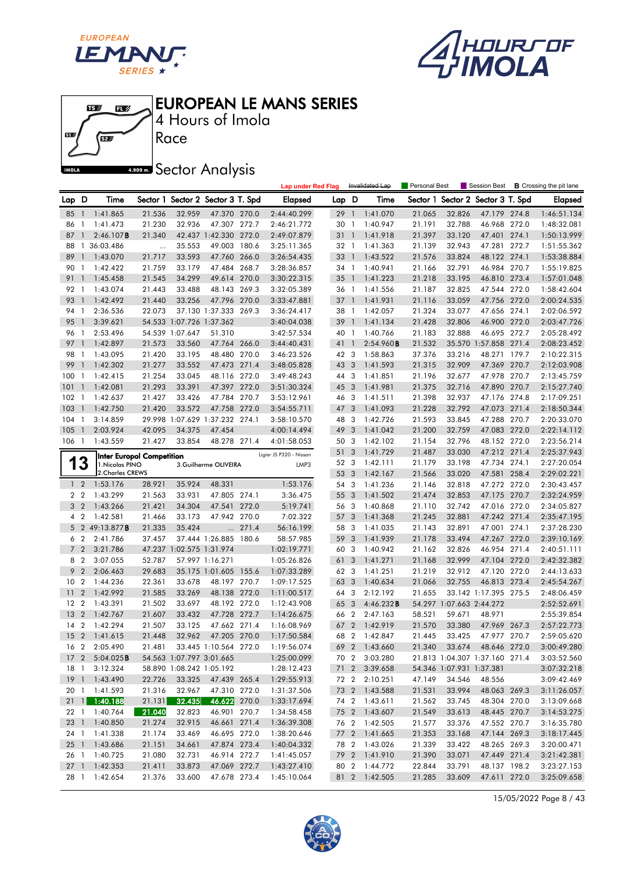





Race 4 Hours of Imola

**A.909mm** Sector Analysis

|                 |                                  |                                  |                  |                          |                                   |       | <b>Lap under Red Flag</b>  |            |                         | Invalidated Lap       | Personal Best    |                          | Session Best                      |       | <b>B</b> Crossing the pit lane |
|-----------------|----------------------------------|----------------------------------|------------------|--------------------------|-----------------------------------|-------|----------------------------|------------|-------------------------|-----------------------|------------------|--------------------------|-----------------------------------|-------|--------------------------------|
| Lap D           |                                  | Time                             |                  |                          | Sector 1 Sector 2 Sector 3 T. Spd |       | <b>Elapsed</b>             | Lap D      |                         | Time                  |                  |                          | Sector 1 Sector 2 Sector 3 T. Spd |       | <b>Elapsed</b>                 |
| 85              | $\overline{1}$                   | 1:41.865                         | 21.536           | 32.959                   | 47.370 270.0                      |       | 2:44:40.299                | 29         | $\overline{1}$          | 1:41.070              | 21.065           | 32.826                   | 47.179 274.8                      |       | 1:46:51.134                    |
| 86              | $\mathbf{1}$                     | 1:41.473                         | 21.230           | 32.936                   | 47.307 272.7                      |       | 2:46:21.772                | 30         | $\mathbf{1}$            | 1:40.947              | 21.191           | 32.788                   | 46.968 272.0                      |       | 1:48:32.081                    |
| 87              | 1                                | 2:46.107B                        | 21.340           |                          | 42.437 1:42.330 272.0             |       | 2:49:07.879                | 31         | $\mathbf{1}$            | 1:41.918              | 21.397           | 33.120                   | 47.401 274.1                      |       | 1:50:13.999                    |
| 88              | $\mathbf{1}$                     | 36:03.486                        | $\ldots$         | 35.553                   | 49.003 180.6                      |       | 3:25:11.365                | 32 1       |                         | 1:41.363              | 21.139           | 32.943                   | 47.281 272.7                      |       | 1:51:55.362                    |
| 89              | $\mathbf{1}$                     | 1:43.070                         | 21.717           | 33.593                   | 47.760 266.0                      |       | 3:26:54.435                | 33         | $\overline{1}$          | 1:43.522              | 21.576           | 33.824                   | 48.122 274.1                      |       | 1:53:38.884                    |
| 90              | -1                               | 1:42.422                         | 21.759           | 33.179                   | 47.484 268.7                      |       | 3:28:36.857                | 34         | $\overline{1}$          | 1:40.941              | 21.166           | 32.791                   | 46.984 270.7                      |       | 1:55:19.825                    |
| 91              | $\mathbf{1}$                     | 1:45.458                         | 21.545           | 34.299                   | 49.614 270.0                      |       | 3:30:22.315                | 35         | $\overline{1}$          | 1:41.223              | 21.218           | 33.195                   | 46.810 273.4                      |       | 1:57:01.048                    |
| 92              | -1                               | 1:43.074                         | 21.443           | 33.488                   | 48.143 269.3                      |       | 3:32:05.389                | 36 1       |                         | 1:41.556              | 21.187           | 32.825                   | 47.544 272.0                      |       | 1:58:42.604                    |
| 93              | $\mathbf{1}$                     | 1:42.492                         | 21.440           | 33.256                   | 47.796 270.0                      |       | 3:33:47.881                | 37         | $\overline{1}$          | 1:41.931              | 21.116           | 33.059                   | 47.756 272.0                      |       | 2:00:24.535                    |
| 94              | -1                               | 2:36.536                         | 22.073           |                          | 37.130 1:37.333 269.3             |       | 3:36:24.417                | 38         | $\mathbf{1}$            | 1:42.057              | 21.324           | 33.077                   | 47.656 274.1                      |       | 2:02:06.592                    |
| 95              | $\mathbf{1}$                     | 3:39.621                         |                  | 54.533 1:07.726 1:37.362 |                                   |       | 3:40:04.038                | 39         | $\overline{1}$          | 1:41.134              | 21.428           | 32.806                   | 46.900 272.0                      |       | 2:03:47.726                    |
| 96              | -1                               | 2:53.496                         |                  | 54.539 1:07.647          | 51.310                            |       | 3:42:57.534                | 40 1       |                         | 1:40.766              | 21.183           | 32.888                   | 46.695 272.7                      |       | 2:05:28.492                    |
| 97              | $\overline{1}$                   | 1:42.897                         | 21.573           | 33.560                   | 47.764 266.0                      |       | 3:44:40.431                | 41         | $\overline{1}$          | 2:54.960B             | 21.532           |                          | 35.570 1:57.858                   | 271.4 | 2:08:23.452                    |
| 98              | -1                               | 1:43.095                         | 21.420           | 33.195                   | 48.480 270.0                      |       | 3:46:23.526                | 42 3       |                         | 1:58.863              | 37.376           | 33.216                   | 48.271 179.7                      |       | 2:10:22.315                    |
| 99              | $\mathbf{1}$                     | 1:42.302                         | 21.277           | 33.552                   | 47.473 271.4                      |       | 3:48:05.828                | 43 3       |                         | 1:41.593              | 21.315           | 32.909                   | 47.369 270.7                      |       | 2:12:03.908                    |
| 100             | -1                               | 1:42.415                         | 21.254           | 33.045                   | 48.116 272.0                      |       | 3:49:48.243                | 44 3       |                         | 1:41.851              | 21.196           | 32.677                   | 47.978 270.7                      |       | 2:13:45.759                    |
| 101             | $\overline{1}$                   | 1:42.081                         | 21.293           | 33.391                   | 47.397 272.0                      |       | 3:51:30.324                | 45         | $\overline{\mathbf{3}}$ | 1:41.981              | 21.375           | 32.716                   | 47.890 270.7                      |       | 2:15:27.740                    |
| 102             | -1                               | 1:42.637                         | 21.427           | 33.426                   | 47.784 270.7                      |       | 3:53:12.961                | 46 3       |                         | 1:41.511              | 21.398           | 32.937                   | 47.176 274.8                      |       | 2:17:09.251                    |
| 103             | $\overline{1}$                   | 1:42.750                         | 21.420           | 33.572                   | 47.758 272.0                      |       | 3:54:55.711                | 47         | -3                      | 1:41.093              | 21.228           | 32.792                   | 47.073 271.4                      |       | 2:18:50.344                    |
| 104             | $\overline{1}$                   | 3:14.859                         |                  |                          | 29.998 1:07.629 1:37.232 274.1    |       | 3:58:10.570                | 48 3       |                         | 1:42.726              | 21.593           | 33.845                   | 47.288 270.7                      |       | 2:20:33.070                    |
| 105             | $\overline{1}$                   | 2:03.924                         | 42.095           | 34.375                   | 47.454                            |       | 4:00:14.494                | 49         | 3                       | 1:41.042              | 21.200           | 32.759                   | 47.083 272.0                      |       | 2:22:14.112                    |
| 106             | $\overline{1}$                   | 1:43.559                         | 21.427           | 33.854                   | 48.278 271.4                      |       | 4:01:58.053                | 50 3       |                         | 1:42.102              | 21.154           | 32.796                   | 48.152 272.0                      |       | 2:23:56.214                    |
|                 |                                  | <b>Inter Europol Competition</b> |                  |                          |                                   |       | Ligier JS P320 - Nissan    | 51 3       |                         | 1:41.729              | 21.487           | 33.030                   | 47.212 271.4                      |       | 2:25:37.943                    |
| 1               | 3                                | 1. Nicolas PINO                  |                  |                          | 3.Guilherme OLIVEIRA              |       | LMP3                       | 52 3       |                         | 1:42.111              | 21.179           | 33.198                   | 47.734 274.1                      |       | 2:27:20.054                    |
|                 |                                  | 2. Charles CREWS                 |                  |                          |                                   |       |                            | 53         | $\overline{\mathbf{3}}$ | 1:42.167              | 21.566           | 33.020                   | 47.581                            | 258.4 | 2:29:02.221                    |
| 1 <sub>2</sub>  |                                  | 1:53.176                         | 28.921           | 35.924                   | 48.331                            |       | 1:53.176                   | 54 3       |                         | 1:41.236              | 21.146           | 32.818                   | 47.272 272.0                      |       | 2:30:43.457                    |
| 2 <sub>2</sub>  |                                  | 1:43.299                         | 21.563           | 33.931                   | 47.805 274.1                      |       | 3:36.475                   | 55 3       |                         | 1:41.502              | 21.474           | 32.853                   | 47.175 270.7                      |       | 2:32:24.959                    |
| 3 <sub>2</sub>  |                                  | 1:43.266                         | 21.421           | 34.304                   | 47.541 272.0                      |       | 5:19.741                   | 56 3       |                         | 1:40.868              | 21.110           | 32.742                   | 47.016 272.0                      |       | 2:34:05.827                    |
| 4 2             |                                  | 1:42.581                         | 21.466           | 33.173                   | 47.942 270.0                      |       | 7:02.322                   | 57         | $\overline{\mathbf{3}}$ | 1:41.368              | 21.245           | 32.881                   | 47.242 271.4                      |       | 2:35:47.195                    |
|                 |                                  | 5 2 49:13.877 <b>B</b>           | 21.335           | 35.424                   | $\cdots$                          | 271.4 | 56:16.199                  | 58 3       |                         | 1:41.035              | 21.143           | 32.891                   | 47.001 274.1                      |       | 2:37:28.230                    |
| 6               | $\overline{2}$                   | 2:41.786                         | 37.457           |                          | 37.444 1:26.885 180.6             |       | 58:57.985                  | 59         | $\overline{\mathbf{3}}$ | 1:41.939              | 21.178           | 33.494                   | 47.267 272.0                      |       | 2:39:10.169                    |
| 7               | $\overline{2}$                   | 3:21.786                         |                  | 47.237 1:02.575 1:31.974 |                                   |       | 1:02:19.771                | 60         | $\overline{\mathbf{3}}$ | 1:40.942              | 21.162           | 32.826                   | 46.954 271.4                      |       | 2:40:51.111                    |
| 8               | $\overline{2}$                   | 3:07.055                         | 52.787           |                          | 57.997 1:16.271                   |       | 1:05:26.826                | 61         | 3                       | 1:41.271              | 21.168           | 32.999                   | 47.104                            | 272.0 | 2:42:32.382                    |
| 9               | $\overline{2}$                   | 2:06.463                         | 29.683           |                          | 35.175 1:01.605 155.6             |       | 1:07:33.289                | 62 3       |                         | 1:41.251              | 21.219           | 32.912                   | 47.120 272.0                      |       | 2:44:13.633                    |
| 10              | $\overline{2}$                   | 1:44.236                         | 22.361           | 33.678                   | 48.197 270.7                      |       | 1:09:17.525                | 63 3       |                         | 1:40.634              | 21.066           | 32.755                   | 46.813 273.4                      |       | 2:45:54.267                    |
| $\overline{11}$ | $\overline{2}$<br>$\overline{2}$ | 1:42.992                         | 21.585           | 33.269                   | 48.138 272.0<br>48.192 272.0      |       | 1:11:00.517                | 64 3       | $\overline{\mathbf{3}}$ | 2:12.192              | 21.655           | 54.297 1:07.663 2:44.272 | 33.142 1:17.395 275.5             |       | 2:48:06.459<br>2:52:52.691     |
| 12<br>13        | $\overline{2}$                   | 1:43.391<br>1:42.767             | 21.502<br>21.607 | 33.697<br>33.432         | 47.728 272.7                      |       | 1:12:43.908<br>1:14:26.675 | 65<br>66 2 |                         | 4:46.232B<br>2:47.163 |                  | 59.671                   | 48.971                            |       |                                |
| 14              | $\overline{2}$                   | 1:42.294                         | 21.507           | 33.125                   | 47.662 271.4                      |       | 1:16:08.969                | 67 2       |                         | 1:42.919              | 58.521<br>21.570 | 33.380                   | 47.969 267.3                      |       | 2:55:39.854<br>2:57:22.773     |
| 15 <sub>2</sub> |                                  | 1:41.615                         | 21.448           | 32.962                   | 47.205 270.0                      |       | 1:17:50.584                | 68 2       |                         | 1:42.847              | 21.445           | 33.425                   | 47.977 270.7                      |       | 2:59:05.620                    |
| 16 <sub>2</sub> |                                  | 2:05.490                         | 21.481           |                          | 33.445 1:10.564 272.0             |       | 1:19:56.074                |            |                         | 69 2 1:43.660         | 21.340           | 33.674                   | 48.646 272.0                      |       | 3:00:49.280                    |
|                 |                                  | 17 2 5:04.025 <b>B</b>           |                  |                          | 54.563 1:07.797 3:01.665          |       | 1:25:00.099                |            |                         | 70 2 3:03.280         |                  |                          | 21.813 1:04.307 1:37.160 271.4    |       | 3:03:52.560                    |
|                 |                                  | 18 1 3:12.324                    |                  |                          | 58.890 1:08.242 1:05.192          |       | 1:28:12.423                |            |                         | 71 2 3:39.658         |                  | 54.346 1:07.931 1:37.381 |                                   |       | 3:07:32.218                    |
|                 |                                  | 19 1 1:43.490                    | 22.726           | 33.325                   | 47.439 265.4                      |       | 1:29:55.913                |            |                         | 72 2 2:10.251         | 47.149           | 34.546                   | 48.556                            |       | 3:09:42.469                    |
|                 |                                  | 20 1 1:41.593                    | 21.316           | 32.967                   | 47.310 272.0                      |       | 1:31:37.506                |            |                         | 73 2 1:43.588         | 21.531           | 33.994                   | 48.063 269.3                      |       | 3:11:26.057                    |
|                 |                                  | 21 1 1:40.188                    | 21.131           | 32.435                   | 46.622 270.0                      |       | 1:33:17.694                |            |                         | 74 2 1:43.611         | 21.562           | 33.745                   | 48.304 270.0                      |       | 3:13:09.668                    |
|                 |                                  | 22 1 1:40.764                    | 21.040           | 32.823                   | 46.901 270.7                      |       | 1:34:58.458                |            |                         | 75 2 1:43.607         | 21.549           | 33.613                   | 48.445 270.7                      |       | 3:14:53.275                    |
| $23 \quad 1$    |                                  | 1:40.850                         | 21.274           | 32.915                   | 46.661 271.4                      |       | 1:36:39.308                |            |                         | 76 2 1:42.505         | 21.577           | 33.376                   | 47.552 270.7                      |       | 3:16:35.780                    |
| 24 1            |                                  | 1:41.338                         | 21.174           | 33.469                   | 46.695 272.0                      |       | 1:38:20.646                |            |                         | 77 2 1:41.665         | 21.353           | 33.168                   | 47.144 269.3                      |       | 3:18:17.445                    |
| 251             |                                  | 1:43.686                         | 21.151           | 34.661                   | 47.874 273.4                      |       | 1:40:04.332                |            |                         | 78 2 1:43.026         | 21.339           | 33.422                   | 48.265 269.3                      |       | 3:20:00.471                    |
| 26 1            |                                  | 1:40.725                         | 21.080           | 32.731                   | 46.914 272.7                      |       | 1:41:45.057                |            |                         | 79 2 1:41.910         | 21.390           | 33.071                   | 47.449 271.4                      |       | 3:21:42.381                    |
| 271             |                                  | 1:42.353                         | 21.411           | 33.873                   | 47.069 272.7                      |       | 1:43:27.410                |            |                         | 80 2 1:44.772         | 22.844           | 33.791                   | 48.137 198.2                      |       | 3:23:27.153                    |
| 28 1            |                                  | 1:42.654                         | 21.376           | 33.600                   | 47.678 273.4                      |       | 1:45:10.064                |            |                         | 81 2 1:42.505         | 21.285           | 33.609                   | 47.611 272.0                      |       | 3:25:09.658                    |
|                 |                                  |                                  |                  |                          |                                   |       |                            |            |                         |                       |                  |                          |                                   |       |                                |

15/05/2022 Page 8 / 43

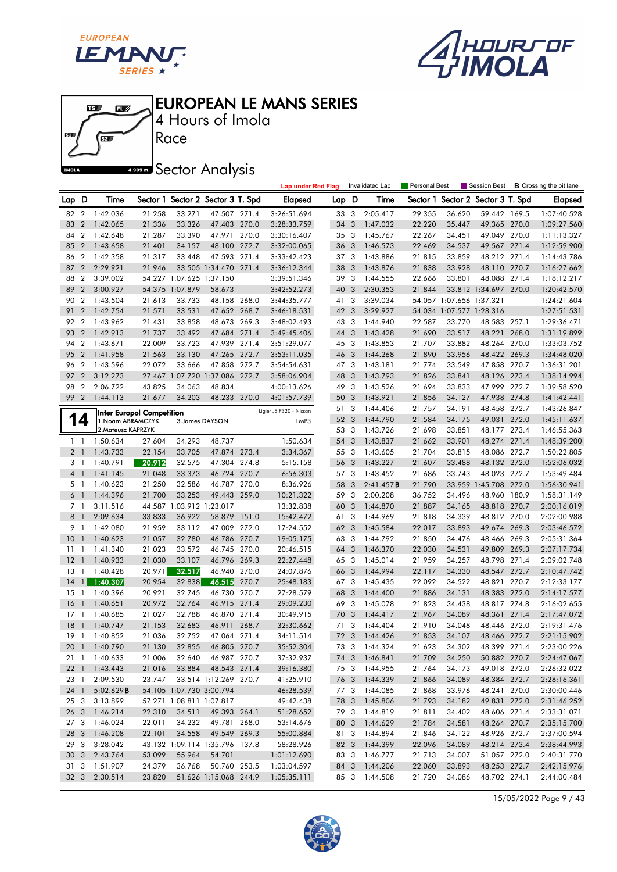





4 Hours of Imola

**ARDER** Sector Analysis

|                 |                 |                    |                                  |                          |                                   |       | <b>Lap under Red Flag</b> |       |                         | Invalidated Lap | Personal Best |                          | Session Best                      |       | <b>B</b> Crossing the pit lane |
|-----------------|-----------------|--------------------|----------------------------------|--------------------------|-----------------------------------|-------|---------------------------|-------|-------------------------|-----------------|---------------|--------------------------|-----------------------------------|-------|--------------------------------|
| Lap D           |                 | Time               |                                  |                          | Sector 1 Sector 2 Sector 3 T. Spd |       | Elapsed                   | Lap D |                         | Time            |               |                          | Sector 1 Sector 2 Sector 3 T. Spd |       | <b>Elapsed</b>                 |
| 82              | $\overline{2}$  | 1:42.036           | 21.258                           | 33.271                   | 47.507 271.4                      |       | 3:26:51.694               | 33 3  |                         | 2:05.417        | 29.355        | 36.620                   | 59.442 169.5                      |       | 1:07:40.528                    |
| 83              | $\overline{2}$  | 1:42.065           | 21.336                           | 33.326                   | 47.403 270.0                      |       | 3:28:33.759               | 34 3  |                         | 1:47.032        | 22.220        | 35.447                   | 49.365 270.0                      |       | 1:09:27.560                    |
| 84              | $\overline{2}$  | 1:42.648           | 21.287                           | 33.390                   | 47.971 270.0                      |       | 3:30:16.407               | 35 3  |                         | 1:45.767        | 22.267        | 34.451                   | 49.049 270.0                      |       | 1:11:13.327                    |
| 85              | $\overline{2}$  | 1:43.658           | 21.401                           | 34.157                   | 48.100 272.7                      |       | 3:32:00.065               | 36 3  |                         | 1:46.573        | 22.469        | 34.537                   | 49.567 271.4                      |       | 1:12:59.900                    |
| 86              | $\overline{2}$  | 1:42.358           | 21.317                           | 33.448                   | 47.593 271.4                      |       | 3:33:42.423               | 37 3  |                         | 1:43.886        | 21.815        | 33.859                   | 48.212 271.4                      |       | 1:14:43.786                    |
| 87              | $\overline{2}$  | 2:29.921           | 21.946                           |                          | 33.505 1:34.470 271.4             |       | 3:36:12.344               | 38    | $\overline{\mathbf{3}}$ | 1:43.876        | 21.838        | 33.928                   | 48.110 270.7                      |       | 1:16:27.662                    |
| 88              | $\overline{2}$  | 3:39.002           |                                  | 54.227 1:07.625 1:37.150 |                                   |       | 3:39:51.346               | 39 3  |                         | 1:44.555        | 22.666        | 33.801                   | 48.088 271.4                      |       | 1:18:12.217                    |
| 89              | $\overline{2}$  | 3:00.927           |                                  | 54.375 1:07.879          | 58.673                            |       | 3:42:52.273               | 40 3  |                         | 2:30.353        | 21.844        |                          | 33.812 1:34.697 270.0             |       | 1:20:42.570                    |
| 90              | $\overline{2}$  | 1:43.504           | 21.613                           | 33.733                   | 48.158 268.0                      |       | 3:44:35.777               | 41 3  |                         | 3:39.034        |               | 54.057 1:07.656 1:37.321 |                                   |       | 1:24:21.604                    |
| 91              | $\overline{2}$  | 1:42.754           | 21.571                           | 33.531                   | 47.652 268.7                      |       | 3:46:18.531               | 42    | 3                       | 3:29.927        |               | 54.034 1:07.577 1:28.316 |                                   |       | 1:27:51.531                    |
| 92              | $\overline{2}$  | 1:43.962           | 21.431                           | 33.858                   | 48.673 269.3                      |       | 3:48:02.493               | 43 3  |                         | 1:44.940        | 22.587        | 33.770                   | 48.583 257.1                      |       | 1:29:36.471                    |
| 93              | $\overline{2}$  | 1:42.913           | 21.737                           | 33.492                   | 47.684 271.4                      |       | 3:49:45.406               | 44 3  |                         | 1:43.428        | 21.690        | 33.517                   | 48.221                            | 268.0 | 1:31:19.899                    |
| 94              | $\overline{2}$  | 1:43.671           | 22.009                           | 33.723                   | 47.939                            | 271.4 | 3:51:29.077               | 45 3  |                         | 1:43.853        | 21.707        | 33.882                   | 48.264 270.0                      |       | 1:33:03.752                    |
| 95              | $\overline{2}$  | 1:41.958           | 21.563                           | 33.130                   | 47.265 272.7                      |       | 3:53:11.035               | 46    | 3                       | 1:44.268        | 21.890        | 33.956                   | 48.422 269.3                      |       | 1:34:48.020                    |
| 96              | $\overline{2}$  | 1:43.596           | 22.072                           | 33.666                   | 47.858 272.7                      |       | 3:54:54.631               | 47 3  |                         | 1:43.181        | 21.774        | 33.549                   | 47.858 270.7                      |       | 1:36:31.201                    |
| 97              | $\overline{2}$  | 3:12.273           |                                  |                          | 27.467 1:07.720 1:37.086          | 272.7 | 3:58:06.904               | 48 3  |                         | 1:43.793        | 21.826        | 33.841                   | 48.126 273.4                      |       | 1:38:14.994                    |
| 98              | $\overline{2}$  | 2:06.722           | 43.825                           | 34.063                   | 48.834                            |       | 4:00:13.626               | 49 3  |                         | 1:43.526        | 21.694        | 33.833                   | 47.999 272.7                      |       | 1:39:58.520                    |
| 99              | $\overline{2}$  | 1:44.113           | 21.677                           | 34.203                   | 48.233 270.0                      |       | 4:01:57.739               | 50    | 3                       | 1:43.921        | 21.856        | 34.127                   | 47.938 274.8                      |       | 1:41:42.441                    |
|                 |                 |                    |                                  |                          |                                   |       | Ligier JS P320 - Nissan   | 51    | 3                       | 1:44.406        | 21.757        | 34.191                   | 48.458 272.7                      |       | 1:43:26.847                    |
|                 | 14              | 1. Noam ABRAMCZYK  | <b>Inter Europol Competition</b> |                          | 3. James DAYSON                   |       | LMP3                      | 52    | 3                       | 1:44.790        | 21.584        | 34.175                   | 49.031                            | 272.0 | 1:45:11.637                    |
|                 |                 | 2. Mateusz KAPRZYK |                                  |                          |                                   |       |                           | 53 3  |                         | 1:43.726        | 21.698        | 33.851                   | 48.177 273.4                      |       | 1:46:55.363                    |
|                 | $1\quad1$       | 1:50.634           | 27.604                           | 34.293                   | 48.737                            |       | 1:50.634                  | 54    | 3                       | 1:43.837        | 21.662        | 33.901                   | 48.274 271.4                      |       | 1:48:39.200                    |
|                 | 2 <sub>1</sub>  | 1:43.733           | 22.154                           | 33.705                   | 47.874 273.4                      |       | 3:34.367                  | 55 3  |                         | 1:43.605        | 21.704        | 33.815                   | 48.086 272.7                      |       | 1:50:22.805                    |
| 3               | $\overline{1}$  | 1:40.791           | 20.912                           | 32.575                   | 47.304 274.8                      |       | 5:15.158                  | 56 3  |                         | 1:43.227        | 21.607        | 33.488                   | 48.132 272.0                      |       | 1:52:06.032                    |
| $\overline{4}$  | $\overline{1}$  | 1:41.145           | 21.048                           | 33.373                   | 46.724 270.7                      |       | 6:56.303                  | 57 3  |                         | 1:43.452        | 21.686        | 33.743                   | 48.023 272.7                      |       | 1:53:49.484                    |
|                 | 51              | 1:40.623           | 21.250                           | 32.586                   | 46.787 270.0                      |       | 8:36.926                  | 58    | 3                       | 2:41.457B       | 21.790        |                          | 33.959 1:45.708 272.0             |       | 1:56:30.941                    |
|                 | 6 1             | 1:44.396           | 21.700                           | 33.253                   | 49.443 259.0                      |       | 10:21.322                 | 59 3  |                         | 2:00.208        | 36.752        | 34.496                   | 48.960 180.9                      |       | 1:58:31.149                    |
|                 | 7 1             | 3:11.516           |                                  | 44.587 1:03.912 1:23.017 |                                   |       | 13:32.838                 | 60 3  |                         | 1:44.870        | 21.887        | 34.165                   | 48.818 270.7                      |       | 2:00:16.019                    |
| 8               | -1              | 2:09.634           | 33.833                           | 36.922                   | 58.879                            | 151.0 | 15:42.472                 | 61 3  |                         | 1:44.969        | 21.818        | 34.339                   | 48.812 270.0                      |       | 2:02:00.988                    |
| 9               | $\overline{1}$  | 1:42.080           | 21.959                           | 33.112                   | 47.009 272.0                      |       | 17:24.552                 | 62    | 3                       | 1:45.584        | 22.017        | 33.893                   | 49.674 269.3                      |       | 2:03:46.572                    |
| 10              | $\mathbf{1}$    | 1:40.623           | 21.057                           | 32.780                   | 46.786 270.7                      |       | 19:05.175                 | 63 3  |                         | 1:44.792        | 21.850        | 34.476                   | 48.466 269.3                      |       | 2:05:31.364                    |
| 11              | -1              | 1:41.340           | 21.023                           | 33.572                   | 46.745 270.0                      |       | 20:46.515                 | 64    | 3                       | 1:46.370        | 22.030        | 34.531                   | 49.809                            | 269.3 | 2:07:17.734                    |
| 12              | $\mathbf{1}$    | 1:40.933           | 21.030                           | 33.107                   | 46.796 269.3                      |       | 22:27.448                 | 65    | $\overline{\mathbf{3}}$ | 1:45.014        | 21.959        | 34.257                   | 48.798 271.4                      |       | 2:09:02.748                    |
| 13              | - 1             | 1:40.428           | 20.971                           | 32.517                   | 46.940 270.0                      |       | 24:07.876                 | 66    | 3                       | 1:44.994        | 22.117        | 34.330                   | 48.547 272.7                      |       | 2:10:47.742                    |
| 14              | $\mathbf{1}$    | 1:40.307           | 20.954                           | 32.838                   | 46.515                            | 270.7 | 25:48.183                 | 67 3  |                         | 1:45.435        | 22.092        | 34.522                   | 48.821                            | 270.7 | 2:12:33.177                    |
| 15              | -1              | 1:40.396           | 20.921                           | 32.745                   | 46.730 270.7                      |       | 27:28.579                 | 68    | 3                       | 1:44.400        | 21.886        | 34.131                   | 48.383 272.0                      |       | 2:14:17.577                    |
| 16              | $\mathbf{1}$    | 1:40.651           | 20.972                           | 32.764                   | 46.915 271.4                      |       | 29:09.230                 | 69    | $\overline{3}$          | 1:45.078        | 21.823        | 34.438                   | 48.817 274.8                      |       | 2:16:02.655                    |
| $17-1$          |                 | 1:40.685           | 21.027                           | 32.788                   | 46.870 271.4                      |       | 30:49.915                 | 70    | 3                       | 1:44.417        | 21.967        | 34.089                   | 48.361                            | 271.4 | 2:17:47.072                    |
| 18              | $\mathbf{1}$    | 1:40.747           | 21.153                           | 32.683                   | 46.911                            | 268.7 | 32:30.662                 | 71    | 3                       | 1:44.404        | 21.910        | 34.048                   | 48.446 272.0                      |       | 2:19:31.476                    |
| 19              | $\overline{1}$  | 1:40.852           | 21.036                           | 32.752                   | 47.064 271.4                      |       | 34:11.514                 | 72 3  |                         | 1:44.426        | 21.853        | 34.107                   | 48.466 272.7                      |       | 2:21:15.902                    |
|                 |                 | 20 1 1:40.790      | 21.130                           | 32.855                   | 46.805 270.7                      |       | 35:52.304                 |       |                         | 73 3 1:44.324   | 21.623        | 34.302                   | 48.399 271.4                      |       | 2:23:00.226                    |
|                 |                 | 21 1 1:40.633      | 21.006                           | 32.640                   | 46.987 270.7                      |       | 37:32.937                 |       |                         | 74 3 1:46.841   | 21.709        | 34.250                   | 50.882 270.7                      |       | 2:24:47.067                    |
|                 |                 | 22 1 1:43.443      | 21.016                           | 33.884                   | 48.543 271.4                      |       | 39:16.380                 |       |                         | 75 3 1:44.955   | 21.764        | 34.173                   | 49.018 272.0                      |       | 2:26:32.022                    |
|                 |                 | 23 1 2:09.530      | 23.747                           |                          | 33.514 1:12.269 270.7             |       | 41:25.910                 |       |                         | 76 3 1:44.339   | 21.866        | 34.089                   | 48.384 272.7                      |       | 2:28:16.361                    |
| 24 1            |                 | 5:02.629B          |                                  | 54.105 1:07.730 3:00.794 |                                   |       | 46:28.539                 |       | 77 3                    | 1:44.085        | 21.868        | 33.976                   | 48.241 270.0                      |       | 2:30:00.446                    |
|                 | 25 3            | 3:13.899           |                                  | 57.271 1:08.811 1:07.817 |                                   |       | 49:42.438                 |       |                         | 78 3 1:45.806   | 21.793        | 34.182                   | 49.831 272.0                      |       | 2:31:46.252                    |
|                 |                 | 26 3 1:46.214      | 22.310                           | 34.511                   | 49.393 264.1                      |       | 51:28.652                 |       |                         | 79 3 1:44.819   | 21.811        | 34.402                   | 48.606 271.4                      |       | 2:33:31.071                    |
| 27 <sub>3</sub> |                 | 1:46.024           | 22.011                           | 34.232                   | 49.781 268.0                      |       | 53:14.676                 |       |                         | 80 3 1:44.629   | 21.784        | 34.581                   | 48.264 270.7                      |       | 2:35:15.700                    |
| 28 3            |                 | 1:46.208           | 22.101                           | 34.558                   | 49.549 269.3                      |       | 55:00.884                 |       | 81 3                    | 1:44.894        | 21.846        | 34.122                   | 48.926 272.7                      |       | 2:37:00.594                    |
| 29 3            |                 | 3:28.042           |                                  |                          | 43.132 1:09.114 1:35.796 137.8    |       | 58:28.926                 |       |                         | 82 3 1:44.399   | 22.096        | 34.089                   | 48.214 273.4                      |       | 2:38:44.993                    |
|                 | 30 <sub>3</sub> | 2:43.764           | 53.099                           | 55.964                   | 54.701                            |       | 1:01:12.690               |       |                         | 83 3 1:46.777   | 21.713        | 34.007                   | 51.057 272.0                      |       | 2:40:31.770                    |
| 31 3            |                 | 1:51.907           | 24.379                           | 36.768                   | 50.760 253.5                      |       | 1:03:04.597               |       |                         | 84 3 1:44.206   | 22.060        | 33.893                   | 48.253 272.7                      |       | 2:42:15.976                    |
| 32 3            |                 | 2:30.514           | 23.820                           |                          | 51.626 1:15.068 244.9             |       | 1:05:35.111               |       |                         | 85 3 1:44.508   | 21.720        | 34.086                   | 48.702 274.1                      |       | 2:44:00.484                    |

15/05/2022 Page 9 / 43

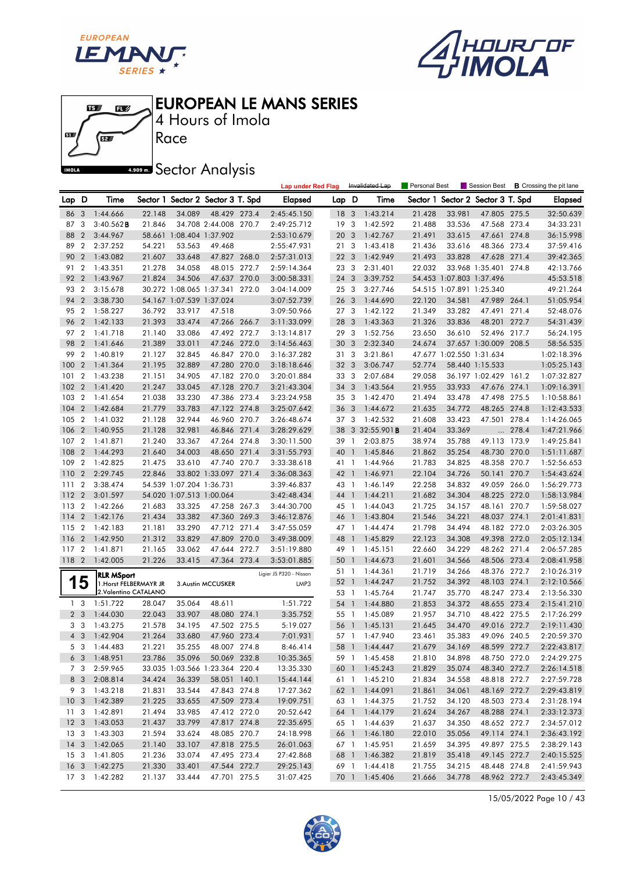





4 Hours of Imola

**A.509 mm** Sector Analysis

|                 |                |                                                |        |                          |                                   |       | <b>Lap under Red Flag</b> |                 |                         | Invalidated Lap      | Personal Best    |                          | Session Best                      |       | <b>B</b> Crossing the pit lane |
|-----------------|----------------|------------------------------------------------|--------|--------------------------|-----------------------------------|-------|---------------------------|-----------------|-------------------------|----------------------|------------------|--------------------------|-----------------------------------|-------|--------------------------------|
| Lap D           |                | Time                                           |        |                          | Sector 1 Sector 2 Sector 3 T. Spd |       | <b>Elapsed</b>            | Lap D           |                         | Time                 |                  |                          | Sector 1 Sector 2 Sector 3 T. Spd |       | <b>Elapsed</b>                 |
| 86              | 3              | 1:44.666                                       | 22.148 | 34.089                   | 48.429 273.4                      |       | 2:45:45.150               | 18              | $\overline{\mathbf{3}}$ | 1:43.214             | 21.428           | 33.981                   | 47.805 275.5                      |       | 32:50.639                      |
| 87              | 3              | $3:40.562$ <b>B</b>                            | 21.846 |                          | 34.708 2:44.008 270.7             |       | 2:49:25.712               | 19              | 3                       | 1:42.592             | 21.488           | 33.536                   | 47.568 273.4                      |       | 34:33.231                      |
| 88              | $\overline{2}$ | 3:44.967                                       |        | 58.661 1:08.404 1:37.902 |                                   |       | 2:53:10.679               | 20              | 3                       | 1:42.767             | 21.491           | 33.615                   | 47.661 274.8                      |       | 36:15.998                      |
| 89              | $\overline{2}$ | 2:37.252                                       | 54.221 | 53.563                   | 49.468                            |       | 2:55:47.931               | 21              | 3                       | 1:43.418             | 21.436           | 33.616                   | 48.366 273.4                      |       | 37:59.416                      |
| 90              | $\overline{2}$ | 1:43.082                                       | 21.607 | 33.648                   | 47.827 268.0                      |       | 2:57:31.013               | 22              | 3                       | 1:42.949             | 21.493           | 33.828                   | 47.628 271.4                      |       | 39:42.365                      |
| 91              | $\overline{2}$ | 1:43.351                                       | 21.278 | 34.058                   | 48.015 272.7                      |       | 2:59:14.364               | 23 3            |                         | 2:31.401             | 22.032           |                          | 33.968 1:35.401 274.8             |       | 42:13.766                      |
| 92              | $\overline{2}$ | 1:43.967                                       | 21.824 | 34.506                   | 47.637 270.0                      |       | 3:00:58.331               | 24              | 3                       | 3:39.752             |                  | 54.453 1:07.803 1:37.496 |                                   |       | 45:53.518                      |
| 93              | $\overline{2}$ | 3:15.678                                       |        |                          | 30.272 1:08.065 1:37.341 272.0    |       | 3:04:14.009               | 25              | $\mathbf{3}$            | 3:27.746             |                  | 54.515 1:07.891 1:25.340 |                                   |       | 49:21.264                      |
| 94              | $\overline{2}$ | 3:38.730                                       |        | 54.167 1:07.539 1:37.024 |                                   |       | 3:07:52.739               | 26 3            |                         | 1:44.690             | 22.120           | 34.581                   | 47.989 264.1                      |       | 51:05.954                      |
| 95              | $\overline{2}$ | 1:58.227                                       | 36.792 | 33.917                   | 47.518                            |       | 3:09:50.966               | 27 <sub>3</sub> |                         | 1:42.122             | 21.349           | 33.282                   | 47.491 271.4                      |       | 52:48.076                      |
| 96              | $\overline{2}$ | 1:42.133                                       | 21.393 | 33.474                   | 47.266 266.7                      |       | 3:11:33.099               | 28              | 3                       | 1:43.363             | 21.326           | 33.836                   | 48.201 272.7                      |       | 54:31.439                      |
| 97              | $\overline{2}$ | 1:41.718                                       | 21.140 | 33.086                   | 47.492 272.7                      |       | 3:13:14.817               | 29              | -3                      | 1:52.756             | 23.650           | 36.610                   | 52.496 217.7                      |       | 56:24.195                      |
| 98              | $\overline{2}$ | 1:41.646                                       | 21.389 | 33.011                   | 47.246 272.0                      |       | 3:14:56.463               | 30              | $\mathbf{3}$            | 2:32.340             | 24.674           |                          | 37.657 1:30.009 208.5             |       | 58:56.535                      |
| 99              | $\overline{2}$ | 1:40.819                                       | 21.127 | 32.845                   | 46.847 270.0                      |       | 3:16:37.282               | 31              | 3                       | 3:21.861             |                  | 47.677 1:02.550 1:31.634 |                                   |       | 1:02:18.396                    |
| 100             | $\overline{2}$ | 1:41.364                                       | 21.195 | 32.889                   | 47.280 270.0                      |       | 3:18:18.646               | 32 <sub>3</sub> |                         | 3:06.747             | 52.774           |                          | 58.440 1:15.533                   |       | 1:05:25.143                    |
| 101             | $\overline{2}$ | 1:43.238                                       | 21.151 | 34.905                   | 47.182 270.0                      |       | 3:20:01.884               | 33 3            |                         | 2:07.684             | 29.058           |                          | 36.197 1:02.429 161.2             |       | 1:07:32.827                    |
| 102             | $\overline{2}$ | 1:41.420                                       | 21.247 | 33.045                   | 47.128                            | 270.7 | 3:21:43.304               | 34 3            |                         | 1:43.564             | 21.955           | 33.933                   | 47.676 274.1                      |       | 1:09:16.391                    |
| 103             | $\overline{2}$ | 1:41.654                                       | 21.038 | 33.230                   | 47.386 273.4                      |       | 3:23:24.958               | 35 3            |                         | 1:42.470             | 21.494           | 33.478                   | 47.498 275.5                      |       | 1:10:58.861                    |
| 104             | $\overline{2}$ | 1:42.684                                       | 21.779 | 33.783                   | 47.122 274.8                      |       | 3:25:07.642               | 36              | 3                       | 1:44.672             | 21.635           | 34.772                   | 48.265 274.8                      |       | 1:12:43.533                    |
| 105             | $\overline{2}$ | 1:41.032                                       | 21.128 | 32.944                   | 46.960 270.7                      |       | 3:26:48.674               | 37              | $\overline{\mathbf{3}}$ | 1:42.532             | 21.608           | 33.423                   | 47.501                            | 278.4 | 1:14:26.065                    |
| 106             | $\overline{2}$ | 1:40.955                                       | 21.128 | 32.981                   | 46.846 271.4                      |       | 3:28:29.629               | 38              |                         | 3 32:55.901 $B$      | 21.404           | 33.369                   | $\cdots$                          | 278.4 | 1:47:21.966                    |
| 107             | $\overline{2}$ | 1:41.871                                       | 21.240 | 33.367                   | 47.264 274.8                      |       | 3:30:11.500               | 39              | $\mathbf{1}$            | 2:03.875             | 38.974           | 35.788                   | 49.113 173.9                      |       | 1:49:25.841                    |
| 108             | $\overline{2}$ | 1:44.293                                       | 21.640 | 34.003                   | 48.650 271.4                      |       | 3:31:55.793               | 40              | $\overline{1}$          | 1:45.846             | 21.862           | 35.254                   | 48.730                            | 270.0 | 1:51:11.687                    |
| 109             | $\overline{2}$ | 1:42.825                                       | 21.475 | 33.610                   | 47.740 270.7                      |       | 3:33:38.618               | 41 1            |                         | 1:44.966             | 21.783           | 34.825                   | 48.358 270.7                      |       | 1:52:56.653                    |
| 110             | $\overline{2}$ | 2:29.745                                       | 22.846 |                          | 33.802 1:33.097 271.4             |       | 3:36:08.363               | 42              | $\overline{1}$          | 1:46.971             | 22.104           | 34.726                   | 50.141                            | 270.7 | 1:54:43.624                    |
| 111             | $\overline{2}$ | 3:38.474                                       |        | 54.539 1:07.204 1:36.731 |                                   |       | 3:39:46.837               | 43 1            |                         | 1:46.149             | 22.258           | 34.832                   | 49.059 266.0                      |       | 1:56:29.773                    |
| 112             | $\overline{2}$ | 3:01.597                                       |        | 54.020 1:07.513 1:00.064 |                                   |       | 3:42:48.434               | 44 1            |                         | 1:44.211             | 21.682           | 34.304                   | 48.225 272.0                      |       | 1:58:13.984                    |
| 113             | $\overline{2}$ | 1:42.266                                       | 21.683 | 33.325                   | 47.258 267.3                      |       | 3:44:30.700               | 45 1            |                         | 1:44.043             | 21.725           | 34.157                   | 48.161 270.7                      |       | 1:59:58.027                    |
| 114             | $\overline{2}$ | 1:42.176                                       | 21.434 | 33.382                   | 47.360 269.3                      |       | 3:46:12.876               | 46              | $\overline{1}$          | 1:43.804             | 21.546           | 34.221                   | 48.037 274.1                      |       | 2:01:41.831                    |
| 115             | $\overline{2}$ | 1:42.183                                       | 21.181 | 33.290                   | 47.712 271.4                      |       | 3:47:55.059               | 47 1            |                         | 1:44.474             | 21.798           | 34.494                   | 48.182 272.0                      |       | 2:03:26.305                    |
| 116             | $\overline{2}$ | 1:42.950                                       | 21.312 | 33.829                   | 47.809 270.0                      |       | 3:49:38.009               | 48 1            |                         | 1:45.829             | 22.123           | 34.308                   | 49.398 272.0                      |       | 2:05:12.134                    |
| 117             | $\overline{2}$ | 1:41.871                                       | 21.165 | 33.062                   | 47.644 272.7                      |       | 3:51:19.880               | 49 1            |                         | 1:45.151             | 22.660           | 34.229                   | 48.262 271.4                      |       | 2:06:57.285                    |
| 118             | $\overline{2}$ | 1:42.005                                       | 21.226 | 33.415                   | 47.364 273.4                      |       | 3:53:01.885               | 50              | $\mathbf{1}$            | 1:44.673             | 21.601<br>21.719 | 34.566                   | 48.506 273.4<br>48.376 272.7      |       | 2:08:41.958                    |
|                 |                | <b>RLR MSport</b>                              |        |                          |                                   |       | Ligier JS P320 - Nissan   | 51 1<br>52      | $\overline{1}$          | 1:44.361<br>1:44.247 | 21.752           | 34.266<br>34.392         | 48.103 274.1                      |       | 2:10:26.319<br>2:12:10.566     |
| 1               | 5              | 1. Horst FELBERMAYR JR<br>2.Valentino CATALANO |        |                          | 3. Austin MCCUSKER                |       | LMP3                      | 53              | $\overline{1}$          | 1:45.764             | 21.747           | 35.770                   | 48.247 273.4                      |       | 2:13:56.330                    |
| 1 <sub>3</sub>  |                | 1:51.722                                       | 28.047 | 35.064                   | 48.611                            |       | 1:51.722                  | 54              | $\overline{1}$          | 1:44.880             | 21.853           | 34.372                   | 48.655 273.4                      |       | 2:15:41.210                    |
| $\overline{2}$  | -3             | 1:44.030                                       | 22.043 | 33.907                   | 48.080 274.1                      |       | 3:35.752                  | 55 1            |                         | 1:45.089             | 21.957           | 34.710                   | 48.422 275.5                      |       | 2:17:26.299                    |
|                 | 3 <sub>3</sub> | 1:43.275                                       | 21.578 | 34.195                   | 47.502 275.5                      |       | 5:19.027                  | 56              | $\overline{1}$          | 1:45.131             | 21.645           | 34.470                   | 49.016 272.7                      |       | 2:19:11.430                    |
|                 | $4\quad3$      | 1:42.904                                       | 21.264 | 33.680                   | 47.960 273.4                      |       | 7:01.931                  |                 |                         | 57 1 1:47.940        | 23.461           | 35.383                   | 49.096 240.5                      |       | 2:20:59.370                    |
|                 |                | 5 3 1:44.483                                   | 21.221 | 35.255                   | 48.007 274.8                      |       | 8:46.414                  |                 |                         | 58 1 1:44.447        | 21.679           | 34.169                   | 48.599 272.7                      |       | 2:22:43.817                    |
|                 |                | $6\quad 3\quad 1:48.951$                       | 23.786 | 35.096                   | 50.069 232.8                      |       | 10:35.365                 |                 |                         | 59 1 1:45.458        | 21.810           | 34.898                   | 48.750 272.0                      |       | 2:24:29.275                    |
|                 | 7 3            | 2:59.965                                       |        |                          | 33.035 1:03.566 1:23.364 220.4    |       | 13:35.330                 |                 |                         | 60 1 1:45.243        | 21.829           | 35.074                   | 48.340 272.7                      |       | 2:26:14.518                    |
|                 |                | 8 3 2:08.814                                   | 34.424 | 36.339                   | 58.051 140.1                      |       | 15:44.144                 |                 |                         | 61 1 1:45.210        | 21.834           | 34.558                   | 48.818 272.7                      |       | 2:27:59.728                    |
|                 | 9 3            | 1:43.218                                       | 21.831 | 33.544                   | 47.843 274.8                      |       | 17:27.362                 |                 |                         | 62 1 1:44.091        | 21.861           | 34.061                   | 48.169 272.7                      |       | 2:29:43.819                    |
| 10 <sub>3</sub> |                | 1:42.389                                       | 21.225 | 33.655                   | 47.509 273.4                      |       | 19:09.751                 |                 |                         | 63 1 1:44.375        | 21.752           | 34.120                   | 48.503 273.4                      |       | 2:31:28.194                    |
| 11 <sub>3</sub> |                | 1:42.891                                       | 21.494 | 33.985                   | 47.412 272.0                      |       | 20:52.642                 |                 |                         | 64 1 1:44.179        | 21.624           | 34.267                   | 48.288 274.1                      |       | 2:33:12.373                    |
| 12 <sub>3</sub> |                | 1:43.053                                       | 21.437 | 33.799                   | 47.817 274.8                      |       | 22:35.695                 |                 |                         | 65 1 1:44.639        | 21.637           | 34.350                   | 48.652 272.7                      |       | 2:34:57.012                    |
| 13 <sub>3</sub> |                | 1:43.303                                       | 21.594 | 33.624                   | 48.085 270.7                      |       | 24:18.998                 |                 |                         | 66 1 1:46.180        | 22.010           | 35.056                   | 49.114 274.1                      |       | 2:36:43.192                    |
| $14 \quad 3$    |                | 1:42.065                                       | 21.140 | 33.107                   | 47.818 275.5                      |       | 26:01.063                 |                 |                         | 67 1 1:45.951        | 21.659           | 34.395                   | 49.897 275.5                      |       | 2:38:29.143                    |
| 15 <sub>3</sub> |                | 1:41.805                                       | 21.236 | 33.074                   | 47.495 273.4                      |       | 27:42.868                 |                 |                         | 68 1 1:46.382        | 21.819           | 35.418                   | 49.145 272.7                      |       | 2:40:15.525                    |
| 16 <sub>3</sub> |                | 1:42.275                                       | 21.330 | 33.401                   | 47.544 272.7                      |       | 29:25.143                 |                 |                         | 69 1 1:44.418        | 21.755           | 34.215                   | 48.448 274.8                      |       | 2:41:59.943                    |
|                 |                | 17 3 1:42.282                                  | 21.137 | 33.444                   | 47.701 275.5                      |       | 31:07.425                 |                 |                         | 70 1 1:45.406        | 21.666           | 34.778                   | 48.962 272.7                      |       | 2:43:45.349                    |

15/05/2022 Page 10 / 43

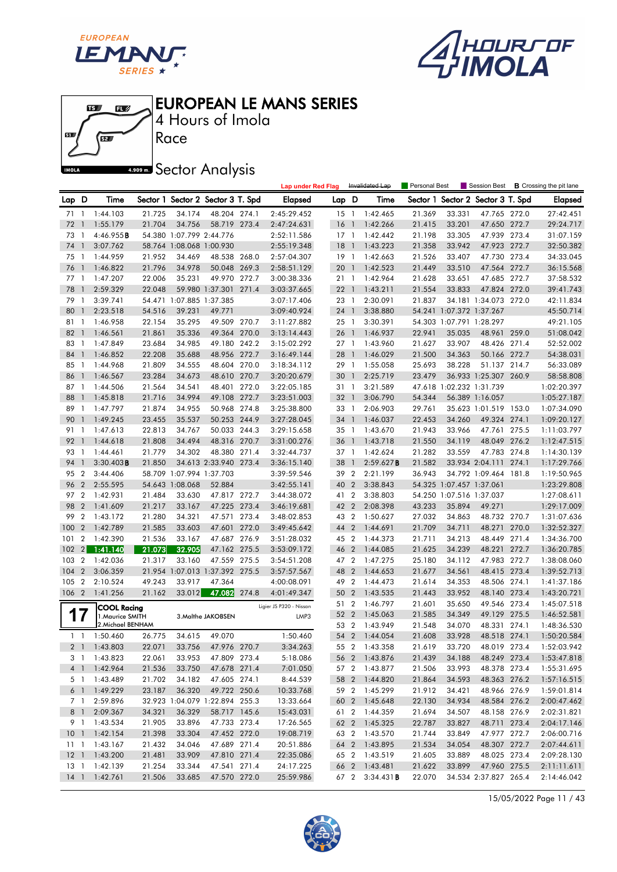





4 Hours of Imola

**A.509 mm** Sector Analysis

|          |                       |                             |        |                          |                                   |       | <b>Lap under Red Flag</b> |        |                | Invalidated Lap        | Personal Best |                          | Session Best                      |       | <b>B</b> Crossing the pit lane |
|----------|-----------------------|-----------------------------|--------|--------------------------|-----------------------------------|-------|---------------------------|--------|----------------|------------------------|---------------|--------------------------|-----------------------------------|-------|--------------------------------|
| Lap D    |                       | Time                        |        |                          | Sector 1 Sector 2 Sector 3 T. Spd |       | <b>Elapsed</b>            | Lap D  |                | Time                   |               |                          | Sector 1 Sector 2 Sector 3 T. Spd |       | <b>Elapsed</b>                 |
| 71       | $\overline{1}$        | 1:44.103                    | 21.725 | 34.174                   | 48.204 274.1                      |       | 2:45:29.452               | $15-1$ |                | 1:42.465               | 21.369        | 33.331                   | 47.765 272.0                      |       | 27:42.451                      |
| 72       | $\mathbf{1}$          | 1:55.179                    | 21.704 | 34.756                   | 58.719 273.4                      |       | 2:47:24.631               | 16     | $\bigcap$      | 1:42.266               | 21.415        | 33.201                   | 47.650 272.7                      |       | 29:24.717                      |
| 73       | $\overline{1}$        | 4:46.955B                   |        | 54.380 1:07.799 2:44.776 |                                   |       | 2:52:11.586               | $17-1$ |                | 1:42.442               | 21.198        | 33.305                   | 47.939 273.4                      |       | 31:07.159                      |
| 74       | $\mathbf{1}$          | 3:07.762                    |        | 58.764 1:08.068 1:00.930 |                                   |       | 2:55:19.348               | 18     | $\overline{1}$ | 1:43.223               | 21.358        | 33.942                   | 47.923 272.7                      |       | 32:50.382                      |
| 75       | $\mathbf{1}$          | 1:44.959                    | 21.952 | 34.469                   | 48.538 268.0                      |       | 2:57:04.307               | 19     | $\overline{1}$ | 1:42.663               | 21.526        | 33.407                   | 47.730 273.4                      |       | 34:33.045                      |
| 76       | $\mathbf{1}$          | 1:46.822                    | 21.796 | 34.978                   | 50.048 269.3                      |       | 2:58:51.129               | 20     | $\mathbf{1}$   | 1:42.523               | 21.449        | 33.510                   | 47.564                            | 272.7 | 36:15.568                      |
| 77       | $\overline{1}$        | 1:47.207                    | 22.006 | 35.231                   | 49.970 272.7                      |       | 3:00:38.336               | 211    |                | 1:42.964               | 21.628        | 33.651                   | 47.685 272.7                      |       | 37:58.532                      |
| 78       | $\mathbf{1}$          | 2:59.329                    | 22.048 |                          | 59.980 1:37.301 271.4             |       | 3:03:37.665               | 221    |                | 1:43.211               | 21.554        | 33.833                   | 47.824 272.0                      |       | 39:41.743                      |
| 79       | $\mathbf{1}$          | 3:39.741                    |        | 54.471 1:07.885 1:37.385 |                                   |       | 3:07:17.406               | 23 1   |                | 2:30.091               | 21.837        |                          | 34.181 1:34.073 272.0             |       | 42:11.834                      |
| 80       | 1                     | 2:23.518                    | 54.516 | 39.231                   | 49.771                            |       | 3:09:40.924               | 24     | $\overline{1}$ | 3:38.880               |               | 54.241 1:07.372 1:37.267 |                                   |       | 45:50.714                      |
| 81       | $\overline{1}$        | 1:46.958                    | 22.154 | 35.295                   | 49.509 270.7                      |       | 3:11:27.882               | 25 1   |                | 3:30.391               |               | 54.303 1:07.791 1:28.297 |                                   |       | 49:21.105                      |
| 82       | $\mathbf{1}$          | 1:46.561                    | 21.861 | 35.336                   | 49.364 270.0                      |       | 3:13:14.443               | 26 1   |                | 1:46.937               | 22.941        | 35.035                   | 48.961 259.0                      |       | 51:08.042                      |
| 83       | $\mathbf{1}$          | 1:47.849                    | 23.684 | 34.985                   | 49.180 242.2                      |       | 3:15:02.292               | 27 1   |                | 1:43.960               | 21.627        | 33.907                   | 48.426 271.4                      |       | 52:52.002                      |
| 84       | $\mathbf{1}$          | 1:46.852                    | 22.208 | 35.688                   | 48.956 272.7                      |       | 3:16:49.144               | 28     | $\mathbf{1}$   | 1:46.029               | 21.500        | 34.363                   | 50.166 272.7                      |       | 54:38.031                      |
| 85       | -1                    | 1:44.968                    | 21.809 | 34.555                   | 48.604 270.0                      |       | 3:18:34.112               | 29 1   |                | 1:55.058               | 25.693        | 38.228                   | 51.137 214.7                      |       | 56:33.089                      |
| 86       | $\mathbf{1}$          | 1:46.567                    | 23.284 | 34.673                   | 48.610 270.7                      |       | 3:20:20.679               | 30     | $\overline{1}$ | 2:25.719               | 23.479        |                          | 36.933 1:25.307 260.9             |       | 58:58.808                      |
| 87       | $\overline{1}$        | 1:44.506                    | 21.564 | 34.541                   | 48.401 272.0                      |       | 3:22:05.185               | 31 1   |                | 3:21.589               |               | 47.618 1:02.232 1:31.739 |                                   |       | 1:02:20.397                    |
| 88       | $\mathbf{\mathbf{1}}$ | 1:45.818                    | 21.716 | 34.994                   | 49.108 272.7                      |       | 3:23:51.003               | 32     | $\overline{1}$ | 3:06.790               | 54.344        |                          | 56.389 1:16.057                   |       | 1:05:27.187                    |
| 89       | $\overline{1}$        | 1:47.797                    | 21.874 | 34.955                   | 50.968 274.8                      |       | 3:25:38.800               | 33 1   |                | 2:06.903               | 29.761        |                          | 35.623 1:01.519 153.0             |       | 1:07:34.090                    |
| 90       | $\mathbf{1}$          | 1:49.245                    | 23.455 | 35.537                   | 50.253 244.9                      |       | 3:27:28.045               | 34 1   |                | 1:46.037               | 22.453        | 34.260                   | 49.324 274.1                      |       | 1:09:20.127                    |
| 91       | $\overline{1}$        | 1:47.613                    | 22.813 | 34.767                   | 50.033 244.3                      |       | 3:29:15.658               | 35 1   |                | 1:43.670               | 21.943        | 33.966                   | 47.761                            | 275.5 | 1:11:03.797                    |
| 92       | $\mathbf{1}$          | 1:44.618                    | 21.808 | 34.494                   | 48.316 270.7                      |       | 3:31:00.276               | 36     | $\mathbf{1}$   | 1:43.718               | 21.550        | 34.119                   | 48.049 276.2                      |       | 1:12:47.515                    |
| 93       | $\overline{1}$        | 1:44.461                    | 21.779 | 34.302                   | 48.380 271.4                      |       | 3:32:44.737               | 37 1   |                | 1:42.624               | 21.282        | 33.559                   | 47.783 274.8                      |       | 1:14:30.139                    |
| 94       | $\mathbf{1}$          | $3:30.403$ <b>B</b>         | 21.850 |                          | 34.613 2:33.940 273.4             |       | 3:36:15.140               | 38     | $\overline{1}$ | 2:59.627B              | 21.582        |                          | 33.934 2:04.111                   | 274.1 | 1:17:29.766                    |
| 95       | $\overline{2}$        | 3:44.406                    |        | 58.709 1:07.994 1:37.703 |                                   |       | 3:39:59.546               | 39 2   |                | 2:21.199               | 36.943        |                          | 34.792 1:09.464 181.8             |       | 1:19:50.965                    |
| 96       | $\overline{2}$        | 2:55.595                    |        | 54.643 1:08.068          | 52.884                            |       | 3:42:55.141               | 40     | $\overline{2}$ | 3:38.843               |               | 54.325 1:07.457 1:37.061 |                                   |       | 1:23:29.808                    |
| 97       | $\overline{2}$        | 1:42.931                    | 21.484 | 33.630                   | 47.817 272.7                      |       | 3:44:38.072               | 41 2   |                | 3:38.803               |               | 54.250 1:07.516 1:37.037 |                                   |       | 1:27:08.611                    |
| 98       | $\overline{2}$        | 1:41.609                    | 21.217 | 33.167                   | 47.225 273.4                      |       | 3:46:19.681               | 42 2   |                | 2:08.398               | 43.233        | 35.894                   | 49.271                            |       | 1:29:17.009                    |
| 99       | $\overline{2}$        | 1:43.172                    | 21.280 | 34.321                   | 47.571                            | 273.4 | 3:48:02.853               | 43 2   |                | 1:50.627               | 27.032        | 34.863                   | 48.732 270.7                      |       | 1:31:07.636                    |
| 100      | $\overline{2}$        | 1:42.789                    | 21.585 | 33.603                   | 47.601 272.0                      |       | 3:49:45.642               | 44     | $\overline{2}$ | 1:44.691               | 21.709        | 34.711                   | 48.271 270.0                      |       | 1:32:52.327                    |
| 101      | $\overline{2}$        | 1:42.390                    | 21.536 | 33.167                   | 47.687 276.9                      |       | 3:51:28.032               | 45 2   |                | 1:44.373               | 21.711        | 34.213                   | 48.449 271.4                      |       | 1:34:36.700                    |
| 102      | 2                     | 1:41.140                    | 21.073 | 32.905                   | 47.162 275.5                      |       | 3:53:09.172               | 46     | $\overline{2}$ | 1:44.085               | 21.625        | 34.239                   | 48.221                            | 272.7 | 1:36:20.785                    |
| 103      | $\overline{2}$        | 1:42.036                    | 21.317 | 33.160                   | 47.559 275.5                      |       | 3:54:51.208               | 47 2   |                | 1:47.275               | 25.180        | 34.112                   | 47.983 272.7                      |       | 1:38:08.060                    |
| 104      | $\overline{2}$        | 3:06.359                    |        |                          | 21.954 1:07.013 1:37.392 275.5    |       | 3:57:57.567               | 48     | $\overline{2}$ | 1:44.653               | 21.677        | 34.561                   | 48.415 273.4                      |       | 1:39:52.713                    |
| 105      | $\overline{2}$        | 2:10.524                    | 49.243 | 33.917                   | 47.364                            |       | 4:00:08.091               | 49 2   |                | 1:44.473               | 21.614        | 34.353                   | 48.506 274.1                      |       | 1:41:37.186                    |
| 106      | $\overline{2}$        | 1:41.256                    | 21.162 | 33.012                   | 47.082                            | 274.8 | 4:01:49.347               | 50     | $\overline{2}$ | 1:43.535               | 21.443        | 33.952                   | 48.140                            | 273.4 | 1:43:20.721                    |
|          |                       | <b>COOL Racing</b>          |        |                          |                                   |       | Ligier JS P320 - Nissan   | 51     | $\overline{2}$ | 1:46.797               | 21.601        | 35.650                   | 49.546 273.4                      |       | 1:45:07.518                    |
| 1        |                       | 1.Maurice SMITH             |        |                          | 3. Malthe JAKOBSEN                |       | LMP3                      | 52     | $\overline{2}$ | 1:45.063               | 21.585        | 34.349                   | 49.129 275.5                      |       | 1:46:52.581                    |
|          |                       | 2. Michael BENHAM           |        |                          |                                   |       |                           | 53 2   |                | 1:43.949               | 21.548        | 34.070                   | 48.331                            | 274.1 | 1:48:36.530                    |
| $1\quad$ |                       | 1:50.460                    | 26.775 | 34.615                   | 49.070                            |       | 1:50.460                  | 54 2   |                | 1:44.054               | 21.608        | 33.928                   | 48.518 274.1                      |       | 1:50:20.584                    |
|          |                       | 2 1 1:43.803                | 22.071 |                          | 33.756 47.976 270.7               |       | 3:34.263                  |        |                | 55 2 1:43.358          | 21.619        | 33.720                   | 48.019 273.4                      |       | 1:52:03.942                    |
|          |                       | 3 1 1:43.823                | 22.061 | 33.953                   | 47.809 273.4                      |       | 5:18.086                  |        |                | 56 2 1:43.876          | 21.439        | 34.188                   | 48.249 273.4                      |       | 1:53:47.818                    |
|          |                       | 4 1 1:42.964                | 21.536 | 33.750                   | 47.678 271.4                      |       | 7:01.050                  |        |                | 57 2 1:43.877          | 21.506        | 33.993                   | 48.378 273.4                      |       | 1:55:31.695                    |
|          |                       | 5 1 1:43.489                | 21.702 | 34.182                   | 47.605 274.1                      |       | 8:44.539                  |        |                | 58 2 1:44.820          | 21.864        | 34.593                   | 48.363 276.2                      |       | 1:57:16.515                    |
| $6-1$    |                       | 1:49.229                    | 23.187 | 36.320                   | 49.722 250.6                      |       | 10:33.768                 |        |                | 59 2 1:45.299          | 21.912        | 34.421                   | 48.966 276.9                      |       | 1:59:01.814                    |
|          |                       | 7 1 2:59.896                |        |                          | 32.923 1:04.079 1:22.894 255.3    |       | 13:33.664                 |        |                | 60 2 1:45.648          | 22.130        | 34.934                   | 48.584 276.2                      |       | 2:00:47.462                    |
|          | 8 1                   | 2:09.367                    | 34.321 | 36.329                   | 58.717 145.6                      |       | 15:43.031                 |        |                | 61 2 1:44.359          | 21.694        | 34.507                   | 48.158 276.9                      |       | 2:02:31.821                    |
|          |                       | 9 1 1:43.534                | 21.905 | 33.896                   | 47.733 273.4                      |       | 17:26.565                 |        |                | 62 2 1:45.325          | 22.787        | 33.827                   | 48.711 273.4                      |       | 2:04:17.146                    |
| $10-1$   |                       | 1:42.154                    | 21.398 | 33.304                   | 47.452 272.0                      |       | 19:08.719                 |        |                | 63 2 1:43.570          | 21.744        | 33.849                   | 47.977 272.7                      |       | 2:06:00.716                    |
|          |                       | $11 \quad 1 \quad 1:43.167$ | 21.432 | 34.046                   | 47.689 271.4                      |       | 20:51.886                 |        |                | 64 2 1:43.895          | 21.534        | 34.054                   | 48.307 272.7                      |       | 2:07:44.611                    |
|          |                       | 12 1 1:43.200               | 21.481 | 33.909                   | 47.810 271.4                      |       | 22:35.086                 |        |                | 65 2 1:43.519          | 21.605        | 33.889                   | 48.025 273.4                      |       | 2:09:28.130                    |
| $13-1$   |                       | 1:42.139                    | 21.254 | 33.344                   | 47.541 271.4                      |       | 24:17.225                 |        |                | 66 2 1:43.481          | 21.622        | 33.899                   | 47.960 275.5                      |       | 2:11:11.611                    |
| $14-1$   |                       | 1:42.761                    | 21.506 | 33.685                   | 47.570 272.0                      |       | 25:59.986                 |        |                | 67 2 3:34.431 <b>B</b> | 22.070        |                          | 34.534 2:37.827 265.4             |       | 2:14:46.042                    |

15/05/2022 Page 11 / 43

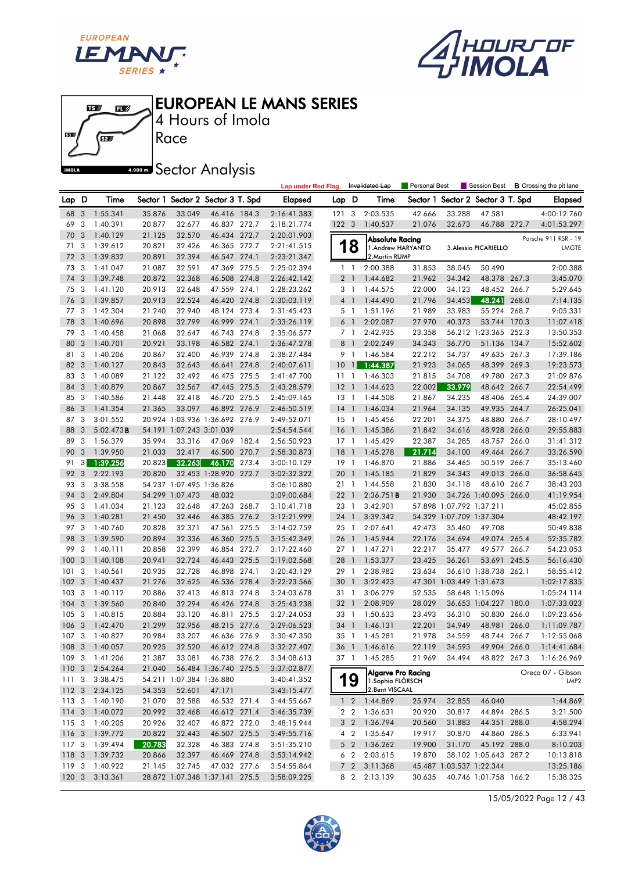





Race 4 Hours of Imola

# **A.509 mm** Sector Analysis

|                  |                         |                            |                  |                          |                                       |       | <b>Lap under Red Flag</b>  |                 |                         | Invalidated Lap                      | Personal Best    |                          | Session Best                      |       | <b>B</b> Crossing the pit lane |
|------------------|-------------------------|----------------------------|------------------|--------------------------|---------------------------------------|-------|----------------------------|-----------------|-------------------------|--------------------------------------|------------------|--------------------------|-----------------------------------|-------|--------------------------------|
| Lap D            |                         | Time                       |                  |                          | Sector 1 Sector 2 Sector 3 T. Spd     |       | <b>Elapsed</b>             | Lap D           |                         | Time                                 |                  |                          | Sector 1 Sector 2 Sector 3 T. Spd |       | <b>Elapsed</b>                 |
| 68               | $\mathbf{3}$            | 1:55.341                   | 35.876           | 33.049                   | 46.416 184.3                          |       | 2:16:41.383                | 121             | $\overline{\mathbf{3}}$ | 2:03.535                             | 42.666           | 33.288                   | 47.581                            |       | 4:00:12.760                    |
| 69               | 3                       | 1:40.391                   | 20.877           | 32.677                   | 46.837 272.7                          |       | 2:18:21.774                | 122 3           |                         | 1:40.537                             | 21.076           | 32.673                   | 46.788 272.7                      |       | 4:01:53.297                    |
| 70               | 3                       | 1:40.129                   | 21.125           | 32.570                   | 46.434 272.7                          |       | 2:20:01.903                |                 |                         | Absolute Racing                      |                  |                          |                                   |       | Porsche 911 RSR - 19           |
| 71               | 3                       | 1:39.612                   | 20.821           | 32.426                   | 46.365 272.7                          |       | 2:21:41.515                |                 | 18                      | 1.Andrew HARYANTO                    |                  |                          | 3. Alessio PICARIELLO             |       | LMGTE                          |
| 72               | 3                       | 1:39.832                   | 20.891           | 32.394                   | 46.547 274.1                          |       | 2:23:21.347                |                 |                         | 2. Martin RUMP                       |                  |                          |                                   |       |                                |
| 73               | 3                       | 1:41.047                   | 21.087           | 32.591                   | 47.369 275.5                          |       | 2:25:02.394                |                 | $1\quad$                | 2:00.388                             | 31.853           | 38.045                   | 50.490                            |       | 2:00.388                       |
| 74               | 3                       | 1:39.748                   | 20.872           | 32.368                   | 46.508 274.8                          |       | 2:26:42.142                |                 | 2 <sub>1</sub>          | 1:44.682                             | 21.962           | 34.342                   | 48.378 267.3                      |       | 3:45.070                       |
| 75               | 3                       | 1:41.120                   | 20.913           | 32.648                   | 47.559 274.1                          |       | 2:28:23.262                |                 | 3 1                     | 1:44.575                             | 22.000           | 34.123                   | 48.452 266.7                      |       | 5:29.645                       |
| 76               | 3                       | 1:39.857                   | 20.913           | 32.524                   | 46.420 274.8                          |       | 2:30:03.119                |                 | $4-1$                   | 1:44.490                             | 21.796           | 34.453                   | 48.241                            | 268.0 | 7:14.135                       |
| 77               | 3                       | 1:42.304                   | 21.240           | 32.940                   | 48.124 273.4                          |       | 2:31:45.423                |                 | 5 1                     | 1:51.196                             | 21.989           | 33.983                   | 55.224                            | 268.7 | 9:05.331                       |
| 78               | 3                       | 1:40.696                   | 20.898           | 32.799                   | 46.999 274.1                          |       | 2:33:26.119                |                 | 6 <sup>1</sup>          | 2:02.087                             | 27.970           | 40.373                   | 53.744 170.3                      |       | 11:07.418                      |
| 79               | 3                       | 1:40.458                   | 21.068           | 32.647                   | 46.743 274.8                          |       | 2:35:06.577                |                 | 7 1                     | 2:42.935                             | 23.358           |                          | 56.212 1:23.365 252.3             |       | 13:50.353                      |
| 80               | 3                       | 1:40.701                   | 20.921           | 33.198                   | 46.582 274.1                          |       | 2:36:47.278                | 8               | $\overline{1}$          | 2:02.249                             | 34.343           | 36.770                   | 51.136 134.7                      |       | 15:52.602                      |
| 81               | 3                       | 1:40.206                   | 20.867           | 32.400                   | 46.939 274.8                          |       | 2:38:27.484                |                 | 9 1                     | 1:46.584                             | 22.212           | 34.737                   | 49.635 267.3                      |       | 17:39.186                      |
| 82               | 3                       | 1:40.127                   | 20.843           | 32.643                   | 46.641 274.8                          |       | 2:40:07.611                | 10              | $\vert$ 1               | 1:44.387                             | 21.923           | 34.065                   | 48.399 269.3                      |       | 19:23.573                      |
| 83               | 3                       | 1:40.089                   | 21.122           | 32.492                   | 46.475 275.5                          |       | 2:41:47.700                | 11              | $\overline{1}$          | 1:46.303                             | 21.815           | 34.708                   | 49.780 267.3                      |       | 21:09.876                      |
| 84               | 3                       | 1:40.879                   | 20.867           | 32.567                   | 47.445 275.5                          |       | 2:43:28.579                | $12-1$          |                         | 1:44.623                             | 22.002           | 33.979                   | 48.642 266.7                      |       | 22:54.499                      |
| 85               | 3                       | 1:40.586                   | 21.448           | 32.418                   | 46.720 275.5                          |       | 2:45:09.165                | $13-1$          |                         | 1:44.508                             | 21.867           | 34.235                   | 48.406 265.4                      |       | 24:39.007                      |
| 86               | 3                       | 1:41.354                   | 21.365           | 33.097                   | 46.892 276.9                          |       | 2:46:50.519                | $14-1$          |                         | 1:46.034                             | 21.964           | 34.135                   | 49.935 264.7                      |       | 26:25.041                      |
| 87               | 3                       | 3:01.552                   |                  |                          | 20.924 1:03.936 1:36.692 276.9        |       | 2:49:52.071                | $15-1$          |                         | 1:45.456                             | 22.201           | 34.375                   | 48.880 266.7                      |       | 28:10.497                      |
| 88               | 3                       | 5:02.473B                  |                  | 54.191 1:07.243 3:01.039 |                                       |       | 2:54:54.544                | 16 <sub>1</sub> |                         | 1:45.386                             | 21.842           | 34.616                   | 48.928 266.0                      |       | 29:55.883                      |
| 89               | 3                       | 1:56.379                   | 35.994           | 33.316                   | 47.069                                | 182.4 | 2:56:50.923                | $17-1$          |                         | 1:45.429                             | 22.387           | 34.285                   | 48.757 266.0                      |       | 31:41.312                      |
| 90               | 3                       | 1:39.950                   | 21.033           | 32.417                   | 46.500 270.7                          |       | 2:58:30.873                | 18              | $\overline{1}$          | 1:45.278                             | 21.714           | 34.100                   | 49.464 266.7                      |       | 33:26.590                      |
| 91               | $3 \mid$                | 1:39.256                   | 20.823           | 32.263                   | 46.170                                | 273.4 | 3:00:10.129                | $19-1$          |                         | 1:46.870                             | 21.886           | 34.465                   | 50.519 266.7                      |       | 35:13.460                      |
| 92               | 3                       | 2:22.193                   | 20.820           |                          | 32.453 1:28.920                       | 272.7 | 3:02:32.322                | 20              | $\overline{1}$          | 1:45.185                             | 21.829           | 34.343                   | 49.013 266.0                      |       | 36:58.645                      |
| 93               | 3                       | 3:38.558                   |                  | 54.237 1:07.495 1:36.826 |                                       |       | 3:06:10.880                | 21 1            |                         | 1:44.558                             | 21.830           | 34.118                   | 48.610 266.7                      |       | 38:43.203                      |
| 94               | 3                       | 2:49.804                   |                  | 54.299 1:07.473          | 48.032                                |       | 3:09:00.684                | $22 \quad 1$    |                         | 2:36.751B                            | 21.930           |                          | 34.726 1:40.095 266.0             |       | 41:19.954                      |
| 95               | 3                       | 1:41.034                   | 21.123           | 32.648                   | 47.263 268.7                          |       | 3:10:41.718                | 23 1            |                         | 3:42.901                             |                  | 57.898 1:07.792 1:37.211 |                                   |       | 45:02.855                      |
| 96               | 3                       | 1:40.281                   | 21.450           | 32.446                   | 46.385 276.2                          |       | 3:12:21.999                | 24 1            |                         | 3:39.342                             |                  |                          | 54.329 1:07.709 1:37.304          |       | 48:42.197                      |
| 97 3             |                         | 1:40.760                   | 20.828           | 32.371                   | 47.561 275.5                          |       | 3:14:02.759                | 25 1            |                         | 2:07.641                             | 42.473           | 35.460                   | 49.708                            |       | 50:49.838                      |
| 98               | 3                       | 1:39.590                   | 20.894           | 32.336                   | 46.360 275.5                          |       | 3:15:42.349                | 26 1            |                         | 1:45.944                             | 22.176           | 34.694                   | 49.074 265.4                      |       | 52:35.782                      |
| 99               | 3                       | 1:40.111                   | 20.858           | 32.399                   | 46.854 272.7                          |       | 3:17:22.460                | $27-1$          |                         | 1:47.271                             | 22.217           | 35.477                   | 49.577 266.7                      |       | 54:23.053                      |
| 100              | 3                       | 1:40.108                   | 20.941           | 32.724                   | 46.443 275.5                          |       | 3:19:02.568                | 28              | $\overline{1}$          | 1:53.377                             | 23.425           | 36.261                   | 53.691 245.5                      |       | 56:16.430                      |
| 101              | 3                       | 1:40.561                   | 20.935           | 32.728                   | 46.898 274.1                          |       | 3:20:43.129                | 29 1            |                         | 2:38.982                             | 23.634           |                          | 36.610 1:38.738 262.1             |       | 58:55.412                      |
| 102              | 3                       | 1:40.437                   | 21.276           | 32.625                   | 46.536 278.4                          |       | 3:22:23.566                | 30              | $\overline{1}$          | 3:22.423                             |                  |                          | 47.301 1:03.449 1:31.673          |       | 1:02:17.835                    |
| 103              | 3                       | 1:40.112                   | 20.886           | 32.413                   | 46.813 274.8                          |       | 3:24:03.678                | 31 1            |                         | 3:06.279                             | 52.535           |                          | 58.648 1:15.096                   |       | 1:05:24.114                    |
| 104              | 3                       | 1:39.560                   | 20.840           | 32.294                   | 46.426 274.8                          |       | 3:25:43.238                | 32 <sub>1</sub> |                         | 2:08.909                             | 28.029           |                          | 36.653 1:04.227 180.0             |       | 1:07:33.023                    |
| 105              | $\overline{\mathbf{3}}$ | 1:40.815                   | 20.884           | 33.120                   | 46.811 275.5                          |       | 3:27:24.053                | 33 1            |                         | 1:50.633                             | 23.493           | 36.310                   | 50.830 266.0                      |       | 1:09:23.656                    |
| 106              | 3<br>$\mathbf{3}$       | 1:42.470<br>1:40.827       | 21.299<br>20.984 | 32.956<br>33.207         | 48.215 277.6<br>46.636 276.9          |       | 3:29:06.523<br>3:30:47.350 | 34 1            | 35 1                    | 1:46.131<br>1:45.281                 | 22.201<br>21.978 | 34.949<br>34.559         | 48.981<br>48.744 266.7            | 266.0 | 1:11:09.787                    |
| 107              |                         | 108 3 1:40.057             | 20.925           | 32.520                   |                                       |       |                            |                 |                         |                                      |                  |                          |                                   |       | 1:12:55.068                    |
|                  |                         |                            |                  |                          | 46.612 274.8                          |       | 3:32:27.407                |                 |                         | 36 1 1:46.616                        | 22.119           | 34.593                   | 49.904 266.0                      |       | 1:14:41.684                    |
|                  |                         | 109 3 1:41.206<br>2:54.264 | 21.387<br>21.040 | 33.081                   | 46.738 276.2<br>56.484 1:36.740 275.5 |       | 3:34:08.613                |                 |                         | 37 1 1:45.285                        | 21.969           | 34.494                   | 48.822 267.3                      |       | 1:16:26.969                    |
| 110 <sub>3</sub> |                         | 3:38.475                   |                  | 54.211 1:07.384 1:36.880 |                                       |       | 3:37:02.877                |                 |                         | Algarve Pro Racing                   |                  |                          |                                   |       | Oreca 07 - Gibson              |
| 1113<br>112 3    |                         | 2:34.125                   | 54.353           | 52.601                   | 47.171                                |       | 3:40:41.352                |                 | 19                      | 1. Sophia FLÖRSCH<br>2. Bent VISCAAL |                  |                          |                                   |       | LMP <sub>2</sub>               |
| 1133             |                         | 1:40.190                   | 21.070           | 32.588                   |                                       |       | 3:43:15.477<br>3:44:55.667 |                 | $1\quad 2$              | 1:44.869                             | 25.974           | 32.855                   | 46.040                            |       | 1:44.869                       |
| $114 - 3$        |                         | 1:40.072                   | 20.992           | 32.468                   | 46.532 271.4<br>46.612 271.4          |       | 3:46:35.739                |                 | 2 <sub>2</sub>          | 1:36.631                             | 20.920           | 30.817                   | 44.894 286.5                      |       | 3:21.500                       |
| 1153             |                         | 1:40.205                   | 20.926           | 32.407                   | 46.872 272.0                          |       | 3:48:15.944                |                 | 3 <sub>2</sub>          | 1:36.794                             | 20.560           | 31.883                   | 44.351 288.0                      |       | 4:58.294                       |
| 116 3            |                         | 1:39.772                   | 20.822           | 32.443                   | 46.507 275.5                          |       | 3:49:55.716                |                 | 4 <sub>2</sub>          | 1:35.647                             | 19.917           | 30.870                   | 44.860 286.5                      |       | 6:33.941                       |
| 117 3            |                         | 1:39.494                   | 20.783           | 32.328                   | 46.383 274.8                          |       | 3:51:35.210                |                 | 5 <sub>2</sub>          | 1:36.262                             | 19.900           | 31.170                   | 45.192 288.0                      |       | 8:10.203                       |
| 118 3            |                         | 1:39.732                   | 20.866           | 32.397                   | 46.469 274.8                          |       | 3:53:14.942                |                 | 6 2                     | 2:03.615                             | 19.870           |                          | 38.102 1:05.643 287.2             |       | 10:13.818                      |
| 119              | $\overline{\mathbf{3}}$ | 1:40.922                   | 21.145           | 32.745                   | 47.032 277.6                          |       | 3:54:55.864                |                 | 7 <sub>2</sub>          | 3:11.368                             |                  |                          | 45.487 1:03.537 1:22.344          |       | 13:25.186                      |
| $120 \t3$        |                         | 3:13.361                   |                  |                          | 28.872 1:07.348 1:37.141 275.5        |       | 3:58:09.225                |                 | 8 2                     | 2:13.139                             | 30.635           |                          | 40.746 1:01.758 166.2             |       | 15:38.325                      |
|                  |                         |                            |                  |                          |                                       |       |                            |                 |                         |                                      |                  |                          |                                   |       |                                |

15/05/2022 Page 12 / 43

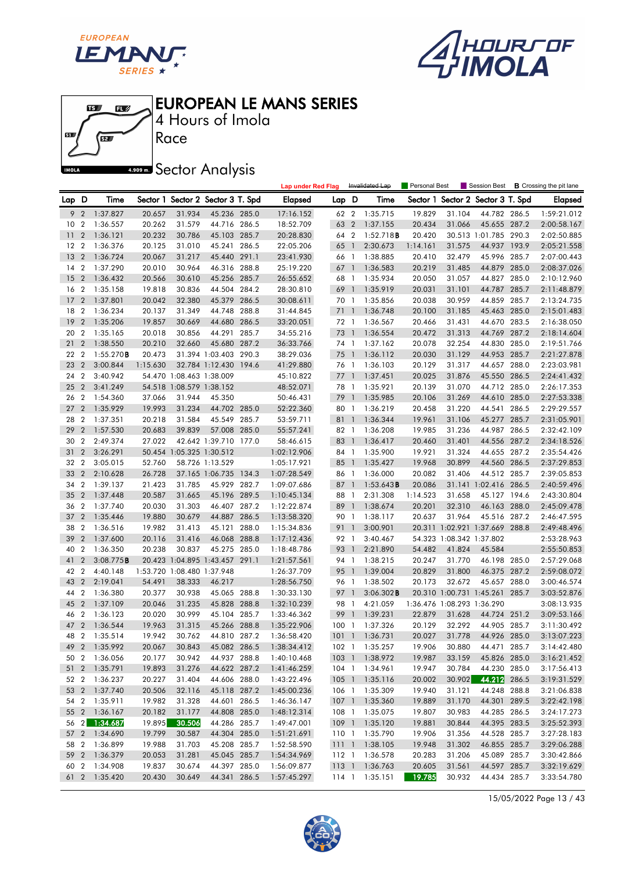





Race 4 Hours of Imola

**A.509 mm** Sector Analysis

|         |                  |               |          |                            |                                   |       | <b>Lap under Red Flag</b> |       |                | Invalidated Lap     | Personal Best |                            | Session Best                   |       | <b>B</b> Crossing the pit lane |
|---------|------------------|---------------|----------|----------------------------|-----------------------------------|-------|---------------------------|-------|----------------|---------------------|---------------|----------------------------|--------------------------------|-------|--------------------------------|
| Lap D   |                  | Time          |          |                            | Sector 1 Sector 2 Sector 3 T. Spd |       | Elapsed                   | Lap D |                | Time                | Sector 1      |                            | Sector 2 Sector 3 T. Spd       |       | <b>Elapsed</b>                 |
| 9       | $\overline{2}$   | 1:37.827      | 20.657   | 31.934                     | 45.236 285.0                      |       | 17:16.152                 | 62 2  |                | 1:35.715            | 19.829        | 31.104                     | 44.782 286.5                   |       | 1:59:21.012                    |
| 10      | $\overline{2}$   | 1:36.557      | 20.262   | 31.579                     | 44.716 286.5                      |       | 18:52.709                 | 63    | $\overline{2}$ | 1:37.155            | 20.434        | 31.066                     | 45.655 287.2                   |       | 2:00:58.167                    |
| 11      | $\overline{2}$   | 1:36.121      | 20.232   | 30.786                     | 45.103 285.7                      |       | 20:28.830                 | 64 2  |                | 1:52.718B           | 20.420        |                            | 30.513 1:01.785 290.3          |       | 2:02:50.885                    |
| $12 \,$ | $\boldsymbol{2}$ | 1:36.376      | 20.125   | 31.010                     | 45.241                            | 286.5 | 22:05.206                 | 65 1  |                | 2:30.673            | 1:14.161      | 31.575                     | 44.937 193.9                   |       | 2:05:21.558                    |
| 13      | $\overline{2}$   | 1:36.724      | 20.067   | 31.217                     | 45.440 291.1                      |       | 23:41.930                 | 66 1  |                | 1:38.885            | 20.410        | 32.479                     | 45.996 285.7                   |       | 2:07:00.443                    |
| 14      | $\overline{2}$   | 1:37.290      | 20.010   | 30.964                     | 46.316 288.8                      |       | 25:19.220                 | 67 1  |                | 1:36.583            | 20.219        | 31.485                     | 44.879 285.0                   |       | 2:08:37.026                    |
| 15      | $\overline{2}$   | 1:36.432      | 20.566   | 30.610                     | 45.256 285.7                      |       | 26:55.652                 | 68 1  |                | 1:35.934            | 20.050        | 31.057                     | 44.827 285.0                   |       | 2:10:12.960                    |
| 16      | $\overline{2}$   | 1:35.158      | 19.818   | 30.836                     | 44.504 284.2                      |       | 28:30.810                 | 69 1  |                | 1:35.919            | 20.031        | 31.101                     | 44.787                         | 285.7 | 2:11:48.879                    |
| 17      | $\overline{2}$   | 1:37.801      | 20.042   | 32.380                     | 45.379                            | 286.5 | 30:08.611                 | 70 1  |                | 1:35.856            | 20.038        | 30.959                     | 44.859                         | 285.7 | 2:13:24.735                    |
| 18      | $\overline{2}$   | 1:36.234      | 20.137   | 31.349                     | 44.748                            | 288.8 | 31:44.845                 | 71    | $\overline{1}$ | 1:36.748            | 20.100        | 31.185                     | 45.463 285.0                   |       | 2:15:01.483                    |
| 19      | $\overline{2}$   | 1:35.206      | 19.857   | 30.669                     | 44.680 286.5                      |       | 33:20.051                 | 72 1  |                | 1:36.567            | 20.466        | 31.431                     | 44.670 283.5                   |       | 2:16:38.050                    |
| 20      | $\overline{2}$   | 1:35.165      | 20.018   | 30.856                     | 44.291                            | 285.7 | 34:55.216                 | 73 1  |                | 1:36.554            | 20.472        | 31.313                     | 44.769                         | 287.2 | 2:18:14.604                    |
| 21      | $\overline{2}$   | 1:38.550      | 20.210   | 32.660                     | 45.680 287.2                      |       | 36:33.766                 | 74 1  |                | 1:37.162            | 20.078        | 32.254                     | 44.830                         | 285.0 | 2:19:51.766                    |
| 22      | $\overline{2}$   | 1:55.270B     | 20.473   |                            | 31.394 1:03.403 290.3             |       | 38:29.036                 | 75 1  |                | 1:36.112            | 20.030        | 31.129                     | 44.953 285.7                   |       | 2:21:27.878                    |
| 23      | $\overline{2}$   | 3:00.844      | 1:15.630 |                            | 32.784 1:12.430 194.6             |       | 41:29.880                 | 76 1  |                | 1:36.103            | 20.129        | 31.317                     | 44.657 288.0                   |       | 2:23:03.981                    |
| 24      | $\overline{2}$   | 3:40.942      |          | 54.470 1:08.463 1:38.009   |                                   |       | 45:10.822                 | 77 1  |                | 1:37.451            | 20.025        | 31.876                     | 45.550 286.5                   |       | 2:24:41.432                    |
| 25      | $\overline{2}$   | 3:41.249      |          | 54.518 1:08.579 1:38.152   |                                   |       | 48:52.071                 | 78 1  |                | 1:35.921            | 20.139        | 31.070                     | 44.712 285.0                   |       | 2:26:17.353                    |
| 26      | $\overline{2}$   | 1:54.360      | 37.066   | 31.944                     | 45.350                            |       | 50:46.431                 | 79    | $\overline{1}$ | 1:35.985            | 20.106        | 31.269                     | 44.610 285.0                   |       | 2:27:53.338                    |
| 27      | $\overline{2}$   | 1:35.929      | 19.993   | 31.234                     | 44.702 285.0                      |       | 52:22.360                 | 80 1  |                | 1:36.219            | 20.458        | 31.220                     | 44.541 286.5                   |       | 2:29:29.557                    |
| 28      | $\overline{2}$   | 1:37.351      | 20.218   | 31.584                     | 45.549 285.7                      |       | 53:59.711                 | 81 1  |                | 1:36.344            | 19.961        | 31.106                     | 45.277                         | 285.7 | 2:31:05.901                    |
| 29      | $\overline{2}$   | 1:57.530      | 20.683   | 39.839                     | 57.008 285.0                      |       | 55:57.241                 | 82 1  |                | 1:36.208            | 19.985        | 31.236                     | 44.987                         | 286.5 | 2:32:42.109                    |
| 30      | $\overline{2}$   | 2:49.374      | 27.022   |                            | 42.642 1:39.710 177.0             |       | 58:46.615                 | 83 1  |                | 1:36.417            | 20.460        | 31.401                     | 44.556 287.2                   |       | 2:34:18.526                    |
| 31      | $\overline{2}$   | 3:26.291      |          | 50.454 1:05.325 1:30.512   |                                   |       | 1:02:12.906               | 84 1  |                | 1:35.900            | 19.921        | 31.324                     | 44.655 287.2                   |       | 2:35:54.426                    |
| 32      | $\overline{2}$   | 3:05.015      | 52.760   |                            | 58.726 1:13.529                   |       | 1:05:17.921               | 85 1  |                | 1:35.427            | 19.968        | 30.899                     | 44.560 286.5                   |       | 2:37:29.853                    |
| 33      | $\overline{2}$   | 2:10.628      | 26.728   |                            | 37.165 1:06.735                   | 134.3 | 1:07:28.549               | 86 1  |                | 1:36.000            | 20.082        | 31.406                     | 44.512 285.7                   |       | 2:39:05.853                    |
| 34      | $\overline{2}$   | 1:39.137      | 21.423   | 31.785                     | 45.929 282.7                      |       | 1:09:07.686               | 87    | $\overline{1}$ | 1:53.643B           | 20.086        |                            | 31.141 1:02.416 286.5          |       | 2:40:59.496                    |
| 35      | $\overline{2}$   | 1:37.448      | 20.587   | 31.665                     | 45.196 289.5                      |       | 1:10:45.134               | 88 1  |                | 2:31.308            | 1:14.523      | 31.658                     | 45.127 194.6                   |       | 2:43:30.804                    |
| 36      | $\overline{2}$   | 1:37.740      | 20.030   | 31.303                     | 46.407 287.2                      |       | 1:12:22.874               | 89 1  |                | 1:38.674            | 20.201        | 32.310                     | 46.163 288.0                   |       | 2:45:09.478                    |
| 37      | $\overline{2}$   | 1:35.446      | 19.880   | 30.679                     | 44.887 286.5                      |       | 1:13:58.320               | 90 1  |                | 1:38.117            | 20.637        | 31.964                     | 45.516 287.2                   |       | 2:46:47.595                    |
| 38      | $\overline{2}$   | 1:36.516      | 19.982   | 31.413                     | 45.121 288.0                      |       | 1:15:34.836               | 91    | $\overline{1}$ | 3:00.901            |               |                            | 20.311 1:02.921 1:37.669 288.8 |       | 2:49:48.496                    |
| 39      | $\overline{2}$   | 1:37.600      | 20.116   | 31.416                     | 46.068 288.8                      |       | 1:17:12.436               | 92 1  |                | 3:40.467            |               | 54.323 1:08.342 1:37.802   |                                |       | 2:53:28.963                    |
| 40      | $\overline{2}$   | 1:36.350      | 20.238   | 30.837                     | 45.275 285.0                      |       | 1:18:48.786               | 93 1  |                | 2:21.890            | 54.482        | 41.824                     | 45.584                         |       | 2:55:50.853                    |
| 41      | $\overline{2}$   | 3:08.775B     |          |                            | 20.423 1:04.895 1:43.457 291.1    |       | 1:21:57.561               | 94 1  |                | 1:38.215            | 20.247        | 31.770                     | 46.198 285.0                   |       | 2:57:29.068                    |
| 42      | $\overline{2}$   | 4:40.148      |          | 1:53.720 1:08.480 1:37.948 |                                   |       | 1:26:37.709               | 95 1  |                | 1:39.004            | 20.829        | 31.800                     | 46.375 287.2                   |       | 2:59:08.072                    |
| 43      | $\overline{2}$   | 2:19.041      | 54.491   | 38.333                     | 46.217                            |       | 1:28:56.750               | 96 1  |                | 1:38.502            | 20.173        | 32.672                     | 45.657 288.0                   |       | 3:00:46.574                    |
| 44      | $\overline{2}$   | 1:36.380      | 20.377   | 30.938                     | 45.065 288.8                      |       | 1:30:33.130               | 97 1  |                | $3:06.302$ <b>B</b> |               |                            | 20.310 1:00.731 1:45.261       | 285.7 | 3:03:52.876                    |
| 45      | $\overline{2}$   | 1:37.109      | 20.046   | 31.235                     | 45.828 288.8                      |       | 1:32:10.239               | 98 1  |                | 4:21.059            |               | 1:36.476 1:08.293 1:36.290 |                                |       | 3:08:13.935                    |
| 46      | $\overline{2}$   | 1:36.123      | 20.020   | 30.999                     | 45.104 285.7                      |       | 1:33:46.362               | 99    | $\overline{1}$ | 1:39.231            | 22.879        | 31.628                     | 44.724 251.2                   |       | 3:09:53.166                    |
| 47      | $\overline{2}$   | 1:36.544      | 19.963   | 31.315                     | 45.266 288.8                      |       | 1:35:22.906               | 1001  |                | 1:37.326            | 20.129        | 32.292                     | 44.905 285.7                   |       | 3:11:30.492                    |
| 48      | $\overline{2}$   | 1:35.514      | 19.942   | 30.762                     | 44.810 287.2                      |       | 1:36:58.420               | 1011  |                | 1:36.731            | 20.027        | 31.778                     | 44.926 285.0                   |       | 3:13:07.223                    |
| 49      | $\overline{2}$   | 1:35.992      | 20.067   | 30.843                     | 45.082 286.5                      |       | 1:38:34.412               |       |                | 102 1 1:35.257      | 19.906        | 30.880                     | 44.471 285.7                   |       | 3:14:42.480                    |
|         |                  | 50 2 1:36.056 | 20.177   | 30.942                     | 44.937 288.8                      |       | 1:40:10.468               |       |                | 103 1 1:38.972      | 19.987        | 33.159                     | 45.826 285.0                   |       | 3:16:21.452                    |
|         |                  | 51 2 1:35.791 | 19.893   | 31.276                     | 44.622 287.2                      |       | 1:41:46.259               |       |                | 104 1 1:34.961      | 19.947        | 30.784                     | 44.230 285.0                   |       | 3:17:56.413                    |
|         |                  | 52 2 1:36.237 | 20.227   | 31.404                     | 44.606 288.0                      |       | 1:43:22.496               |       |                | 105 1 1:35.116      | 20.002        | 30.902                     | 44.212 286.5                   |       | 3:19:31.529                    |
|         |                  | 53 2 1:37.740 | 20.506   | 32.116                     | 45.118 287.2                      |       | 1:45:00.236               |       |                | 106 1 1:35.309      | 19.940        | 31.121                     | 44.248 288.8                   |       | 3:21:06.838                    |
|         |                  | 54 2 1:35.911 | 19.982   | 31.328                     | 44.601 286.5                      |       | 1:46:36.147               |       |                | 107 1 1:35.360      | 19.889        | 31.170                     | 44.301 289.5                   |       | 3:22:42.198                    |
|         |                  | 55 2 1:36.167 | 20.182   | 31.177                     | 44.808 285.0                      |       | 1:48:12.314               |       |                | 108 1 1:35.075      | 19.807        | 30.983                     | 44.285 286.5                   |       | 3:24:17.273                    |
|         |                  | 56 2 1:34.687 | 19.895   | 30.506                     | 44.286 285.7                      |       | 1:49:47.001               |       |                | 109 1 1:35.120      | 19.881        | 30.844                     | 44.395 283.5                   |       | 3:25:52.393                    |
|         |                  | 57 2 1:34.690 | 19.799   | 30.587                     | 44.304 285.0                      |       | 1:51:21.691               |       |                | 110 1 1:35.790      | 19.906        | 31.356                     | 44.528 285.7                   |       | 3:27:28.183                    |
|         |                  | 58 2 1:36.899 | 19.988   | 31.703                     | 45.208 285.7                      |       | 1:52:58.590               |       |                | 111 1 1:38.105      | 19.948        | 31.302                     | 46.855 285.7                   |       | 3:29:06.288                    |
|         |                  | 59 2 1:36.379 | 20.053   | 31.281                     | 45.045 285.7                      |       | 1:54:34.969               |       |                | 112 1 1:36.578      | 20.283        | 31.206                     | 45.089 285.7                   |       | 3:30:42.866                    |
| 60 2    |                  | 1:34.908      | 19.837   | 30.674                     | 44.397 285.0                      |       | 1:56:09.877               |       |                | 113 1 1:36.763      | 20.605        | 31.561                     | 44.597 285.7                   |       | 3:32:19.629                    |
|         |                  | 61 2 1:35.420 | 20.430   | 30.649                     | 44.341 286.5                      |       | 1:57:45.297               |       |                | 114 1 1:35.151      | 19.785        | 30.932                     | 44.434 285.7                   |       | 3:33:54.780                    |

15/05/2022 Page 13 / 43

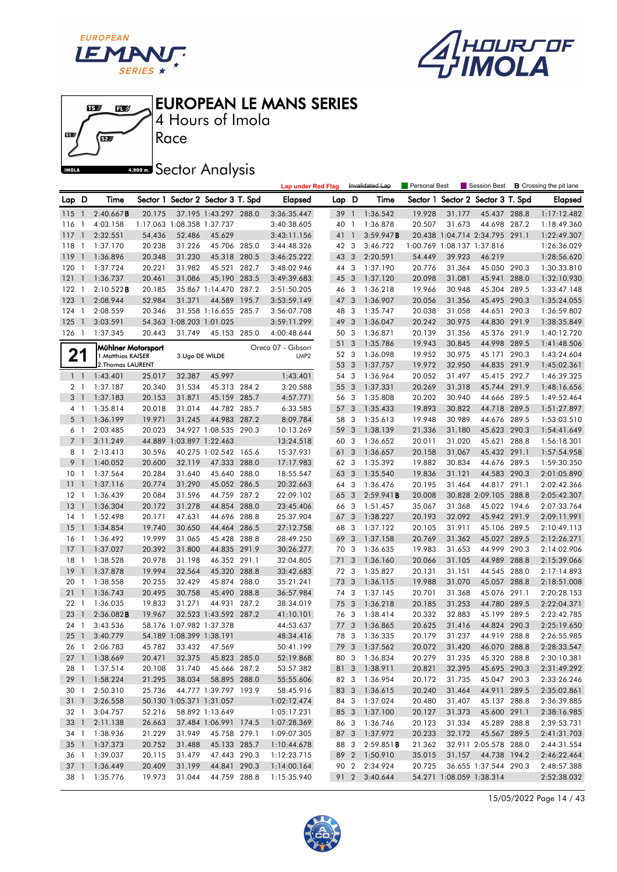





4 Hours of Imola

**A.509 mm** Sector Analysis

|                |                          |                    |        |                            |                                   |       | <b>Lap under Red Flag</b> |       |                         | Invalidated Lap | Personal Best |                            | Session Best                   |       | <b>B</b> Crossing the pit lane |
|----------------|--------------------------|--------------------|--------|----------------------------|-----------------------------------|-------|---------------------------|-------|-------------------------|-----------------|---------------|----------------------------|--------------------------------|-------|--------------------------------|
| Lap D          |                          | Time               |        |                            | Sector 1 Sector 2 Sector 3 T. Spd |       | <b>Elapsed</b>            | Lap D |                         | Time            | Sector 1      |                            | Sector 2 Sector 3 T. Spd       |       | <b>Elapsed</b>                 |
| 115            | - 1                      | 2:40.667B          | 20.175 |                            | 37.195 1:43.297 288.0             |       | 3:36:35.447               | 39    | $\overline{1}$          | 1:36.542        | 19.928        | 31.177                     | 45.437 288.8                   |       | 1:17:12.482                    |
| 116            | -1                       | 4:03.158           |        | 1:17.063 1:08.358 1:37.737 |                                   |       | 3:40:38.605               | 40    | $\overline{1}$          | 1:36.878        | 20.507        | 31.673                     | 44.698 287.2                   |       | 1:18:49.360                    |
| 117            | $\mathbf{1}$             | 2:32.551           | 54.436 | 52.486                     | 45.629                            |       | 3:43:11.156               | 41    | $\mathbf{1}$            | 3:59.947B       |               |                            | 20.438 1:04.714 2:34.795 291.1 |       | 1:22:49.307                    |
| 118            | -1                       | 1:37.170           | 20.238 | 31.226                     | 45.706 285.0                      |       | 3:44:48.326               | 42 3  |                         | 3:46.722        |               | 1:00.769 1:08.137 1:37.816 |                                |       | 1:26:36.029                    |
| 119            | $\overline{1}$           | 1:36.896           | 20.348 | 31.230                     | 45.318 280.5                      |       | 3:46:25.222               | 43    | 3                       | 2:20.591        | 54.449        | 39.923                     | 46.219                         |       | 1:28:56.620                    |
| 120            | 1                        | 1:37.724           | 20.221 | 31.982                     | 45.521                            | 282.7 | 3:48:02.946               | 44 3  |                         | 1:37.190        | 20.776        | 31.364                     | 45.050 290.3                   |       | 1:30:33.810                    |
| 121            | $\overline{1}$           | 1:36.737           | 20.461 | 31.086                     | 45.190 283.5                      |       | 3:49:39.683               | 45    | 3                       | 1:37.120        | 20.098        | 31.081                     | 45.941                         | 288.0 | 1:32:10.930                    |
| 122            | -1                       | 2:10.522B          | 20.185 |                            | 35.867 1:14.470 287.2             |       | 3:51:50.205               | 46 3  |                         | 1:36.218        | 19.966        | 30.948                     | 45.304 289.5                   |       | 1:33:47.148                    |
| 123            | $\mathbf{1}$             | 2:08.944           | 52.984 | 31.371                     | 44.589                            | 195.7 | 3:53:59.149               | 47    | 3                       | 1:36.907        | 20.056        | 31.356                     | 45.495 290.3                   |       | 1:35:24.055                    |
| 124            | 1                        | 2:08.559           | 20.346 |                            | 31.558 1:16.655                   | 285.7 | 3:56:07.708               | 48    | 3                       | 1:35.747        | 20.038        | 31.058                     | 44.651                         | 290.3 | 1:36:59.802                    |
| 125            | $\mathbf{1}$             | 3:03.591           | 54.363 |                            | 1:08.203 1:01.025                 |       | 3:59:11.299               | 49    | 3                       | 1:36.047        | 20.242        | 30.975                     | 44.830 291.9                   |       | 1:38:35.849                    |
| 126            | $\overline{1}$           | 1:37.345           | 20.443 | 31.749                     | 45.153 285.0                      |       | 4:00:48.644               | 50 3  |                         | 1:36.871        | 20.139        | 31.356                     | 45.376 291.9                   |       | 1:40:12.720                    |
|                |                          | Mühlner Motorsport |        |                            |                                   |       | Oreca 07 - Gibson         | 51    | 3                       | 1:35.786        | 19.943        | 30.845                     | 44.998                         | 289.5 | 1:41:48.506                    |
| ŋ<br>Z1        |                          | 1. Matthias KAISER |        | 3.Ugo DE WILDE             |                                   |       | LMP <sub>2</sub>          | 52 3  |                         | 1:36.098        | 19.952        | 30.975                     | 45.171                         | 290.3 | 1:43:24.604                    |
|                |                          | 2. Thomas LAURENT  |        |                            |                                   |       |                           | 53    | 3                       | 1:37.757        | 19.972        | 32.950                     | 44.835 291.9                   |       | 1:45:02.361                    |
| $1\quad$       |                          | 1:43.401           | 25.017 | 32.387                     | 45.997                            |       | 1:43.401                  | 54 3  |                         | 1:36.964        | 20.052        | 31.497                     | 45.415 292.7                   |       | 1:46:39.325                    |
| 2 1            |                          | 1:37.187           | 20.340 | 31.534                     | 45.313 284.2                      |       | 3:20.588                  | 55    | 3                       | 1:37.331        | 20.269        | 31.318                     | 45.744 291.9                   |       | 1:48:16.656                    |
| 3              | $\mathbf{1}$             | 1:37.183           | 20.153 | 31.871                     | 45.159 285.7                      |       | 4:57.771                  | 56 3  |                         | 1:35.808        | 20.202        | 30.940                     | 44.666 289.5                   |       | 1:49:52.464                    |
| 4 1            |                          | 1:35.814           | 20.018 | 31.014                     | 44.782 285.7                      |       | 6:33.585                  | 57    | 3                       | 1:35.433        | 19.893        | 30.822                     | 44.718 289.5                   |       | 1:51:27.897                    |
| 5 <sub>1</sub> |                          | 1:36.199           | 19.971 | 31.245                     | 44.983 287.2                      |       | 8:09.784                  | 58    | 3                       | 1:35.613        | 19.948        | 30.989                     | 44.676 289.5                   |       | 1:53:03.510                    |
| 6 <sub>1</sub> |                          | 2:03.485           | 20.023 |                            | 34.927 1:08.535 290.3             |       | 10:13.269                 | 59    | 3                       | 1:38.139        | 21.336        | 31.180                     | 45.623                         | 290.3 | 1:54:41.649                    |
| $7^{\circ}$    | $\mathbf{1}$             | 3:11.249           |        | 44.889 1:03.897 1:22.463   |                                   |       | 13:24.518                 | 60 3  |                         | 1:36.652        | 20.011        | 31.020                     | 45.621                         | 288.8 | 1:56:18.301                    |
| 8 1            |                          | 2:13.413           | 30.596 |                            | 40.275 1:02.542 165.6             |       | 15:37.931                 | 61    | 3                       | 1:36.657        | 20.158        | 31.067                     | 45.432                         | 291.1 | 1:57:54.958                    |
| 9              | $\overline{1}$           | 1:40.052           | 20.600 | 32.119                     | 47.333 288.0                      |       | 17:17.983                 | 62 3  |                         | 1:35.392        | 19.882        | 30.834                     | 44.676 289.5                   |       | 1:59:30.350                    |
| 10             | $\mathbf{1}$             | 1:37.564           | 20.284 | 31.640                     | 45.640 288.0                      |       | 18:55.547                 | 63 3  |                         | 1:35.540        | 19.836        | 31.121                     | 44.583 290.3                   |       | 2:01:05.890                    |
| 11             | $\mathbf{1}$             | 1:37.116           | 20.774 | 31.290                     | 45.052 286.5                      |       | 20:32.663                 | 64    | 3                       | 1:36.476        | 20.195        | 31.464                     | 44.817 291.1                   |       | 2:02:42.366                    |
| 12             | $\overline{\phantom{a}}$ | 1:36.439           | 20.084 | 31.596                     | 44.759 287.2                      |       | 22:09.102                 | 65 3  |                         | 2:59.941B       | 20.008        |                            | 30.828 2:09.105 288.8          |       | 2:05:42.307                    |
| 13             | $\mathbf{1}$             | 1:36.304           | 20.172 | 31.278                     | 44.854 288.0                      |       | 23:45.406                 | 66 3  |                         | 1:51.457        | 35.067        | 31.368                     | 45.022 194.6                   |       | 2:07:33.764                    |
| 14             | $\mathbf{1}$             | 1:52.498           | 20.171 | 47.631                     | 44.696 288.8                      |       | 25:37.904                 | 67    | 3                       | 1:38.227        | 20.193        | 32.092                     | 45.942 291.9                   |       | 2:09:11.991                    |
| 15             | -1                       | 1:34.854           | 19.740 | 30.650                     | 44.464 286.5                      |       | 27:12.758                 | 68    | 3                       | 1:37.122        | 20.105        | 31.911                     | 45.106 289.5                   |       | 2:10:49.113                    |
| 16             | $\overline{1}$           | 1:36.492           | 19.999 | 31.065                     | 45.428 288.8                      |       | 28:49.250                 | 69    | $\overline{\mathbf{3}}$ | 1:37.158        | 20.769        | 31.362                     | 45.027 289.5                   |       | 2:12:26.271                    |
| 17             | $\mathbf{1}$             | 1:37.027           | 20.392 | 31.800                     | 44.835 291.9                      |       | 30:26.277                 | 70    | 3                       | 1:36.635        | 19.983        | 31.653                     | 44.999                         | 290.3 | 2:14:02.906                    |
| 18             | 1                        | 1:38.528           | 20.978 | 31.198                     | 46.352 291.1                      |       | 32:04.805                 | 71    | 3                       | 1:36.160        | 20.066        | 31.105                     | 44.989                         | 288.8 | 2:15:39.066                    |
| 19             | $\mathbf{1}$             | 1:37.878           | 19.994 | 32.564                     | 45.320 288.8                      |       | 33:42.683                 | 72 3  |                         | 1:35.827        | 20.131        | 31.151                     | 44.545 288.0                   |       | 2:17:14.893                    |
| 20             | $\mathbf{1}$             | 1:38.558           | 20.255 | 32.429                     | 45.874 288.0                      |       | 35:21.241                 | 73    | 3                       | 1:36.115        | 19.988        | 31.070                     | 45.057                         | 288.8 | 2:18:51.008                    |
| 21             | $\overline{1}$           | 1:36.743           | 20.495 | 30.758                     | 45.490 288.8                      |       | 36:57.984                 | 74    | 3                       | 1:37.145        | 20.701        | 31.368                     | 45.076 291.1                   |       | 2:20:28.153                    |
| 22             | $\mathbf{1}$             | 1:36.035           | 19.833 | 31.271                     | 44.931                            | 287.2 | 38:34.019                 | 75    | 3                       | 1:36.218        | 20.185        | 31.253                     | 44.780                         | 289.5 | 2:22:04.371                    |
| 23             | $\mathbf{1}$             | 2:36.082B          | 19.967 |                            | 32.523 1:43.592 287.2             |       | 41:10.101                 | 76 3  |                         | 1:38.414        | 20.332        | 32.883                     | 45.199 289.5                   |       | 2:23:42.785                    |
| 24             | -1                       | 3:43.536           |        | 58.176 1:07.982 1:37.378   |                                   |       | 44:53.637                 | 77    | 3                       | 1:36.865        | 20.625        | 31.416                     | 44.824                         | 290.3 | 2:25:19.650                    |
| 25             | $\overline{1}$           | 3:40.779           |        | 54.189 1:08.399 1:38.191   |                                   |       | 48:34.416                 | 78 3  |                         | 1:36.335        | 20.179        | 31.237                     | 44.919 288.8                   |       | 2:26:55.985                    |
| 26 1           |                          | 2:06.783           | 45.782 |                            | 33.432 47.569                     |       | 50:41.199                 |       |                         | 79 3 1:37.562   | 20.072        | 31.420                     | 46.070 288.8                   |       | 2:28:33.547                    |
|                |                          | 27 1 1:38.669      | 20.471 | 32.375                     | 45.823 285.0                      |       | 52:19.868                 |       |                         | 80 3 1:36.834   | 20.279        | 31.235                     | 45.320 288.8                   |       | 2:30:10.381                    |
|                |                          | 28 1 1:37.514      | 20.108 | 31.740                     | 45.666 287.2                      |       | 53:57.382                 |       |                         | 81 3 1:38.911   | 20.821        | 32.395                     | 45.695 290.3                   |       | 2:31:49.292                    |
|                |                          | 29 1 1:58.224      | 21.295 | 38.034                     | 58.895 288.0                      |       | 55:55.606                 |       |                         | 82 3 1:36.954   | 20.172        | 31.735                     | 45.047 290.3                   |       | 2:33:26.246                    |
| 30 1           |                          | 2:50.310           | 25.736 |                            | 44.777 1:39.797 193.9             |       | 58:45.916                 |       | 83 3                    | 1:36.615        | 20.240        | 31.464                     | 44.911 289.5                   |       | 2:35:02.861                    |
|                |                          | 31 1 3:26.558      |        |                            | 50.130 1:05.371 1:31.057          |       | 1:02:12.474               |       |                         | 84 3 1:37.024   | 20.480        | 31.407                     | 45.137 288.8                   |       | 2:36:39.885                    |
| 32 1           |                          | 3:04.757           | 52.216 |                            | 58.892 1:13.649                   |       | 1:05:17.231               |       | 85 3                    | 1:37.100        | 20.127        | 31.373                     | 45.600 291.1                   |       | 2:38:16.985                    |
| $33 \quad 1$   |                          | 2:11.138           | 26.663 |                            | 37.484 1:06.991 174.5             |       | 1:07:28.369               |       | 86 3                    | 1:36.746        | 20.123        | 31.334                     | 45.289 288.8                   |       | 2:39:53.731                    |
|                |                          | 34 1 1:38.936      | 21.229 | 31.949                     | 45.758 279.1                      |       | 1:09:07.305               |       | 87 3                    | 1:37.972        | 20.233        | 32.172                     | 45.567 289.5                   |       | 2:41:31.703                    |
|                |                          | 35 1 1:37.373      | 20.752 | 31.488                     | 45.133 285.7                      |       | 1:10:44.678               |       | 88 3                    | 2:59.851B       | 21.362        |                            | 32.911 2:05.578 288.0          |       | 2:44:31.554                    |
|                |                          | 36 1 1:39.037      | 20.115 | 31.479                     | 47.443 290.3                      |       | 1:12:23.715               |       |                         | 89 2 1:50.910   | 35.015        |                            | 31.157 44.738 194.2            |       | 2:46:22.464                    |
|                |                          | 37 1 1:36.449      | 20.409 | 31.199                     | 44.841 290.3                      |       | 1:14:00.164               |       | 90 2                    | 2:34.924        | 20.725        |                            | 36.655 1:37.544 290.3          |       | 2:48:57.388                    |
|                |                          | 38 1 1:35.776      | 19.973 | 31.044                     | 44.759 288.8                      |       | 1:15:35.940               |       | 91 2                    | 3:40.644        |               | 54.271 1:08.059 1:38.314   |                                |       | 2:52:38.032                    |
|                |                          |                    |        |                            |                                   |       |                           |       |                         |                 |               |                            |                                |       |                                |

15/05/2022 Page 14 / 43

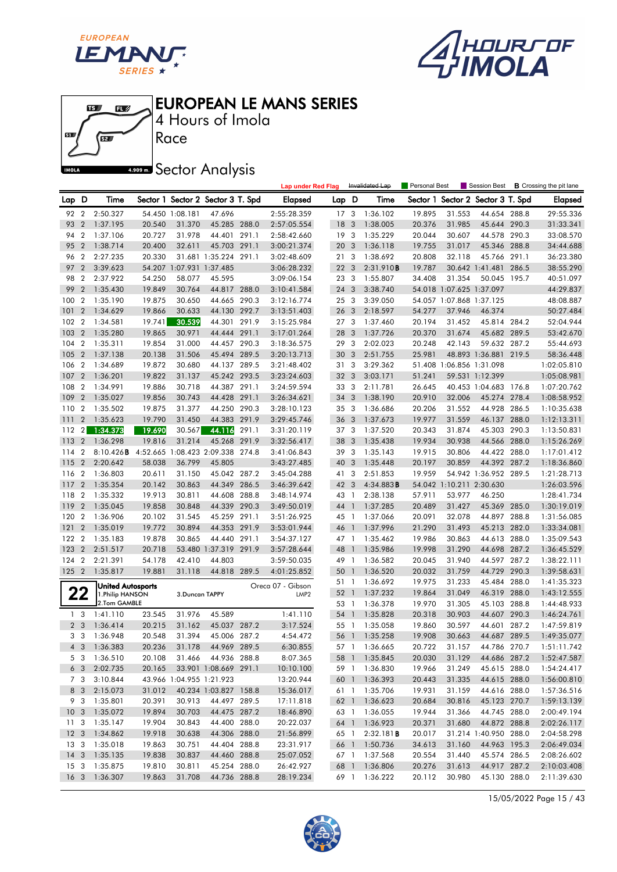





4 Hours of Imola

**A.509 mm** Sector Analysis

|                 |                |                                  |                  |                          |                                   |       | <b>Lap under Red Flag</b> |                 |                         | Invalidated Lap      | Personal Best    |                          | Session Best                      |                | <b>B</b> Crossing the pit lane |
|-----------------|----------------|----------------------------------|------------------|--------------------------|-----------------------------------|-------|---------------------------|-----------------|-------------------------|----------------------|------------------|--------------------------|-----------------------------------|----------------|--------------------------------|
| Lap D           |                | Time                             |                  |                          | Sector 1 Sector 2 Sector 3 T. Spd |       | <b>Elapsed</b>            | Lap D           |                         | Time                 |                  |                          | Sector 1 Sector 2 Sector 3 T. Spd |                | <b>Elapsed</b>                 |
| 92              | $\overline{2}$ | 2:50.327                         |                  | 54.450 1:08.181          | 47.696                            |       | 2:55:28.359               | 17 <sub>3</sub> |                         | 1:36.102             | 19.895           | 31.553                   | 44.654 288.8                      |                | 29:55.336                      |
| 93              | $\overline{2}$ | 1:37.195                         | 20.540           | 31.370                   | 45.285 288.0                      |       | 2:57:05.554               | 18              | $\overline{3}$          | 1:38.005             | 20.376           | 31.985                   | 45.644 290.3                      |                | 31:33.341                      |
| 94              | $\overline{2}$ | 1:37.106                         | 20.727           | 31.978                   | 44.401 291.1                      |       | 2:58:42.660               | 19 <sup>3</sup> |                         | 1:35.229             | 20.044           | 30.607                   | 44.578 290.3                      |                | 33:08.570                      |
| 95              | $\overline{2}$ | 1:38.714                         | 20.400           | 32.611                   | 45.703 291.1                      |       | 3:00:21.374               | 20              | $\overline{3}$          | 1:36.118             | 19.755           | 31.017                   | 45.346 288.8                      |                | 34:44.688                      |
| 96              | $\overline{2}$ | 2:27.235                         | 20.330           |                          | 31.681 1:35.224 291.1             |       | 3:02:48.609               | 21 3            |                         | 1:38.692             | 20.808           | 32.118                   | 45.766 291.1                      |                | 36:23.380                      |
| 97              | $\overline{2}$ | 3:39.623                         |                  | 54.207 1:07.931 1:37.485 |                                   |       | 3:06:28.232               | 22 <sub>3</sub> |                         | 2:31.910 <b>B</b>    | 19.787           |                          | 30.642 1:41.481                   | 286.5          | 38:55.290                      |
| 98              | $\overline{2}$ | 2:37.922                         | 54.250           | 58.077                   | 45.595                            |       | 3:09:06.154               | 23 3            |                         | 1:55.807             | 34.408           | 31.354                   | 50.045 195.7                      |                | 40:51.097                      |
| 99              | $\overline{2}$ | 1:35.430                         | 19.849           | 30.764                   | 44.817 288.0                      |       | 3:10:41.584               | 24 3            |                         | 3:38.740             |                  | 54.018 1:07.625 1:37.097 |                                   |                | 44:29.837                      |
| 100             | $\overline{2}$ | 1:35.190                         | 19.875           | 30.650                   | 44.665                            | 290.3 | 3:12:16.774               | 25 3            |                         | 3:39.050             |                  | 54.057 1:07.868 1:37.125 |                                   |                | 48:08.887                      |
| 101             | $\overline{2}$ | 1:34.629                         | 19.866           | 30.633                   | 44.130 292.7                      |       | 3:13:51.403               | 26              | $\overline{\mathbf{3}}$ | 2:18.597             | 54.277           | 37.946                   | 46.374                            |                | 50:27.484                      |
| 102             | $\overline{2}$ | 1:34.581                         | 19.741           | 30.539                   | 44.301 291.9                      |       | 3:15:25.984               | 27 3            |                         | 1:37.460             | 20.194           | 31.452                   | 45.814 284.2                      |                | 52:04.944                      |
| 103             | $\overline{2}$ | 1:35.280                         | 19.865           | 30.971                   | 44.444 291.1                      |       | 3:17:01.264               | 28              | $\overline{\mathbf{3}}$ | 1:37.726             | 20.370           | 31.674                   | 45.682 289.5                      |                | 53:42.670                      |
| 104             | $\overline{2}$ | 1:35.311                         | 19.854           | 31.000                   | 44.457 290.3                      |       | 3:18:36.575               | 29              | 3                       | 2:02.023             | 20.248           | 42.143                   | 59.632 287.2                      |                | 55:44.693                      |
| 105             | $\overline{2}$ | 1:37.138                         | 20.138           | 31.506                   | 45.494 289.5                      |       | 3:20:13.713               | 30              | 3                       | 2:51.755             | 25.981           |                          | 48.893 1:36.881 219.5             |                | 58:36.448                      |
| 106             | $\overline{2}$ | 1:34.689                         | 19.872           | 30.680                   | 44.137 289.5                      |       | 3:21:48.402               | 313             |                         | 3:29.362             |                  | 51.408 1:06.856 1:31.098 |                                   |                | 1:02:05.810                    |
| 107             | $\overline{2}$ | 1:36.201                         | 19.822           | 31.137                   | 45.242 293.5                      |       | 3:23:24.603               | 32 <sub>3</sub> |                         | 3:03.171             | 51.241           |                          | 59.531 1:12.399                   |                | 1:05:08.981                    |
| 108             | $\overline{2}$ | 1:34.991                         | 19.886           | 30.718                   | 44.387 291.1                      |       | 3:24:59.594               | 33 3            |                         | 2:11.781             | 26.645           |                          | 40.453 1:04.683 176.8             |                | 1:07:20.762                    |
| 109             | $\overline{2}$ | 1:35.027                         | 19.856           | 30.743                   | 44.428 291.1                      |       | 3:26:34.621               | 34              | 3                       | 1:38.190             | 20.910           | 32.006                   | 45.274 278.4                      |                | 1:08:58.952                    |
| 110             | $\overline{2}$ | 1:35.502                         | 19.875           | 31.377                   | 44.250 290.3                      |       | 3:28:10.123               | 35 3            |                         | 1:36.686             | 20.206           | 31.552                   | 44.928 286.5                      |                | 1:10:35.638                    |
| 111             | $\overline{2}$ | 1:35.623                         | 19.790           | 31.450                   | 44.383 291.9                      |       | 3:29:45.746               | 36 3            |                         | 1:37.673             | 19.977           | 31.559                   | 46.137                            | 288.0          | 1:12:13.311                    |
| 112             | $\overline{2}$ | 1:34.373                         | 19.690           | 30.567                   | 44.116                            | 291.1 | 3:31:20.119               | 37 3            |                         | 1:37.520             | 20.343           | 31.874                   | 45.303 290.3                      |                | 1:13:50.831                    |
| 113             | $\overline{2}$ | 1:36.298                         | 19.816           | 31.214                   | 45.268 291.9                      |       | 3:32:56.417               | 38              | 3                       | 1:35.438             | 19.934           | 30.938                   | 44.566 288.0                      |                | 1:15:26.269                    |
| 114             | $\overline{2}$ | 8:10.426B                        |                  |                          | 4:52.665 1:08.423 2:09.338 274.8  |       | 3:41:06.843               | 39 3            |                         | 1:35.143             | 19.915           | 30.806                   | 44.422 288.0                      |                | 1:17:01.412                    |
| 115             | $\overline{2}$ | 2:20.642                         | 58.038           | 36.799                   | 45.805                            |       | 3:43:27.485               | 40 3            |                         | 1:35.448             | 20.197           | 30.859                   | 44.392 287.2                      |                | 1:18:36.860                    |
| 116             | $\overline{2}$ | 1:36.803                         | 20.611           | 31.150                   | 45.042 287.2                      |       | 3:45:04.288               | 41 3            |                         | 2:51.853             | 19.959           |                          | 54.942 1:36.952 289.5             |                | 1:21:28.713                    |
| 117             | $\overline{2}$ | 1:35.354                         | 20.142           | 30.863                   | 44.349 286.5                      |       | 3:46:39.642               | 42              | 3                       | $4:34.883$ B         |                  | 54.042 1:10.211 2:30.630 |                                   |                | 1:26:03.596                    |
| 118             | $\overline{2}$ | 1:35.332                         | 19.913           | 30.811                   | 44.608                            | 288.8 | 3:48:14.974               | 43 1            |                         | 2:38.138             | 57.911           | 53.977                   | 46.250                            |                | 1:28:41.734                    |
| 119             | $\overline{2}$ | 1:35.045                         | 19.858           | 30.848                   | 44.339                            | 290.3 | 3:49:50.019               | 44 1            |                         | 1:37.285             | 20.489           | 31.427                   | 45.369 285.0                      |                | 1:30:19.019                    |
| 120             | $\overline{2}$ | 1:36.906                         | 20.102           | 31.545                   | 45.259                            | 291.1 | 3:51:26.925               | 45 1            |                         | 1:37.066             | 20.091           | 32.078                   | 44.897 288.8                      |                | 1:31:56.085                    |
| 121             | $\overline{2}$ | 1:35.019                         | 19.772           | 30.894                   | 44.353 291.9                      |       | 3:53:01.944               | 46              | $\mathbf{1}$            | 1:37.996             | 21.290           | 31.493                   | 45.213 282.0                      |                | 1:33:34.081                    |
| 122             | $\overline{2}$ | 1:35.183                         | 19.878           | 30.865                   | 44.440 291.1                      |       | 3:54:37.127               | 47 1            |                         | 1:35.462             | 19.986           | 30.863                   | 44.613 288.0                      |                | 1:35:09.543                    |
| 123             | $\overline{2}$ | 2:51.517                         | 20.718           |                          | 53.480 1:37.319 291.9             |       | 3:57:28.644               | 48              | $\overline{1}$          | 1:35.986             | 19.998           | 31.290                   | 44.698                            | 287.2          | 1:36:45.529                    |
| 124             | $\overline{2}$ | 2:21.391                         | 54.178           | 42.410                   | 44.803                            |       | 3:59:50.035               | 49              | $\overline{1}$          | 1:36.582             | 20.045           | 31.940                   | 44.597                            | 287.2          | 1:38:22.111                    |
| 125 2           |                | 1:35.817                         | 19.881           | 31.118                   | 44.818 289.5                      |       | 4:01:25.852               | 50              | $\mathbf{1}$            | 1:36.520             | 20.032           | 31.759                   | 44.729                            | 290.3          | 1:39:58.631                    |
|                 |                | United Autosports                |                  |                          |                                   |       | Oreca 07 - Gibson         | 51              | $\overline{1}$          | 1:36.692             | 19.975           | 31.233                   | 45.484 288.0                      |                | 1:41:35.323                    |
|                 | 77             | 1. Philip HANSON<br>2.Tom GAMBLE |                  | 3.Duncan TAPPY           |                                   |       | LMP <sub>2</sub>          | 52 1            |                         | 1:37.232             | 19.864           | 31.049                   | 46.319                            | 288.0          | 1:43:12.555                    |
|                 |                |                                  |                  |                          |                                   |       |                           | 53              | $\overline{1}$          | 1:36.378             | 19.970           | 31.305                   | 45.103 288.8                      |                | 1:44:48.933                    |
| 2 <sub>3</sub>  | 1 <sub>3</sub> | 1:41.110<br>1:36.414             | 23.545<br>20.215 | 31.976<br>31.162         | 45.589<br>45.037 287.2            |       | 1:41.110<br>3:17.524      | 54<br>55 1      | $\mathbf{1}$            | 1:35.828             | 20.318<br>19.860 | 30.903<br>30.597         | 44.607<br>44.601                  | 290.3<br>287.2 | 1:46:24.761<br>1:47:59.819     |
|                 | 3 <sub>3</sub> | 1:36.948                         | 20.548           | 31.394                   | 45.006 287.2                      |       | 4:54.472                  |                 | 56 1                    | 1:35.058<br>1:35.258 | 19.908           | 30.663                   | 44.687 289.5                      |                | 1:49:35.077                    |
|                 |                | 4 3 1:36.383                     | 20.236           | 31.178                   | 44.969 289.5                      |       | 6:30.855                  |                 |                         | 57 1 1:36.665        | 20.722           | 31.157                   | 44.786 270.7                      |                | 1:51:11.742                    |
|                 |                | 5 3 1:36.510                     | 20.108           |                          | 31.466 44.936 288.8               |       | 8:07.365                  |                 |                         | 58 1 1:35.845        | 20.030           | 31.129                   | 44.686 287.2                      |                | 1:52:47.587                    |
|                 | 6 3            | 2:02.735                         | 20.165           |                          | 33.901 1:08.669 291.1             |       | 10:10.100                 |                 | 59 1                    | 1:36.830             | 19.966           | 31.249                   | 45.615 288.0                      |                | 1:54:24.417                    |
|                 | 7 3            | 3:10.844                         |                  |                          | 43.966 1:04.955 1:21.923          |       | 13:20.944                 |                 |                         | 60 1 1:36.393        | 20.443           | 31.335                   | 44.615 288.0                      |                | 1:56:00.810                    |
| 8 3             |                | 2:15.073                         | 31.012           |                          | 40.234 1:03.827 158.8             |       | 15:36.017                 |                 |                         | 61 1 1:35.706        | 19.931           | 31.159                   | 44.616 288.0                      |                | 1:57:36.516                    |
| 9 3             |                | 1:35.801                         | 20.391           | 30.913                   | 44.497 289.5                      |       | 17:11.818                 |                 |                         | 62 1 1:36.623        | 20.684           | 30.816                   | 45.123 270.7                      |                | 1:59:13.139                    |
| 10 <sub>3</sub> |                | 1:35.072                         | 19.894           | 30.703                   | 44.475 287.2                      |       | 18:46.890                 |                 |                         | 63 1 1:36.055        | 19.944           | 31.366                   | 44.745 288.0                      |                | 2:00:49.194                    |
| 11 <sub>3</sub> |                | 1:35.147                         | 19.904           | 30.843                   | 44.400 288.0                      |       | 20:22.037                 |                 |                         | 64 1 1:36.923        | 20.371           | 31.680                   | 44.872 288.8                      |                | 2:02:26.117                    |
| 12 <sup>3</sup> |                | 1:34.862                         | 19.918           | 30.638                   | 44.306 288.0                      |       | 21:56.899                 |                 | 65 1                    | 2:32.181B            | 20.017           |                          | 31.214 1:40.950 288.0             |                | 2:04:58.298                    |
| 13 3            |                | 1:35.018                         | 19.863           | 30.751                   | 44.404 288.8                      |       | 23:31.917                 |                 |                         | 66 1 1:50.736        | 34.613           | 31.160                   | 44.963 195.3                      |                | 2:06:49.034                    |
| $14 \quad 3$    |                | 1:35.135                         | 19.838           | 30.837                   | 44.460 288.8                      |       | 25:07.052                 |                 |                         | 67 1 1:37.568        | 20.554           | 31.440                   | 45.574 286.5                      |                | 2:08:26.602                    |
| 15 <sub>3</sub> |                | 1:35.875                         | 19.810           | 30.811                   | 45.254 288.0                      |       | 26:42.927                 |                 |                         | 68 1 1:36.806        | 20.276           | 31.613                   | 44.917 287.2                      |                | 2:10:03.408                    |
| 16 <sub>3</sub> |                | 1:36.307                         | 19.863           | 31.708                   | 44.736 288.8                      |       | 28:19.234                 |                 |                         | 69 1 1:36.222        | 20.112           | 30.980                   | 45.130 288.0                      |                | 2:11:39.630                    |
|                 |                |                                  |                  |                          |                                   |       |                           |                 |                         |                      |                  |                          |                                   |                |                                |

15/05/2022 Page 15 / 43

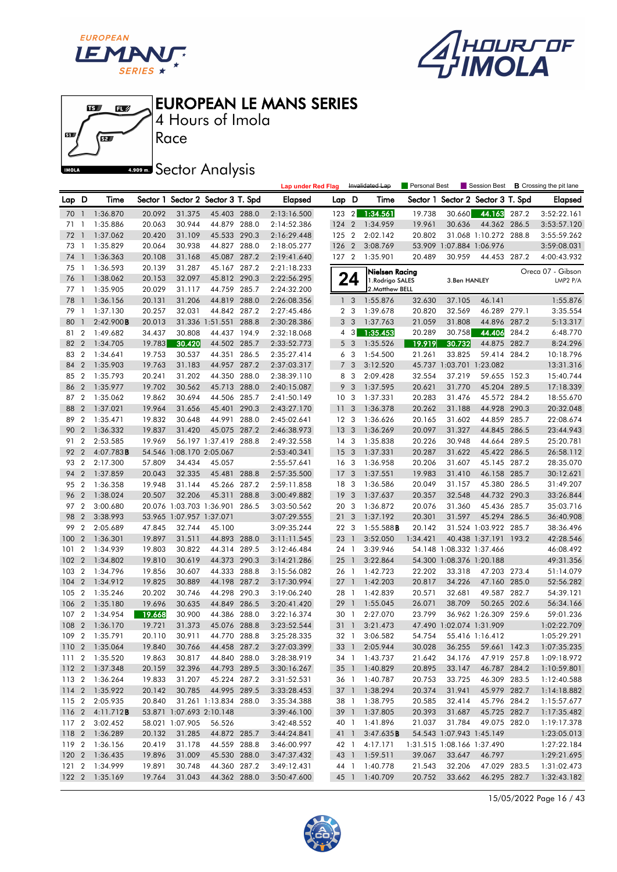





Race 4 Hours of Imola

**A.509 mm** Sector Analysis

|       |                         |                                           |        |                          |                                   |       | <b>Lap under Red Flag</b>  |                 |                         | Invalidated Lap                | <b>Personal Best</b> |                          | Session Best                                           |       | <b>B</b> Crossing the pit lane |
|-------|-------------------------|-------------------------------------------|--------|--------------------------|-----------------------------------|-------|----------------------------|-----------------|-------------------------|--------------------------------|----------------------|--------------------------|--------------------------------------------------------|-------|--------------------------------|
| Lap D |                         | Time                                      |        |                          | Sector 1 Sector 2 Sector 3 T. Spd |       | Elapsed                    | Lap D           |                         | Time                           |                      |                          | Sector 1 Sector 2 Sector 3 T. Spd                      |       | <b>Elapsed</b>                 |
| 70    | $\overline{1}$          | 1:36.870                                  | 20.092 | 31.375                   | 45.403 288.0                      |       | 2:13:16.500                | 123 2           |                         | 1:34.561                       | 19.738               | 30.660                   | 44.163 287.2                                           |       | 3:52:22.161                    |
| 71    | -1                      | 1:35.886                                  | 20.063 | 30.944                   | 44.879 288.0                      |       | 2:14:52.386                | 124             | $\overline{2}$          | 1:34.959                       | 19.961               | 30.636                   | 44.362 286.5                                           |       | 3:53:57.120                    |
| 72    | $\overline{1}$          | 1:37.062                                  | 20.420 | 31.109                   | 45.533 290.3                      |       | 2:16:29.448                | 125 2           |                         | 2:02.142                       | 20.802               |                          | 31.068 1:10.272 288.8                                  |       | 3:55:59.262                    |
| 73    | $\overline{1}$          | 1:35.829                                  | 20.064 | 30.938                   | 44.827 288.0                      |       | 2:18:05.277                | 126 2           |                         | 3:08.769                       |                      | 53.909 1:07.884 1:06.976 |                                                        |       | 3:59:08.031                    |
| 74    | $\overline{1}$          | 1:36.363                                  | 20.108 | 31.168                   | 45.087 287.2                      |       | 2:19:41.640                | 127 2           |                         | 1:35.901                       | 20.489               | 30.959                   | 44.453 287.2                                           |       | 4:00:43.932                    |
| 75    | -1                      | 1:36.593                                  | 20.139 | 31.287                   | 45.167 287.2                      |       | 2:21:18.233                |                 |                         | Nielsen Racing                 |                      |                          |                                                        |       | Oreca 07 - Gibson              |
| 76    | $\mathbf{1}$            | 1:38.062                                  | 20.153 | 32.097                   | 45.812 290.3                      |       | 2:22:56.295                |                 | 24                      | 1. Rodrigo SALES               |                      | 3.Ben HANLEY             |                                                        |       | LMP2 P/A                       |
| 77    | $\mathbf{1}$            | 1:35.905                                  | 20.029 | 31.117                   | 44.759 285.7                      |       | 2:24:32.200                |                 |                         | 2. Matthew BELL                |                      |                          |                                                        |       |                                |
| 78    | $\mathbf{1}$            | 1:36.156                                  | 20.131 | 31.206                   | 44.819                            | 288.0 | 2:26:08.356                | $\mathbf{1}$    | 3                       | 1:55.876                       | 32.630               | 37.105                   | 46.141                                                 |       | 1:55.876                       |
| 79    | 1                       | 1:37.130                                  | 20.257 | 32.031                   | 44.842 287.2                      |       | 2:27:45.486                |                 | 2 <sub>3</sub>          | 1:39.678                       | 20.820               | 32.569                   | 46.289 279.1                                           |       | 3:35.554                       |
| 80    | $\mathbf{1}$            | 2:42.900B                                 | 20.013 |                          | 31.336 1:51.551 288.8             |       | 2:30:28.386                | 3               | $\overline{\mathbf{3}}$ | 1:37.763                       | 21.059               | 31.808                   | 44.896 287.2                                           |       | 5:13.317                       |
| 81    | $\overline{2}$          | 1:49.682                                  | 34.437 | 30.808                   | 44.437 194.9                      |       | 2:32:18.068                |                 | $4 \quad 3$             | 1:35.453                       | 20.289               | 30.758                   | 44.406                                                 | 284.2 | 6:48.770                       |
| 82    | $\overline{2}$          | 1:34.705                                  | 19.783 | 30.420                   | 44.502 285.7                      |       | 2:33:52.773                |                 | 5 <sub>3</sub>          | 1:35.526                       | 19.919               | 30.732                   | 44.875                                                 | 282.7 | 8:24.296                       |
| 83    | $\overline{2}$          | 1:34.641                                  | 19.753 | 30.537                   | 44.351                            | 286.5 | 2:35:27.414                |                 | 6 3                     | 1:54.500                       | 21.261               | 33.825                   | 59.414 284.2                                           |       | 10:18.796                      |
| 84    | $\overline{2}$          | 1:35.903                                  | 19.763 | 31.183                   | 44.957 287.2                      |       | 2:37:03.317                |                 | 7 <sub>3</sub>          | 3:12.520                       |                      | 45.737 1:03.701 1:23.082 |                                                        |       | 13:31.316                      |
| 85    | $\overline{2}$          | 1:35.793                                  | 20.241 | 31.202                   | 44.350 288.0                      |       | 2:38:39.110                |                 | 8 3                     | 2:09.428                       | 32.554               | 37.219                   | 59.655 152.3                                           |       | 15:40.744                      |
| 86    | $\overline{2}$          | 1:35.977                                  | 19.702 | 30.562                   | 45.713 288.0                      |       | 2:40:15.087                | 9               | 3                       | 1:37.595                       | 20.621               | 31.770                   | 45.204 289.5                                           |       | 17:18.339                      |
| 87    | $\overline{2}$          | 1:35.062                                  | 19.862 | 30.694                   | 44.506 285.7                      |       | 2:41:50.149                | 10 <sub>3</sub> |                         | 1:37.331                       | 20.283               | 31.476                   | 45.572 284.2                                           |       | 18:55.670                      |
| 88    | $\overline{2}$          | 1:37.021                                  | 19.964 | 31.656                   | 45.401 290.3                      |       | 2:43:27.170                | 11              | 3                       | 1:36.378                       | 20.262               | 31.188                   | 44.928 290.3                                           |       | 20:32.048                      |
| 89    | $\overline{2}$          | 1:35.471                                  | 19.832 | 30.648                   | 44.991                            | 288.0 | 2:45:02.641                | 12 <sup>3</sup> |                         | 1:36.626                       | 20.165               | 31.602                   | 44.859 285.7                                           |       | 22:08.674                      |
| 90    | $\overline{2}$          | 1:36.332                                  | 19.837 | 31.420                   | 45.075 287.2                      |       | 2:46:38.973                | 13              | 3                       | 1:36.269                       | 20.097               | 31.327                   | 44.845 286.5                                           |       | 23:44.943                      |
| 91    | $\overline{2}$          | 2:53.585                                  | 19.969 |                          | 56.197 1:37.419 288.8             |       | 2:49:32.558                | 14 <sup>3</sup> |                         | 1:35.838                       | 20.226               | 30.948                   | 44.664 289.5                                           |       | 25:20.781                      |
| 92    | $\overline{2}$          | 4:07.783B                                 |        | 54.546 1:08.170 2:05.067 |                                   |       | 2:53:40.341                | 15 <sub>3</sub> |                         | 1:37.331                       | 20.287               | 31.622                   | 45.422 286.5                                           |       | 26:58.112                      |
| 93    | $\overline{2}$          | 2:17.300                                  | 57.809 | 34.434                   | 45.057                            |       | 2:55:57.641                | 16 <sub>3</sub> |                         | 1:36.958                       | 20.206               | 31.607                   | 45.145 287.2                                           |       | 28:35.070                      |
| 94    | $\overline{2}$          | 1:37.859                                  | 20.043 | 32.335                   | 45.481 288.8                      |       | 2:57:35.500                | 17              | 3                       | 1:37.551                       | 19.983               | 31.410                   | 46.158 285.7                                           |       | 30:12.621                      |
| 95    | $\overline{2}$          | 1:36.358                                  | 19.948 | 31.144                   | 45.266 287.2                      |       | 2:59:11.858                | 18 3            |                         | 1:36.586                       | 20.049               | 31.157                   | 45.380 286.5                                           |       | 31:49.207                      |
| 96    | $\overline{2}$          | 1:38.024                                  | 20.507 | 32.206                   | 45.311                            | 288.8 | 3:00:49.882                | 19              | 3                       | 1:37.637                       | 20.357               | 32.548                   | 44.732 290.3                                           |       | 33:26.844                      |
| 97    | $\overline{2}$          | 3:00.680                                  |        | 20.076 1:03.703 1:36.901 |                                   | 286.5 | 3:03:50.562                | 20 3            |                         | 1:36.872                       | 20.076               | 31.360                   | 45.436 285.7                                           |       | 35:03.716                      |
| 98    | $\overline{2}$          | 3:38.993                                  |        | 53.965 1:07.957 1:37.071 |                                   |       | 3:07:29.555                | 21              | 3                       | 1:37.192                       | 20.301               | 31.597                   | 45.294 286.5                                           |       | 36:40.908                      |
| 99    | $\overline{2}$          | 2:05.689                                  | 47.845 | 32.744                   | 45.100                            |       | 3:09:35.244                | 22 3            |                         | 1:55.588B                      | 20.142               |                          | 31.524 1:03.922 285.7                                  |       | 38:36.496                      |
| 100   | $\overline{2}$          | 1:36.301                                  | 19.897 | 31.511                   | 44.893 288.0                      |       | 3:11:11.545                | 23 1            |                         | 3:52.050                       | 1:34.421             |                          | 40.438 1:37.191 193.2                                  |       | 42:28.546                      |
| 101   | $\overline{2}$          | 1:34.939                                  | 19.803 | 30.822                   | 44.314 289.5                      |       | 3:12:46.484                | 24 1            |                         | 3:39.946                       |                      | 54.148 1:08.332 1:37.466 |                                                        |       | 46:08.492                      |
| 102   | $\overline{2}$          | 1:34.802                                  | 19.810 | 30.619                   | 44.373 290.3                      |       | 3:14:21.286                | $25 \quad 1$    |                         | 3:22.864                       |                      | 54.300 1:08.376 1:20.188 |                                                        |       | 49:31.356                      |
| 103   | $\overline{\mathbf{c}}$ | 1:34.796                                  | 19.856 | 30.607                   | 44.333 288.8                      |       | 3:15:56.082                | 26 1            |                         | 1:42.723                       | 22.202               | 33.318                   | 47.203 273.4                                           |       | 51:14.079                      |
| 104   | $\overline{2}$          | 1:34.912                                  | 19.825 | 30.889                   | 44.198 287.2                      |       | 3:17:30.994                | $27-1$          |                         | 1:42.203                       | 20.817               | 34.226                   | 47.160 285.0                                           |       | 52:56.282                      |
| 105   | $\overline{2}$          | 1:35.246                                  | 20.202 | 30.746                   | 44.298 290.3                      |       | 3:19:06.240                | 28 1            |                         | 1:42.839                       | 20.571               | 32.681                   | 49.587 282.7                                           |       | 54:39.121                      |
| 106   | $\overline{2}$          | 1:35.180                                  | 19.696 | 30.635                   | 44.849 286.5                      |       | 3:20:41.420                | 29 1            |                         | 1:55.045                       | 26.071               | 38.709                   | 50.265 202.6                                           |       | 56:34.166                      |
| 107   | $\overline{2}$          | 1:34.954                                  | 19.668 | 30.900                   | 44.386 288.0                      |       | 3:22:16.374                | 30 1            |                         | 2:27.070                       | 23.799               |                          | 36.962 1:26.309 259.6                                  |       | 59:01.236                      |
| 108   | $\overline{2}$          | 1:36.170                                  | 19.721 | 31.373                   | 45.076 288.8                      |       | 3:23:52.544                | $31 \quad 1$    |                         | 3:21.473                       |                      | 47.490 1:02.074 1:31.909 |                                                        |       | 1:02:22.709                    |
| 109   | $\overline{2}$          | 1:35.791                                  | 20.110 | 30.911                   | 44.770 288.8                      |       | 3:25:28.335                | 32 1            |                         | 3:06.582                       | 54.754               |                          | 55.416 1:16.412                                        |       | 1:05:29.291                    |
|       |                         | 110 2 1:35.064                            | 19.840 | 30.766                   | 44.458 287.2                      |       | 3:27:03.399                |                 |                         | 33 1 2:05.944                  | 30.028               |                          | 36.255 59.661 142.3                                    |       | 1:07:35.235                    |
|       |                         | 111 2 1:35.520                            | 19.863 | 30.817                   | 44.840 288.0                      |       | 3:28:38.919                |                 |                         | 34 1 1:43.737                  | 21.642               | 34.176                   | 47.919 257.8                                           |       | 1:09:18.972                    |
|       |                         | 112 2 1:37.348                            | 20.159 | 32.396                   | 44.793 289.5                      |       | 3:30:16.267                |                 |                         | 35 1 1:40.829                  | 20.895               | 33.147                   | 46.787 284.2                                           |       | 1:10:59.801                    |
|       |                         | 113 2 1:36.264<br>114 2 1:35.922          | 19.833 | 31.207                   | 45.224 287.2                      |       | 3:31:52.531                |                 |                         | 36 1 1:40.787                  | 20.753               | 33.725                   | 46.309 283.5                                           |       | 1:12:40.588                    |
|       |                         |                                           | 20.142 | 30.785                   | 44.995 289.5                      |       | 3:33:28.453                |                 |                         | 37 1 1:38.294                  | 20.374<br>20.585     | 31.941                   | 45.979 282.7                                           |       | 1:14:18.882                    |
|       |                         | 115 2 2:05.935                            | 20.840 | 53.871 1:07.693 2:10.148 | 31.261 1:13.834 288.0             |       | 3:35:34.388<br>3:39:46.100 |                 |                         | 38 1 1:38.795<br>39 1 1:37.805 | 20.393               | 32.414                   | 45.796 284.2                                           |       | 1:15:57.677                    |
|       |                         | 116 2 4:11.712 <b>B</b><br>117 2 3:02.452 |        | 58.021 1:07.905          |                                   |       | 3:42:48.552                |                 |                         |                                |                      | 31.687                   | 45.725 282.7<br>49.075 282.0                           |       | 1:17:35.482                    |
|       |                         |                                           | 20.132 |                          | 56.526                            |       |                            |                 | 41 1                    | 40 1 1:41.896<br>3:47.635B     | 21.037               | 31.784                   |                                                        |       | 1:19:17.378                    |
|       |                         | 118 2 1:36.289<br>119 2 1:36.156          | 20.419 | 31.285<br>31.178         | 44.872 285.7<br>44.559 288.8      |       | 3:44:24.841<br>3:46:00.997 |                 |                         | 42 1 4:17.171                  |                      |                          | 54.543 1:07.943 1:45.149<br>1:31.515 1:08.166 1:37.490 |       | 1:23:05.013<br>1:27:22.184     |
|       |                         | 120 2 1:36.435                            | 19.896 | 31.009                   | 45.530 288.0                      |       | 3:47:37.432                |                 |                         | 43 1 1:59.511                  | 39.067               | 33.647                   | 46.797                                                 |       | 1:29:21.695                    |
|       |                         | 121 2 1:34.999                            | 19.891 | 30.748                   | 44.360 287.2                      |       | 3:49:12.431                |                 |                         | 44 1 1:40.778                  | 21.543               | 32.206                   | 47.029 283.5                                           |       | 1:31:02.473                    |
|       |                         | 122 2 1:35.169                            | 19.764 | 31.043                   | 44.362 288.0                      |       | 3:50:47.600                |                 |                         | 45 1 1:40.709                  | 20.752               | 33.662                   | 46.295 282.7                                           |       | 1:32:43.182                    |
|       |                         |                                           |        |                          |                                   |       |                            |                 |                         |                                |                      |                          |                                                        |       |                                |

15/05/2022 Page 16 / 43

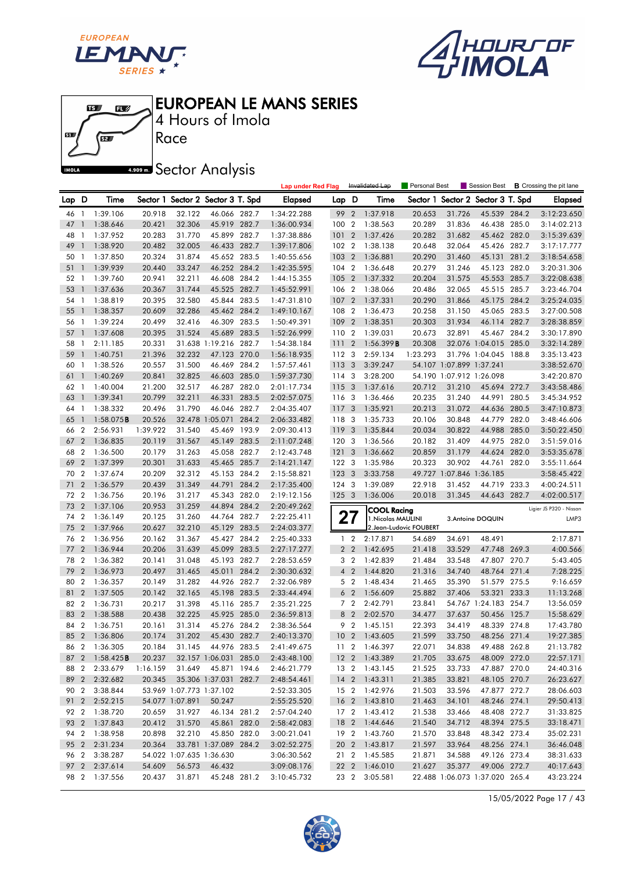





Race 4 Hours of Imola

# **A.509 mm** Sector Analysis

|      |                  |                        |          |                          |                                   |       | <b>Lap under Red Flag</b> |                 |                         | Invalidated Lap                          | <b>Personal Best</b>    |                          | Session Best                      |       | <b>B</b> Crossing the pit lane  |
|------|------------------|------------------------|----------|--------------------------|-----------------------------------|-------|---------------------------|-----------------|-------------------------|------------------------------------------|-------------------------|--------------------------|-----------------------------------|-------|---------------------------------|
| Lap  | D                | Time                   |          |                          | Sector 1 Sector 2 Sector 3 T. Spd |       | Elapsed                   | Lap D           |                         | Time                                     |                         |                          | Sector 1 Sector 2 Sector 3 T. Spd |       | <b>Elapsed</b>                  |
| 46   | $\mathbf{1}$     | 1:39.106               | 20.918   | 32.122                   | 46.066 282.7                      |       | 1:34:22.288               | 99              | $\overline{2}$          | 1:37.918                                 | 20.653                  | 31.726                   | 45.539 284.2                      |       | 3:12:23.650                     |
| 47   | $\mathbf{1}$     | 1:38.646               | 20.421   | 32.306                   | 45.919 282.7                      |       | 1:36:00.934               | 100             | $\overline{2}$          | 1:38.563                                 | 20.289                  | 31.836                   | 46.438 285.0                      |       | 3:14:02.213                     |
| 48   | -1               | 1:37.952               | 20.283   | 31.770                   | 45.899 282.7                      |       | 1:37:38.886               | 101             | $\overline{2}$          | 1:37.426                                 | 20.282                  | 31.682                   | 45.462 282.0                      |       | 3:15:39.639                     |
| 49   | $\overline{1}$   | 1:38.920               | 20.482   | 32.005                   | 46.433 282.7                      |       | 1:39:17.806               | 102 2           |                         | 1:38.138                                 | 20.648                  | 32.064                   | 45.426 282.7                      |       | 3:17:17.777                     |
| 50   | $\mathbf{1}$     | 1:37.850               | 20.324   | 31.874                   | 45.652 283.5                      |       | 1:40:55.656               | 103             | $\overline{2}$          | 1:36.881                                 | 20.290                  | 31.460                   | 45.131                            | 281.2 | 3:18:54.658                     |
| 51   | $\overline{1}$   | 1:39.939               | 20.440   | 33.247                   | 46.252 284.2                      |       | 1:42:35.595               | 104             | $\overline{2}$          | 1:36.648                                 | 20.279                  | 31.246                   | 45.123                            | 282.0 | 3:20:31.306                     |
| 52   | - 1              | 1:39.760               | 20.941   | 32.211                   | 46.608 284.2                      |       | 1:44:15.355               | 105             | $\overline{2}$          | 1:37.332                                 | 20.204                  | 31.575                   | 45.553 285.7                      |       | 3:22:08.638                     |
| 53   | $\mathbf{1}$     | 1:37.636               | 20.367   | 31.744                   | 45.525 282.7                      |       | 1:45:52.991               | 106 2           |                         | 1:38.066                                 | 20.486                  | 32.065                   | 45.515 285.7                      |       | 3:23:46.704                     |
| 54   | $\overline{1}$   | 1:38.819               | 20.395   | 32.580                   | 45.844 283.5                      |       | 1:47:31.810               | 107             | $\overline{2}$          | 1:37.331                                 | 20.290                  | 31.866                   | 45.175 284.2                      |       | 3:25:24.035                     |
| 55   | $\mathbf{1}$     | 1:38.357               | 20.609   | 32.286                   | 45.462 284.2                      |       | 1:49:10.167               | 108             | $\overline{2}$          | 1:36.473                                 | 20.258                  | 31.150                   | 45.065 283.5                      |       | 3:27:00.508                     |
| 56   | -1               | 1:39.224               | 20.499   | 32.416                   | 46.309 283.5                      |       | 1:50:49.391               | 109             | $\overline{2}$          | 1:38.351                                 | 20.303                  | 31.934                   | 46.114 282.7                      |       | 3:28:38.859                     |
| 57   | $\overline{1}$   | 1:37.608               | 20.395   | 31.524                   | 45.689 283.5                      |       | 1:52:26.999               | 110 2           |                         | 1:39.031                                 | 20.673                  | 32.891                   | 45.467 284.2                      |       | 3:30:17.890                     |
| 58   | $\mathbf{1}$     | 2:11.185               | 20.331   |                          | 31.638 1:19.216 282.7             |       | 1:54:38.184               | 111             | $\overline{2}$          | 1:56.399B                                | 20.308                  |                          | 32.076 1:04.015 285.0             |       | 3:32:14.289                     |
| 59   | $\mathbf{1}$     | 1:40.751               | 21.396   | 32.232                   | 47.123 270.0                      |       | 1:56:18.935               | 112 3           |                         | 2:59.134                                 | 1:23.293                |                          | 31.796 1:04.045 188.8             |       | 3:35:13.423                     |
| 60   | -1               | 1:38.526               | 20.557   | 31.500                   | 46.469 284.2                      |       | 1:57:57.461               | 1133            |                         | 3:39.247                                 |                         | 54.107 1:07.899 1:37.241 |                                   |       | 3:38:52.670                     |
| 61   | $\overline{1}$   | 1:40.269               | 20.841   | 32.825                   | 46.603 285.0                      |       | 1:59:37.730               | $114 - 3$       |                         | 3:28.200                                 |                         | 54.190 1:07.912 1:26.098 |                                   |       | 3:42:20.870                     |
| 62   | $\overline{1}$   | 1:40.004               | 21.200   | 32.517                   | 46.287 282.0                      |       | 2:01:17.734               | 115 3           |                         | 1:37.616                                 | 20.712                  | 31.210                   | 45.694 272.7                      |       | 3:43:58.486                     |
| 63   | -1               | 1:39.341               | 20.799   | 32.211                   | 46.331                            | 283.5 | 2:02:57.075               | 116 3           |                         | 1:36.466                                 | 20.235                  | 31.240                   | 44.991                            | 280.5 | 3:45:34.952                     |
| 64   | -1               | 1:38.332               | 20.496   | 31.790                   | 46.046 282.7                      |       | 2:04:35.407               | 117 3           |                         | 1:35.921                                 | 20.213                  | 31.072                   | 44.636 280.5                      |       | 3:47:10.873                     |
| 65   | $\mathbf{1}$     | 1:58.075B              | 20.526   |                          | 32.478 1:05.071                   | 284.2 | 2:06:33.482               | 118 3           |                         | 1:35.733                                 | 20.106                  | 30.848                   | 44.779 282.0                      |       | 3:48:46.606                     |
| 66   | $\overline{2}$   | 2:56.931               | 1:39.922 | 31.540                   | 45.469                            | 193.9 | 2:09:30.413               | 119             | $\overline{\mathbf{3}}$ | 1:35.844                                 | 20.034                  | 30.822                   | 44.988                            | 285.0 | 3:50:22.450                     |
| 67   | $\overline{2}$   | 1:36.835               | 20.119   | 31.567                   | 45.149 283.5                      |       | 2:11:07.248               | 120 3           |                         | 1:36.566                                 | 20.182                  | 31.409                   | 44.975 282.0                      |       | 3:51:59.016                     |
| 68   | $\overline{2}$   | 1:36.500               | 20.179   | 31.263                   | 45.058 282.7                      |       | 2:12:43.748               | 121             | $\overline{\mathbf{3}}$ | 1:36.662                                 | 20.859                  | 31.179                   | 44.624 282.0                      |       | 3:53:35.678                     |
| 69   | $\overline{2}$   | 1:37.399               | 20.301   | 31.633                   | 45.465 285.7                      |       | 2:14:21.147               | 122 3           |                         | 1:35.986                                 | 20.323                  | 30.902                   | 44.761 282.0                      |       | 3:55:11.664                     |
| 70   | $\overline{2}$   | 1:37.674               | 20.209   | 32.312                   | 45.153                            | 284.2 | 2:15:58.821               | 123             | $\mathbf{3}$            | 3:33.758                                 |                         | 49.727 1:07.846 1:36.185 |                                   |       | 3:58:45.422                     |
| 71   | $\overline{2}$   | 1:36.579               | 20.439   | 31.349                   | 44.791                            | 284.2 | 2:17:35.400               | 124 3           |                         | 1:39.089                                 | 22.918                  | 31.452                   | 44.719 233.3                      |       | 4:00:24.511                     |
| 72   | $\overline{2}$   | 1:36.756               | 20.196   | 31.217                   | 45.343                            | 282.0 | 2:19:12.156               | 1253            |                         | 1:36.006                                 | 20.018                  | 31.345                   | 44.643 282.7                      |       | 4:02:00.517                     |
| 73   | $\overline{2}$   | 1:37.106               | 20.953   | 31.259                   | 44.894 284.2                      |       | 2:20:49.262               |                 |                         |                                          |                         |                          |                                   |       |                                 |
| 74   | $\overline{2}$   | 1:36.149               | 20.125   | 31.260                   | 44.764                            | 282.7 | 2:22:25.411               |                 | 27                      | <b>COOL Racing</b><br>1. Nicolas MAULINI |                         |                          | 3. Antoine DOQUIN                 |       | Ligier JS P320 - Nissan<br>LMP3 |
| 75   | $\overline{2}$   | 1:37.966               | 20.627   | 32.210                   | 45.129 283.5                      |       | 2:24:03.377               |                 |                         |                                          | 2. Jean-Ludovic FOUBERT |                          |                                   |       |                                 |
| 76   | $\overline{2}$   | 1:36.956               | 20.162   | 31.367                   | 45.427 284.2                      |       | 2:25:40.333               |                 | $1\quad 2$              | 2:17.871                                 | 54.689                  | 34.691                   | 48.491                            |       | 2:17.871                        |
| 77   | $\overline{2}$   | 1:36.944               | 20.206   | 31.639                   | 45.099                            | 283.5 | 2:27:17.277               |                 | 2 <sub>2</sub>          | 1:42.695                                 | 21.418                  | 33.529                   | 47.748 269.3                      |       | 4:00.566                        |
| 78   | $\boldsymbol{2}$ | 1:36.382               | 20.141   | 31.048                   | 45.193                            | 282.7 | 2:28:53.659               |                 | 3 <sub>2</sub>          | 1:42.839                                 | 21.484                  | 33.548                   | 47.807 270.7                      |       | 5:43.405                        |
| 79   | $\overline{2}$   | 1:36.973               | 20.497   | 31.465                   | 45.011                            | 284.2 | 2:30:30.632               | $\overline{4}$  | $\overline{2}$          | 1:44.820                                 | 21.316                  | 34.740                   | 48.764 271.4                      |       | 7:28.225                        |
| 80   | $\overline{2}$   | 1:36.357               | 20.149   | 31.282                   | 44.926                            | 282.7 | 2:32:06.989               |                 | 5 <sub>2</sub>          | 1:48.434                                 | 21.465                  | 35.390                   | 51.579 275.5                      |       | 9:16.659                        |
| 81   | $\overline{2}$   | 1:37.505               | 20.142   | 32.165                   | 45.198 283.5                      |       | 2:33:44.494               | 6               | $\overline{2}$          | 1:56.609                                 | 25.882                  | 37.406                   | 53.321                            | 233.3 | 11:13.268                       |
| 82   | $\overline{2}$   | 1:36.731               | 20.217   | 31.398                   | 45.116 285.7                      |       | 2:35:21.225               |                 | 7 <sub>2</sub>          | 2:42.791                                 | 23.841                  |                          | 54.767 1:24.183 254.7             |       | 13:56.059                       |
| 83   | $\overline{2}$   | 1:38.588               | 20.438   | 32.225                   | 45.925 285.0                      |       | 2:36:59.813               | 8               | $\overline{2}$          | 2:02.570                                 | 34.477                  | 37.637                   | 50.456 125.7                      |       | 15:58.629                       |
| 84   | $\overline{2}$   | 1:36.751               | 20.161   | 31.314                   | 45.276 284.2                      |       | 2:38:36.564               |                 | 9 2                     | 1:45.151                                 | 22.393                  | 34.419                   | 48.339 274.8                      |       | 17:43.780                       |
| 85   | $\overline{2}$   | 1:36.806               | 20.174   | 31.202                   | 45.430 282.7                      |       | 2:40:13.370               | 10 <sub>2</sub> |                         | 1:43.605                                 | 21.599                  | 33.750                   | 48.256 271.4                      |       | 19:27.385                       |
|      |                  | 86 2 1:36.305          | 20.184   | 31.145                   | 44.976 283.5                      |       | 2:41:49.675               |                 |                         | 11 2 1:46.397                            | 22.071                  | 34.838                   | 49.488 262.8                      |       | 21:13.782                       |
|      |                  | 87 2 1:58.425 <b>B</b> | 20.237   |                          | 32.157 1:06.031 285.0             |       | 2:43:48.100               |                 |                         | 12 2 1:43.389                            | 21.705                  | 33.675                   | 48.009 272.0                      |       | 22:57.171                       |
| 88 2 |                  | 2:33.679               | 1:16.159 | 31.649                   | 45.871 194.6                      |       | 2:46:21.779               |                 |                         | 13 2 1:43.145                            | 21.525                  | 33.733                   | 47.887 270.0                      |       | 24:40.316                       |
|      |                  | 89 2 2:32.682          | 20.345   |                          | 35.306 1:37.031 282.7             |       | 2:48:54.461               |                 |                         | 14 2 1:43.311                            | 21.385                  | 33.821                   | 48.105 270.7                      |       | 26:23.627                       |
| 90 2 |                  | 3:38.844               |          | 53.969 1:07.773 1:37.102 |                                   |       | 2:52:33.305               |                 | 15 <sub>2</sub>         | 1:42.976                                 | 21.503                  | 33.596                   | 47.877 272.7                      |       | 28:06.603                       |
|      |                  | 91 2 2:52.215          |          | 54.077 1:07.891          | 50.247                            |       | 2:55:25.520               |                 |                         | 16 2 1:43.810                            | 21.463                  | 34.101                   | 48.246 274.1                      |       | 29:50.413                       |
|      |                  | 92 2 1:38.720          | 20.659   | 31.927                   | 46.134 281.2                      |       | 2:57:04.240               |                 |                         | 17 2 1:43.412                            | 21.538                  | 33.466                   | 48.408 272.7                      |       | 31:33.825                       |
| 93 2 |                  | 1:37.843               | 20.412   | 31.570                   | 45.861 282.0                      |       | 2:58:42.083               |                 |                         | 18 2 1:44.646                            | 21.540                  | 34.712                   | 48.394 275.5                      |       | 33:18.471                       |
| 94 2 |                  | 1:38.958               | 20.898   | 32.210                   | 45.850 282.0                      |       | 3:00:21.041               |                 | 19 2                    | 1:43.760                                 | 21.570                  | 33.848                   | 48.342 273.4                      |       | 35:02.231                       |
|      | 95 2             | 2:31.234               | 20.364   |                          | 33.781 1:37.089 284.2             |       | 3:02:52.275               |                 |                         | 20 2 1:43.817                            | 21.597                  | 33.964                   | 48.256 274.1                      |       | 36:46.048                       |
| 96 2 |                  | 3:38.287               |          | 54.022 1:07.635 1:36.630 |                                   |       | 3:06:30.562               |                 | 21 2                    | 1:45.585                                 | 21.871                  | 34.588                   | 49.126 273.4                      |       | 38:31.633                       |
|      |                  | 97 2 2:37.614          | 54.609   | 56.573                   | 46.432                            |       | 3:09:08.176               |                 |                         | 22 2 1:46.010                            | 21.627                  | 35.377                   | 49.006 272.7                      |       | 40:17.643                       |
|      |                  | 98 2 1:37.556          | 20.437   | 31.871                   | 45.248 281.2                      |       | 3:10:45.732               |                 | 23 2                    | 3:05.581                                 |                         |                          | 22.488 1:06.073 1:37.020 265.4    |       | 43:23.224                       |
|      |                  |                        |          |                          |                                   |       |                           |                 |                         |                                          |                         |                          |                                   |       |                                 |

15/05/2022 Page 17 / 43

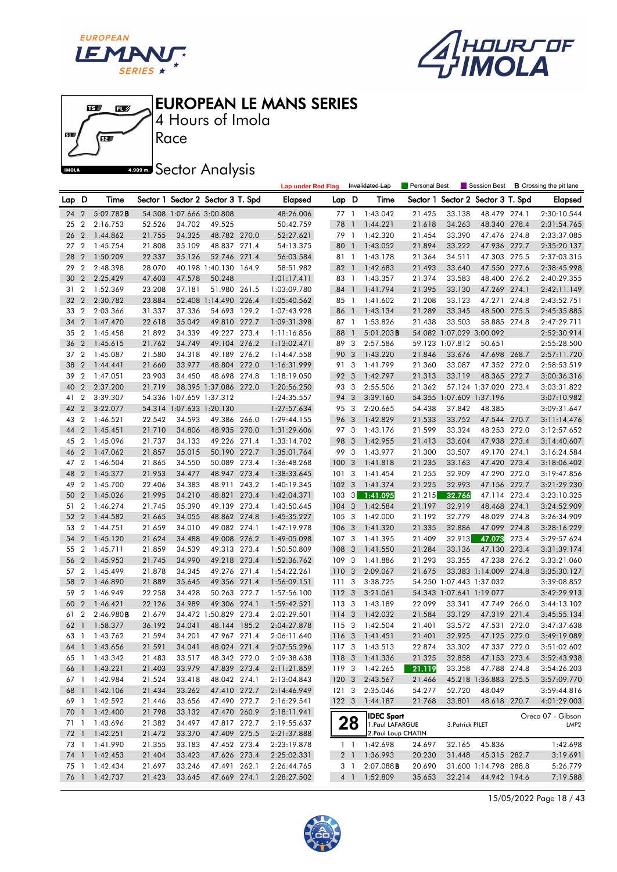





4 Hours of Imola

**A.909mm** Sector Analysis

|            |                                  |                      |                  |                          |                                   |       | <b>Lap under Red Flag</b>  |                         |                         | Invalidated Lap                       | Personal Best    |                                   | Session Best           |       | <b>B</b> Crossing the pit lane        |
|------------|----------------------------------|----------------------|------------------|--------------------------|-----------------------------------|-------|----------------------------|-------------------------|-------------------------|---------------------------------------|------------------|-----------------------------------|------------------------|-------|---------------------------------------|
| Lap D      |                                  | Time                 |                  |                          | Sector 1 Sector 2 Sector 3 T. Spd |       | <b>Elapsed</b>             | Lap D                   |                         | Time                                  |                  | Sector 1 Sector 2 Sector 3 T. Spd |                        |       | <b>Elapsed</b>                        |
| 24         | $\overline{2}$                   | 5:02.782B            |                  | 54.308 1:07.666 3:00.808 |                                   |       | 48:26.006                  | 77 1                    |                         | 1:43.042                              | 21.425           | 33.138                            | 48.479 274.1           |       | 2:30:10.544                           |
| 25         | $\boldsymbol{2}$                 | 2:16.753             | 52.526           | 34.702                   | 49.525                            |       | 50:42.759                  | 78                      | $\overline{1}$          | 1:44.221                              | 21.618           | 34.263                            | 48.340 278.4           |       | 2:31:54.765                           |
| 26         | $\overline{2}$                   | 1:44.862             | 21.755           | 34.325                   | 48.782 270.0                      |       | 52:27.621                  | 79 1                    |                         | 1:42.320                              | 21.454           | 33.390                            | 47.476 274.8           |       | 2:33:37.085                           |
| 27         | $\overline{2}$                   | 1:45.754             | 21.808           | 35.109                   | 48.837 271.4                      |       | 54:13.375                  | 80                      | $\overline{1}$          | 1:43.052                              | 21.894           | 33.222                            | 47.936 272.7           |       | 2:35:20.137                           |
| 28         | $\overline{2}$                   | 1:50.209             | 22.337           | 35.126                   | 52.746 271.4                      |       | 56:03.584                  | 81 1                    |                         | 1:43.178                              | 21.364           | 34.511                            | 47.303 275.5           |       | 2:37:03.315                           |
| 29         | $\overline{2}$                   | 2:48.398             | 28.070           |                          | 40.198 1:40.130                   | 164.9 | 58:51.982                  | 82                      | $\overline{1}$          | 1:42.683                              | 21.493           | 33.640                            | 47.550 277.6           |       | 2:38:45.998                           |
| 30         | $\overline{2}$                   | 2:25.429             | 47.603           | 47.578                   | 50.248                            |       | 1:01:17.411                | 83 1                    |                         | 1:43.357                              | 21.374           | 33.583                            | 48.400 276.2           |       | 2:40:29.355                           |
| 31         | $\overline{2}$                   | 1:52.369             | 23.208           | 37.181                   | 51.980 261.5                      |       | 1:03:09.780                | 84 1                    |                         | 1:41.794                              | 21.395           | 33.130                            | 47.269 274.1           |       | 2:42:11.149                           |
| 32         | $\overline{2}$                   | 2:30.782             | 23.884           |                          | 52.408 1:14.490 226.4             |       | 1:05:40.562                | 85 1                    |                         | 1:41.602                              | 21.208           | 33.123                            | 47.271 274.8           |       | 2:43:52.751                           |
| 33         | $\overline{2}$                   | 2:03.366             | 31.337           | 37.336                   | 54.693 129.2                      |       | 1:07:43.928                | 86                      | $\overline{1}$          | 1:43.134                              | 21.289           | 33.345                            | 48.500 275.5           |       | 2:45:35.885                           |
| 34         | $\overline{2}$                   | 1:47.470             | 22.618           | 35.042                   | 49.810 272.7                      |       | 1:09:31.398                | 87 1                    |                         | 1:53.826                              | 21.438           | 33.503                            | 58.885 274.8           |       | 2:47:29.711                           |
| 35         | $\overline{2}$                   | 1:45.458             | 21.892           | 34.339                   | 49.227 273.4                      |       | 1:11:16.856                | 88                      | $\overline{1}$          | 5:01.203B                             |                  | 54.082 1:07.029 3:00.092          |                        |       | 2:52:30.914                           |
| 36         | $\overline{2}$                   | 1:45.615             | 21.762           | 34.749                   | 49.104 276.2                      |       | 1:13:02.471                | 89                      | 3                       | 2:57.586                              |                  | 59.123 1:07.812                   | 50.651                 |       | 2:55:28.500                           |
| 37         | $\overline{2}$                   | 1:45.087             | 21.580           | 34.318                   | 49.189 276.2                      |       | 1:14:47.558                | 90                      | 3                       | 1:43.220                              | 21.846           | 33.676                            | 47.698 268.7           |       | 2:57:11.720                           |
| 38         | $\overline{2}$                   | 1:44.441             | 21.660           | 33.977                   | 48.804 272.0                      |       | 1:16:31.999                | 91 3                    |                         | 1:41.799                              | 21.360           | 33.087                            | 47.352 272.0           |       | 2:58:53.519                           |
| 39         | $\overline{2}$                   | 1:47.051             | 23.903           | 34.450                   | 48.698 274.8                      |       | 1:18:19.050                | 92 3                    |                         | 1:42.797                              | 21.313           | 33.119                            | 48.365 272.7           |       | 3:00:36.316                           |
| 40         | $\overline{2}$                   | 2:37.200             | 21.719           |                          | 38.395 1:37.086 272.0             |       | 1:20:56.250                | 93 3                    |                         | 2:55.506                              | 21.362           |                                   | 57.124 1:37.020 273.4  |       | 3:03:31.822                           |
| 41         | $\boldsymbol{2}$                 | 3:39.307             |                  | 54.336 1:07.659 1:37.312 |                                   |       | 1:24:35.557                | 94                      | 3                       | 3:39.160                              |                  | 54.355 1:07.609 1:37.196          |                        |       | 3:07:10.982                           |
| 42         | $\overline{2}$                   | 3:22.077             |                  | 54.314 1:07.633 1:20.130 |                                   |       | 1:27:57.634                | 95 3                    |                         | 2:20.665                              | 54.438           | 37.842                            | 48.385                 |       | 3:09:31.647                           |
| 43         | $\overline{2}$                   | 1:46.521             | 22.542           | 34.593                   | 49.386 266.0                      |       | 1:29:44.155                | 96 3                    |                         | 1:42.829                              | 21.533           | 33.752                            | 47.544 270.7           |       | 3:11:14.476                           |
| 44         | $\overline{2}$                   | 1:45.451             | 21.710           | 34.806                   | 48.935 270.0                      |       | 1:31:29.606                | 97 3                    |                         | 1:43.176                              | 21.599           | 33.324                            | 48.253 272.0           |       | 3:12:57.652                           |
| 45         | $\overline{2}$                   | 1:45.096             | 21.737           | 34.133                   | 49.226 271.4                      |       | 1:33:14.702                | 98                      | 3                       | 1:42.955                              | 21.413           | 33.604                            | 47.938 273.4           |       | 3:14:40.607                           |
| 46         | $\overline{2}$                   | 1:47.062             | 21.857           | 35.015                   | 50.190 272.7                      |       | 1:35:01.764                | 99 3                    |                         | 1:43.977                              | 21.300           | 33.507                            | 49.170 274.1           |       | 3:16:24.584                           |
| 47         | $\overline{2}$                   | 1:46.504             | 21.865           | 34.550                   | 50.089 273.4                      |       | 1:36:48.268                | 1003                    |                         | 1:41.818                              | 21.235           | 33.163                            | 47.420 273.4           |       | 3:18:06.402                           |
| 48         | $\overline{2}$                   | 1:45.377             | 21.953           | 34.477                   | 48.947 273.4                      |       | 1:38:33.645                | 101                     | $\overline{\mathbf{3}}$ | 1:41.454                              | 21.255           | 32.909                            | 47.290 272.0           |       | 3:19:47.856                           |
| 49         | $\overline{2}$                   | 1:45.700             | 22.406           | 34.383                   | 48.911 243.2                      |       | 1:40:19.345                | 102 <sub>3</sub>        |                         | 1:41.374                              | 21.225           | 32.993                            | 47.156 272.7           |       | 3:21:29.230                           |
| 50         | $\overline{2}$                   | 1:45.026             | 21.995           | 34.210                   | 48.821                            | 273.4 | 1:42:04.371                | 103                     | 3                       | 1:41.095                              | 21.215           | 32.766                            | 47.114 273.4           |       | 3:23:10.325                           |
| 51         | $\overline{2}$                   | 1:46.274             | 21.745           | 35.390                   | 49.139 273.4                      |       | 1:43:50.645                | $104 - 3$               |                         | 1:42.584                              | 21.197           | 32.919                            | 48.468 274.1           |       | 3:24:52.909                           |
| 52 2       |                                  | 1:44.582             | 21.665           | 34.055                   | 48.862 274.8                      |       | 1:45:35.227                | 1053                    |                         | 1:42.000                              | 21.192           | 32.779                            | 48.029 274.8           |       | 3:26:34.909                           |
| 53 2       |                                  | 1:44.751             | 21.659           | 34.010                   | 49.082 274.1                      |       | 1:47:19.978                | 106                     | $\overline{3}$          | 1:41.320                              | 21.335           | 32.886                            | 47.099 274.8           |       | 3:28:16.229                           |
| 54         | $\overline{2}$<br>$\overline{2}$ | 1:45.120             | 21.624<br>21.859 | 34.488                   | 49.008 276.2<br>49.313 273.4      |       | 1:49:05.098                | 107 <sub>3</sub><br>108 | $\overline{3}$          | 1:41.395                              | 21.409           | 32.913                            | 47.073                 | 273.4 | 3:29:57.624                           |
| 55         | $\overline{2}$                   | 1:45.711             |                  | 34.539                   |                                   |       | 1:50:50.809                |                         | $\overline{\mathbf{3}}$ | 1:41.550                              | 21.284           | 33.136<br>33.355                  | 47.130 273.4<br>47.238 | 276.2 | 3:31:39.174                           |
| 56<br>57 2 |                                  | 1:45.953<br>1:45.499 | 21.745<br>21.878 | 34.990<br>34.345         | 49.218 273.4<br>49.276 271.4      |       | 1:52:36.762                | 109<br>110              | $\overline{\mathbf{3}}$ | 1:41.886<br>2:09.067                  | 21.293<br>21.675 |                                   | 33.383 1:14.009 274.8  |       | 3:33:21.060                           |
| 58         | $\overline{2}$                   | 1:46.890             | 21.889           | 35.645                   | 49.356 271.4                      |       | 1:54:22.261<br>1:56:09.151 | 1113                    |                         | 3:38.725                              |                  | 54.250 1:07.443 1:37.032          |                        |       | 3:35:30.127<br>3:39:08.852            |
| 59         | $\overline{2}$                   | 1:46.949             | 22.258           | 34.428                   | 50.263 272.7                      |       | 1:57:56.100                | 1123                    |                         | 3:21.061                              |                  | 54.343 1:07.641 1:19.077          |                        |       | 3:42:29.913                           |
| 60         | $\overline{2}$                   | 1:46.421             | 22.126           | 34.989                   | 49.306 274.1                      |       | 1:59:42.521                | 113 3                   |                         | 1:43.189                              | 22.099           | 33.341                            | 47.749 266.0           |       | 3:44:13.102                           |
| 61 2       |                                  | 2:46.980B            | 21.679           |                          | 34.472 1:50.829 273.4             |       | 2:02:29.501                | 114 3                   |                         | 1:42.032                              | 21.584           | 33.129                            | 47.319 271.4           |       | 3:45:55.134                           |
| 62         | $\ensuremath{\mathbb{J}}$        | 1:58.377             | 36.192           | 34.041                   | 48.144 185.2                      |       | 2:04:27.878                | 115 3                   |                         | 1:42.504                              | 21.401           | 33.572                            | 47.531 272.0           |       | 3:47:37.638                           |
| 63 1       |                                  | 1:43.762             | 21.594           | 34.201                   | 47.967 271.4                      |       | 2:06:11.640                | 116 <sub>3</sub>        |                         | 1:41.451                              | 21.401           | 32.925                            | 47.125 272.0           |       | 3:49:19.089                           |
|            |                                  | 64 1 1:43.656        | 21.591           | 34.041                   | 48.024 271.4                      |       | 2:07:55.296                |                         |                         | 117 3 1:43.513                        | 22.874           | 33.302                            | 47.337 272.0           |       | 3:51:02.602                           |
|            |                                  | 65 1 1:43.342        | 21.483           | 33.517                   | 48.342 272.0                      |       | 2:09:38.638                |                         |                         | 118 3 1:41.336                        | 21.325           | 32.858                            | 47.153 273.4           |       | 3:52:43.938                           |
| 66 1       |                                  | 1:43.221             | 21.403           | 33.979                   | 47.839 273.4                      |       | 2:11:21.859                |                         |                         | 119 3 1:42.265                        | 21.119           | 33.358                            | 47.788 274.8           |       | 3:54:26.203                           |
|            |                                  | 67 1 1:42.984        | 21.524           | 33.418                   | 48.042 274.1                      |       | 2:13:04.843                |                         |                         | 120 3 2:43.567                        | 21.466           |                                   | 45.218 1:36.883 275.5  |       | 3:57:09.770                           |
| 68 1       |                                  | 1:42.106             | 21.434           | 33.262                   | 47.410 272.7                      |       | 2:14:46.949                | $121 \quad 3$           |                         | 2:35.046                              | 54.277           | 52.720                            | 48.049                 |       | 3:59:44.816                           |
|            |                                  | 69 1 1:42.592        | 21.446           | 33.656                   | 47.490 272.7                      |       | 2:16:29.541                | $122 \quad 3$           |                         | 1:44.187                              | 21.768           | 33.801                            | 48.618 270.7           |       | 4:01:29.003                           |
| 70 1       |                                  | 1:42.400             | 21.798           | 33.132                   | 47.470 260.9                      |       | 2:18:11.941                |                         |                         |                                       |                  |                                   |                        |       |                                       |
| 71 1       |                                  | 1:43.696             | 21.382           | 34.497                   | 47.817 272.7                      |       | 2:19:55.637                |                         | 28                      | <b>IDEC Sport</b><br>1. Paul LAFARGUE |                  | 3. Patrick PILET                  |                        |       | Oreca 07 - Gibson<br>LMP <sub>2</sub> |
| 72 1       |                                  | 1:42.251             | 21.472           | 33.370                   | 47.409 275.5                      |       | 2:21:37.888                |                         |                         | 2. Paul Loup CHATIN                   |                  |                                   |                        |       |                                       |
|            |                                  | 73 1 1:41.990        | 21.355           | 33.183                   | 47.452 273.4                      |       | 2:23:19.878                |                         | 1 <sup>1</sup>          | 1:42.698                              | 24.697           | 32.165                            | 45.836                 |       | 1:42.698                              |
|            |                                  | 74 1 1:42.453        | 21.404           | 33.423                   | 47.626 273.4                      |       | 2:25:02.331                |                         |                         | 2 1 1:36.993                          | 20.230           | 31.448                            | 45.315 282.7           |       | 3:19.691                              |
| 75 1       |                                  | 1:42.434             | 21.697           | 33.246                   | 47.491 262.1                      |       | 2:26:44.765                |                         | 3 1                     | 2:07.088B                             | 20.690           |                                   | 31.600 1:14.798 288.8  |       | 5:26.779                              |
| 76 1       |                                  | 1:42.737             | 21.423           | 33.645                   | 47.669 274.1                      |       | 2:28:27.502                |                         |                         | 4 1 1:52.809                          | 35.653           | 32.214                            | 44.942 194.6           |       | 7:19.588                              |
|            |                                  |                      |                  |                          |                                   |       |                            |                         |                         |                                       |                  |                                   |                        |       |                                       |

15/05/2022 Page 18 / 43

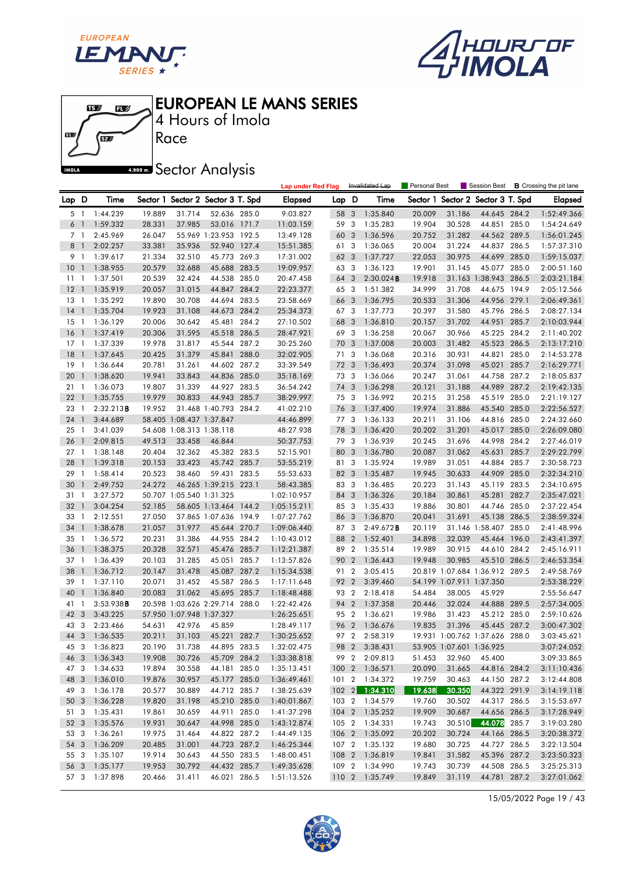





4 Hours of Imola EUROPEAN LE MANS SERIES

# **A.909mm** Sector Analysis

|              |                          |                      |                  |                          |                                   |       | <b>Lap under Red Flag</b>  |       |                | Invalidated Lap                  | Personal Best    |                          |                                                |       | Session Best <b>B</b> Crossing the pit lane |
|--------------|--------------------------|----------------------|------------------|--------------------------|-----------------------------------|-------|----------------------------|-------|----------------|----------------------------------|------------------|--------------------------|------------------------------------------------|-------|---------------------------------------------|
| Lap D        |                          | Time                 |                  |                          | Sector 1 Sector 2 Sector 3 T. Spd |       | Elapsed                    | Lap D |                | Time                             |                  |                          | Sector 1 Sector 2 Sector 3 T. Spd              |       | <b>Elapsed</b>                              |
| 5 1          |                          | 1:44.239             | 19.889           | 31.714                   | 52.636 285.0                      |       | 9:03.827                   | 58    | 3              | 1:35.840                         | 20.009           | 31.186                   | 44.645 284.2                                   |       | 1:52:49.366                                 |
| 6            | $\overline{1}$           | 1:59.332             | 28.331           | 37.985                   | 53.016 171.7                      |       | 11:03.159                  | 59 3  |                | 1:35.283                         | 19.904           | 30.528                   | 44.851 285.0                                   |       | 1:54:24.649                                 |
| 7 1          |                          | 2:45.969             | 26.047           |                          | 55.969 1:23.953 192.5             |       | 13:49.128                  | 60    | 3              | 1:36.596                         | 20.752           | 31.282                   | 44.562 289.5                                   |       | 1:56:01.245                                 |
| 8            | $\overline{1}$           | 2:02.257             | 33.381           | 35.936                   | 52.940 127.4                      |       | 15:51.385                  | 61 3  |                | 1:36.065                         | 20.004           | 31.224                   | 44.837 286.5                                   |       | 1:57:37.310                                 |
| 9 1          |                          | 1:39.617             | 21.334           | 32.510                   | 45.773 269.3                      |       | 17:31.002                  | 62    | 3              | 1:37.727                         | 22.053           | 30.975                   | 44.699                                         | 285.0 | 1:59:15.037                                 |
| 10           | $\overline{1}$           | 1:38.955             | 20.579           | 32.688                   | 45.688 283.5                      |       | 19:09.957                  | 63 3  |                | 1:36.123                         | 19.901           | 31.145                   | 45.077                                         | 285.0 | 2:00:51.160                                 |
| $11 \quad 1$ |                          | 1:37.501             | 20.539           | 32.424                   | 44.538 285.0                      |       | 20:47.458                  | 64    | 3              | 2:30.024B                        | 19.918           |                          | 31.163 1:38.943 286.5                          |       | 2:03:21.184                                 |
| 12           | $\overline{1}$           | 1:35.919             | 20.057           | 31.015                   | 44.847 284.2                      |       | 22:23.377                  | 65 3  |                | 1:51.382                         | 34.999           | 31.708                   | 44.675 194.9                                   |       | 2:05:12.566                                 |
| 13           | $\overline{1}$           | 1:35.292             | 19.890           | 30.708                   | 44.694 283.5                      |       | 23:58.669                  | 66 3  |                | 1:36.795                         | 20.533           | 31.306                   | 44.956 279.1                                   |       | 2:06:49.361                                 |
| 14           | $\mathbf{1}$             | 1:35.704             | 19.923           | 31.108                   | 44.673 284.2                      |       | 25:34.373                  | 67 3  |                | 1:37.773                         | 20.397           | 31.580                   | 45.796 286.5                                   |       | 2:08:27.134                                 |
| $15-1$       |                          | 1:36.129             | 20.006           | 30.642                   | 45.481 284.2                      |       | 27:10.502                  | 68    | 3              | 1:36.810                         | 20.157           | 31.702                   | 44.951 285.7                                   |       | 2:10:03.944                                 |
| 16           | $\overline{1}$           | 1:37.419             | 20.306           | 31.595                   | 45.518 286.5                      |       | 28:47.921                  | 69 3  |                | 1:36.258                         | 20.067           | 30.966                   | 45.225 284.2                                   |       | 2:11:40.202                                 |
| 17           | $\overline{1}$           | 1:37.339             | 19.978           | 31.817                   | 45.544 287.2                      |       | 30:25.260                  | 70 3  |                | 1:37.008                         | 20.003           | 31.482                   | 45.523                                         | 286.5 | 2:13:17.210                                 |
| 18           | $\overline{1}$           | 1:37.645             | 20.425           | 31.379                   | 45.841 288.0                      |       | 32:02.905                  | 71    | 3              | 1:36.068                         | 20.316           | 30.931                   | 44.821 285.0                                   |       | 2:14:53.278                                 |
| 19           | $\overline{1}$           | 1:36.644             | 20.781           | 31.261                   | 44.602 287.2                      |       | 33:39.549                  | 72 3  |                | 1:36.493                         | 20.374           | 31.098                   | 45.021 285.7                                   |       | 2:16:29.771                                 |
| 20           | $\mathbf{1}$             | 1:38.620             | 19.941           | 33.843                   | 44.836 285.0                      |       | 35:18.169                  | 73 3  |                | 1:36.066                         | 20.247           | 31.061                   | 44.758 287.2                                   |       | 2:18:05.837                                 |
| 21           | $\overline{1}$           | 1:36.073             | 19.807           | 31.339                   | 44.927 283.5                      |       | 36:54.242                  | 74 3  |                | 1:36.298                         | 20.121           | 31.188                   | 44.989                                         | 287.2 | 2:19:42.135                                 |
| 22           | $\overline{1}$           | 1:35.755             | 19.979           | 30.833                   | 44.943 285.7                      |       | 38:29.997                  | 75 3  |                | 1:36.992                         | 20.215           | 31.258                   | 45.519 285.0                                   |       | 2:21:19.127                                 |
| 23           | $\overline{\phantom{a}}$ | 2:32.213B            | 19.952           |                          | 31.468 1:40.793 284.2             |       | 41:02.210                  | 76 3  |                | 1:37.400                         | 19.974           | 31.886                   | 45.540 285.0                                   |       | 2:22:56.527                                 |
| 24           | $\overline{1}$           | 3:44.689             |                  | 58.405 1:08.437 1:37.847 |                                   |       | 44:46.899                  | 77 3  |                | 1:36.133                         | 20.211           | 31.106                   | 44.816 285.0                                   |       | 2:24:32.660                                 |
| 25           | $\overline{1}$           | 3:41.039             |                  | 54.608 1:08.313 1:38.118 |                                   |       | 48:27.938                  | 78    | 3              | 1:36.420                         | 20.202           | 31.201                   | 45.017 285.0                                   |       | 2:26:09.080                                 |
| 26           | $\mathbf{1}$             | 2:09.815             | 49.513           | 33.458                   | 46.844                            |       | 50:37.753                  | 79 3  |                | 1:36.939                         | 20.245           | 31.696                   | 44.998 284.2                                   |       | 2:27:46.019                                 |
| $27-1$       |                          | 1:38.148             | 20.404           | 32.362                   | 45.382 283.5                      |       | 52:15.901                  | 80 3  |                | 1:36.780                         | 20.087           | 31.062                   | 45.631 285.7                                   |       | 2:29:22.799                                 |
| 28           | $\overline{1}$           | 1:39.318             | 20.153           | 33.423                   | 45.742 285.7                      |       | 53:55.219                  | 81 3  |                | 1:35.924                         | 19.989           | 31.051                   | 44.884 285.7                                   |       | 2:30:58.723                                 |
| 29           | $\mathbf{1}$             | 1:58.414             | 20.523           | 38.460                   | 59.431 283.5                      |       | 55:53.633                  | 82 3  |                | 1:35.487                         | 19.945           | 30.633                   | 44.909 285.0                                   |       | 2:32:34.210                                 |
| 30           | $\mathbf{1}$             | 2:49.752             | 24.272           |                          | 46.265 1:39.215 223.1             |       | 58:43.385                  | 83 3  |                | 1:36.485                         | 20.223           | 31.143                   | 45.119 283.5                                   |       | 2:34:10.695                                 |
| 31           | $\overline{\phantom{a}}$ | 3:27.572             |                  | 50.707 1:05.540 1:31.325 |                                   |       | 1:02:10.957                | 84 3  |                | 1:36.326                         | 20.184           | 30.861                   | 45.281 282.7                                   |       | 2:35:47.021                                 |
| 32           | $\overline{1}$           | 3:04.254             | 52.185           |                          | 58.605 1:13.464 144.2             |       | 1:05:15.211                | 85 3  |                | 1:35.433                         | 19.886           | 30.801                   | 44.746 285.0                                   |       | 2:37:22.454                                 |
| 33           | $\overline{1}$           | 2:12.551             | 27.050           |                          | 37.865 1:07.636 194.9             |       | 1:07:27.762                | 86 3  |                | 1:36.870                         | 20.041           | 31.691                   | 45.138 286.5                                   |       | 2:38:59.324                                 |
| 34           | $\overline{1}$           | 1:38.678             | 21.057           | 31.977                   | 45.644 270.7                      |       | 1:09:06.440                | 87 3  |                | 2:49.672B                        | 20.119           |                          | 31.146 1:58.407 285.0                          |       | 2:41:48.996                                 |
| 35           | $\overline{1}$           | 1:36.572             | 20.231           | 31.386                   | 44.955 284.2                      |       | 1:10:43.012                | 88 2  |                | 1:52.401                         | 34.898           | 32.039                   | 45.464 196.0                                   |       | 2:43:41.397                                 |
| 36           | $\overline{1}$           | 1:38.375             | 20.328           | 32.571                   | 45.476 285.7                      |       | 1:12:21.387                | 89 2  |                | 1:35.514                         | 19.989           | 30.915                   | 44.610 284.2                                   |       | 2:45:16.911                                 |
| 37           | -1                       | 1:36.439             | 20.103           | 31.285                   | 45.051                            | 285.7 | 1:13:57.826                | 90    | $\overline{2}$ | 1:36.443                         | 19.948           | 30.985                   | 45.510 286.5                                   |       | 2:46:53.354                                 |
| 38           | $\mathbf{1}$             | 1:36.712             | 20.147           | 31.478                   | 45.087 287.2                      |       | 1:15:34.538                | 91 2  |                | 3:05.415                         |                  |                          | 20.819 1:07.684 1:36.912 289.5                 |       | 2:49:58.769                                 |
| 39           | -1                       | 1:37.110             | 20.071           | 31.452                   | 45.587 286.5                      |       | 1:17:11.648                | 92 2  |                | 3:39.460                         |                  | 54.199 1:07.911 1:37.350 |                                                |       | 2:53:38.229                                 |
| 40           | $\overline{1}$           | 1:36.840             | 20.083           | 31.062                   | 45.695 285.7                      |       | 1:18:48.488                | 93 2  |                | 2:18.418                         | 54.484           | 38.005                   | 45.929                                         |       | 2:55:56.647                                 |
| 41           | $\mathbf{1}$             | 3:53.938B            |                  |                          | 20.598 1:03.626 2:29.714 288.0    |       | 1:22:42.426                | 94    | $\overline{2}$ | 1:37.358                         | 20.446           | 32.024                   | 44.888 289.5                                   |       | 2:57:34.005                                 |
| 42           | $\overline{\mathbf{3}}$  | 3:43.225             |                  | 57.950 1:07.948 1:37.327 |                                   |       | 1:26:25.651                | 95 2  |                | 1:36.621                         | 19.986           | 31.423                   | 45.212 285.0                                   |       | 2:59:10.626                                 |
| 43           | 3                        | 2:23.466             | 54.631           | 42.976                   | 45.859                            |       | 1:28:49.117                | 96 2  |                | 1:36.676                         | 19.835           | 31.396                   | 45.445 287.2<br>19.931 1:00.762 1:37.626 288.0 |       | 3:00:47.302                                 |
| 44 3         |                          | 1:36.535             | 20.211           | 31.103                   | 45.221 282.7                      |       | 1:30:25.652                | 97 2  |                | 2:58.319                         |                  |                          |                                                |       | 3:03:45.621                                 |
|              |                          | 45 3 1:36.823        | 20.190           | 31.738                   | 44.895 283.5                      |       | 1:32:02.475                |       |                | 98 2 3:38.431                    |                  | 53.905 1:07.601 1:36.925 |                                                |       | 3:07:24.052                                 |
|              |                          | 46 3 1:36.343        | 19.908           | 30.726                   | 45.709 284.2                      |       | 1:33:38.818                |       |                | 99 2 2:09.813<br>100 2 1:36.571  | 51.453           | 32.960                   | 45.400                                         |       | 3:09:33.865                                 |
| 47 3<br>48 3 |                          | 1:34.633             | 19.894<br>19.876 | 30.558                   | 44.181 285.0                      |       | 1:35:13.451                |       |                |                                  | 20.090           | 31.665                   | 44.816 284.2                                   |       | 3:11:10.436                                 |
|              |                          | 1:36.010             |                  | 30.957                   | 45.177 285.0                      |       | 1:36:49.461<br>1:38:25.639 |       |                | 101 2 1:34.372<br>102 2 1:34.310 | 19.759<br>19.638 | 30.463<br>30.350         | 44.150 287.2<br>44.322 291.9                   |       | 3:12:44.808                                 |
| 49 3<br>50 3 |                          | 1:36.178<br>1:36.228 | 20.577<br>19.820 | 30.889<br>31.198         | 44.712 285.7<br>45.210 285.0      |       |                            |       |                | 103 2 1:34.579                   | 19.760           | 30.502                   | 44.317 286.5                                   |       | 3:14:19.118                                 |
| 51 3         |                          | 1:35.431             | 19.861           | 30.659                   | 44.911 285.0                      |       | 1:40:01.867<br>1:41:37.298 |       |                | 104 2 1:35.252                   | 19.909           | 30.687                   | 44.656 286.5                                   |       | 3:15:53.697<br>3:17:28.949                  |
| 52 3         |                          | 1:35.576             | 19.931           | 30.647                   | 44.998 285.0                      |       | 1:43:12.874                |       |                | 105 2 1:34.331                   | 19.743           | 30.510                   | 44.078 285.7                                   |       | 3:19:03.280                                 |
| 53 3         |                          | 1:36.261             | 19.975           | 31.464                   | 44.822 287.2                      |       | 1:44:49.135                |       |                | 106 2 1:35.092                   | 20.202           | 30.724                   | 44.166 286.5                                   |       | 3:20:38.372                                 |
| 54 3         |                          | 1:36.209             | 20.485           | 31.001                   | 44.723 287.2                      |       | 1:46:25.344                |       |                | 107 2 1:35.132                   | 19.680           | 30.725                   | 44.727 286.5                                   |       | 3:22:13.504                                 |
| 55 3         |                          | 1:35.107             | 19.914           | 30.643                   | 44.550 283.5                      |       | 1:48:00.451                |       |                | 108 2 1:36.819                   | 19.841           | 31.582                   | 45.396 287.2                                   |       | 3:23:50.323                                 |
| 56 3         |                          | 1:35.177             | 19.953           | 30.792                   | 44.432 285.7                      |       | 1:49:35.628                |       |                | 109 2 1:34.990                   | 19.743           | 30.739                   | 44.508 286.5                                   |       | 3:25:25.313                                 |
|              |                          | 57 3 1:37.898        | 20.466           | 31.411                   | 46.021 286.5                      |       | 1:51:13.526                |       |                | 110 2 1:35.749                   | 19.849           | 31.119                   | 44.781 287.2                                   |       | 3:27:01.062                                 |
|              |                          |                      |                  |                          |                                   |       |                            |       |                |                                  |                  |                          |                                                |       |                                             |

15/05/2022 Page 19 / 43

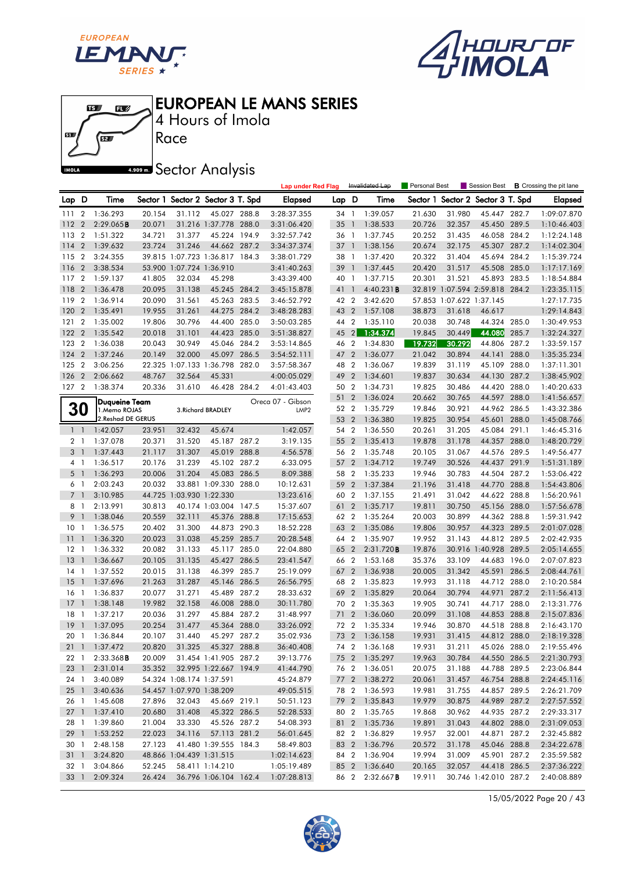





4 Hours of Imola

# **A.509 mm** Sector Analysis

|                 |                |                        |        |                          |                                   |       | <b>Lap under Red Flag</b> |        |                | Invalidated Lap | Personal Best |                          | Session Best                      |       | <b>B</b> Crossing the pit lane |
|-----------------|----------------|------------------------|--------|--------------------------|-----------------------------------|-------|---------------------------|--------|----------------|-----------------|---------------|--------------------------|-----------------------------------|-------|--------------------------------|
| Lap D           |                | Time                   |        |                          | Sector 1 Sector 2 Sector 3 T. Spd |       | <b>Elapsed</b>            | Lap D  |                | Time            |               |                          | Sector 1 Sector 2 Sector 3 T. Spd |       | Elapsed                        |
| 111             | $\overline{2}$ | 1:36.293               | 20.154 | 31.112                   | 45.027 288.8                      |       | 3:28:37.355               | 34 1   |                | 1:39.057        | 21.630        | 31.980                   | 45.447 282.7                      |       | 1:09:07.870                    |
| 112             | $\overline{2}$ | 2:29.065B              | 20.071 |                          | 31.216 1:37.778 288.0             |       | 3:31:06.420               | 35     | $\overline{1}$ | 1:38.533        | 20.726        | 32.357                   | 45.450 289.5                      |       | 1:10:46.403                    |
| 113             | $\overline{2}$ | 1:51.322               | 34.721 | 31.377                   | 45.224 194.9                      |       | 3:32:57.742               | 36 1   |                | 1:37.745        | 20.252        | 31.435                   | 46.058 284.2                      |       | 1:12:24.148                    |
| 114             | $\overline{2}$ | 1:39.632               | 23.724 | 31.246                   | 44.662 287.2                      |       | 3:34:37.374               | $37-1$ |                | 1:38.156        | 20.674        | 32.175                   | 45.307 287.2                      |       | 1:14:02.304                    |
| 115             | $\overline{2}$ | 3:24.355               |        |                          | 39.815 1:07.723 1:36.817 184.3    |       | 3:38:01.729               | 38 1   |                | 1:37.420        | 20.322        | 31.404                   | 45.694 284.2                      |       | 1:15:39.724                    |
| 116             | $\overline{2}$ | 3:38.534               |        | 53.900 1:07.724 1:36.910 |                                   |       | 3:41:40.263               | 39     | $\overline{1}$ | 1:37.445        | 20.420        | 31.517                   | 45.508 285.0                      |       | 1:17:17.169                    |
| 117 2           |                | 1:59.137               | 41.805 | 32.034                   | 45.298                            |       | 3:43:39.400               | 40 1   |                | 1:37.715        | 20.301        | 31.521                   | 45.893 283.5                      |       | 1:18:54.884                    |
| 118             | $\overline{2}$ | 1:36.478               | 20.095 | 31.138                   | 45.245 284.2                      |       | 3:45:15.878               | 41 1   |                | 4:40.231B       |               |                          | 32.819 1:07.594 2:59.818 284.2    |       | 1:23:35.115                    |
| 119             | $\overline{2}$ | 1:36.914               | 20.090 | 31.561                   | 45.263 283.5                      |       | 3:46:52.792               | 42 2   |                | 3:42.620        |               | 57.853 1:07.622 1:37.145 |                                   |       | 1:27:17.735                    |
| 120             | $\overline{2}$ | 1:35.491               | 19.955 | 31.261                   | 44.275 284.2                      |       | 3:48:28.283               | 43 2   |                | 1:57.108        | 38.873        | 31.618                   | 46.617                            |       | 1:29:14.843                    |
| 121             | $\overline{2}$ | 1:35.002               | 19.806 | 30.796                   | 44.400 285.0                      |       | 3:50:03.285               | 44 2   |                | 1:35.110        | 20.038        | 30.748                   | 44.324 285.0                      |       | 1:30:49.953                    |
| 122             | $\overline{2}$ | 1:35.542               | 20.018 | 31.101                   | 44.423 285.0                      |       | 3:51:38.827               | 45 2   |                | 1:34.374        | 19.845        | 30.449                   | 44.080                            | 285.7 | 1:32:24.327                    |
| 123             | $\overline{2}$ | 1:36.038               | 20.043 | 30.949                   | 45.046 284.2                      |       | 3:53:14.865               | 46 2   |                | 1:34.830        | 19.732        | 30.292                   | 44.806 287.2                      |       | 1:33:59.157                    |
| 124             | $\overline{2}$ | 1:37.246               | 20.149 | 32.000                   | 45.097                            | 286.5 | 3:54:52.111               | 47     | $\overline{2}$ | 1:36.077        | 21.042        | 30.894                   | 44.141                            | 288.0 | 1:35:35.234                    |
| 125             | $\overline{2}$ | 3:06.256               |        |                          | 22.325 1:07.133 1:36.798 282.0    |       | 3:57:58.367               | 48 2   |                | 1:36.067        | 19.839        | 31.119                   | 45.109 288.0                      |       | 1:37:11.301                    |
| 126             | $\overline{2}$ | 2:06.662               | 48.767 | 32.564                   | 45.331                            |       | 4:00:05.029               | 49 2   |                | 1:34.601        | 19.837        | 30.634                   | 44.130                            | 287.2 | 1:38:45.902                    |
| 127             | $\overline{2}$ | 1:38.374               | 20.336 | 31.610                   | 46.428 284.2                      |       | 4:01:43.403               | 50 2   |                | 1:34.731        | 19.825        | 30.486                   | 44.420 288.0                      |       | 1:40:20.633                    |
|                 |                | Dugueine Team          |        |                          |                                   |       | Oreca 07 - Gibson         | 51     | $\overline{2}$ | 1:36.024        | 20.662        | 30.765                   | 44.597 288.0                      |       | 1:41:56.657                    |
|                 | <b>30</b>      | 1.Memo ROJAS           |        |                          | 3. Richard BRADLEY                |       | LMP <sub>2</sub>          | 52 2   |                | 1:35.729        | 19.846        | 30.921                   | 44.962 286.5                      |       | 1:43:32.386                    |
|                 |                | 2. Reshad DE GERUS     |        |                          |                                   |       |                           | 53 2   |                | 1:36.380        | 19.825        | 30.954                   | 45.601                            | 288.0 | 1:45:08.766                    |
|                 | $1\quad$       | 1:42.057               | 23.951 | 32.432                   | 45.674                            |       | 1:42.057                  | 54 2   |                | 1:36.550        | 20.261        | 31.205                   | 45.084 291.1                      |       | 1:46:45.316                    |
|                 | 2 1            | 1:37.078               | 20.371 | 31.520                   | 45.187 287.2                      |       | 3:19.135                  | 55 2   |                | 1:35.413        | 19.878        | 31.178                   | 44.357 288.0                      |       | 1:48:20.729                    |
|                 | 3 <sub>1</sub> | 1:37.443               | 21.117 | 31.307                   | 45.019 288.8                      |       | 4:56.578                  | 56 2   |                | 1:35.748        | 20.105        | 31.067                   | 44.576 289.5                      |       | 1:49:56.477                    |
|                 | 4 1            | 1:36.517               | 20.176 | 31.239                   | 45.102 287.2                      |       | 6:33.095                  | 57 2   |                | 1:34.712        | 19.749        | 30.526                   | 44.437                            | 291.9 | 1:51:31.189                    |
| 5 <sub>1</sub>  |                | 1:36.293               | 20.006 | 31.204                   | 45.083 286.5                      |       | 8:09.388                  | 58 2   |                | 1:35.233        | 19.946        | 30.783                   | 44.504 287.2                      |       | 1:53:06.422                    |
|                 | 6 1            | 2:03.243               | 20.032 |                          | 33.881 1:09.330 288.0             |       | 10:12.631                 | 59     | $\overline{2}$ | 1:37.384        | 21.196        | 31.418                   | 44.770 288.8                      |       | 1:54:43.806                    |
|                 | 7 <sup>1</sup> | 3:10.985               |        | 44.725 1:03.930 1:22.330 |                                   |       | 13:23.616                 | 60 2   |                | 1:37.155        | 21.491        | 31.042                   | 44.622 288.8                      |       | 1:56:20.961                    |
|                 | 8 1            | 2:13.991               | 30.813 |                          | 40.174 1:03.004 147.5             |       | 15:37.607                 | 61     | $\overline{2}$ | 1:35.717        | 19.811        | 30.750                   | 45.156 288.0                      |       | 1:57:56.678                    |
| 9               | $\overline{1}$ | 1:38.046               | 20.559 | 32.111                   | 45.376 288.8                      |       | 17:15.653                 | 62 2   |                | 1:35.264        | 20.003        | 30.899                   | 44.362 288.8                      |       | 1:59:31.942                    |
| 10 <sub>1</sub> |                | 1:36.575               | 20.402 | 31.300                   | 44.873 290.3                      |       | 18:52.228                 | 63     | $\overline{2}$ | 1:35.086        | 19.806        | 30.957                   | 44.323 289.5                      |       | 2:01:07.028                    |
| 11              | $\overline{1}$ | 1:36.320               | 20.023 | 31.038                   | 45.259 285.7                      |       | 20:28.548                 | 64 2   |                | 1:35.907        | 19.952        | 31.143                   | 44.812 289.5                      |       | 2:02:42.935                    |
| 12              | $\overline{1}$ | 1:36.332               | 20.082 | 31.133                   | 45.117 285.0                      |       | 22:04.880                 | 65     | $\overline{2}$ | 2:31.720B       | 19.876        |                          | 30.916 1:40.928                   | 289.5 | 2:05:14.655                    |
| 13              | $\overline{1}$ | 1:36.667               | 20.105 | 31.135                   | 45.427                            | 286.5 | 23:41.547                 | 66     | $\overline{2}$ | 1:53.168        | 35.376        | 33.109                   | 44.683 196.0                      |       | 2:07:07.823                    |
| 14 1            |                | 1:37.552               | 20.015 | 31.138                   | 46.399 285.7                      |       | 25:19.099                 | 67     | $\overline{2}$ | 1:36.938        | 20.005        | 31.342                   | 45.591                            | 286.5 | 2:08:44.761                    |
| 15              | $\overline{1}$ | 1:37.696               | 21.263 | 31.287                   | 45.146 286.5                      |       | 26:56.795                 | 68 2   |                | 1:35.823        | 19.993        | 31.118                   | 44.712 288.0                      |       | 2:10:20.584                    |
| 16              | $\overline{1}$ | 1:36.837               | 20.077 | 31.271                   | 45.489 287.2                      |       | 28:33.632                 | 69     | $\overline{2}$ | 1:35.829        | 20.064        | 30.794                   | 44.971                            | 287.2 | 2:11:56.413                    |
| 17              | $\overline{1}$ | 1:38.148               | 19.982 | 32.158                   | 46.008 288.0                      |       | 30:11.780                 | 70 2   |                | 1:35.363        | 19.905        | 30.741                   | 44.717 288.0                      |       | 2:13:31.776                    |
| 18              | -1             | 1:37.217               | 20.036 | 31.297                   | 45.884 287.2                      |       | 31:48.997                 | 71     | $\overline{2}$ | 1:36.060        | 20.099        | 31.108                   | 44.853 288.8                      |       | 2:15:07.836                    |
| 19              | $\overline{1}$ | 1:37.095               | 20.254 | 31.477                   | 45.364 288.0                      |       | 33:26.092                 | 72 2   |                | 1:35.334        | 19.946        | 30.870                   | 44.518 288.8                      |       | 2:16:43.170                    |
| 20              | $\overline{1}$ | 1:36.844               | 20.107 | 31.440                   | 45.297 287.2                      |       | 35:02.936                 | 73 2   |                | 1:36.158        | 19.931        | 31.415                   | 44.812 288.0                      |       | 2:18:19.328                    |
|                 |                | 21 1 1:37.472          | 20.820 | 31.325                   | 45.327 288.8                      |       | 36:40.408                 |        |                | 74 2 1:36.168   | 19.931        | 31.211                   | 45.026 288.0                      |       | 2:19:55.496                    |
|                 |                | 22 1 2:33.368 <b>B</b> | 20.009 |                          | 31.454 1:41.905 287.2             |       | 39:13.776                 |        |                | 75 2 1:35.297   | 19.963        | 30.784                   | 44.550 286.5                      |       | 2:21:30.793                    |
| 23 1            |                | 2:31.014               | 35.352 |                          | 32.995 1:22.667 194.9             |       | 41:44.790                 |        |                | 76 2 1:36.051   | 20.075        | 31.188                   | 44.788 289.5                      |       | 2:23:06.844                    |
| 24 1            |                | 3:40.089               |        | 54.324 1:08.174 1:37.591 |                                   |       | 45:24.879                 |        |                | 77 2 1:38.272   | 20.061        | 31.457                   | 46.754 288.8                      |       | 2:24:45.116                    |
|                 | 25 1           | 3:40.636               |        | 54.457 1:07.970 1:38.209 |                                   |       | 49:05.515                 |        |                | 78 2 1:36.593   | 19.981        | 31.755                   | 44.857 289.5                      |       | 2:26:21.709                    |
|                 |                | 26 1 1:45.608          | 27.896 | 32.043                   | 45.669 219.1                      |       | 50:51.123                 |        |                | 79 2 1:35.843   | 19.979        | 30.875                   | 44.989 287.2                      |       | 2:27:57.552                    |
| $27-1$          |                | 1:37.410               | 20.680 | 31.408                   | 45.322 286.5                      |       | 52:28.533                 |        |                | 80 2 1:35.765   | 19.868        | 30.962                   | 44.935 287.2                      |       | 2:29:33.317                    |
| 28 1            |                | 1:39.860               | 21.004 | 33.330                   | 45.526 287.2                      |       | 54:08.393                 |        |                | 81 2 1:35.736   | 19.891        | 31.043                   | 44.802 288.0                      |       | 2:31:09.053                    |
| 29 1            |                | 1:53.252               | 22.023 | 34.116                   | 57.113 281.2                      |       | 56:01.645                 |        |                | 82 2 1:36.829   | 19.957        | 32.001                   | 44.871 287.2                      |       | 2:32:45.882                    |
| 30 1            |                | 2:48.158               | 27.123 |                          | 41.480 1:39.555 184.3             |       | 58:49.803                 |        |                | 83 2 1:36.796   | 20.572        | 31.178                   | 45.046 288.8                      |       | 2:34:22.678                    |
| $31 \quad 1$    |                | 3:24.820               |        | 48.866 1:04.439 1:31.515 |                                   |       | 1:02:14.623               |        |                | 84 2 1:36.904   | 19.994        | 31.009                   | 45.901 287.2                      |       | 2:35:59.582                    |
| 32 1            |                | 3:04.866               | 52.245 |                          | 58.411 1:14.210                   |       | 1:05:19.489               |        |                | 85 2 1:36.640   | 20.165        | 32.057                   | 44.418 286.5                      |       | 2:37:36.222                    |
| 33 1            |                | 2:09.324               | 26.424 |                          | 36.796 1:06.104 162.4             |       | 1:07:28.813               |        | 86 2           | 2:32.667B       | 19.911        |                          | 30.746 1:42.010 287.2             |       | 2:40:08.889                    |

15/05/2022 Page 20 / 43

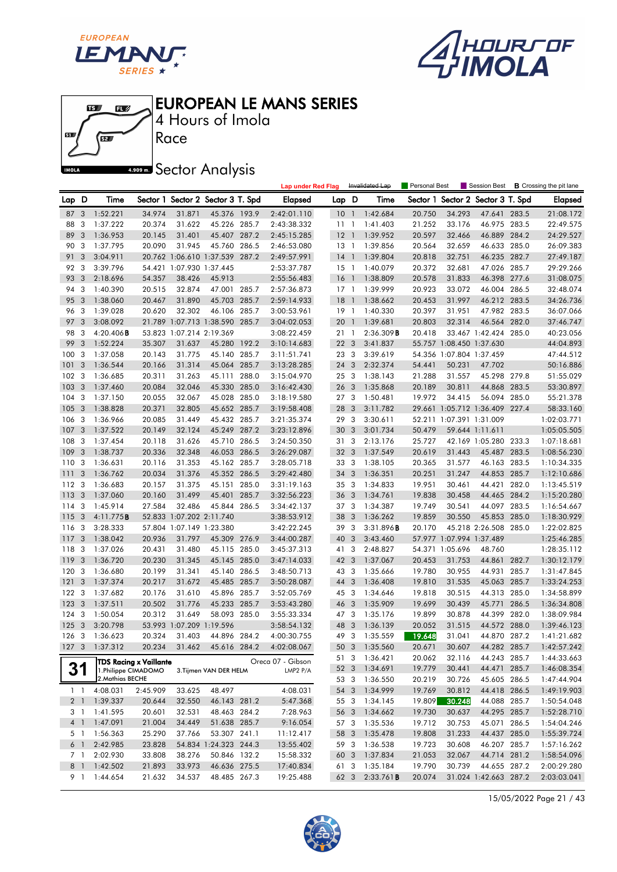





Race 4 Hours of Imola

**A.509 mm** Sector Analysis

|                |                |                               |          |                          |                                   |       | <b>Lap under Red Flag</b> |                 |                         | Invalidated Lap | Personal Best |                          | Session Best                      |       | <b>B</b> Crossing the pit lane |
|----------------|----------------|-------------------------------|----------|--------------------------|-----------------------------------|-------|---------------------------|-----------------|-------------------------|-----------------|---------------|--------------------------|-----------------------------------|-------|--------------------------------|
| Lap D          |                | Time                          |          |                          | Sector 1 Sector 2 Sector 3 T. Spd |       | Elapsed                   | Lap D           |                         | Time            |               |                          | Sector 1 Sector 2 Sector 3 T. Spd |       | <b>Elapsed</b>                 |
| 87             | 3              | 1:52.221                      | 34.974   | 31.871                   | 45.376 193.9                      |       | 2:42:01.110               | $10-1$          |                         | 1:42.684        | 20.750        | 34.293                   | 47.641                            | 283.5 | 21:08.172                      |
| 88             | 3              | 1:37.222                      | 20.374   | 31.622                   | 45.226 285.7                      |       | 2:43:38.332               | 11              | $\overline{1}$          | 1:41.403        | 21.252        | 33.176                   | 46.975 283.5                      |       | 22:49.575                      |
| 89             | 3              | 1:36.953                      | 20.145   | 31.401                   | 45.407 287.2                      |       | 2:45:15.285               | $12-1$          |                         | 1:39.952        | 20.597        | 32.466                   | 46.889 284.2                      |       | 24:29.527                      |
| 90             | 3              | 1:37.795                      | 20.090   | 31.945                   | 45.760 286.5                      |       | 2:46:53.080               | 13 1            |                         | 1:39.856        | 20.564        | 32.659                   | 46.633 285.0                      |       | 26:09.383                      |
| 91             | 3              | 3:04.911                      |          |                          | 20.762 1:06.610 1:37.539          | 287.2 | 2:49:57.991               | $14-1$          |                         | 1:39.804        | 20.818        | 32.751                   | 46.235 282.7                      |       | 27:49.187                      |
| 92             | 3              | 3:39.796                      |          | 54.421 1:07.930 1:37.445 |                                   |       | 2:53:37.787               | $15-1$          |                         | 1:40.079        | 20.372        | 32.681                   | 47.026 285.7                      |       | 29:29.266                      |
| 93             | 3              | 2:18.696                      | 54.357   | 38.426                   | 45.913                            |       | 2:55:56.483               | 16              | $\overline{1}$          | 1:38.809        | 20.578        | 31.833                   | 46.398 277.6                      |       | 31:08.075                      |
| 94             | 3              | 1:40.390                      | 20.515   | 32.874                   | 47.001 285.7                      |       | 2:57:36.873               | $17-1$          |                         | 1:39.999        | 20.923        | 33.072                   | 46.004 286.5                      |       | 32:48.074                      |
| 95             | 3              | 1:38.060                      | 20.467   | 31.890                   | 45.703                            | 285.7 | 2:59:14.933               | 18              | $\overline{1}$          | 1:38.662        | 20.453        | 31.997                   | 46.212 283.5                      |       | 34:26.736                      |
| 96             | 3              | 1:39.028                      | 20.620   | 32.302                   | 46.106 285.7                      |       | 3:00:53.961               | 19              | $\overline{1}$          | 1:40.330        | 20.397        | 31.951                   | 47.982 283.5                      |       | 36:07.066                      |
| 97             | 3              | 3:08.092                      |          |                          | 21.789 1:07.713 1:38.590 285.7    |       | 3:04:02.053               | 20              | $\overline{1}$          | 1:39.681        | 20.803        | 32.314                   | 46.564 282.0                      |       | 37:46.747                      |
| 98             | 3              | $4:20.406$ B                  |          | 53.823 1:07.214 2:19.369 |                                   |       | 3:08:22.459               | 21 1            |                         | 2:36.309B       | 20.418        |                          | 33.467 1:42.424 285.0             |       | 40:23.056                      |
| 99             | 3              | 1:52.224                      | 35.307   | 31.637                   | 45.280 192.2                      |       | 3:10:14.683               | 22 3            |                         | 3:41.837        |               | 55.757 1:08.450 1:37.630 |                                   |       | 44:04.893                      |
| 100            | 3              | 1:37.058                      | 20.143   | 31.775                   | 45.140 285.7                      |       | 3:11:51.741               | 23 3            |                         | 3:39.619        |               | 54.356 1:07.804 1:37.459 |                                   |       | 47:44.512                      |
| 101            | 3              | 1:36.544                      | 20.166   | 31.314                   | 45.064 285.7                      |       | 3:13:28.285               | 24              | 3                       | 2:32.374        | 54.441        | 50.231                   | 47.702                            |       | 50:16.886                      |
| 102            | -3             | 1:36.685                      | 20.311   | 31.263                   | 45.111 288.0                      |       | 3:15:04.970               | 25 3            |                         | 1:38.143        | 21.288        | 31.557                   | 45.298 279.8                      |       | 51:55.029                      |
| 103            | 3              | 1:37.460                      | 20.084   | 32.046                   | 45.330 285.0                      |       | 3:16:42.430               | 26 3            |                         | 1:35.868        | 20.189        | 30.811                   | 44.868 283.5                      |       | 53:30.897                      |
| 104            | 3              | 1:37.150                      | 20.055   | 32.067                   | 45.028 285.0                      |       | 3:18:19.580               | 27 <sub>3</sub> |                         | 1:50.481        | 19.972        | 34.415                   | 56.094 285.0                      |       | 55:21.378                      |
| 105            | -3             | 1:38.828                      | 20.371   | 32.805                   | 45.652 285.7                      |       | 3:19:58.408               | 28              | 3                       | 3:11.782        |               |                          | 29.661 1:05.712 1:36.409 227.4    |       | 58:33.160                      |
| 106            | 3              | 1:36.966                      | 20.085   | 31.449                   | 45.432 285.7                      |       | 3:21:35.374               | 29              | $\mathbf{3}$            | 3:30.611        |               | 52.211 1:07.391 1:31.009 |                                   |       | 1:02:03.771                    |
| 107            | 3              | 1:37.522                      | 20.149   | 32.124                   | 45.249 287.2                      |       | 3:23:12.896               | 30              | $\overline{3}$          | 3:01.734        | 50.479        |                          | 59.644 1:11.611                   |       | 1:05:05.505                    |
| 108            | 3              | 1:37.454                      | 20.118   | 31.626                   | 45.710 286.5                      |       | 3:24:50.350               | 31              | -3                      | 2:13.176        | 25.727        |                          | 42.169 1:05.280 233.3             |       | 1:07:18.681                    |
| 109            | 3              | 1:38.737                      | 20.336   | 32.348                   | 46.053 286.5                      |       | 3:26:29.087               | 32 <sub>3</sub> |                         | 1:37.549        | 20.619        | 31.443                   | 45.487 283.5                      |       | 1:08:56.230                    |
| 110            | -3             | 1:36.631                      | 20.116   | 31.353                   | 45.162 285.7                      |       | 3:28:05.718               | 333             |                         | 1:38.105        | 20.365        | 31.577                   | 46.163 283.5                      |       | 1:10:34.335                    |
| 111            | 3              | 1:36.762                      | 20.034   | 31.376                   | 45.352 286.5                      |       | 3:29:42.480               | 34 3            |                         | 1:36.351        | 20.251        | 31.247                   | 44.853 285.7                      |       | 1:12:10.686                    |
| 112            | -3             | 1:36.683                      | 20.157   | 31.375                   | 45.151 285.0                      |       | 3:31:19.163               | 35 3            |                         | 1:34.833        | 19.951        | 30.461                   | 44.421 282.0                      |       | 1:13:45.519                    |
| 113            | 3              | 1:37.060                      | 20.160   | 31.499                   | 45.401                            | 285.7 | 3:32:56.223               | 36 3            |                         | 1:34.761        | 19.838        | 30.458                   | 44.465 284.2                      |       | 1:15:20.280                    |
| 114            | -3             | 1:45.914                      | 27.584   | 32.486                   | 45.844 286.5                      |       | 3:34:42.137               | 373             |                         | 1:34.387        | 19.749        | 30.541                   | 44.097 283.5                      |       | 1:16:54.667                    |
| 115            | 3              | 4:11.775B                     |          | 52.833 1:07.202 2:11.740 |                                   |       | 3:38:53.912               | 38 3            |                         | 1:36.262        | 19.859        | 30.550                   | 45.853 285.0                      |       | 1:18:30.929                    |
| 116            | -3             | 3:28.333                      |          | 57.804 1:07.149 1:23.380 |                                   |       | 3:42:22.245               | 39 3            |                         | 3:31.896B       | 20.170        |                          | 45.218 2:26.508 285.0             |       | 1:22:02.825                    |
| 117            | 3              | 1:38.042                      | 20.936   | 31.797                   | 45.309 276.9                      |       | 3:44:00.287               | 40 3            |                         | 3:43.460        |               | 57.977 1:07.994 1:37.489 |                                   |       | 1:25:46.285                    |
| 118            | 3              | 1:37.026                      | 20.431   | 31.480                   | 45.115 285.0                      |       | 3:45:37.313               | 41 3            |                         | 2:48.827        |               | 54.371 1:05.696          | 48.760                            |       | 1:28:35.112                    |
| 119            | 3              | 1:36.720                      | 20.230   | 31.345                   | 45.145 285.0                      |       | 3:47:14.033               | 42 3            |                         | 1:37.067        | 20.453        | 31.753                   | 44.861                            | 282.7 | 1:30:12.179                    |
| 120            | -3             | 1:36.680                      | 20.199   | 31.341                   | 45.140 286.5                      |       | 3:48:50.713               | 43 3            |                         | 1:35.666        | 19.780        | 30.955                   | 44.931 285.7                      |       | 1:31:47.845                    |
| 121            | 3              | 1:37.374                      | 20.217   | 31.672                   | 45.485 285.7                      |       | 3:50:28.087               | 44 3            |                         | 1:36.408        | 19.810        | 31.535                   | 45.063 285.7                      |       | 1:33:24.253                    |
| 122            | 3              | 1:37.682                      | 20.176   | 31.610                   | 45.896                            | 285.7 | 3:52:05.769               | 45 3            |                         | 1:34.646        | 19.818        | 30.515                   | 44.313 285.0                      |       | 1:34:58.899                    |
| 123            | $\mathbf{3}$   | 1:37.511                      | 20.502   | 31.776                   | 45.233 285.7                      |       | 3:53:43.280               | 46 3            |                         | 1:35.909        | 19.699        | 30.439                   | 45.771                            | 286.5 | 1:36:34.808                    |
| 124            | -3             | 1:50.054                      | 20.312   | 31.649                   | 58.093 285.0                      |       | 3:55:33.334               | 473             |                         | 1:35.176        | 19.899        | 30.878                   | 44.399 282.0                      |       | 1:38:09.984                    |
| 125            | 3              | 3:20.798                      |          | 53.993 1:07.209 1:19.596 |                                   |       | 3:58:54.132               | 48              | $\overline{\mathbf{3}}$ | 1:36.139        | 20.052        | 31.515                   | 44.572 288.0                      |       | 1:39:46.123                    |
| 126            | 3              | 1:36.623                      | 20.324   | 31.403                   | 44.896 284.2                      |       | 4:00:30.755               | 49              | $\mathbf{3}$            | 1:35.559        | 19.648        | 31.041                   | 44.870 287.2                      |       | 1:41:21.682                    |
|                |                | 127 3 1:37.312                | 20.234   | 31.462                   | 45.616 284.2                      |       | 4:02:08.067               |                 |                         | 50 3 1:35.560   | 20.671        | 30.607                   | 44.282 285.7                      |       | 1:42:57.242                    |
|                |                | <b>TDS Racing x Vaillante</b> |          |                          |                                   |       | Oreca 07 - Gibson         | 51 3            |                         | 1:36.421        | 20.062        | 32.116                   | 44.243 285.7                      |       | 1:44:33.663                    |
| 31             |                | 1. Philippe CIMADOMO          |          |                          | 3. Tijmen VAN DER HELM            |       | LMP2 P/A                  | 52 3            |                         | 1:34.691        | 19.779        | 30.441                   | 44.471 285.7                      |       | 1:46:08.354                    |
|                |                | 2. Mathias BECHE              |          |                          |                                   |       |                           | 53 3            |                         | 1:36.550        | 20.219        | 30.726                   | 45.605 286.5                      |       | 1:47:44.904                    |
|                | 1 <sub>1</sub> | 4:08.031                      | 2:45.909 | 33.625                   | 48.497                            |       | 4:08.031                  | 54 3            |                         | 1:34.999        | 19.769        | 30.812                   | 44.418 286.5                      |       | 1:49:19.903                    |
| 2 <sub>1</sub> |                | 1:39.337                      | 20.644   | 32.550                   | 46.143 281.2                      |       | 5:47.368                  | 55 3            |                         | 1:34.145        | 19.809        | 30.248                   | 44.088 285.7                      |       | 1:50:54.048                    |
|                | 31             | 1:41.595                      | 20.601   | 32.531                   | 48.463 284.2                      |       | 7:28.963                  | 56 3            |                         | 1:34.662        | 19.730        | 30.637                   | 44.295 285.7                      |       | 1:52:28.710                    |
| 4 1            |                | 1:47.091                      | 21.004   | 34.449                   | 51.638 285.7                      |       | 9:16.054                  | 57 3            |                         | 1:35.536        | 19.712        | 30.753                   | 45.071 286.5                      |       | 1:54:04.246                    |
|                | 51             | 1:56.363                      | 25.290   | 37.766                   | 53.307 241.1                      |       | 11:12.417                 | 58 3            |                         | 1:35.478        | 19.808        | 31.233                   | 44.437 285.0                      |       | 1:55:39.724                    |
|                | 6 1            | 2:42.985                      | 23.828   |                          | 54.834 1:24.323 244.3             |       | 13:55.402                 | 59 3            |                         | 1:36.538        | 19.723        | 30.608                   | 46.207 285.7                      |       | 1:57:16.262                    |
|                | 7 1            | 2:02.930                      | 33.808   | 38.276                   | 50.846 132.2                      |       | 15:58.332                 | 60 3            |                         | 1:37.834        | 21.053        | 32.067                   | 44.714 281.2                      |       | 1:58:54.096                    |
| 8 1            |                | 1:42.502                      | 21.893   | 33.973                   | 46.636 275.5                      |       | 17:40.834                 | 61 3            |                         | 1:35.184        | 19.790        | 30.739                   | 44.655 287.2                      |       | 2:00:29.280                    |
|                | 91             | 1:44.654                      | 21.632   | 34.537                   | 48.485 267.3                      |       | 19:25.488                 | 62 3            |                         | 2:33.761B       | 20.074        |                          | 31.024 1:42.663 287.2             |       | 2:03:03.041                    |

15/05/2022 Page 21 / 43

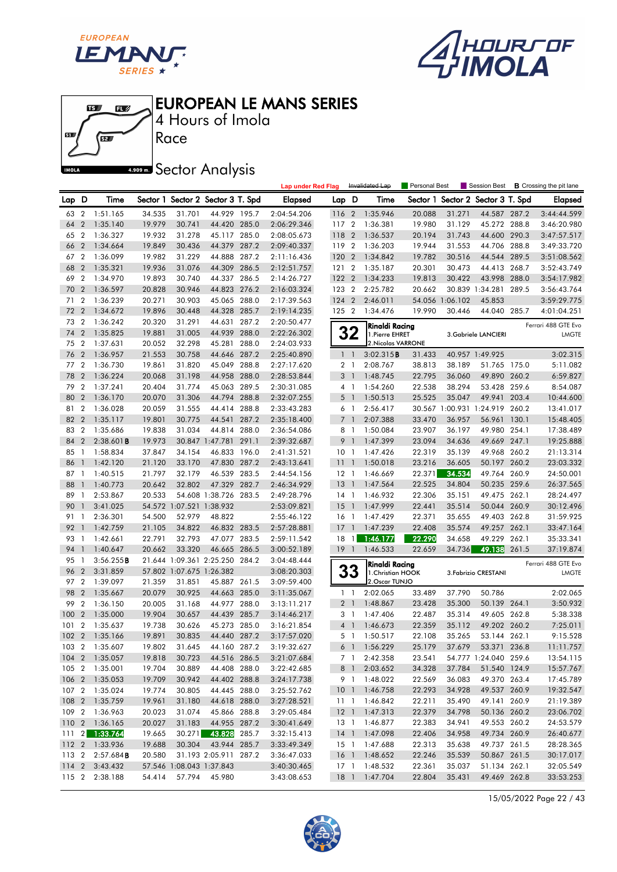





4 Hours of Imola

# **A.509 mm** Sector Analysis

|       |                |                              |        |                          |                                   |       | <b>Lap under Red Flag</b> |                 |                | Invalidated Lap    | <b>Personal Best</b> |                 | Session Best                      | <b>B</b> Crossing the pit lane |
|-------|----------------|------------------------------|--------|--------------------------|-----------------------------------|-------|---------------------------|-----------------|----------------|--------------------|----------------------|-----------------|-----------------------------------|--------------------------------|
| Lap D |                | Time                         |        |                          | Sector 1 Sector 2 Sector 3 T. Spd |       | Elapsed                   | Lap D           |                | Time               |                      |                 | Sector 1 Sector 2 Sector 3 T. Spd | <b>Elapsed</b>                 |
| 63    | $\overline{2}$ | 1:51.165                     | 34.535 | 31.701                   | 44.929 195.7                      |       | 2:04:54.206               | 116 2           |                | 1:35.946           | 20.088               | 31.271          | 44.587 287.2                      | 3:44:44.599                    |
| 64    | $\overline{2}$ | 1:35.140                     | 19.979 | 30.741                   | 44.420 285.0                      |       | 2:06:29.346               | 117             | $\overline{2}$ | 1:36.381           | 19.980               | 31.129          | 45.272 288.8                      | 3:46:20.980                    |
| 65    | $\overline{2}$ | 1:36.327                     | 19.932 | 31.278                   | 45.117 285.0                      |       | 2:08:05.673               | 118             | $\overline{2}$ | 1:36.537           | 20.194               | 31.743          | 44.600 290.3                      | 3:47:57.517                    |
| 66    | $\overline{2}$ | 1:34.664                     | 19.849 | 30.436                   | 44.379 287.2                      |       | 2:09:40.337               | 119             | $\overline{2}$ | 1:36.203           | 19.944               | 31.553          | 44.706 288.8                      | 3:49:33.720                    |
| 67    | $\overline{2}$ | 1:36.099                     | 19.982 | 31.229                   | 44.888 287.2                      |       | 2:11:16.436               | 120             | $\overline{2}$ | 1:34.842           | 19.782               | 30.516          | 44.544 289.5                      | 3:51:08.562                    |
| 68    | $\overline{2}$ | 1:35.321                     | 19.936 | 31.076                   | 44.309 286.5                      |       | 2:12:51.757               | 121             | $\overline{2}$ | 1:35.187           | 20.301               | 30.473          | 44.413 268.7                      | 3:52:43.749                    |
| 69    | $\overline{2}$ | 1:34.970                     | 19.893 | 30.740                   | 44.337 286.5                      |       | 2:14:26.727               | $122 \quad 2$   |                | 1:34.233           | 19.813               | 30.422          | 43.998 288.0                      | 3:54:17.982                    |
| 70    | $\overline{2}$ | 1:36.597                     | 20.828 | 30.946                   | 44.823 276.2                      |       | 2:16:03.324               | 123 2           |                | 2:25.782           | 20.662               |                 | 30.839 1:34.281 289.5             | 3:56:43.764                    |
| 71    | $\overline{2}$ | 1:36.239                     | 20.271 | 30.903                   | 45.065 288.0                      |       | 2:17:39.563               | 124 2           |                | 2:46.011           |                      | 54.056 1:06.102 | 45.853                            | 3:59:29.775                    |
| 72    | $\overline{2}$ | 1:34.672                     | 19.896 | 30.448                   | 44.328 285.7                      |       | 2:19:14.235               | 125 2           |                | 1:34.476           | 19.990               | 30.446          | 44.040 285.7                      | 4:01:04.251                    |
| 73    | $\overline{2}$ | 1:36.242                     | 20.320 | 31.291                   | 44.631 287.2                      |       | 2:20:50.477               |                 |                | Rinaldi Racing     |                      |                 |                                   | Ferrari 488 GTE Evo            |
| 74    | $\overline{2}$ | 1:35.825                     | 19.881 | 31.005                   | 44.939                            | 288.0 | 2:22:26.302               |                 | 32             | 1. Pierre EHRET    |                      |                 | 3. Gabriele LANCIERI              | <b>LMGTE</b>                   |
| 75    | $\overline{2}$ | 1:37.631                     | 20.052 | 32.298                   | 45.281                            | 288.0 | 2:24:03.933               |                 |                | 2. Nicolas VARRONE |                      |                 |                                   |                                |
| 76    | $\overline{2}$ | 1:36.957                     | 21.553 | 30.758                   | 44.646 287.2                      |       | 2:25:40.890               | 1 <sup>1</sup>  |                | 3:02.315B          | 31.433               |                 | 40.957 1:49.925                   | 3:02.315                       |
| 77 2  |                | 1:36.730                     | 19.861 | 31.820                   | 45.049 288.8                      |       | 2:27:17.620               |                 | 2 <sub>1</sub> | 2:08.767           | 38.813               | 38.189          | 51.765 175.0                      | 5:11.082                       |
| 78    | $\overline{2}$ | 1:36.224                     | 20.068 | 31.198                   | 44.958 288.0                      |       | 2:28:53.844               |                 | 3 <sup>1</sup> | 1:48.745           | 22.795               | 36.060          | 49.890 260.2                      | 6:59.827                       |
| 79    | $\overline{2}$ | 1:37.241                     | 20.404 | 31.774                   | 45.063 289.5                      |       | 2:30:31.085               |                 | $4-1$          | 1:54.260           | 22.538               | 38.294          | 53.428 259.6                      | 8:54.087                       |
| 80    | $\overline{2}$ | 1:36.170                     | 20.070 | 31.306                   | 44.794 288.8                      |       | 2:32:07.255               | 5               | $\overline{1}$ | 1:50.513           | 25.525               | 35.047          | 49.941 203.4                      | 10:44.600                      |
| 81    | $\overline{2}$ | 1:36.028                     | 20.059 | 31.555                   | 44.414 288.8                      |       | 2:33:43.283               |                 | 6 1            | 2:56.417           |                      |                 | 30.567 1:00.931 1:24.919 260.2    | 13:41.017                      |
| 82    | $\overline{2}$ | 1:35.117                     | 19.801 | 30.775                   | 44.541                            | 287.2 | 2:35:18.400               | $\overline{7}$  | - 1            | 2:07.388           | 33.470               | 36.957          | 56.961 130.1                      | 15:48.405                      |
| 83    | $\overline{2}$ | 1:35.686                     | 19.838 | 31.034                   | 44.814                            | 288.0 | 2:36:54.086               |                 | 8 1            | 1:50.084           | 23.907               | 36.197          | 49.980 254.1                      | 17:38.489                      |
| 84    | $\overline{2}$ | $2:38.601$ B                 | 19.973 |                          | 30.847 1:47.781                   | 291.1 | 2:39:32.687               | 9               | $\mathbf{1}$   | 1:47.399           | 23.094               | 34.636          | 49.669 247.1                      | 19:25.888                      |
| 85    | $\overline{1}$ | 1:58.834                     | 37.847 | 34.154                   | 46.833 196.0                      |       | 2:41:31.521               | 10 <sub>1</sub> |                | 1:47.426           | 22.319               | 35.139          | 49.968 260.2                      | 21:13.314                      |
| 86    | $\mathbf{1}$   | 1:42.120                     | 21.120 | 33.170                   | 47.830 287.2                      |       | 2:43:13.641               | 11 <sub>1</sub> |                | 1:50.018           | 23.216               | 36.605          | 50.197 260.2                      | 23:03.332                      |
| 87    | $\overline{1}$ | 1:40.515                     | 21.797 | 32.179                   | 46.539 283.5                      |       | 2:44:54.156               | $12-1$          |                | 1:46.669           | 22.371               | 34.534          | 49.764 260.9                      | 24:50.001                      |
| 88    |                | 1:40.773                     | 20.642 | 32.802                   | 47.329 282.7                      |       | 2:46:34.929               | 13              | $\overline{1}$ | 1:47.564           | 22.525               | 34.804          | 50.235 259.6                      | 26:37.565                      |
| 89    | -1             | 2:53.867                     | 20.533 |                          | 54.608 1:38.726 283.5             |       | 2:49:28.796               | $14-1$          |                | 1:46.932           | 22.306               | 35.151          | 49.475 262.1                      | 28:24.497                      |
| 90    | $\mathbf{1}$   | 3:41.025                     |        | 54.572 1:07.521 1:38.932 |                                   |       | 2:53:09.821               | 15              | $\overline{1}$ | 1:47.999           | 22.441               | 35.514          | 50.044 260.9                      | 30:12.496                      |
| 91    | $\mathbf{1}$   | 2:36.301                     | 54.500 | 52.979                   | 48.822                            |       | 2:55:46.122               | $16-1$          |                | 1:47.429           | 22.371               | 35.655          | 49.403 262.8                      | 31:59.925                      |
| 92    | $\mathbf{1}$   | 1:42.759                     | 21.105 | 34.822                   | 46.832 283.5                      |       | 2:57:28.881               | 17              | $\overline{1}$ | 1:47.239           | 22.408               | 35.574          | 49.257 262.1                      | 33:47.164                      |
| 93    | -1             | 1:42.661                     | 22.791 | 32.793                   | 47.077 283.5                      |       | 2:59:11.542               | 18 1            |                | 1:46.177           | 22.290               | 34.658          | 49.229 262.1                      | 35:33.341                      |
| 94    | $\overline{1}$ | 1:40.647                     | 20.662 | 33.320                   | 46.665 286.5                      |       | 3:00:52.189               | $19-1$          |                | 1:46.533           | 22.659               | 34.736          | 49.138 261.5                      | 37:19.874                      |
| 95    | $\mathbf{1}$   | 3:56.255B                    |        |                          | 21.644 1:09.361 2:25.250 284.2    |       | 3:04:48.444               |                 |                | Rinaldi Racing     |                      |                 |                                   | Ferrari 488 GTE Evo            |
| 96    | $\overline{2}$ | 3:31.859                     |        | 57.802 1:07.675 1:26.382 |                                   |       | 3:08:20.303               |                 | 33             | 1. Christian HOOK  |                      |                 | 3. Fabrizio CRESTANI              | <b>LMGTE</b>                   |
| 97    | $\overline{2}$ | 1:39.097                     | 21.359 | 31.851                   | 45.887 261.5                      |       | 3:09:59.400               |                 |                | 2. Oscar TUNJO     |                      |                 |                                   |                                |
| 98    | $\overline{2}$ | 1:35.667                     | 20.079 | 30.925                   | 44.663 285.0                      |       | 3:11:35.067               |                 | $1\quad$       | 2:02.065           | 33.489               | 37.790          | 50.786                            | 2:02.065                       |
| 99    | $\overline{2}$ | 1:36.150                     | 20.005 | 31.168                   | 44.977 288.0                      |       | 3:13:11.217               |                 | 2 <sub>1</sub> | 1:48.867           | 23.428               | 35.300          | 50.139 264.1                      | 3:50.932                       |
| 100   | $\overline{2}$ | 1:35.000                     | 19.904 | 30.657                   | 44.439 285.7                      |       | 3:14:46.217               |                 | 3 <sub>1</sub> | 1:47.406           | 22.487               | 35.314          | 49.605 262.8                      | 5:38.338                       |
| 101   | $\overline{2}$ | 1:35.637                     | 19.738 | 30.626                   | 45.273 285.0                      |       | 3:16:21.854               |                 | 4 <sup>1</sup> | 1:46.673           | 22.359               | 35.112          | 49.202 260.2                      | 7:25.011                       |
|       |                | 102 2 1:35.166               | 19.891 | 30.835                   | 44.440 287.2                      |       | 3:17:57.020               |                 | 5 1            | 1:50.517           | 22.108               | 35.265          | 53.144 262.1                      | 9:15.528                       |
|       |                | 103 2 1:35.607               | 19.802 | 31.645                   | 44.160 287.2                      |       | 3:19:32.627               |                 |                | 6 1 1:56.229       | 25.179               | 37.679          | 53.371 236.8                      | 11:11.757                      |
|       |                | 104 2 1:35.057               | 19.818 | 30.723                   | 44.516 286.5                      |       | 3:21:07.684               |                 |                | 7 1 2:42.358       | 23.541               |                 | 54.777 1:24.040 259.6             | 13:54.115                      |
|       |                | 105 2 1:35.001               | 19.704 | 30.889                   | 44.408 288.0                      |       | 3:22:42.685               |                 | 8 <sup>1</sup> | 2:03.652           | 34.328               | 37.784          | 51.540 124.9                      | 15:57.767                      |
|       |                | 106 2 1:35.053               | 19.709 | 30.942                   | 44.402 288.8                      |       | 3:24:17.738               |                 |                | 9 1 1:48.022       | 22.569               | 36.083          | 49.370 263.4                      | 17:45.789                      |
|       |                | 107 2 1:35.024               | 19.774 | 30.805                   | 44.445 288.0                      |       | 3:25:52.762               |                 |                | 10 1 1:46.758      | 22.293               | 34.928          | 49.537 260.9                      | 19:32.547                      |
|       |                | 108 2 1:35.759               | 19.961 | 31.180                   | 44.618 288.0                      |       | 3:27:28.521               |                 |                | 11 1:46.842        | 22.211               | 35.490          | 49.141 260.9                      | 21:19.389                      |
|       |                | 109 2 1:36.963               | 20.023 | 31.074                   | 45.866 288.8                      |       | 3:29:05.484               |                 |                | 12 1 1:47.313      | 22.379               | 34.798          | 50.136 260.2                      | 23:06.702                      |
|       |                | 110 2 1:36.165               | 20.027 | 31.183                   | 44.955 287.2                      |       | 3:30:41.649               |                 |                | 13 1 1:46.877      | 22.383               | 34.941          | 49.553 260.2                      | 24:53.579                      |
|       |                | $111 \quad 2 \quad 1:33.764$ | 19.665 | 30.271                   | 43.828                            | 285.7 | 3:32:15.413               |                 |                | 14 1 1:47.098      | 22.406               | 34.958          | 49.734 260.9                      | 26:40.677                      |
|       |                | 112 2 1:33.936               | 19.688 | 30.304                   | 43.944 285.7                      |       | 3:33:49.349               |                 |                | 15 1 1:47.688      | 22.313               | 35.638          | 49.737 261.5                      | 28:28.365                      |
|       |                | 113 2 2:57.684 <b>B</b>      | 20.580 |                          | 31.193 2:05.911 287.2             |       | 3:36:47.033               |                 |                | 16 1 1:48.652      | 22.246               | 35.539          | 50.867 261.5                      | 30:17.017                      |
|       |                | 114 2 3:43.432               |        | 57.546 1:08.043 1:37.843 |                                   |       | 3:40:30.465               |                 |                | 17 1 1:48.532      | 22.361               | 35.037          | 51.134 262.1                      | 32:05.549                      |
|       |                | 115 2 2:38.188               | 54.414 | 57.794                   | 45.980                            |       | 3:43:08.653               |                 |                | 18 1 1:47.704      | 22.804               | 35.431          | 49.469 262.8                      | 33:53.253                      |

15/05/2022 Page 22 / 43

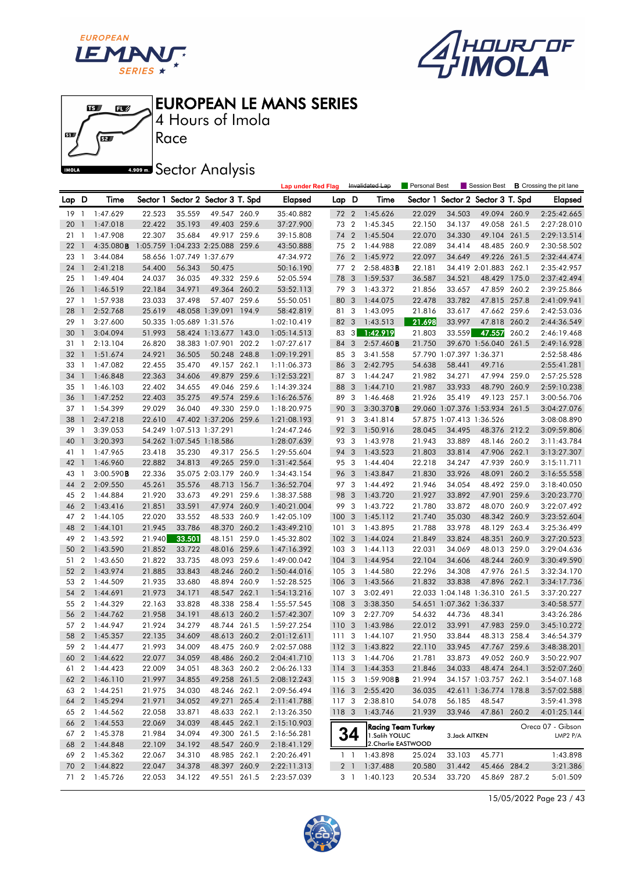





Race 4 Hours of Imola

**A.909mm** Sector Analysis

|       |                  |                          |        |                          |                                   |       | <b>Lap under Red Flag</b> |                  |                         | Invalidated Lap                      | Personal Best    |                          | Session Best                      |       | <b>B</b> Crossing the pit lane |
|-------|------------------|--------------------------|--------|--------------------------|-----------------------------------|-------|---------------------------|------------------|-------------------------|--------------------------------------|------------------|--------------------------|-----------------------------------|-------|--------------------------------|
| Lap D |                  | Time                     |        |                          | Sector 1 Sector 2 Sector 3 T. Spd |       | Elapsed                   | Lap D            |                         | Time                                 |                  |                          | Sector 1 Sector 2 Sector 3 T. Spd |       | <b>Elapsed</b>                 |
| 19    | $\overline{1}$   | 1:47.629                 | 22.523 | 35.559                   | 49.547 260.9                      |       | 35:40.882                 | 72 2             |                         | 1:45.626                             | 22.029           | 34.503                   | 49.094 260.9                      |       | 2:25:42.665                    |
| 20    | $\mathbf{1}$     | 1:47.018                 | 22.422 | 35.193                   | 49.403 259.6                      |       | 37:27.900                 | 73 2             |                         | 1:45.345                             | 22.150           | 34.137                   | 49.058 261.5                      |       | 2:27:28.010                    |
| 21    | $\overline{1}$   | 1:47.908                 | 22.307 | 35.684                   | 49.917 259.6                      |       | 39:15.808                 | 74               | $\overline{2}$          | 1:45.504                             | 22.070           | 34.330                   | 49.104 261.5                      |       | 2:29:13.514                    |
| 22    | $\mathbf{1}$     | 4:35.080B                |        |                          | 1:05.759 1:04.233 2:25.088 259.6  |       | 43:50.888                 | 75 2             |                         | 1:44.988                             | 22.089           | 34.414                   | 48.485 260.9                      |       | 2:30:58.502                    |
| 23    | $\overline{1}$   | 3:44.084                 |        |                          | 58.656 1:07.749 1:37.679          |       | 47:34.972                 | 76               | $\overline{2}$          | 1:45.972                             | 22.097           | 34.649                   | 49.226 261.5                      |       | 2:32:44.474                    |
| 24    | $\mathbf{1}$     | 2:41.218                 | 54.400 | 56.343                   | 50.475                            |       | 50:16.190                 | 77 2             |                         | 2:58.483B                            | 22.181           |                          | 34.419 2:01.883                   | 262.1 | 2:35:42.957                    |
| 25    | $\overline{1}$   | 1:49.404                 | 24.037 | 36.035                   | 49.332 259.6                      |       | 52:05.594                 | 78               | 3                       | 1:59.537                             | 36.587           | 34.521                   | 48.429 175.0                      |       | 2:37:42.494                    |
| 26    | $\overline{1}$   | 1:46.519                 | 22.184 | 34.971                   | 49.364 260.2                      |       | 53:52.113                 | 79 3             |                         | 1:43.372                             | 21.856           | 33.657                   | 47.859 260.2                      |       | 2:39:25.866                    |
| 27    | $\overline{1}$   | 1:57.938                 | 23.033 | 37.498                   | 57.407 259.6                      |       | 55:50.051                 | 80               | 3                       | 1:44.075                             | 22.478           | 33.782                   | 47.815 257.8                      |       | 2:41:09.941                    |
| 28    | $\mathbf{1}$     | 2:52.768                 | 25.619 |                          | 48.058 1:39.091 194.9             |       | 58:42.819                 | 81               | 3                       | 1:43.095                             | 21.816           | 33.617                   | 47.662 259.6                      |       | 2:42:53.036                    |
| 29    | $\mathbf{1}$     | 3:27.600                 |        |                          | 50.335 1:05.689 1:31.576          |       | 1:02:10.419               | 82               | 3                       | 1:43.513                             | 21.698           | 33.997                   | 47.818 260.2                      |       | 2:44:36.549                    |
| 30    | $\mathbf{1}$     | 3:04.094                 | 51.993 |                          | 58.424 1:13.677 143.0             |       | 1:05:14.513               | 83               | 3                       | 1:42.919                             | 21.803           | 33.559                   | 47.557                            | 260.2 | 2:46:19.468                    |
| 31    | $\overline{1}$   | 2:13.104                 | 26.820 |                          | 38.383 1:07.901 202.2             |       | 1:07:27.617               | 84               | 3                       | 2:57.460B                            | 21.750           |                          | 39.670 1:56.040 261.5             |       | 2:49:16.928                    |
| 32    | $\overline{1}$   | 1:51.674                 | 24.921 | 36.505                   | 50.248 248.8                      |       | 1:09:19.291               | 85 3             |                         | 3:41.558                             |                  | 57.790 1:07.397 1:36.371 |                                   |       | 2:52:58.486                    |
| 33    | $\overline{1}$   | 1:47.082                 | 22.455 | 35.470                   | 49.157 262.1                      |       | 1:11:06.373               | 86               | 3                       | 2:42.795                             | 54.638           | 58.441                   | 49.716                            |       | 2:55:41.281                    |
| 34    | $\mathbf{1}$     | 1:46.848                 | 22.363 | 34.606                   | 49.879 259.6                      |       | 1:12:53.221               | 87 3             |                         | 1:44.247                             | 21.982           | 34.271                   | 47.994 259.0                      |       | 2:57:25.528                    |
| 35    | $\overline{1}$   | 1:46.103                 | 22.402 | 34.655                   | 49.046 259.6                      |       | 1:14:39.324               | 88               | 3                       | 1:44.710                             | 21.987           | 33.933                   | 48.790                            | 260.9 | 2:59:10.238                    |
| 36    | $\mathbf{1}$     | 1:47.252                 | 22.403 | 35.275                   | 49.574 259.6                      |       | 1:16:26.576               | 89               | 3                       | 1:46.468                             | 21.926           | 35.419                   | 49.123 257.1                      |       | 3:00:56.706                    |
| 37    | $\overline{1}$   | 1:54.399                 | 29.029 | 36.040                   | 49.330 259.0                      |       | 1:18:20.975               | 90               | 3                       | 3:30.370B                            |                  |                          | 29.060 1:07.376 1:53.934 261.5    |       | 3:04:27.076                    |
| 38    | $\mathbf{1}$     | 2:47.218                 | 22.610 |                          | 47.402 1:37.206 259.6             |       | 1:21:08.193               | 91               | 3                       | 3:41.814                             |                  | 57.875 1:07.413 1:36.526 |                                   |       | 3:08:08.890                    |
| 39    | $\mathbf{1}$     | 3:39.053                 |        | 54.249 1:07.513 1:37.291 |                                   |       | 1:24:47.246               | 92 3             |                         | 1:50.916                             | 28.045           | 34.495                   | 48.376 212.2                      |       | 3:09:59.806                    |
| 40    | $\mathbf{1}$     | 3:20.393                 |        |                          | 54.262 1:07.545 1:18.586          |       | 1:28:07.639               | 93 3             |                         | 1:43.978                             | 21.943           | 33.889                   | 48.146 260.2                      |       | 3:11:43.784                    |
| 41 1  |                  | 1:47.965                 | 23.418 | 35.230                   | 49.317 256.5                      |       | 1:29:55.604               | 94               | 3                       | 1:43.523                             | 21.803           | 33.814                   | 47.906 262.1                      |       | 3:13:27.307                    |
| 42    | $\overline{1}$   | 1:46.960                 | 22.882 | 34.813                   | 49.265 259.0                      |       | 1:31:42.564               | 95 3             |                         | 1:44.404                             | 22.218           | 34.247                   | 47.939 260.9                      |       | 3:15:11.711                    |
| 43    | $\mathbf{1}$     | 3:00.590B                | 22.336 |                          | 35.075 2:03.179 260.9             |       | 1:34:43.154               | 96 3             |                         | 1:43.847                             | 21.830           | 33.926                   | 48.091                            | 260.2 | 3:16:55.558                    |
| 44    | $\overline{2}$   | 2:09.550                 | 45.261 | 35.576                   | 48.713 156.7                      |       | 1:36:52.704               | 97 3             |                         | 1:44.492                             | 21.946           | 34.054                   | 48.492 259.0                      |       | 3:18:40.050                    |
| 45    | $\overline{2}$   | 1:44.884                 | 21.920 | 33.673                   | 49.291 259.6                      |       | 1:38:37.588               | 98 3             |                         | 1:43.720                             | 21.927           | 33.892                   | 47.901 259.6                      |       | 3:20:23.770                    |
| 46    | $\overline{2}$   | 1:43.416                 | 21.851 | 33.591                   | 47.974 260.9                      |       | 1:40:21.004               | 99               | 3                       | 1:43.722                             | 21.780           | 33.872                   | 48.070 260.9                      |       | 3:22:07.492                    |
| 47    | $\overline{2}$   | 1:44.105                 | 22.020 | 33.552                   | 48.533 260.9                      |       | 1:42:05.109               | 100              | $\overline{\mathbf{3}}$ | 1:45.112                             | 21.740           | 35.030                   | 48.342 260.9                      |       | 3:23:52.604                    |
| 48    | $\overline{2}$   | 1:44.101                 | 21.945 | 33.786                   | 48.370 260.2                      |       | 1:43:49.210               | 101              | $_{3}$                  | 1:43.895                             | 21.788           | 33.978                   | 48.129 263.4                      |       | 3:25:36.499                    |
| 49    | 2                | 1:43.592                 | 21.940 | 33.501                   | 48.151                            | 259.0 | 1:45:32.802               | 1023             |                         | 1:44.024                             | 21.849           | 33.824                   | 48.351 260.9                      |       | 3:27:20.523                    |
| 50    | $\overline{2}$   | 1:43.590                 | 21.852 | 33.722                   | 48.016 259.6                      |       | 1:47:16.392               | 1033             |                         | 1:44.113                             | 22.031           | 34.069                   | 48.013 259.0                      |       | 3:29:04.636                    |
| 51    | $\boldsymbol{2}$ | 1:43.650                 | 21.822 | 33.735                   | 48.093 259.6                      |       | 1:49:00.042               | 104              | 3                       | 1:44.954                             | 22.104           | 34.606                   | 48.244 260.9                      |       | 3:30:49.590                    |
| 52    | $\overline{2}$   | 1:43.974                 | 21.885 | 33.843                   | 48.246 260.2                      |       | 1:50:44.016               | 1053             |                         | 1:44.580                             | 22.296           | 34.308                   | 47.976 261.5                      |       | 3:32:34.170                    |
| 53    | $\overline{2}$   | 1:44.509                 | 21.935 | 33.680                   | 48.894 260.9                      |       | 1:52:28.525               | 106 3            |                         | 1:43.566                             | 21.832           | 33.838                   | 47.896 262.1                      |       | 3:34:17.736                    |
| 54    | $\overline{2}$   | 1:44.691                 | 21.973 | 34.171                   | 48.547                            | 262.1 | 1:54:13.216               | 107              | $\mathbf{3}$            | 3:02.491                             |                  |                          | 22.033 1:04.148 1:36.310 261.5    |       | 3:37:20.227                    |
| 55    | $\overline{2}$   | 1:44.329                 | 22.163 | 33.828                   | 48.338 258.4                      |       | 1:55:57.545               | 108              | $\overline{\mathbf{3}}$ | 3:38.350                             |                  | 54.651 1:07.362 1:36.337 |                                   |       | 3:40:58.577                    |
| 56    | $\overline{2}$   | 1:44.762                 | 21.958 | 34.191                   | 48.613 260.2                      |       | 1:57:42.307               | 109              | $\mathbf{3}$            | 2:27.709                             | 54.632           | 44.736                   | 48.341                            |       | 3:43:26.286                    |
| 57    | $\overline{2}$   | 1:44.947                 | 21.924 | 34.279                   | 48.744 261.5                      |       | 1:59:27.254               | 1103             |                         | 1:43.986                             | 22.012           | 33.991                   | 47.983 259.0                      |       | 3:45:10.272                    |
| 58    |                  | 2 1:45.357               | 22.135 | 34.609                   | 48.613 260.2                      |       | 2:01:12.611               | 1113             |                         | 1:44.107                             | 21.950           | 33.844                   | 48.313 258.4                      |       | 3:46:54.379                    |
|       |                  | 59 2 1:44.477            | 21.993 | 34.009                   | 48.475 260.9                      |       | 2:02:57.088               |                  |                         | 112 3 1:43.822                       | 22.110           |                          | 33.945 47.767 259.6               |       | 3:48:38.201                    |
|       |                  | 60 2 1:44.622            | 22.077 | 34.059                   | 48.486 260.2                      |       | 2:04:41.710               |                  |                         | 113 3 1:44.706                       | 21.781           |                          | 33.873 49.052 260.9               |       | 3:50:22.907                    |
|       |                  | 61 2 1:44.423            | 22.009 | 34.051                   | 48.363 260.2                      |       | 2:06:26.133               |                  |                         | 114 3 1:44.353                       | 21.846           | 34.033                   | 48.474 264.1                      |       | 3:52:07.260                    |
|       |                  | 62 2 1:46.110            | 21.997 | 34.855                   | 49.258 261.5                      |       | 2:08:12.243               | 115 3            |                         | 1:59.908B                            | 21.994           |                          | 34.157 1:03.757 262.1             |       | 3:54:07.168                    |
|       |                  | 63 2 1:44.251            | 21.975 | 34.030                   | 48.246 262.1                      |       | 2:09:56.494               | 116 3            |                         | 2:55.420                             | 36.035           |                          | 42.611 1:36.774 178.8             |       | 3:57:02.588                    |
|       |                  | 64 2 1:45.294            | 21.971 | 34.052                   | 49.271 265.4                      |       | 2:11:41.788               | 117 <sub>3</sub> |                         | 2:38.810                             | 54.078           | 56.185                   | 48.547                            |       | 3:59:41.398                    |
|       |                  | 65 2 1:44.562            | 22.058 | 33.871                   | 48.633 262.1                      |       | 2:13:26.350               |                  |                         | 118 3 1:43.746                       | 21.939           | 33.946                   | 47.861 260.2                      |       | 4:01:25.144                    |
|       |                  | 66 2 1:44.553            | 22.069 | 34.039                   | 48.445 262.1                      |       | 2:15:10.903               |                  |                         | <b>Racing Team Turkey</b>            |                  |                          |                                   |       | Oreca 07 - Gibson              |
|       |                  | 67 2 1:45.378            | 21.984 | 34.094                   | 49.300 261.5                      |       | 2:16:56.281               |                  | 34                      | 1.Salih YOLUC<br>2. Charlie EASTWOOD |                  | 3. Jack AITKEN           |                                   |       | LMP2 P/A                       |
|       |                  | 68 2 1:44.848            | 22.109 | 34.192                   | 48.547 260.9                      |       | 2:18:41.129               |                  |                         | 1:43.898                             |                  |                          |                                   |       |                                |
| 69    |                  | 2 1:45.362<br>2 1:44.822 | 22.067 | 34.310                   | 48.985 262.1                      |       | 2:20:26.491               |                  | $1\quad1$               |                                      | 25.024<br>20.580 | 33.103                   | 45.771                            |       | 1:43.898                       |
| 70    |                  |                          | 22.047 | 34.378                   | 48.397 260.9                      |       | 2:22:11.313               |                  |                         | 2 1 1:37.488                         | 20.534           | 31.442<br>33.720         | 45.466 284.2                      |       | 3:21.386<br>5:01.509           |
|       |                  | 71 2 1:45.726            | 22.053 | 34.122                   | 49.551 261.5                      |       | 2:23:57.039               |                  | 3 1                     | 1:40.123                             |                  |                          | 45.869 287.2                      |       |                                |

15/05/2022 Page 23 / 43

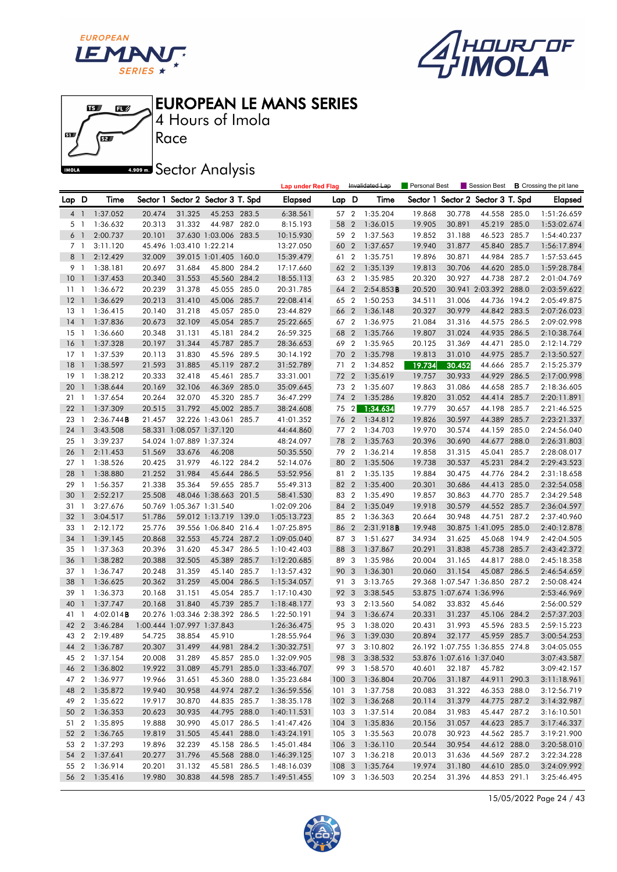





Race 4 Hours of Imola

**A.509 mm** Sector Analysis

|                 |                          |               |        |                            |                                   |       | <b>Lap under Red Flag</b> |       |                | Invalidated Lap   | Personal Best |                          | Session Best                   |       | <b>B</b> Crossing the pit lane |
|-----------------|--------------------------|---------------|--------|----------------------------|-----------------------------------|-------|---------------------------|-------|----------------|-------------------|---------------|--------------------------|--------------------------------|-------|--------------------------------|
| Lap D           |                          | Time          |        |                            | Sector 1 Sector 2 Sector 3 T. Spd |       | Elapsed                   | Lap D |                | Time              | Sector 1      |                          | Sector 2 Sector 3 T. Spd       |       | Elapsed                        |
| 4               | $\overline{1}$           | 1:37.052      | 20.474 | 31.325                     | 45.253 283.5                      |       | 6:38.561                  | 57 2  |                | 1:35.204          | 19.868        | 30.778                   | 44.558 285.0                   |       | 1:51:26.659                    |
| 5 1             |                          | 1:36.632      | 20.313 | 31.332                     | 44.987 282.0                      |       | 8:15.193                  | 58    | $\overline{2}$ | 1:36.015          | 19.905        | 30.891                   | 45.219 285.0                   |       | 1:53:02.674                    |
| 6 1             |                          | 2:00.737      | 20.101 |                            | 37.630 1:03.006 283.5             |       | 10:15.930                 | 59 2  |                | 1:37.563          | 19.852        | 31.188                   | 46.523 285.7                   |       | 1:54:40.237                    |
| 7 <sub>1</sub>  |                          | 3:11.120      |        | 45.496 1:03.410 1:22.214   |                                   |       | 13:27.050                 | 60 2  |                | 1:37.657          | 19.940        | 31.877                   | 45.840 285.7                   |       | 1:56:17.894                    |
| 8 <sup>1</sup>  |                          | 2:12.429      | 32.009 |                            | 39.015 1:01.405 160.0             |       | 15:39.479                 | 61 2  |                | 1:35.751          | 19.896        | 30.871                   | 44.984 285.7                   |       | 1:57:53.645                    |
| 9 1             |                          | 1:38.181      | 20.697 | 31.684                     | 45.800                            | 284.2 | 17:17.660                 | 62 2  |                | 1:35.139          | 19.813        | 30.706                   | 44.620 285.0                   |       | 1:59:28.784                    |
| 10 <sub>1</sub> |                          | 1:37.453      | 20.340 | 31.553                     | 45.560 284.2                      |       | 18:55.113                 | 63 2  |                | 1:35.985          | 20.320        | 30.927                   | 44.738 287.2                   |       | 2:01:04.769                    |
| 11              | $\overline{1}$           | 1:36.672      | 20.239 | 31.378                     | 45.055 285.0                      |       | 20:31.785                 | 64 2  |                | 2:54.853B         | 20.520        |                          | 30.941 2:03.392 288.0          |       | 2:03:59.622                    |
| 12              | $\overline{1}$           | 1:36.629      | 20.213 | 31.410                     | 45.006 285.7                      |       | 22:08.414                 | 65 2  |                | 1:50.253          | 34.511        | 31.006                   | 44.736 194.2                   |       | 2:05:49.875                    |
| 13              | $\mathbf{1}$             | 1:36.415      | 20.140 | 31.218                     | 45.057 285.0                      |       | 23:44.829                 | 66 2  |                | 1:36.148          | 20.327        | 30.979                   | 44.842 283.5                   |       | 2:07:26.023                    |
| 14              | $\overline{1}$           | 1:37.836      | 20.673 | 32.109                     | 45.054 285.7                      |       | 25:22.665                 | 67 2  |                | 1:36.975          | 21.084        | 31.316                   | 44.575 286.5                   |       | 2:09:02.998                    |
| 15              | $\mathbf{1}$             | 1:36.660      | 20.348 | 31.131                     | 45.181 284.2                      |       | 26:59.325                 | 68 2  |                | 1:35.766          | 19.807        | 31.024                   | 44.935 286.5                   |       | 2:10:38.764                    |
| 16              | $\overline{1}$           | 1:37.328      | 20.197 | 31.344                     | 45.787 285.7                      |       | 28:36.653                 | 69 2  |                | 1:35.965          | 20.125        | 31.369                   | 44.471                         | 285.0 | 2:12:14.729                    |
| 17              | $\overline{1}$           | 1:37.539      | 20.113 | 31.830                     | 45.596 289.5                      |       | 30:14.192                 | 70 2  |                | 1:35.798          | 19.813        | 31.010                   | 44.975 285.7                   |       | 2:13:50.527                    |
| 18              | $\mathbf{1}$             | 1:38.597      | 21.593 | 31.885                     | 45.119 287.2                      |       | 31:52.789                 | 71 2  |                | 1:34.852          | 19.734        | 30.452                   | 44.666 285.7                   |       | 2:15:25.379                    |
| 19              | $\overline{1}$           | 1:38.212      | 20.333 | 32.418                     | 45.461 285.7                      |       | 33:31.001                 | 72 2  |                | 1:35.619          | 19.757        | 30.933                   | 44.929                         | 286.5 | 2:17:00.998                    |
| 20              | $\overline{1}$           | 1:38.644      | 20.169 | 32.106                     | 46.369 285.0                      |       | 35:09.645                 | 73 2  |                | 1:35.607          | 19.863        | 31.086                   | 44.658 285.7                   |       | 2:18:36.605                    |
| 21              | $\mathbf{1}$             | 1:37.654      | 20.264 | 32.070                     | 45.320 285.7                      |       | 36:47.299                 | 74    | $\overline{2}$ | 1:35.286          | 19.820        | 31.052                   | 44.414 285.7                   |       | 2:20:11.891                    |
| 22              | $\overline{1}$           | 1:37.309      | 20.515 | 31.792                     | 45.002 285.7                      |       | 38:24.608                 | 75 2  |                | 1:34.634          | 19.779        | 30.657                   | 44.198 285.7                   |       | 2:21:46.525                    |
| 23              | $\overline{1}$           | 2:36.744B     | 21.457 |                            | 32.226 1:43.061 285.7             |       | 41:01.352                 | 76 2  |                | 1:34.812          | 19.826        | 30.597                   | 44.389                         | 285.7 | 2:23:21.337                    |
| 24              | $\overline{\phantom{a}}$ | 3:43.508      |        | 58.331 1:08.057 1:37.120   |                                   |       | 44:44.860                 | 77 2  |                | 1:34.703          | 19.970        | 30.574                   | 44.159                         | 285.0 | 2:24:56.040                    |
| 25              | $\overline{1}$           | 3:39.237      |        | 54.024 1:07.889 1:37.324   |                                   |       | 48:24.097                 | 78 2  |                | 1:35.763          | 20.396        | 30.690                   | 44.677 288.0                   |       | 2:26:31.803                    |
| 26              | -1                       | 2:11.453      | 51.569 | 33.676                     | 46.208                            |       | 50:35.550                 | 79 2  |                | 1:36.214          | 19.858        | 31.315                   | 45.041                         | 285.7 | 2:28:08.017                    |
| 27              | $\overline{1}$           | 1:38.526      | 20.425 | 31.979                     | 46.122 284.2                      |       | 52:14.076                 | 80 2  |                | 1:35.506          | 19.738        | 30.537                   | 45.231                         | 284.2 | 2:29:43.523                    |
| 28              | $\overline{\phantom{a}}$ | 1:38.880      | 21.252 | 31.984                     | 45.644 286.5                      |       | 53:52.956                 | 81 2  |                | 1:35.135          | 19.884        | 30.475                   | 44.776 284.2                   |       | 2:31:18.658                    |
| 29              | $\mathbf{1}$             | 1:56.357      | 21.338 | 35.364                     | 59.655 285.7                      |       | 55:49.313                 | 82    | $\overline{2}$ | 1:35.400          | 20.301        | 30.686                   | 44.413 285.0                   |       | 2:32:54.058                    |
| 30              | $\overline{1}$           | 2:52.217      | 25.508 |                            | 48.046 1:38.663 201.5             |       | 58:41.530                 | 83 2  |                | 1:35.490          | 19.857        | 30.863                   | 44.770 285.7                   |       | 2:34:29.548                    |
| 31              | $\overline{1}$           | 3:27.676      |        | 50.769 1:05.367 1:31.540   |                                   |       | 1:02:09.206               | 84 2  |                | 1:35.049          | 19.918        | 30.579                   | 44.552 285.7                   |       | 2:36:04.597                    |
| 32              | $\overline{1}$           | 3:04.517      | 51.786 |                            | 59.012 1:13.719                   | 139.0 | 1:05:13.723               | 85 2  |                | 1:36.363          | 20.664        | 30.948                   | 44.751                         | 287.2 | 2:37:40.960                    |
| 33              | $\mathbf{1}$             | 2:12.172      | 25.776 |                            | 39.556 1:06.840 216.4             |       | 1:07:25.895               | 86    | $\overline{2}$ | 2:31.918 <b>B</b> | 19.948        |                          | 30.875 1:41.095 285.0          |       | 2:40:12.878                    |
| 34              | $\overline{1}$           | 1:39.145      | 20.868 | 32.553                     | 45.724 287.2                      |       | 1:09:05.040               | 87 3  |                | 1:51.627          | 34.934        | 31.625                   | 45.068 194.9                   |       | 2:42:04.505                    |
| 35              | $\overline{1}$           | 1:37.363      | 20.396 | 31.620                     | 45.347 286.5                      |       | 1:10:42.403               | 88    | 3              | 1:37.867          | 20.291        | 31.838                   | 45.738 285.7                   |       | 2:43:42.372                    |
| 36              | $\mathbf{1}$             | 1:38.282      | 20.388 | 32.505                     | 45.389 285.7                      |       | 1:12:20.685               | 89 3  |                | 1:35.986          | 20.004        | 31.165                   | 44.817                         | 288.0 | 2:45:18.358                    |
| 37 1            |                          | 1:36.747      | 20.248 | 31.359                     | 45.140 285.7                      |       | 1:13:57.432               | 90    | 3              | 1:36.301          | 20.060        | 31.154                   | 45.087                         | 286.5 | 2:46:54.659                    |
| 38              | $\mathbf{1}$             | 1:36.625      | 20.362 | 31.259                     | 45.004                            | 286.5 | 1:15:34.057               | 91    | 3              | 3:13.765          |               |                          | 29.368 1:07.547 1:36.850 287.2 |       | 2:50:08.424                    |
| 39              | $\overline{1}$           | 1:36.373      | 20.168 | 31.151                     | 45.054 285.7                      |       | 1:17:10.430               | 92    | 3              | 3:38.545          |               | 53.875 1:07.674 1:36.996 |                                |       | 2:53:46.969                    |
| 40              | -1                       | 1:37.747      | 20.168 | 31.840                     | 45.739 285.7                      |       | 1:18:48.177               | 93 3  |                | 2:13.560          | 54.082        | 33.832                   | 45.646                         |       | 2:56:00.529                    |
| 41              | $\overline{1}$           | 4:02.014B     |        |                            | 20.276 1:03.346 2:38.392 286.5    |       | 1:22:50.191               | 94    | 3              | 1:36.674          | 20.331        | 31.237                   | 45.106 284.2                   |       | 2:57:37.203                    |
| 42              | $\overline{2}$           | 3:46.284      |        | 1:00.444 1:07.997 1:37.843 |                                   |       | 1:26:36.475               | 95 3  |                | 1:38.020          | 20.431        | 31.993                   | 45.596 283.5                   |       | 2:59:15.223                    |
| 43              | $\overline{2}$           | 2:19.489      | 54.725 | 38.854                     | 45.910                            |       | 1:28:55.964               | 96 3  |                | 1:39.030          | 20.894        | 32.177                   | 45.959 285.7                   |       | 3:00:54.253                    |
|                 |                          | 44 2 1:36.787 | 20.307 | 31.499                     | 44.981 284.2                      |       | 1:30:32.751               | 97 3  |                | 3:10.802          |               |                          | 26.192 1:07.755 1:36.855 274.8 |       | 3:04:05.055                    |
|                 |                          | 45 2 1:37.154 | 20.008 | 31.289                     | 45.857 285.0                      |       | 1:32:09.905               |       |                | 98 3 3:38.532     |               | 53.876 1:07.616 1:37.040 |                                |       | 3:07:43.587                    |
|                 |                          | 46 2 1:36.802 | 19.922 | 31.089                     | 45.791 285.0                      |       | 1:33:46.707               |       |                | 99 3 1:58.570     | 40.601        | 32.187                   | 45.782                         |       | 3:09:42.157                    |
|                 |                          | 47 2 1:36.977 | 19.966 | 31.651                     | 45.360 288.0                      |       | 1:35:23.684               |       |                | 100 3 1:36.804    | 20.706        | 31.187                   | 44.911 290.3                   |       | 3:11:18.961                    |
|                 |                          | 48 2 1:35.872 | 19.940 | 30.958                     | 44.974 287.2                      |       | 1:36:59.556               | 1013  |                | 1:37.758          | 20.083        | 31.322                   | 46.353 288.0                   |       | 3:12:56.719                    |
|                 |                          | 49 2 1:35.622 | 19.917 | 30.870                     | 44.835 285.7                      |       | 1:38:35.178               |       |                | 102 3 1:36.268    | 20.114        | 31.379                   | 44.775 287.2                   |       | 3:14:32.987                    |
| 50 2            |                          | 1:36.353      | 20.623 | 30.935                     | 44.795 288.0                      |       | 1:40:11.531               |       |                | 103 3 1:37.514    | 20.084        | 31.983                   | 45.447 287.2                   |       | 3:16:10.501                    |
| 51 2            |                          | 1:35.895      | 19.888 | 30.990                     | 45.017 286.5                      |       | 1:41:47.426               |       |                | 104 3 1:35.836    | 20.156        | 31.057                   | 44.623 285.7                   |       | 3:17:46.337                    |
| 52 2            |                          | 1:36.765      | 19.819 | 31.505                     | 45.441 288.0                      |       | 1:43:24.191               | 105 3 |                | 1:35.563          | 20.078        | 30.923                   | 44.562 285.7                   |       | 3:19:21.900                    |
| 53 2            |                          | 1:37.293      | 19.896 | 32.239                     | 45.158 286.5                      |       | 1:45:01.484               |       |                | 106 3 1:36.110    | 20.544        | 30.954                   | 44.612 288.0                   |       | 3:20:58.010                    |
|                 |                          | 54 2 1:37.641 | 20.277 | 31.796                     | 45.568 288.0                      |       | 1:46:39.125               |       |                | 107 3 1:36.218    | 20.013        | 31.636                   | 44.569 287.2                   |       | 3:22:34.228                    |
| 55 2            |                          | 1:36.914      | 20.201 | 31.132                     | 45.581 286.5                      |       | 1:48:16.039               |       |                | 108 3 1:35.764    | 19.974        | 31.180                   | 44.610 285.0                   |       | 3:24:09.992                    |
| 56 2            |                          | 1:35.416      | 19.980 | 30.838                     | 44.598 285.7                      |       | 1:49:51.455               |       |                | 109 3 1:36.503    | 20.254        | 31.396                   | 44.853 291.1                   |       | 3:25:46.495                    |

15/05/2022 Page 24 / 43

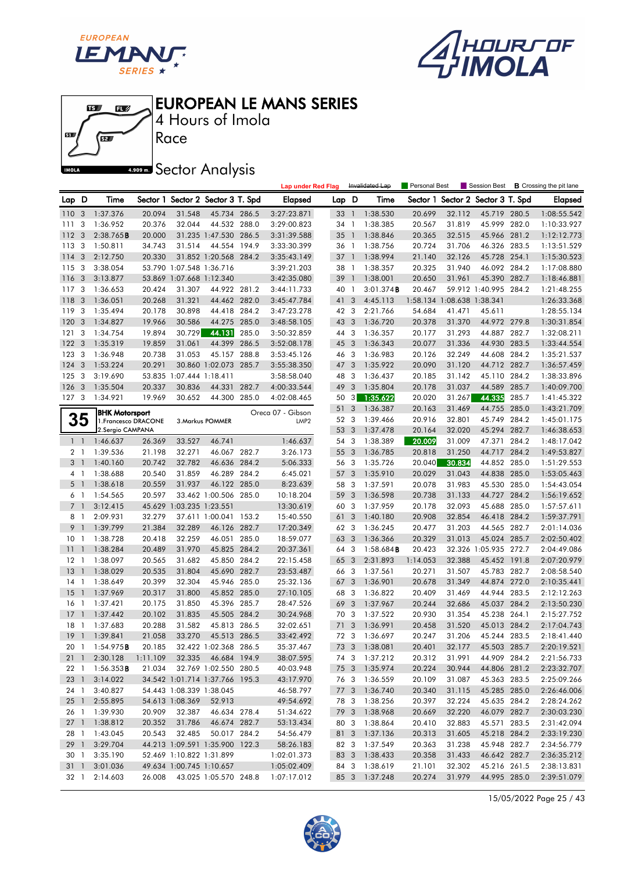





4 Hours of Imola

**A.909mm** Sector Analysis

|                |                          |                       |          |                          |                                   |       | <b>Lap under Red Flag</b> |        |                | Invalidated Lap     | Personal Best |                            | Session Best             |       | <b>B</b> Crossing the pit lane |
|----------------|--------------------------|-----------------------|----------|--------------------------|-----------------------------------|-------|---------------------------|--------|----------------|---------------------|---------------|----------------------------|--------------------------|-------|--------------------------------|
| Lap D          |                          | Time                  |          |                          | Sector 1 Sector 2 Sector 3 T. Spd |       | <b>Elapsed</b>            | Lap D  |                | Time                | Sector 1      |                            | Sector 2 Sector 3 T. Spd |       | <b>Elapsed</b>                 |
| 110            | $\overline{\mathbf{3}}$  | 1:37.376              | 20.094   | 31.548                   | 45.734 286.5                      |       | 3:27:23.871               | 33     | $\overline{1}$ | 1:38.530            | 20.699        | 32.112                     | 45.719 280.5             |       | 1:08:55.542                    |
| 111            | 3                        | 1:36.952              | 20.376   | 32.044                   | 44.532 288.0                      |       | 3:29:00.823               | 34     | $\overline{1}$ | 1:38.385            | 20.567        | 31.819                     | 45.999 282.0             |       | 1:10:33.927                    |
| 112            | 3                        | 2:38.765B             | 20.000   |                          | 31.235 1:47.530 286.5             |       | 3:31:39.588               | 35     | $\mathbf{1}$   | 1:38.846            | 20.365        | 32.515                     | 45.966 281.2             |       | 1:12:12.773                    |
| 113            | 3                        | 1:50.811              | 34.743   | 31.514                   | 44.554 194.9                      |       | 3:33:30.399               | 36 1   |                | 1:38.756            | 20.724        | 31.706                     | 46.326 283.5             |       | 1:13:51.529                    |
| 114            | 3                        | 2:12.750              | 20.330   |                          | 31.852 1:20.568                   | 284.2 | 3:35:43.149               | $37-1$ |                | 1:38.994            | 21.140        | 32.126                     | 45.728 254.1             |       | 1:15:30.523                    |
| 115            | 3                        | 3:38.054              |          | 53.790 1:07.548 1:36.716 |                                   |       | 3:39:21.203               | 38     | $\overline{1}$ | 1:38.357            | 20.325        | 31.940                     | 46.092 284.2             |       | 1:17:08.880                    |
| 116            | 3                        | 3:13.877              |          | 53.869 1:07.668 1:12.340 |                                   |       | 3:42:35.080               | 39     | $\overline{1}$ | 1:38.001            | 20.650        | 31.961                     | 45.390 282.7             |       | 1:18:46.881                    |
| 117            | 3                        | 1:36.653              | 20.424   | 31.307                   | 44.922 281.2                      |       | 3:44:11.733               | 40 1   |                | 3:01.374B           | 20.467        |                            | 59.912 1:40.995 284.2    |       | 1:21:48.255                    |
| 118            | 3                        | 1:36.051              | 20.268   | 31.321                   | 44.462 282.0                      |       | 3:45:47.784               | 41     | 3              | 4:45.113            |               | 1:58.134 1:08.638 1:38.341 |                          |       | 1:26:33.368                    |
| 119            | 3                        | 1:35.494              | 20.178   | 30.898                   | 44.418 284.2                      |       | 3:47:23.278               | 42 3   |                | 2:21.766            | 54.684        | 41.471                     | 45.611                   |       | 1:28:55.134                    |
| 120            | -3                       | 1:34.827              | 19.966   | 30.586                   | 44.275                            | 285.0 | 3:48:58.105               | 43     | 3              | 1:36.720            | 20.378        | 31.370                     | 44.972 279.8             |       | 1:30:31.854                    |
| 121            | 3                        | 1:34.754              | 19.894   | 30.729                   | 44.131                            | 285.0 | 3:50:32.859               | 44 3   |                | 1:36.357            | 20.177        | 31.293                     | 44.887 282.7             |       | 1:32:08.211                    |
| 122            | 3                        | 1:35.319              | 19.859   | 31.061                   | 44.399                            | 286.5 | 3:52:08.178               | 45     | 3              | 1:36.343            | 20.077        | 31.336                     | 44.930 283.5             |       | 1:33:44.554                    |
| 123            | 3                        | 1:36.948              | 20.738   | 31.053                   | 45.157                            | 288.8 | 3:53:45.126               | 46 3   |                | 1:36.983            | 20.126        | 32.249                     | 44.608 284.2             |       | 1:35:21.537                    |
| 124            | 3                        | 1:53.224              | 20.291   |                          | 30.860 1:02.073 285.7             |       | 3:55:38.350               | 47     | 3              | 1:35.922            | 20.090        | 31.120                     | 44.712 282.7             |       | 1:36:57.459                    |
| 125            | 3                        | 3:19.690              |          | 53.835 1:07.444 1:18.411 |                                   |       | 3:58:58.040               | 48 3   |                | 1:36.437            | 20.185        | 31.142                     | 45.110 284.2             |       | 1:38:33.896                    |
| 126            | 3                        | 1:35.504              | 20.337   | 30.836                   | 44.331                            | 282.7 | 4:00:33.544               | 49     | 3              | 1:35.804            | 20.178        | 31.037                     | 44.589                   | 285.7 | 1:40:09.700                    |
| 127            | $\mathbf{3}$             | 1:34.921              | 19.969   | 30.652                   | 44.300 285.0                      |       | 4:02:08.465               | 50     | 3              | 1:35.622            | 20.020        | 31.267                     | 44.335                   | 285.7 | 1:41:45.322                    |
|                |                          | <b>BHK Motorsport</b> |          |                          |                                   |       | Oreca 07 - Gibson         | 51     | 3              | 1:36.387            | 20.163        | 31.469                     | 44.755                   | 285.0 | 1:43:21.709                    |
|                | 35                       | 1. Francesco DRACONE  |          |                          | 3. Markus POMMER                  |       | LMP <sub>2</sub>          | 52     | 3              | 1:39.466            | 20.916        | 32.801                     | 45.749                   | 284.2 | 1:45:01.175                    |
|                |                          | 2.Sergio CAMPANA      |          |                          |                                   |       |                           | 53     | 3              | 1:37.478            | 20.164        | 32.020                     | 45.294                   | 282.7 | 1:46:38.653                    |
|                | $1\quad$                 | 1:46.637              | 26.369   | 33.527                   | 46.741                            |       | 1:46.637                  | 54 3   |                | 1:38.389            | 20.009        | 31.009                     | 47.371                   | 284.2 | 1:48:17.042                    |
|                | 2 1                      | 1:39.536              | 21.198   | 32.271                   | 46.067 282.7                      |       | 3:26.173                  | 55     | 3              | 1:36.785            | 20.818        | 31.250                     | 44.717                   | 284.2 | 1:49:53.827                    |
| 3              | $\overline{1}$           | 1:40.160              | 20.742   | 32.782                   | 46.636 284.2                      |       | 5:06.333                  | 56 3   |                | 1:35.726            | 20.040        | 30.834                     | 44.852 285.0             |       | 1:51:29.553                    |
| 4              | $\overline{1}$           | 1:38.688              | 20.540   | 31.859                   | 46.289 284.2                      |       | 6:45.021                  | 57     | 3              | 1:35.910            | 20.029        | 31.043                     | 44.838 285.0             |       | 1:53:05.463                    |
|                | $5-1$                    | 1:38.618              | 20.559   | 31.937                   | 46.122 285.0                      |       | 8:23.639                  | 58     | 3              | 1:37.591            | 20.078        | 31.983                     | 45.530 285.0             |       | 1:54:43.054                    |
|                | 6 1                      | 1:54.565              | 20.597   |                          | 33.462 1:00.506 285.0             |       | 10:18.204                 | 59     | 3              | 1:36.598            | 20.738        | 31.133                     | 44.727 284.2             |       | 1:56:19.652                    |
| $\overline{7}$ | $\mathbf{1}$             | 3:12.415              |          | 45.629 1:03.235 1:23.551 |                                   |       | 13:30.619                 | 60     | 3              | 1:37.959            | 20.178        | 32.093                     | 45.688 285.0             |       | 1:57:57.611                    |
| 8              | $\overline{\phantom{a}}$ | 2:09.931              | 32.279   |                          | 37.611 1:00.041                   | 153.2 | 15:40.550                 | 61     | 3              | 1:40.180            | 20.908        | 32.854                     | 46.418 284.2             |       | 1:59:37.791                    |
| 9              | $\overline{1}$           | 1:39.799              | 21.384   | 32.289                   | 46.126 282.7                      |       | 17:20.349                 | 62 3   |                | 1:36.245            | 20.477        | 31.203                     | 44.565 282.7             |       | 2:01:14.036                    |
| 10             | $\overline{1}$           | 1:38.728              | 20.418   | 32.259                   | 46.051 285.0                      |       | 18:59.077                 | 63 3   |                | 1:36.366            | 20.329        | 31.013                     | 45.024 285.7             |       | 2:02:50.402                    |
| 11             | $\mathbf{1}$             | 1:38.284              | 20.489   | 31.970                   | 45.825 284.2                      |       | 20:37.361                 | 64     | 3              | $1:58.684$ <b>B</b> | 20.423        |                            | 32.326 1:05.935 272.7    |       | 2:04:49.086                    |
| 12             | 1                        | 1:38.097              | 20.565   | 31.682                   | 45.850 284.2                      |       | 22:15.458                 | 65     | 3              | 2:31.893            | 1:14.053      | 32.388                     | 45.452 191.8             |       | 2:07:20.979                    |
| 13             | $\mathbf{1}$             | 1:38.029              | 20.535   | 31.804                   | 45.690 282.7                      |       | 23:53.487                 | 66     | 3              | 1:37.561            | 20.271        | 31.507                     | 45.783 282.7             |       | 2:08:58.540                    |
| 14             | $\mathbf{1}$             | 1:38.649              | 20.399   | 32.304                   | 45.946 285.0                      |       | 25:32.136                 | 67     | 3              | 1:36.901            | 20.678        | 31.349                     | 44.874 272.0             |       | 2:10:35.441                    |
| <sup>15</sup>  | $\overline{1}$           | 1:37.969              | 20.317   | 31.800                   | 45.852 285.0                      |       | 27:10.105                 | 68     | 3              | 1:36.822            | 20.409        | 31.469                     | 44.944                   | 283.5 | 2:12:12.263                    |
| 16             | 1                        | 1:37.421              | 20.175   | 31.850                   | 45.396 285.7                      |       | 28:47.526                 | 69     | 3              | 1:37.967            | 20.244        | 32.686                     | 45.037                   | 284.2 | 2:13:50.230                    |
| 17             | $\mathbf{1}$             | 1:37.442              | 20.102   | 31.835                   | 45.505 284.2                      |       | 30:24.968                 | 70 3   |                | 1:37.522            | 20.930        | 31.354                     | 45.238 264.1             |       | 2:15:27.752                    |
| 18             | $\mathbf{1}$             | 1:37.683              | 20.288   | 31.582                   | 45.813 286.5                      |       | 32:02.651                 | 71     | 3              | 1:36.991            | 20.458        | 31.520                     | 45.013 284.2             |       | 2:17:04.743                    |
| 19             |                          | $1 \quad 1:39.841$    | 21.058   | 33.270                   | 45.513 286.5                      |       | 33:42.492                 | 72 3   |                | 1:36.697            | 20.247        | 31.206                     | 45.244 283.5             |       | 2:18:41.440                    |
|                |                          | 20 1 1:54.975B        | 20.185   |                          | 32.422 1:02.368 286.5             |       | 35:37.467                 |        |                | 73 3 1:38.081       | 20.401        |                            | 32.177 45.503 285.7      |       | 2:20:19.521                    |
|                |                          | 21 1 2:30.128         | 1:11.109 | 32.335                   | 46.684 194.9                      |       | 38:07.595                 |        |                | 74 3 1:37.212       | 20.312        | 31.991                     | 44.909 284.2             |       | 2:21:56.733                    |
| 22 1           |                          | $1:56.353$ <b>B</b>   | 21.034   |                          | 32.769 1:02.550 280.5             |       | 40:03.948                 |        |                | 75 3 1:35.974       | 20.224        | 30.944                     | 44.806 281.2             |       | 2:23:32.707                    |
|                |                          | 23 1 3:14.022         |          |                          | 34.542 1:01.714 1:37.766 195.3    |       | 43:17.970                 |        |                | 76 3 1:36.559       | 20.109        | 31.087                     | 45.363 283.5             |       | 2:25:09.266                    |
| 24 1           |                          | 3:40.827              |          | 54.443 1:08.339 1:38.045 |                                   |       | 46:58.797                 |        | 773            | 1:36.740            | 20.340        | 31.115                     | 45.285 285.0             |       | 2:26:46.006                    |
|                | $25 \quad 1$             | 2:55.895              |          | 54.613 1:08.369          | 52.913                            |       | 49:54.692                 |        | 78 3           | 1:38.256            | 20.397        | 32.224                     | 45.635 284.2             |       | 2:28:24.262                    |
|                |                          | 26 1 1:39.930         | 20.909   | 32.387                   | 46.634 278.4                      |       | 51:34.622                 |        |                | 79 3 1:38.968       | 20.669        | 32.220                     | 46.079 282.7             |       | 2:30:03.230                    |
|                |                          | 27 1 1:38.812         | 20.352   | 31.786                   | 46.674 282.7                      |       | 53:13.434                 |        | 80 3           | 1:38.864            | 20.410        | 32.883                     | 45.571 283.5             |       | 2:31:42.094                    |
| 28 1           |                          | 1:43.045              | 20.543   | 32.485                   | 50.017 284.2                      |       | 54:56.479                 |        | 81 3           | 1:37.136            | 20.313        | 31.605                     | 45.218 284.2             |       | 2:33:19.230                    |
|                | 29 1                     | 3:29.704              |          |                          | 44.213 1:09.591 1:35.900 122.3    |       | 58:26.183                 |        |                | 82 3 1:37.549       | 20.363        | 31.238                     | 45.948 282.7             |       | 2:34:56.779                    |
| 30 1           |                          | 3:35.190              |          | 52.469 1:10.822 1:31.899 |                                   |       | 1:02:01.373               |        |                | 83 3 1:38.433       | 20.358        | 31.433                     | 46.642 282.7             |       | 2:36:35.212                    |
|                | $31\quad1$               | 3:01.036              |          |                          | 49.634 1:00.745 1:10.657          |       | 1:05:02.409               |        | 84 3           | 1:38.619            | 21.101        | 32.302                     | 45.216 261.5             |       | 2:38:13.831                    |
|                | 32 1                     | 2:14.603              | 26.008   |                          | 43.025 1:05.570 248.8             |       | 1:07:17.012               |        |                | 85 3 1:37.248       | 20.274        | 31.979                     | 44.995 285.0             |       | 2:39:51.079                    |

15/05/2022 Page 25 / 43

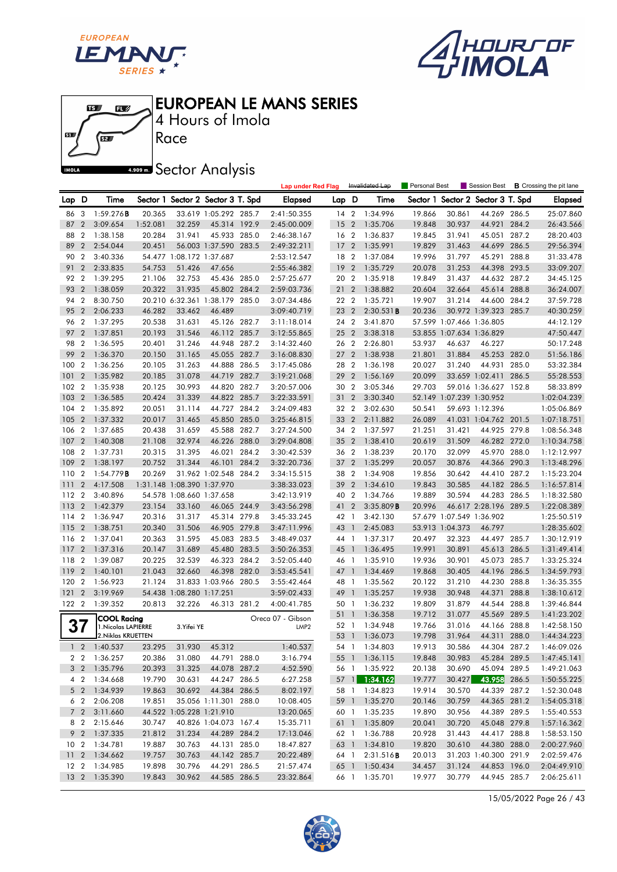





Race 4 Hours of Imola

**A.509 mm** Sector Analysis

|                 |                |                            |          |                            |                                   |       | <b>Lap under Red Flag</b> |       |                | Invalidated Lap | Personal Best |                          | Session Best             |       | <b>B</b> Crossing the pit lane |
|-----------------|----------------|----------------------------|----------|----------------------------|-----------------------------------|-------|---------------------------|-------|----------------|-----------------|---------------|--------------------------|--------------------------|-------|--------------------------------|
| Lap             | D              | Time                       |          |                            | Sector 1 Sector 2 Sector 3 T. Spd |       | <b>Elapsed</b>            | Lap D |                | Time            | Sector 1      |                          | Sector 2 Sector 3 T. Spd |       | <b>Elapsed</b>                 |
| 86              | 3              | 1:59.276B                  | 20.365   |                            | 33.619 1:05.292 285.7             |       | 2:41:50.355               | 14 2  |                | 1:34.996        | 19.866        | 30.861                   | 44.269 286.5             |       | 25:07.860                      |
| 87              | $\overline{2}$ | 3:09.654                   | 1:52.081 | 32.259                     | 45.314 192.9                      |       | 2:45:00.009               | 15    | $\overline{2}$ | 1:35.706        | 19.848        | 30.937                   | 44.921                   | 284.2 | 26:43.566                      |
| 88              | $\overline{2}$ | 1:38.158                   | 20.284   | 31.941                     | 45.933 285.0                      |       | 2:46:38.167               | 16 2  |                | 1:36.837        | 19.845        | 31.941                   | 45.051 287.2             |       | 28:20.403                      |
| 89              | $\overline{2}$ | 2:54.044                   | 20.451   |                            | 56.003 1:37.590 283.5             |       | 2:49:32.211               | 17    | $\overline{2}$ | 1:35.991        | 19.829        | 31.463                   | 44.699 286.5             |       | 29:56.394                      |
| 90              | $\overline{2}$ | 3:40.336                   |          | 54.477 1:08.172 1:37.687   |                                   |       | 2:53:12.547               | 18    | $\overline{2}$ | 1:37.084        | 19.996        | 31.797                   | 45.291                   | 288.8 | 31:33.478                      |
| 91              | $\overline{2}$ | 2:33.835                   | 54.753   | 51.426                     | 47.656                            |       | 2:55:46.382               | 19    | $\overline{2}$ | 1:35.729        | 20.078        | 31.253                   | 44.398 293.5             |       | 33:09.207                      |
| 92              | $\overline{2}$ | 1:39.295                   | 21.106   | 32.753                     | 45.436 285.0                      |       | 2:57:25.677               | 20 2  |                | 1:35.918        | 19.849        | 31.437                   | 44.632 287.2             |       | 34:45.125                      |
| 93              | $\overline{2}$ | 1:38.059                   | 20.322   | 31.935                     | 45.802 284.2                      |       | 2:59:03.736               | 21 2  |                | 1:38.882        | 20.604        | 32.664                   | 45.614 288.8             |       | 36:24.007                      |
| 94              | $\overline{2}$ | 8:30.750                   |          |                            | 20.210 6:32.361 1:38.179          | 285.0 | 3:07:34.486               | 22 2  |                | 1:35.721        | 19.907        | 31.214                   | 44.600 284.2             |       | 37:59.728                      |
| 95              | $\overline{2}$ | 2:06.233                   | 46.282   | 33.462                     | 46.489                            |       | 3:09:40.719               | 23    | $\overline{2}$ | 2:30.531B       | 20.236        |                          | 30.972 1:39.323 285.7    |       | 40:30.259                      |
| 96              | $\overline{2}$ | 1:37.295                   | 20.538   | 31.631                     | 45.126 282.7                      |       | 3:11:18.014               | 24 2  |                | 3:41.870        |               | 57.599 1:07.466 1:36.805 |                          |       | 44:12.129                      |
| 97              | $\overline{2}$ | 1:37.851                   | 20.193   | 31.546                     | 46.112 285.7                      |       | 3:12:55.865               | 25 2  |                | 3:38.318        |               | 53.855 1:07.634 1:36.829 |                          |       | 47:50.447                      |
| 98              | $\overline{2}$ | 1:36.595                   | 20.401   | 31.246                     | 44.948                            | 287.2 | 3:14:32.460               | 26 2  |                | 2:26.801        | 53.937        | 46.637                   | 46.227                   |       | 50:17.248                      |
| 99              | $\overline{2}$ | 1:36.370                   | 20.150   | 31.165                     | 45.055 282.7                      |       | 3:16:08.830               | 27    | $\overline{2}$ | 1:38.938        | 21.801        | 31.884                   | 45.253 282.0             |       | 51:56.186                      |
| 100             | $\overline{2}$ | 1:36.256                   | 20.105   | 31.263                     | 44.888 286.5                      |       | 3:17:45.086               | 28 2  |                | 1:36.198        | 20.027        | 31.240                   | 44.931 285.0             |       | 53:32.384                      |
| 101             | $\overline{2}$ | 1:35.982                   | 20.185   | 31.078                     | 44.719                            | 282.7 | 3:19:21.068               | 29 2  |                | 1:56.169        | 20.099        |                          | 33.659 1:02.411          | 286.5 | 55:28.553                      |
| 102             | $\overline{2}$ | 1:35.938                   | 20.125   | 30.993                     | 44.820 282.7                      |       | 3:20:57.006               | 30 2  |                | 3:05.346        | 29.703        |                          | 59.016 1:36.627 152.8    |       | 58:33.899                      |
| 103             | $\overline{2}$ | 1:36.585                   | 20.424   | 31.339                     | 44.822 285.7                      |       | 3:22:33.591               | 31    | $\overline{2}$ | 3:30.340        |               | 52.149 1:07.239 1:30.952 |                          |       | 1:02:04.239                    |
| 104             | $\overline{2}$ | 1:35.892                   | 20.051   | 31.114                     | 44.727 284.2                      |       | 3:24:09.483               | 32 2  |                | 3:02.630        | 50.541        |                          | 59.693 1:12.396          |       | 1:05:06.869                    |
| 105             | $\overline{2}$ | 1:37.332                   | 20.017   | 31.465                     | 45.850                            | 285.0 | 3:25:46.815               | 33 2  |                | 2:11.882        | 26.089        |                          | 41.031 1:04.762 201.5    |       | 1:07:18.751                    |
| 106             | $\overline{2}$ | 1:37.685                   | 20.438   | 31.659                     | 45.588                            | 282.7 | 3:27:24.500               | 34 2  |                | 1:37.597        | 21.251        | 31.421                   | 44.925 279.8             |       | 1:08:56.348                    |
| 107             | $\overline{2}$ | 1:40.308                   | 21.108   | 32.974                     | 46.226                            | 288.0 | 3:29:04.808               | 35 2  |                | 1:38.410        | 20.619        | 31.509                   | 46.282 272.0             |       | 1:10:34.758                    |
| 108             | $\overline{2}$ | 1:37.731                   | 20.315   | 31.395                     | 46.021                            | 284.2 | 3:30:42.539               | 36 2  |                | 1:38.239        | 20.170        | 32.099                   | 45.970 288.0             |       | 1:12:12.997                    |
| 109             | $\overline{2}$ | 1:38.197                   | 20.752   | 31.344                     | 46.101                            | 284.2 | 3:32:20.736               | 37 2  |                | 1:35.299        | 20.057        | 30.876                   | 44.366 290.3             |       | 1:13:48.296                    |
| 110             | $\overline{2}$ | 1:54.779B                  | 20.269   |                            | 31.962 1:02.548                   | 284.2 | 3:34:15.515               | 38 2  |                | 1:34.908        | 19.856        | 30.642                   | 44.410                   | 287.2 | 1:15:23.204                    |
| 111             | $\overline{2}$ | 4:17.508                   |          | 1:31.148 1:08.390 1:37.970 |                                   |       | 3:38:33.023               | 39    | $\overline{2}$ | 1:34.610        | 19.843        | 30.585                   | 44.182 286.5             |       | 1:16:57.814                    |
| 112             | $\overline{2}$ | 3:40.896                   |          | 54.578 1:08.660 1:37.658   |                                   |       | 3:42:13.919               | 40 2  |                | 1:34.766        | 19.889        | 30.594                   | 44.283 286.5             |       | 1:18:32.580                    |
| 113             | $\overline{2}$ | 1:42.379                   | 23.154   | 33.160                     | 46.065 244.9                      |       | 3:43:56.298               | 41    | $\overline{2}$ | 3:35.809B       | 20.996        |                          | 46.617 2:28.196 289.5    |       | 1:22:08.389                    |
| 114             | $\overline{2}$ | 1:36.947                   | 20.316   | 31.317                     | 45.314 279.8                      |       | 3:45:33.245               | 42 1  |                | 3:42.130        |               | 57.679 1:07.549 1:36.902 |                          |       | 1:25:50.519                    |
| 115             | $\overline{2}$ | 1:38.751                   | 20.340   | 31.506                     | 46.905 279.8                      |       | 3:47:11.996               | 43    | $\overline{1}$ | 2:45.083        |               | 53.913 1:04.373          | 46.797                   |       | 1:28:35.602                    |
| 116             | $\overline{2}$ | 1:37.041                   | 20.363   | 31.595                     | 45.083 283.5                      |       | 3:48:49.037               | 44 1  |                | 1:37.317        | 20.497        | 32.323                   | 44.497 285.7             |       | 1:30:12.919                    |
| 117             | $\overline{2}$ | 1:37.316                   | 20.147   | 31.689                     | 45.480 283.5                      |       | 3:50:26.353               | 45 1  |                | 1:36.495        | 19.991        | 30.891                   | 45.613                   | 286.5 | 1:31:49.414                    |
| 118             | $\overline{2}$ | 1:39.087                   | 20.225   | 32.539                     | 46.323                            | 284.2 | 3:52:05.440               | 46    | $\overline{1}$ | 1:35.910        | 19.936        | 30.901                   | 45.073 285.7             |       | 1:33:25.324                    |
| 119             | $\overline{2}$ | 1:40.101                   | 21.043   | 32.660                     | 46.398                            | 282.0 | 3:53:45.541               | 47    | $\mathbf{1}$   | 1:34.469        | 19.868        | 30.405                   | 44.196 286.5             |       | 1:34:59.793                    |
| 120             | $\overline{2}$ | 1:56.923                   | 21.124   |                            | 31.833 1:03.966 280.5             |       | 3:55:42.464               | 48 1  |                | 1:35.562        | 20.122        | 31.210                   | 44.230 288.8             |       | 1:36:35.355                    |
| 121             | $\overline{2}$ | 3:19.969                   |          | 54.438 1:08.280 1:17.251   |                                   |       | 3:59:02.433               | 49    | $\overline{1}$ | 1:35.257        | 19.938        | 30.948                   | 44.371                   | 288.8 | 1:38:10.612                    |
| 122 2           |                | 1:39.352                   | 20.813   | 32.226                     | 46.313 281.2                      |       | 4:00:41.785               | 50    | $\overline{1}$ | 1:36.232        | 19.809        | 31.879                   | 44.544                   | 288.8 | 1:39:46.844                    |
|                 |                | <b>COOL Racing</b>         |          |                            |                                   |       | Oreca 07 - Gibson         | 51    | $\overline{1}$ | 1:36.358        | 19.712        | 31.077                   | 45.569 289.5             |       | 1:41:23.202                    |
|                 |                | 1. Nicolas LAPIERRE        |          | 3. Yifei YE                |                                   |       | LMP <sub>2</sub>          | 52 1  |                | 1:34.948        | 19.766        | 31.016                   | 44.166 288.8             |       | 1:42:58.150                    |
|                 |                | 2. Niklas KRUETTEN         |          |                            |                                   |       |                           | 53 1  |                | 1:36.073        | 19.798        | 31.964                   | 44.311 288.0             |       | 1:44:34.223                    |
|                 |                | $1 \quad 2 \quad 1:40.537$ | 23.295   | 31.930                     | 45.312                            |       | 1:40.537                  |       |                | 54 1 1:34.803   | 19.913        | 30.586                   | 44.304 287.2             |       | 1:46:09.026                    |
|                 |                | 2 2 1:36.257               | 20.386   | 31.080                     | 44.791 288.0                      |       | 3:16.794                  |       |                | 55 1 1:36.115   | 19.848        | 30.983                   | 45.284 289.5             |       | 1:47:45.141                    |
|                 |                | 3 2 1:35.796               | 20.393   | 31.325                     | 44.078 287.2                      |       | 4:52.590                  |       |                | 56 1 1:35.922   | 20.138        | 30.690                   | 45.094 289.5             |       | 1:49:21.063                    |
|                 |                | 4 2 1:34.668               | 19.790   | 30.631                     | 44.247 286.5                      |       | 6:27.258                  |       |                | 57 1 1:34.162   | 19.777        |                          | 30.427 43.958 286.5      |       | 1:50:55.225                    |
|                 |                | 5 2 1:34.939               | 19.863   | 30.692                     | 44.384 286.5                      |       | 8:02.197                  |       |                | 58 1 1:34.823   | 19.914        | 30.570                   | 44.339 287.2             |       | 1:52:30.048                    |
|                 |                | 6 2 2:06.208               | 19.851   |                            | 35.056 1:11.301 288.0             |       | 10:08.405                 |       |                | 59 1 1:35.270   | 20.146        | 30.759                   | 44.365 281.2             |       | 1:54:05.318                    |
|                 | $7\quad2$      | 3:11.660                   |          |                            | 44.522 1:05.228 1:21.910          |       | 13:20.065                 |       |                | 60 1 1:35.235   | 19.890        | 30.956                   | 44.389 289.5             |       | 1:55:40.553                    |
|                 | 8 2            | 2:15.646                   | 30.747   |                            | 40.826 1:04.073 167.4             |       | 15:35.711                 |       |                | 61 1 1:35.809   | 20.041        | 30.720                   | 45.048 279.8             |       | 1:57:16.362                    |
|                 |                | 9 2 1:37.335               | 21.812   | 31.234                     | 44.289 284.2                      |       | 17:13.046                 |       |                | 62 1 1:36.788   | 20.928        | 31.443                   | 44.417 288.8             |       | 1:58:53.150                    |
|                 |                | 10 2 1:34.781              | 19.887   | 30.763                     | 44.131 285.0                      |       | 18:47.827                 |       |                | 63 1 1:34.810   | 19.820        | 30.610                   | 44.380 288.0             |       | 2:00:27.960                    |
|                 |                | 11 2 1:34.662              | 19.757   | 30.763                     | 44.142 285.7                      |       | 20:22.489                 |       | 64 1           | 2:31.516B       | 20.013        |                          | 31.203 1:40.300 291.9    |       | 2:02:59.476                    |
| 12 <sub>2</sub> |                | 1:34.985                   | 19.898   | 30.796                     | 44.291 286.5                      |       | 21:57.474                 |       |                | 65 1 1:50.434   | 34.457        | 31.124                   | 44.853 196.0             |       | 2:04:49.910                    |
|                 |                | 13 2 1:35.390              | 19.843   | 30.962                     | 44.585 286.5                      |       | 23:32.864                 |       |                | 66 1 1:35.701   | 19.977        | 30.779                   | 44.945 285.7             |       | 2:06:25.611                    |

15/05/2022 Page 26 / 43

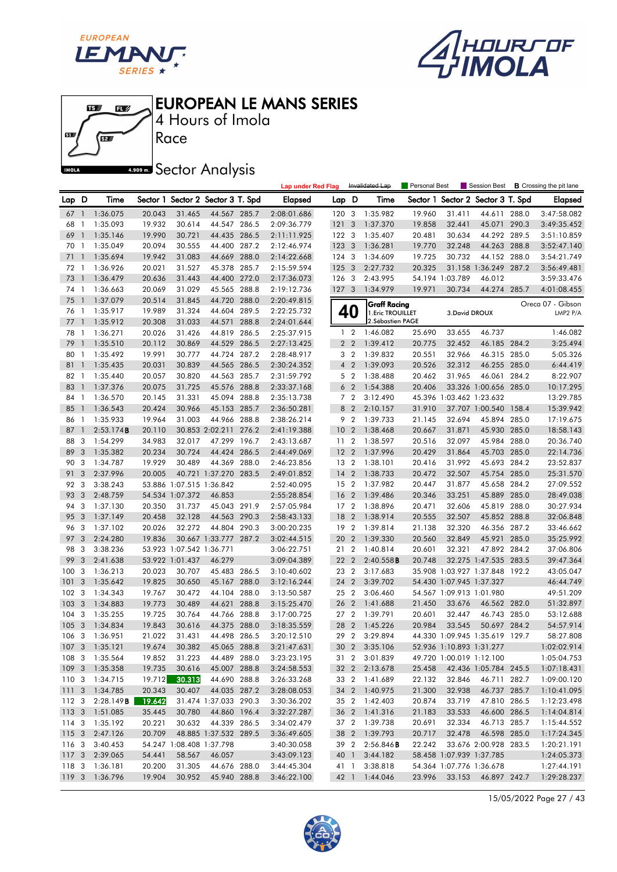





4 Hours of Imola

**A.509 mm** Sector Analysis

|               |                              |                            |                  |                          |                                   |       | <b>Lap under Red Flag</b>  |                  |                | Invalidated Lap                | Personal Best    |                          | Session Best                                   |       | <b>B</b> Crossing the pit lane |
|---------------|------------------------------|----------------------------|------------------|--------------------------|-----------------------------------|-------|----------------------------|------------------|----------------|--------------------------------|------------------|--------------------------|------------------------------------------------|-------|--------------------------------|
| Lap D         |                              | Time                       |                  |                          | Sector 1 Sector 2 Sector 3 T. Spd |       | Elapsed                    | Lap D            |                | Time                           |                  |                          | Sector 1 Sector 2 Sector 3 T. Spd              |       | <b>Elapsed</b>                 |
| 67            | $\overline{1}$               | 1:36.075                   | 20.043           | 31.465                   | 44.567 285.7                      |       | 2:08:01.686                | 120 3            |                | 1:35.982                       | 19.960           | 31.411                   | 44.611 288.0                                   |       | 3:47:58.082                    |
| 68            | -1                           | 1:35.093                   | 19.932           | 30.614                   | 44.547 286.5                      |       | 2:09:36.779                | 121              | 3              | 1:37.370                       | 19.858           | 32.441                   | 45.071 290.3                                   |       | 3:49:35.452                    |
| 69            | $\mathbf{1}$                 | 1:35.146                   | 19.990           | 30.721                   | 44.435 286.5                      |       | 2:11:11.925                | $122 - 3$        |                | 1:35.407                       | 20.481           | 30.634                   | 44.292 289.5                                   |       | 3:51:10.859                    |
| 70            | $\mathbf{1}$                 | 1:35.049                   | 20.094           | 30.555                   | 44.400 287.2                      |       | 2:12:46.974                | 1233             |                | 1:36.281                       | 19.770           | 32.248                   | 44.263 288.8                                   |       | 3:52:47.140                    |
| 71            | $\mathbf{1}$                 | 1:35.694                   | 19.942           | 31.083                   | 44.669 288.0                      |       | 2:14:22.668                | 124 3            |                | 1:34.609                       | 19.725           | 30.732                   | 44.152 288.0                                   |       | 3:54:21.749                    |
| 72            | $\mathbf{1}$                 | 1:36.926                   | 20.021           | 31.527                   | 45.378 285.7                      |       | 2:15:59.594                | 1253             |                | 2:27.732                       | 20.325           |                          | 31.158 1:36.249 287.2                          |       | 3:56:49.481                    |
| 73            | $\overline{1}$               | 1:36.479                   | 20.636           | 31.443                   | 44.400 272.0                      |       | 2:17:36.073                | 126 3            |                | 2:43.995                       |                  | 54.194 1:03.789          | 46.012                                         |       | 3:59:33.476                    |
| 74            | $\mathbf{1}$                 | 1:36.663                   | 20.069           | 31.029                   | 45.565 288.8                      |       | 2:19:12.736                | 127 <sub>3</sub> |                | 1:34.979                       | 19.971           | 30.734                   | 44.274 285.7                                   |       | 4:01:08.455                    |
| 75            | $\mathbf{1}$                 | 1:37.079                   | 20.514           | 31.845                   | 44.720 288.0                      |       | 2:20:49.815                |                  |                | <b>Graff Racing</b>            |                  |                          |                                                |       | Oreca 07 - Gibson              |
| 76            | 1                            | 1:35.917                   | 19.989           | 31.324                   | 44.604 289.5                      |       | 2:22:25.732                |                  | 40             | 1. Eric TROUILLET              |                  | 3. David DROUX           |                                                |       | LMP <sub>2</sub> $P/A$         |
| 77            | $\mathbf{1}$                 | 1:35.912                   | 20.308           | 31.033                   | 44.571                            | 288.8 | 2:24:01.644                |                  |                | 2. Sébastien PAGE              |                  |                          |                                                |       |                                |
| 78            | $\mathbf{1}$                 | 1:36.271                   | 20.026           | 31.426                   | 44.819                            | 286.5 | 2:25:37.915                |                  | 1 <sub>2</sub> | 1:46.082                       | 25.690           | 33.655                   | 46.737                                         |       | 1:46.082                       |
| 79            | $\overline{1}$               | 1:35.510                   | 20.112           | 30.869                   | 44.529                            | 286.5 | 2:27:13.425                |                  | 2 <sub>2</sub> | 1:39.412                       | 20.775           | 32.452                   | 46.185 284.2                                   |       | 3:25.494                       |
| 80            | 1                            | 1:35.492                   | 19.991           | 30.777                   | 44.724                            | 287.2 | 2:28:48.917                |                  | 3 <sub>2</sub> | 1:39.832                       | 20.551           | 32.966                   | 46.315 285.0                                   |       | 5:05.326                       |
| 81            | $\overline{1}$               | 1:35.435                   | 20.031           | 30.839                   | 44.565 286.5                      |       | 2:30:24.352                |                  | 4 <sup>2</sup> | 1:39.093                       | 20.526           | 32.312                   | 46.255 285.0                                   |       | 6:44.419                       |
| 82            | -1                           | 1:35.440                   | 20.057           | 30.820                   | 44.563 285.7                      |       | 2:31:59.792                |                  | 5 <sub>2</sub> | 1:38.488                       | 20.462           | 31.965                   | 46.061                                         | 284.2 | 8:22.907                       |
| 83            | $\mathbf{1}$                 | 1:37.376                   | 20.075           | 31.725                   | 45.576 288.8                      |       | 2:33:37.168                |                  | 6 <sub>2</sub> | 1:54.388                       | 20.406           |                          | 33.326 1:00.656 285.0                          |       | 10:17.295                      |
| 84            | 1                            | 1:36.570                   | 20.145           | 31.331                   | 45.094 288.8                      |       | 2:35:13.738                |                  | 7 <sub>2</sub> | 3:12.490                       |                  | 45.396 1:03.462 1:23.632 |                                                |       | 13:29.785                      |
| 85            | $\mathbf{1}$                 | 1:36.543                   | 20.424           | 30.966                   | 45.153 285.7                      |       | 2:36:50.281                | 8                | $\overline{2}$ | 2:10.157                       | 31.910           |                          | 37.707 1:00.540 158.4                          |       | 15:39.942                      |
| 86            | $\overline{1}$               | 1:35.933                   | 19.964           | 31.003                   | 44.966 288.8                      |       | 2:38:26.214                |                  | 9 <sub>2</sub> | 1:39.733                       | 21.145           | 32.694                   | 45.894 285.0                                   |       | 17:19.675                      |
| 87            | $\mathbf{1}$                 | 2:53.174B                  | 20.110           |                          | 30.853 2:02.211                   | 276.2 | 2:41:19.388                | 10               | $\overline{2}$ | 1:38.468                       | 20.667           | 31.871                   | 45.930 285.0                                   |       | 18:58.143                      |
| 88            | 3                            | 1:54.299                   | 34.983           | 32.017                   | 47.299 196.7                      |       | 2:43:13.687                | 11 <sub>2</sub>  |                | 1:38.597                       | 20.516           | 32.097                   | 45.984 288.0                                   |       | 20:36.740                      |
| 89            | 3                            | 1:35.382                   | 20.234           | 30.724                   | 44.424                            | 286.5 | 2:44:49.069                | 12 <sub>2</sub>  |                | 1:37.996                       | 20.429           | 31.864                   | 45.703 285.0                                   |       | 22:14.736                      |
| 90            | 3                            | 1:34.787                   | 19.929           | 30.489                   | 44.369 288.0                      |       | 2:46:23.856                | 13 2             |                | 1:38.101                       | 20.416           | 31.992                   | 45.693 284.2                                   |       | 23:52.837                      |
| 91            | 3                            | 2:37.996                   | 20.005           |                          | 40.721 1:37.270 283.5             |       | 2:49:01.852                | 14               | $\overline{2}$ | 1:38.733                       | 20.472           | 32.507                   | 45.754 285.0                                   |       | 25:31.570                      |
| 92            | -3                           | 3:38.243                   |                  | 53.886 1:07.515 1:36.842 |                                   |       | 2:52:40.095                | 15 <sub>2</sub>  |                | 1:37.982                       | 20.447           | 31.877                   | 45.658 284.2                                   |       | 27:09.552                      |
| 93            | 3                            | 2:48.759                   |                  | 54.534 1:07.372          | 46.853                            |       | 2:55:28.854                | 16               | $\overline{2}$ | 1:39.486                       | 20.346           | 33.251                   | 45.889 285.0                                   |       | 28:49.038                      |
| 94            | 3                            | 1:37.130                   | 20.350           | 31.737                   | 45.043 291.9                      |       | 2:57:05.984                | 17 <sub>2</sub>  |                | 1:38.896                       | 20.471           | 32.606                   | 45.819 288.0                                   |       | 30:27.934                      |
| 95            | 3                            | 1:37.149                   | 20.458           | 32.128                   | 44.563 290.3                      |       | 2:58:43.133                | 18               | $\overline{2}$ | 1:38.914                       | 20.555           | 32.507                   | 45.852 288.8                                   |       | 32:06.848                      |
| 96            | - 3                          | 1:37.102                   | 20.026           | 32.272                   | 44.804 290.3                      |       | 3:00:20.235                | 19 <sup>2</sup>  |                | 1:39.814                       | 21.138           | 32.320                   | 46.356 287.2                                   |       | 33:46.662                      |
| 97            | 3                            | 2:24.280                   | 19.836           |                          | 30.667 1:33.777 287.2             |       | 3:02:44.515                | 20 2             |                | 1:39.330                       | 20.560           | 32.849                   | 45.921 285.0                                   |       | 35:25.992                      |
| 98            | 3                            | 3:38.236                   |                  | 53.923 1:07.542 1:36.771 |                                   |       | 3:06:22.751                | 21 2             |                | 1:40.814                       | 20.601           | 32.321                   | 47.892 284.2                                   |       | 37:06.806                      |
| 99            | 3                            | 2:41.638                   |                  | 53.922 1:01.437          | 46.279                            |       | 3:09:04.389                | 22               | $\overline{2}$ | 2:40.558B                      | 20.748           |                          | 32.275 1:47.535 283.5                          |       | 39:47.364                      |
| 100           | -3                           | 1:36.213                   | 20.023           | 30.707                   | 45.483 286.5                      |       | 3:10:40.602                | 23 2             |                | 3:17.683                       |                  |                          | 35.908 1:03.927 1:37.848 192.2                 |       | 43:05.047                      |
| 101           | 3                            | 1:35.642                   | 19.825           | 30.650                   | 45.167                            | 288.0 | 3:12:16.244                | 24               | $\overline{2}$ | 3:39.702                       |                  | 54.430 1:07.945 1:37.327 |                                                |       | 46:44.749                      |
| 102           | 3                            | 1:34.343                   | 19.767           | 30.472                   | 44.104 288.0                      |       | 3:13:50.587                | 25 2             |                | 3:06.460                       |                  | 54.567 1:09.913 1:01.980 |                                                |       | 49:51.209                      |
| 103           | 3                            | 1:34.883                   | 19.773           | 30.489                   | 44.621                            | 288.8 | 3:15:25.470                | 26               | $\overline{2}$ | 1:41.688<br>1:39.791           | 21.450           | 33.676                   | 46.562 282.0                                   |       | 51:32.897                      |
| 104           | -3                           | 1:35.255                   | 19.725           | 30.764                   | 44.766 288.8                      |       | 3:17:00.725                | 27 <sub>2</sub>  |                |                                | 20.601           | 32.447                   | 46.743 285.0                                   |       | 53:12.688                      |
| 105           | $\mathbf{3}$<br>$\mathbf{3}$ | 1:34.834<br>1:36.951       | 19.843<br>21.022 | 30.616<br>31.431         | 44.375 288.0<br>44.498 286.5      |       | 3:18:35.559<br>3:20:12.510 | 28 2<br>29       | $\overline{2}$ | 1:45.226<br>3:29.894           | 20.984           | 33.545                   | 50.697 284.2<br>44.330 1:09.945 1:35.619 129.7 |       | 54:57.914<br>58:27.808         |
| 106           |                              |                            |                  |                          | 45.065 288.8                      |       |                            |                  |                |                                |                  |                          |                                                |       |                                |
|               |                              | 107 3 1:35.121             | 19.674           | 30.382                   |                                   |       | 3:21:47.631                |                  |                | 30 2 3:35.106                  |                  | 52.936 1:10.893 1:31.277 |                                                |       | 1:02:02.914                    |
|               |                              | 108 3 1:35.564             | 19.852<br>19.735 | 31.223                   | 44.489 288.0<br>45.007 288.8      |       | 3:23:23.195                |                  |                | 31 2 3:01.839<br>32 2 2:13.678 |                  | 49.720 1:00.019 1:12.100 |                                                |       | 1:05:04.753                    |
|               |                              | 109 3 1:35.358<br>1:34.715 | 19.712           | 30.616<br>30.313         | 44.690 288.8                      |       | 3:24:58.553                |                  |                |                                | 25.458<br>22.132 |                          | 42.436 1:05.784 245.5<br>46.711 282.7          |       | 1:07:18.431                    |
| 110 3<br>1113 |                              | 1:34.785                   | 20.343           | 30.407                   | 44.035 287.2                      |       | 3:26:33.268                |                  |                | 33 2 1:41.689<br>34 2 1:40.975 | 21.300           | 32.846<br>32.938         | 46.737 285.7                                   |       | 1:09:00.120                    |
| 112 3         |                              | 2:28.149B                  | 19.642           |                          | 31.474 1:37.033 290.3             |       | 3:28:08.053<br>3:30:36.202 |                  |                | 35 2 1:42.403                  | 20.874           | 33.719                   | 47.810 286.5                                   |       | 1:10:41.095<br>1:12:23.498     |
| 1133          |                              | 1:51.085                   | 35.445           | 30.780                   | 44.860 196.4                      |       | 3:32:27.287                |                  |                | 36 2 1:41.316                  | 21.183           | 33.533                   | 46.600 286.5                                   |       | 1:14:04.814                    |
| 114 3         |                              | 1:35.192                   | 20.221           | 30.632                   | 44.339 286.5                      |       | 3:34:02.479                |                  |                | 37 2 1:39.738                  | 20.691           | 32.334                   | 46.713 285.7                                   |       | 1:15:44.552                    |
| 1153          |                              | 2:47.126                   | 20.709           |                          | 48.885 1:37.532 289.5             |       | 3:36:49.605                |                  |                | 38 2 1:39.793                  | 20.717           | 32.478                   | 46.598 285.0                                   |       | 1:17:24.345                    |
| 116 3         |                              | 3:40.453                   |                  | 54.247 1:08.408 1:37.798 |                                   |       | 3:40:30.058                |                  | 39 2           | $2:56.846$ <b>B</b>            | 22.242           |                          | 33.676 2:00.928 283.5                          |       | 1:20:21.191                    |
| 1173          |                              | 2:39.065                   | 54.441           | 58.567                   | 46.057                            |       | 3:43:09.123                |                  |                | 40 1 3:44.182                  |                  |                          | 58.458 1:07.939 1:37.785                       |       | 1:24:05.373                    |
| 118 3         |                              | 1:36.181                   | 20.200           | 31.305                   | 44.676 288.0                      |       | 3:44:45.304                |                  | 41 1           | 3:38.818                       |                  |                          | 54.364 1:07.776 1:36.678                       |       | 1:27:44.191                    |
| 119 3         |                              | 1:36.796                   | 19.904           | 30.952                   | 45.940 288.8                      |       | 3:46:22.100                |                  |                | 42 1 1:44.046                  | 23.996           |                          | 33.153 46.897 242.7                            |       | 1:29:28.237                    |
|               |                              |                            |                  |                          |                                   |       |                            |                  |                |                                |                  |                          |                                                |       |                                |

15/05/2022 Page 27 / 43

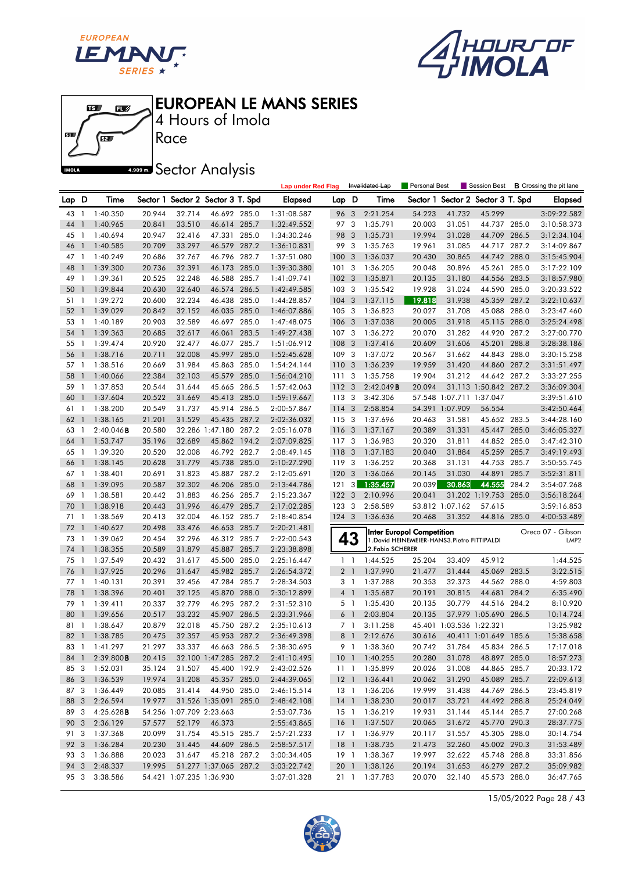





4 Hours of Imola

**A.509 mm** Sector Analysis

|      |                          |                        |        |                          |                                   |       | <b>Lap under Red Flag</b> |                  |                | Invalidated Lap  | Personal Best                                |                          | Session Best                      |       | <b>B</b> Crossing the pit lane |
|------|--------------------------|------------------------|--------|--------------------------|-----------------------------------|-------|---------------------------|------------------|----------------|------------------|----------------------------------------------|--------------------------|-----------------------------------|-------|--------------------------------|
| Lap  | D                        | Time                   |        |                          | Sector 1 Sector 2 Sector 3 T. Spd |       | <b>Elapsed</b>            | Lap D            |                | Time             |                                              |                          | Sector 1 Sector 2 Sector 3 T. Spd |       | <b>Elapsed</b>                 |
| 43   | $\mathbf{1}$             | 1:40.350               | 20.944 | 32.714                   | 46.692 285.0                      |       | 1:31:08.587               | 96               | 3              | 2:21.254         | 54.223                                       | 41.732                   | 45.299                            |       | 3:09:22.582                    |
| 44   | $\mathbf{1}$             | 1:40.965               | 20.841 | 33.510                   | 46.614 285.7                      |       | 1:32:49.552               | 97 3             |                | 1:35.791         | 20.003                                       | 31.051                   | 44.737 285.0                      |       | 3:10:58.373                    |
| 45   | -1                       | 1:40.694               | 20.947 | 32.416                   | 47.331 285.0                      |       | 1:34:30.246               | 98               | 3              | 1:35.731         | 19.994                                       | 31.028                   | 44.709 286.5                      |       | 3:12:34.104                    |
| 46   | $\overline{1}$           | 1:40.585               | 20.709 | 33.297                   | 46.579 287.2                      |       | 1:36:10.831               | 99 3             |                | 1:35.763         | 19.961                                       | 31.085                   | 44.717 287.2                      |       | 3:14:09.867                    |
| 47   | -1                       | 1:40.249               | 20.686 | 32.767                   | 46.796 282.7                      |       | 1:37:51.080               | 100              | 3              | 1:36.037         | 20.430                                       | 30.865                   | 44.742 288.0                      |       | 3:15:45.904                    |
| 48   | $\mathbf{1}$             | 1:39.300               | 20.736 | 32.391                   | 46.173 285.0                      |       | 1:39:30.380               | 101              | 3              | 1:36.205         | 20.048                                       | 30.896                   | 45.261                            | 285.0 | 3:17:22.109                    |
| 49   | $\mathbf{1}$             | 1:39.361               | 20.525 | 32.248                   | 46.588 285.7                      |       | 1:41:09.741               | 102 <sub>3</sub> |                | 1:35.871         | 20.135                                       | 31.180                   | 44.556 283.5                      |       | 3:18:57.980                    |
| 50   | $\mathbf{1}$             | 1:39.844               | 20.630 | 32.640                   | 46.574                            | 286.5 | 1:42:49.585               | 103 <sub>3</sub> |                | 1:35.542         | 19.928                                       | 31.024                   | 44.590 285.0                      |       | 3:20:33.522                    |
| 51   | $\overline{1}$           | 1:39.272               | 20.600 | 32.234                   | 46.438 285.0                      |       | 1:44:28.857               | 104              | 3              | 1:37.115         | 19.818                                       | 31.938                   | 45.359                            | 287.2 | 3:22:10.637                    |
| 52   | $\mathbf{1}$             | 1:39.029               | 20.842 | 32.152                   | 46.035 285.0                      |       | 1:46:07.886               | 1053             |                | 1:36.823         | 20.027                                       | 31.708                   | 45.088                            | 288.0 | 3:23:47.460                    |
| 53   | $\mathbf{1}$             | 1:40.189               | 20.903 | 32.589                   | 46.697 285.0                      |       | 1:47:48.075               | 106              | 3              | 1:37.038         | 20.005                                       | 31.918                   | 45.115 288.0                      |       | 3:25:24.498                    |
| 54   | $\overline{\phantom{a}}$ | 1:39.363               | 20.685 | 32.617                   | 46.061                            | 283.5 | 1:49:27.438               | 107              | $\mathbf{3}$   | 1:36.272         | 20.070                                       | 31.282                   | 44.920 287.2                      |       | 3:27:00.770                    |
| 55   | $\mathbf{1}$             | 1:39.474               | 20.920 | 32.477                   | 46.077                            | 285.7 | 1:51:06.912               | 108              | 3              | 1:37.416         | 20.609                                       | 31.606                   | 45.201                            | 288.8 | 3:28:38.186                    |
| 56   | $\overline{\phantom{a}}$ | 1:38.716               | 20.711 | 32.008                   | 45.997 285.0                      |       | 1:52:45.628               | 109              | $\mathbf{3}$   | 1:37.072         | 20.567                                       | 31.662                   | 44.843                            | 288.0 | 3:30:15.258                    |
| 57 1 |                          | 1:38.516               | 20.669 | 31.984                   | 45.863 285.0                      |       | 1:54:24.144               | 110              | -3             | 1:36.239         | 19.959                                       | 31.420                   | 44.860 287.2                      |       | 3:31:51.497                    |
| 58   | $\mathbf{1}$             | 1:40.066               | 22.384 | 32.103                   | 45.579 285.0                      |       | 1:56:04.210               | 111              | -3             | 1:35.758         | 19.904                                       | 31.212                   | 44.642 287.2                      |       | 3:33:27.255                    |
| 59   | $\mathbf{1}$             | 1:37.853               | 20.544 | 31.644                   | 45.665                            | 286.5 | 1:57:42.063               | 112 3            |                | 2:42.049B        | 20.094                                       |                          | 31.113 1:50.842 287.2             |       | 3:36:09.304                    |
| 60   | -1                       | 1:37.604               | 20.522 | 31.669                   | 45.413 285.0                      |       | 1:59:19.667               | 113 3            |                | 3:42.306         |                                              | 57.548 1:07.711 1:37.047 |                                   |       | 3:39:51.610                    |
| 61   | -1                       | 1:38.200               | 20.549 | 31.737                   | 45.914 286.5                      |       | 2:00:57.867               | 114              | 3              | 2:58.854         |                                              | 54.391 1:07.909          | 56.554                            |       | 3:42:50.464                    |
| 62   | $\mathbf{1}$             | 1:38.165               | 21.201 | 31.529                   | 45.435 287.2                      |       | 2:02:36.032               | 115 <sub>3</sub> |                | 1:37.696         | 20.463                                       | 31.581                   | 45.652 283.5                      |       | 3:44:28.160                    |
| 63   | $\mathbf{1}$             | $2:40.046$ <b>B</b>    | 20.580 |                          | 32.286 1:47.180                   | 287.2 | 2:05:16.078               | 116 3            |                | 1:37.167         | 20.389                                       | 31.331                   | 45.447                            | 285.0 | 3:46:05.327                    |
| 64   |                          | 1:53.747               | 35.196 | 32.689                   | 45.862 194.2                      |       | 2:07:09.825               | 117 3            |                | 1:36.983         | 20.320                                       | 31.811                   | 44.852 285.0                      |       | 3:47:42.310                    |
| 65   | - 1                      | 1:39.320               | 20.520 | 32.008                   | 46.792 282.7                      |       | 2:08:49.145               | 118              | $\overline{3}$ | 1:37.183         | 20.040                                       | 31.884                   | 45.259                            | 285.7 | 3:49:19.493                    |
| 66   | $\mathbf{1}$             | 1:38.145               | 20.628 | 31.779                   | 45.738 285.0                      |       | 2:10:27.290               | 119              | $\mathbf{3}$   | 1:36.252         | 20.368                                       | 31.131                   | 44.753 285.7                      |       | 3:50:55.745                    |
| 67   | $\overline{1}$           | 1:38.401               | 20.691 | 31.823                   | 45.887 287.2                      |       | 2:12:05.691               | 120              | 3              | 1:36.066         | 20.145                                       | 31.030                   | 44.891                            | 285.7 | 3:52:31.811                    |
| 68   |                          | 1:39.095               | 20.587 | 32.302                   | 46.206 285.0                      |       | 2:13:44.786               | 121              | 3              | 1:35.457         | 20.039                                       | 30.863                   | 44.555                            | 284.2 | 3:54:07.268                    |
| 69   | - 1                      | 1:38.581               | 20.442 | 31.883                   | 46.256 285.7                      |       | 2:15:23.367               | 122              | 3              | 2:10.996         | 20.041                                       |                          | 31.202 1:19.753                   | 285.0 | 3:56:18.264                    |
| 70   | $\overline{1}$           | 1:38.918               | 20.443 | 31.996                   | 46.479                            | 285.7 | 2:17:02.285               | 123.3            |                | 2:58.589         |                                              | 53.812 1:07.162          | 57.615                            |       | 3:59:16.853                    |
| 71   | $\overline{1}$           | 1:38.569               | 20.413 | 32.004                   | 46.152                            | 285.7 | 2:18:40.854               | $124 - 3$        |                | 1:36.636         | 20.468                                       | 31.352                   | 44.816 285.0                      |       | 4:00:53.489                    |
| 72   | $\mathbf{1}$             | 1:40.627               | 20.498 | 33.476                   | 46.653 285.7                      |       | 2:20:21.481               |                  |                |                  | Inter Europol Competition                    |                          |                                   |       | Oreca 07 - Gibson              |
| 73   | -1                       | 1:39.062               | 20.454 | 32.296                   | 46.312 285.7                      |       | 2:22:00.543               |                  | 43             |                  | 1. David HEINEMEIER-HANS3. Pietro FITTIPALDI |                          |                                   |       | LMP <sub>2</sub>               |
| 74   | $\overline{1}$           | 1:38.355               | 20.589 | 31.879                   | 45.887                            | 285.7 | 2:23:38.898               |                  |                | 2. Fabio SCHERER |                                              |                          |                                   |       |                                |
| 75   | -1                       | 1:37.549               | 20.432 | 31.617                   | 45.500                            | 285.0 | 2:25:16.447               |                  | $1\quad$       | 1:44.525         | 25.204                                       | 33.409                   | 45.912                            |       | 1:44.525                       |
| 76   | $\mathbf{1}$             | 1:37.925               | 20.296 | 31.647                   | 45.982 285.7                      |       | 2:26:54.372               |                  | 2 <sub>1</sub> | 1:37.990         | 21.477                                       | 31.444                   | 45.069 283.5                      |       | 3:22.515                       |
| 77   | $\mathbf{1}$             | 1:40.131               | 20.391 | 32.456                   | 47.284                            | 285.7 | 2:28:34.503               |                  | 3 1            | 1:37.288         | 20.353                                       | 32.373                   | 44.562 288.0                      |       | 4:59.803                       |
| 78   | $\mathbf{1}$             | 1:38.396               | 20.401 | 32.125                   | 45.870 288.0                      |       | 2:30:12.899               |                  | 4 <sup>1</sup> | 1:35.687         | 20.191                                       | 30.815                   | 44.681                            | 284.2 | 6:35.490                       |
| 79   | -1                       | 1:39.411               | 20.337 | 32.779                   | 46.295 287.2                      |       | 2:31:52.310               |                  | 5 1            | 1:35.430         | 20.135                                       | 30.779                   | 44.516 284.2                      |       | 8:10.920                       |
| 80   | $\mathbf{1}$             | 1:39.656               | 20.517 | 33.232                   | 45.907 286.5                      |       | 2:33:31.966               |                  | 6 1            | 2:03.804         | 20.135                                       |                          | 37.979 1:05.690 286.5             |       | 10:14.724                      |
| 81   | $\mathbf{1}$             | 1:38.647               | 20.879 | 32.018                   | 45.750                            | 287.2 | 2:35:10.613               | 7 <sup>1</sup>   |                | 3:11.258         | 45.401                                       | 1:03.536 1:22.321        |                                   |       | 13:25.982                      |
| 82 1 |                          | 1:38.785               | 20.475 | 32.357                   | 45.953 287.2                      |       | 2:36:49.398               |                  | 8 <sup>1</sup> | 2:12.676         | 30.616                                       |                          | 40.411 1:01.649 185.6             |       | 15:38.658                      |
|      |                          | 83 1 1:41.297          | 21.297 | 33.337                   | 46.663 286.5                      |       | 2:38:30.695               |                  | 9 1            | 1:38.360         | 20.742                                       |                          | 31.784 45.834 286.5               |       | 17:17.018                      |
|      |                          | 84 1 2:39.800 <b>B</b> | 20.415 |                          | 32.100 1:47.285 287.2             |       | 2:41:10.495               |                  |                | 10 1 1:40.255    | 20.280                                       | 31.078                   | 48.897 285.0                      |       | 18:57.273                      |
| 85 3 |                          | 1:52.031               | 35.124 | 31.507                   | 45.400 192.9                      |       | 2:43:02.526               |                  |                | 11 1 1:35.899    | 20.026                                       | 31.008                   | 44.865 285.7                      |       | 20:33.172                      |
| 86 3 |                          | 1:36.539               | 19.974 | 31.208                   | 45.357 285.0                      |       | 2:44:39.065               |                  |                | 12 1 1:36.441    | 20.062                                       | 31.290                   | 45.089 285.7                      |       | 22:09.613                      |
| 87 3 |                          | 1:36.449               | 20.085 | 31.414                   | 44.950 285.0                      |       | 2:46:15.514               |                  | 13 1           | 1:36.206         | 19.999                                       | 31.438                   | 44.769 286.5                      |       | 23:45.819                      |
| 88 3 |                          | 2:26.594               | 19.977 |                          | 31.526 1:35.091 285.0             |       | 2:48:42.108               |                  |                | 14 1 1:38.230    | 20.017                                       | 33.721                   | 44.492 288.8                      |       | 25:24.049                      |
| 89 3 |                          | 4:25.628B              |        | 54.256 1:07.709 2:23.663 |                                   |       | 2:53:07.736               |                  |                | 15 1 1:36.219    | 19.931                                       | 31.144                   | 45.144 285.7                      |       | 27:00.268                      |
| 90 3 |                          | 2:36.129               | 57.577 | 52.179                   | 46.373                            |       | 2:55:43.865               |                  |                | 16 1 1:37.507    | 20.065                                       | 31.672                   | 45.770 290.3                      |       | 28:37.775                      |
| 91 3 |                          | 1:37.368               | 20.099 | 31.754                   | 45.515 285.7                      |       | 2:57:21.233               |                  |                | 17 1 1:36.979    | 20.117                                       | 31.557                   | 45.305 288.0                      |       | 30:14.754                      |
| 92 3 |                          | 1:36.284               | 20.230 | 31.445                   | 44.609 286.5                      |       | 2:58:57.517               |                  |                | 18 1 1:38.735    | 21.473                                       | 32.260                   | 45.002 290.3                      |       | 31:53.489                      |
| 93 3 |                          | 1:36.888               | 20.023 | 31.647                   | 45.218 287.2                      |       | 3:00:34.405               |                  |                | 19 1 1:38.367    | 19.997                                       | 32.622                   | 45.748 288.8                      |       | 33:31.856                      |
| 94 3 |                          | 2:48.337               | 19.995 |                          | 51.277 1:37.065 287.2             |       | 3:03:22.742               |                  |                | 20 1 1:38.126    | 20.194                                       | 31.653                   | 46.279 287.2                      |       | 35:09.982                      |
| 95 3 |                          | 3:38.586               |        | 54.421 1:07.235 1:36.930 |                                   |       | 3:07:01.328               |                  |                | 21 1 1:37.783    | 20.070                                       | 32.140                   | 45.573 288.0                      |       | 36:47.765                      |

15/05/2022 Page 28 / 43

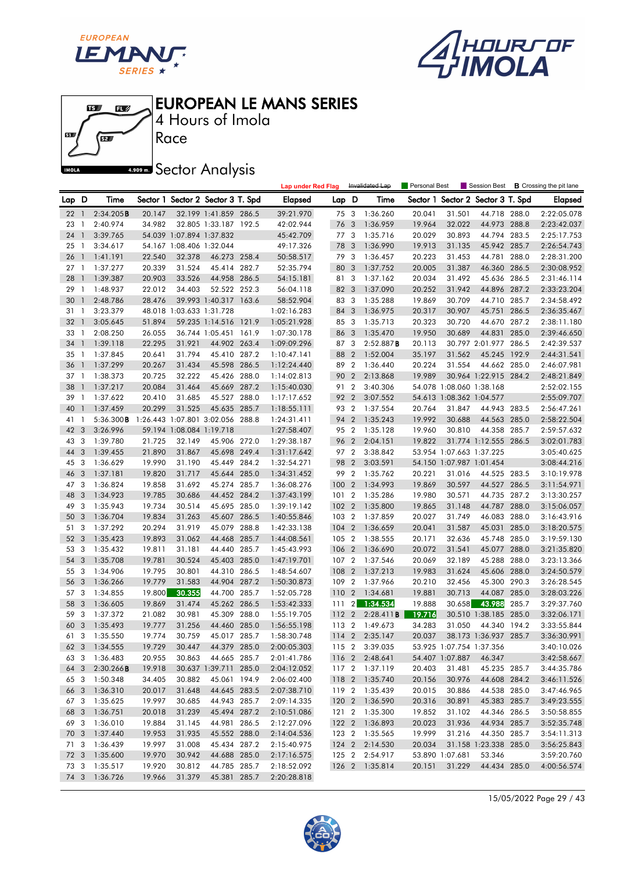





Race 4 Hours of Imola

**A.909mm** Sector Analysis

|       |                          |               |        |                          |                                   |       | <b>Lap under Red Flag</b> |       |                  | Invalidated Lap | Personal Best |                          |                                   |       | Session Best <b>B</b> Crossing the pit lane |
|-------|--------------------------|---------------|--------|--------------------------|-----------------------------------|-------|---------------------------|-------|------------------|-----------------|---------------|--------------------------|-----------------------------------|-------|---------------------------------------------|
| Lap D |                          | Time          |        |                          | Sector 1 Sector 2 Sector 3 T. Spd |       | <b>Elapsed</b>            | Lap D |                  | Time            |               |                          | Sector 1 Sector 2 Sector 3 T. Spd |       | <b>Elapsed</b>                              |
| 22    | $\overline{1}$           | 2:34.205B     | 20.147 |                          | 32.199 1:41.859 286.5             |       | 39:21.970                 | 75 3  |                  | 1:36.260        | 20.041        | 31.501                   | 44.718 288.0                      |       | 2:22:05.078                                 |
| 23    | $\mathbf{1}$             | 2:40.974      | 34.982 |                          | 32.805 1:33.187 192.5             |       | 42:02.944                 | 76    | 3                | 1:36.959        | 19.964        | 32.022                   | 44.973 288.8                      |       | 2:23:42.037                                 |
| 24    | $\overline{1}$           | 3:39.765      |        | 54.039 1:07.894 1:37.832 |                                   |       | 45:42.709                 | 77 3  |                  | 1:35.716        | 20.029        | 30.893                   | 44.794 283.5                      |       | 2:25:17.753                                 |
| 25    | - 1                      | 3:34.617      |        | 54.167 1:08.406 1:32.044 |                                   |       | 49:17.326                 | 78 3  |                  | 1:36.990        | 19.913        | 31.135                   | 45.942 285.7                      |       | 2:26:54.743                                 |
| 26    | -1                       | 1:41.191      | 22.540 | 32.378                   | 46.273 258.4                      |       | 50:58.517                 | 79    | 3                | 1:36.457        | 20.223        | 31.453                   | 44.781                            | 288.0 | 2:28:31.200                                 |
| 27    | $\overline{1}$           | 1:37.277      | 20.339 | 31.524                   | 45.414 282.7                      |       | 52:35.794                 | 80    | 3                | 1:37.752        | 20.005        | 31.387                   | 46.360 286.5                      |       | 2:30:08.952                                 |
| 28    | $\mathbf{1}$             | 1:39.387      | 20.903 | 33.526                   | 44.958 286.5                      |       | 54:15.181                 | 81 3  |                  | 1:37.162        | 20.034        | 31.492                   | 45.636 286.5                      |       | 2:31:46.114                                 |
| 29    | $\overline{1}$           | 1:48.937      | 22.012 | 34.403                   | 52.522 252.3                      |       | 56:04.118                 | 82 3  |                  | 1:37.090        | 20.252        | 31.942                   | 44.896 287.2                      |       | 2:33:23.204                                 |
| 30    | $\overline{1}$           | 2:48.786      | 28.476 |                          | 39.993 1:40.317 163.6             |       | 58:52.904                 | 83 3  |                  | 1:35.288        | 19.869        | 30.709                   | 44.710 285.7                      |       | 2:34:58.492                                 |
| 31    | $\mathbf{1}$             | 3:23.379      |        | 48.018 1:03.633 1:31.728 |                                   |       | 1:02:16.283               | 84    | 3                | 1:36.975        | 20.317        | 30.907                   | 45.751                            | 286.5 | 2:36:35.467                                 |
| 32    | $\overline{1}$           | 3:05.645      | 51.894 |                          | 59.235 1:14.516 121.9             |       | 1:05:21.928               | 85 3  |                  | 1:35.713        | 20.323        | 30.720                   | 44.670 287.2                      |       | 2:38:11.180                                 |
| 33    | $\mathbf{1}$             | 2:08.250      | 26.055 |                          | 36.744 1:05.451 161.9             |       | 1:07:30.178               | 86 3  |                  | 1:35.470        | 19.950        | 30.689                   | 44.831                            | 285.0 | 2:39:46.650                                 |
| 34    | $\overline{\phantom{a}}$ | 1:39.118      | 22.295 | 31.921                   | 44.902 263.4                      |       | 1:09:09.296               | 87    | 3                | 2:52.887B       | 20.113        |                          | 30.797 2:01.977                   | 286.5 | 2:42:39.537                                 |
| 35    | $\mathbf{1}$             | 1:37.845      | 20.641 | 31.794                   | 45.410 287.2                      |       | 1:10:47.141               | 88 2  |                  | 1:52.004        | 35.197        | 31.562                   | 45.245 192.9                      |       | 2:44:31.541                                 |
| 36    | $\overline{1}$           | 1:37.299      | 20.267 | 31.434                   | 45.598 286.5                      |       | 1:12:24.440               | 89 2  |                  | 1:36.440        | 20.224        | 31.554                   | 44.662 285.0                      |       | 2:46:07.981                                 |
| 37    | $\overline{1}$           | 1:38.373      | 20.725 | 32.222                   | 45.426 288.0                      |       | 1:14:02.813               | 90 2  |                  | 2:13.868        | 19.989        |                          | 30.964 1:22.915 284.2             |       | 2:48:21.849                                 |
| 38    | $\overline{\phantom{a}}$ | 1:37.217      | 20.084 | 31.464                   | 45.669 287.2                      |       | 1:15:40.030               | 91    | $\overline{2}$   | 3:40.306        |               | 54.078 1:08.060 1:38.168 |                                   |       | 2:52:02.155                                 |
| 39    | -1                       | 1:37.622      | 20.410 | 31.685                   | 45.527 288.0                      |       | 1:17:17.652               | 92    | $\overline{2}$   | 3:07.552        |               | 54.613 1:08.362 1:04.577 |                                   |       | 2:55:09.707                                 |
| 40    | $\mathbf{1}$             | 1:37.459      | 20.299 | 31.525                   | 45.635 285.7                      |       | 1:18:55.111               | 93 2  |                  | 1:37.554        | 20.764        | 31.847                   | 44.943 283.5                      |       | 2:56:47.261                                 |
| 41    | -1                       | 5:36.300B     |        |                          | 1:26.443 1:07.801 3:02.056 288.8  |       | 1:24:31.411               | 94 2  |                  | 1:35.243        | 19.992        | 30.688                   | 44.563 285.0                      |       | 2:58:22.504                                 |
| 42    | $\overline{\mathbf{3}}$  | 3:26.996      |        | 59.194 1:08.084 1:19.718 |                                   |       | 1:27:58.407               | 95 2  |                  | 1:35.128        | 19.960        | 30.810                   | 44.358 285.7                      |       | 2:59:57.632                                 |
| 43    | 3                        | 1:39.780      | 21.725 | 32.149                   | 45.906 272.0                      |       | 1:29:38.187               | 96    | $\overline{2}$   | 2:04.151        | 19.822        |                          | 31.774 1:12.555 286.5             |       | 3:02:01.783                                 |
| 44    | 3                        | 1:39.455      | 21.890 | 31.867                   | 45.698 249.4                      |       | 1:31:17.642               | 97 2  |                  | 3:38.842        |               | 53.954 1:07.663 1:37.225 |                                   |       | 3:05:40.625                                 |
| 45    | -3                       | 1:36.629      | 19.990 | 31.190                   | 45.449 284.2                      |       | 1:32:54.271               | 98 2  |                  | 3:03.591        |               | 54.150 1:07.987 1:01.454 |                                   |       | 3:08:44.216                                 |
| 46    | 3                        | 1:37.181      | 19.820 | 31.717                   | 45.644 285.0                      |       | 1:34:31.452               | 99 2  |                  | 1:35.762        | 20.221        | 31.016                   | 44.525 283.5                      |       | 3:10:19.978                                 |
| 47    | - 3                      | 1:36.824      | 19.858 | 31.692                   | 45.274 285.7                      |       | 1:36:08.276               | 100 2 |                  | 1:34.993        | 19.869        | 30.597                   | 44.527 286.5                      |       | 3:11:54.971                                 |
| 48    | 3                        | 1:34.923      | 19.785 | 30.686                   | 44.452 284.2                      |       | 1:37:43.199               | 1012  |                  | 1:35.286        | 19.980        | 30.571                   | 44.735 287.2                      |       | 3:13:30.257                                 |
| 49    | 3                        | 1:35.943      | 19.734 | 30.514                   | 45.695 285.0                      |       | 1:39:19.142               | 102 2 |                  | 1:35.800        | 19.865        | 31.148                   | 44.787                            | 288.0 | 3:15:06.057                                 |
| 50    | $\overline{3}$           | 1:36.704      | 19.834 | 31.263                   | 45.607 286.5                      |       | 1:40:55.846               | 103 2 |                  | 1:37.859        | 20.027        | 31.749                   | 46.083                            | 288.0 | 3:16:43.916                                 |
| 51 3  |                          | 1:37.292      | 20.294 | 31.919                   | 45.079 288.8                      |       | 1:42:33.138               | 1042  |                  | 1:36.659        | 20.041        | 31.587                   | 45.031                            | 285.0 | 3:18:20.575                                 |
| 52    | $\overline{3}$           | 1:35.423      | 19.893 | 31.062                   | 44.468 285.7                      |       | 1:44:08.561               | 105 2 |                  | 1:38.555        | 20.171        | 32.636                   | 45.748 285.0                      |       | 3:19:59.130                                 |
| 53    | 3                        | 1:35.432      | 19.811 | 31.181                   | 44.440 285.7                      |       | 1:45:43.993               | 106 2 |                  | 1:36.690        | 20.072        | 31.541                   | 45.077 288.0                      |       | 3:21:35.820                                 |
| 54    | 3                        | 1:35.708      | 19.781 | 30.524                   | 45.403 285.0                      |       | 1:47:19.701               | 107   | $\overline{2}$   | 1:37.546        | 20.069        | 32.189                   | 45.288                            | 288.0 | 3:23:13.366                                 |
| 55    | $\overline{\mathbf{3}}$  | 1:34.906      | 19.795 | 30.801                   | 44.310 286.5                      |       | 1:48:54.607               | 108   | $\overline{2}$   | 1:37.213        | 19.983        | 31.624                   | 45.606 288.0                      |       | 3:24:50.579                                 |
| 56    | 3                        | 1:36.266      | 19.779 | 31.583                   | 44.904                            | 287.2 | 1:50:30.873               | 109 2 |                  | 1:37.966        | 20.210        | 32.456                   | 45.300 290.3                      |       | 3:26:28.545                                 |
| 57    | -3                       | 1:34.855      | 19.800 | 30.355                   | 44.700 285.7                      |       | 1:52:05.728               | 110   | $\overline{2}$   | 1:34.681        | 19.881        | 30.713                   | 44.087                            | 285.0 | 3:28:03.226                                 |
| 58    | $\overline{3}$           | 1:36.605      | 19.869 | 31.474                   | 45.262 286.5                      |       | 1:53:42.333               | 111   | $\boldsymbol{2}$ | 1:34.534        | 19.888        | 30.658                   | 43.988                            | 285.7 | 3:29:37.760                                 |
| 59    | $\overline{\mathbf{3}}$  | 1:37.372      | 21.082 | 30.981                   | 45.309 288.0                      |       | 1:55:19.705               | 112 2 |                  | 2:28.411B       | 19.716        |                          | 30.510 1:38.185 285.0             |       | 3:32:06.171                                 |
| 60    | $\mathbf{3}$             | 1:35.493      | 19.777 | 31.256                   | 44.460 285.0                      |       | 1:56:55.198               | 113 2 |                  | 1:49.673        | 34.283        | 31.050                   | 44.340 194.2                      |       | 3:33:55.844                                 |
| 61    | $\mathbf{3}$             | 1:35.550      | 19.774 | 30.759                   | 45.017 285.7                      |       | 1:58:30.748               | 114 2 |                  | 2:35.147        | 20.037        |                          | 38.173 1:36.937 285.7             |       | 3:36:30.991                                 |
|       |                          | 62 3 1:34.555 | 19.729 | 30.447                   | 44.379 285.0                      |       | 2:00:05.303               | 115 2 |                  | 3:39.035        |               | 53.925 1:07.754 1:37.356 |                                   |       | 3:40:10.026                                 |
|       |                          | 63 3 1:36.483 | 20.955 | 30.863                   | 44.665 285.7                      |       | 2:01:41.786               |       |                  | 116 2 2:48.641  |               | 54.407 1:07.887          | 46.347                            |       | 3:42:58.667                                 |
| 64 3  |                          | 2:30.266B     | 19.918 |                          | 30.637 1:39.711 285.0             |       | 2:04:12.052               |       |                  | 117 2 1:37.119  | 20.403        | 31.481                   | 45.235 285.7                      |       | 3:44:35.786                                 |
| 65 3  |                          | 1:50.348      | 34.405 | 30.882                   | 45.061 194.9                      |       | 2:06:02.400               |       |                  | 118 2 1:35.740  | 20.156        | 30.976                   | 44.608 284.2                      |       | 3:46:11.526                                 |
| 66 3  |                          | 1:36.310      | 20.017 | 31.648                   | 44.645 283.5                      |       | 2:07:38.710               |       |                  | 119 2 1:35.439  | 20.015        | 30.886                   | 44.538 285.0                      |       | 3:47:46.965                                 |
| 67 3  |                          | 1:35.625      | 19.997 | 30.685                   | 44.943 285.7                      |       | 2:09:14.335               |       |                  | 120 2 1:36.590  | 20.316        | 30.891                   | 45.383 285.7                      |       | 3:49:23.555                                 |
| 68 3  |                          | 1:36.751      | 20.018 | 31.239                   | 45.494 287.2                      |       | 2:10:51.086               |       |                  | 121 2 1:35.300  | 19.852        | 31.102                   | 44.346 286.5                      |       | 3:50:58.855                                 |
| 69 3  |                          | 1:36.010      | 19.884 | 31.145                   | 44.981 286.5                      |       | 2:12:27.096               |       |                  | 122 2 1:36.893  | 20.023        | 31.936                   | 44.934 285.7                      |       | 3:52:35.748                                 |
| 70 3  |                          | 1:37.440      | 19.953 | 31.935                   | 45.552 288.0                      |       | 2:14:04.536               |       |                  | 123 2 1:35.565  | 19.999        | 31.216                   | 44.350 285.7                      |       | 3:54:11.313                                 |
| 71 3  |                          | 1:36.439      | 19.997 | 31.008                   | 45.434 287.2                      |       | 2:15:40.975               |       |                  | 124 2 2:14.530  | 20.034        |                          | 31.158 1:23.338 285.0             |       | 3:56:25.843                                 |
|       |                          | 72 3 1:35.600 | 19.970 | 30.942                   | 44.688 285.0                      |       | 2:17:16.575               |       |                  | 125 2 2:54.917  |               | 53.890 1:07.681          | 53.346                            |       | 3:59:20.760                                 |
| 73 3  |                          | 1:35.517      | 19.920 | 30.812                   | 44.785 285.7                      |       | 2:18:52.092               |       |                  | 126 2 1:35.814  | 20.151        | 31.229                   | 44.434 285.0                      |       | 4:00:56.574                                 |
|       |                          | 74 3 1:36.726 | 19.966 | 31.379                   | 45.381 285.7                      |       | 2:20:28.818               |       |                  |                 |               |                          |                                   |       |                                             |

15/05/2022 Page 29 / 43

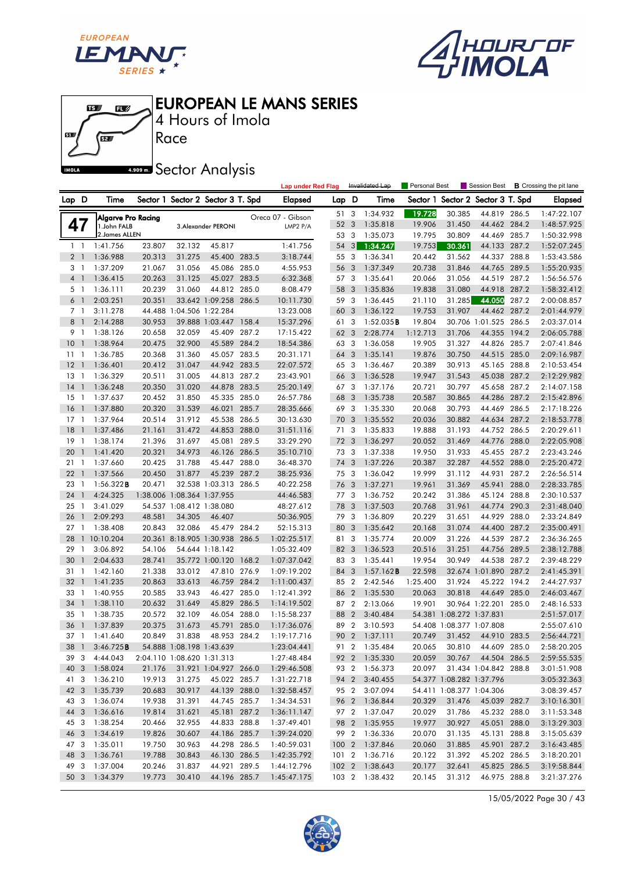

 $\mathbf{E}$ 

 $\mathbf{B}$ 

何

61

**IMOLA** 



EUROPEAN LE MANS SERIES

4 Hours of Imola

**A.909mm** Sector Analysis

Race

|                 |                |                    |        |                            |                                   |       | <b>Lap under Red Flag</b> |       |                | Invalidated Lap | Personal Best |                          | Session Best             |       | <b>B</b> Crossing the pit lane |
|-----------------|----------------|--------------------|--------|----------------------------|-----------------------------------|-------|---------------------------|-------|----------------|-----------------|---------------|--------------------------|--------------------------|-------|--------------------------------|
| Lap D           |                | Time               |        |                            | Sector 1 Sector 2 Sector 3 T. Spd |       | <b>Elapsed</b>            | Lap D |                | Time            | Sector 1      |                          | Sector 2 Sector 3 T. Spd |       | Elapsed                        |
|                 |                | Algarve Pro Racing |        |                            |                                   |       | Oreca 07 - Gibson         | 51    | 3              | 1:34.932        | 19.728        | 30.385                   | 44.819 286.5             |       | 1:47:22.107                    |
|                 | 47             | 1. John FALB       |        |                            | 3. Alexander PERONI               |       | LMP2 $P/A$                | 52    | 3              | 1:35.818        | 19.906        | 31.450                   | 44.462 284.2             |       | 1:48:57.925                    |
|                 |                | 2. James ALLEN     |        |                            |                                   |       |                           | 53 3  |                | 1:35.073        | 19.795        | 30.809                   | 44.469 285.7             |       | 1:50:32.998                    |
|                 | $1 \quad 1$    | 1:41.756           | 23.807 | 32.132                     | 45.817                            |       | 1:41.756                  | 54    | 3              | 1:34.247        | 19.753        | 30.361                   | 44.133 287.2             |       | 1:52:07.245                    |
|                 | 2 <sub>1</sub> | 1:36.988           | 20.313 | 31.275                     | 45.400 283.5                      |       | 3:18.744                  | 55 3  |                | 1:36.341        | 20.442        | 31.562                   | 44.337                   | 288.8 | 1:53:43.586                    |
|                 | 3 1            | 1:37.209           | 21.067 | 31.056                     | 45.086 285.0                      |       | 4:55.953                  | 56    | 3              | 1:37.349        | 20.738        | 31.846                   | 44.765 289.5             |       | 1:55:20.935                    |
|                 | 4 1            | 1:36.415           | 20.263 | 31.125                     | 45.027 283.5                      |       | 6:32.368                  | 57 3  |                | 1:35.641        | 20.066        | 31.056                   | 44.519 287.2             |       | 1:56:56.576                    |
|                 | 5 <sub>1</sub> | 1:36.111           | 20.239 | 31.060                     | 44.812 285.0                      |       | 8:08.479                  | 58    | $\mathbf{3}$   | 1:35.836        | 19.838        | 31.080                   | 44.918 287.2             |       | 1:58:32.412                    |
|                 | 6 <sub>1</sub> | 2:03.251           | 20.351 |                            | 33.642 1:09.258 286.5             |       | 10:11.730                 | 59 3  |                | 1:36.445        | 21.110        | 31.285                   | 44.050                   | 287.2 | 2:00:08.857                    |
|                 | 7 <sup>1</sup> | 3:11.278           | 44.488 |                            | 1:04.506 1:22.284                 |       | 13:23.008                 | 60    | 3              | 1:36.122        | 19.753        | 31.907                   | 44.462 287.2             |       | 2:01:44.979                    |
| 8               | -1             | 2:14.288           | 30.953 |                            | 39.888 1:03.447 158.4             |       | 15:37.296                 | 61 3  |                | 1:52.035B       | 19.804        |                          | 30.706 1:01.525 286.5    |       | 2:03:37.014                    |
|                 | 9 1            | 1:38.126           | 20.658 | 32.059                     | 45.409 287.2                      |       | 17:15.422                 | 62 3  |                | 2:28.774        | 1:12.713      | 31.706                   | 44.355 194.2             |       | 2:06:05.788                    |
| 10 <sub>1</sub> |                | 1:38.964           | 20.475 | 32.900                     | 45.589 284.2                      |       | 18:54.386                 | 63 3  |                | 1:36.058        | 19.905        | 31.327                   | 44.826 285.7             |       | 2:07:41.846                    |
| 11              | -1             | 1:36.785           | 20.368 | 31.360                     | 45.057 283.5                      |       | 20:31.171                 | 64    | 3              | 1:35.141        | 19.876        | 30.750                   | 44.515 285.0             |       | 2:09:16.987                    |
| 12              | $\overline{1}$ | 1:36.401           | 20.412 | 31.047                     | 44.942 283.5                      |       | 22:07.572                 | 65 3  |                | 1:36.467        | 20.389        | 30.913                   | 45.165 288.8             |       | 2:10:53.454                    |
| 13              | $\overline{1}$ | 1:36.329           | 20.511 | 31.005                     | 44.813 287.2                      |       | 23:43.901                 | 66 3  |                | 1:36.528        | 19.947        | 31.543                   | 45.038 287.2             |       | 2:12:29.982                    |
| 14              | $\overline{1}$ | 1:36.248           | 20.350 | 31.020                     | 44.878 283.5                      |       | 25:20.149                 | 67 3  |                | 1:37.176        | 20.721        | 30.797                   | 45.658 287.2             |       | 2:14:07.158                    |
| 15              | -1             | 1:37.637           | 20.452 | 31.850                     | 45.335 285.0                      |       | 26:57.786                 | 68    | 3              | 1:35.738        | 20.587        | 30.865                   | 44.286 287.2             |       | 2:15:42.896                    |
| 16              | $\overline{1}$ | 1:37.880           | 20.320 | 31.539                     | 46.021                            | 285.7 | 28:35.666                 | 69 3  |                | 1:35.330        | 20.068        | 30.793                   | 44.469 286.5             |       | 2:17:18.226                    |
| 17              | $\overline{1}$ | 1:37.964           | 20.514 | 31.912                     | 45.538 286.5                      |       | 30:13.630                 | 70 3  |                | 1:35.552        | 20.036        | 30.882                   | 44.634                   | 287.2 | 2:18:53.778                    |
| 18              | $\overline{1}$ | 1:37.486           | 21.161 | 31.472                     | 44.853 288.0                      |       | 31:51.116                 | 71 3  |                | 1:35.833        | 19.888        | 31.193                   | 44.752                   | 286.5 | 2:20:29.611                    |
| 19              | $\overline{1}$ | 1:38.174           | 21.396 | 31.697                     | 45.081 289.5                      |       | 33:29.290                 | 72 3  |                | 1:36.297        | 20.052        | 31.469                   | 44.776 288.0             |       | 2:22:05.908                    |
| 20              | $\overline{1}$ | 1:41.420           | 20.321 | 34.973                     | 46.126 286.5                      |       | 35:10.710                 | 73 3  |                | 1:37.338        | 19.950        | 31.933                   | 45.455 287.2             |       | 2:23:43.246                    |
| 21              | $\overline{1}$ | 1:37.660           | 20.425 | 31.788                     | 45.447 288.0                      |       | 36:48.370                 | 74    | 3              | 1:37.226        | 20.387        | 32.287                   | 44.552 288.0             |       | 2:25:20.472                    |
| 22              | $\overline{1}$ | 1:37.566           | 20.450 | 31.877                     | 45.239 287.2                      |       | 38:25.936                 | 75 3  |                | 1:36.042        | 19.999        | 31.112                   | 44.931                   | 287.2 | 2:26:56.514                    |
| 23              | $\overline{1}$ | 1:56.322B          | 20.471 |                            | 32.538 1:03.313 286.5             |       | 40:22.258                 | 76    | 3              | 1:37.271        | 19.961        | 31.369                   | 45.941                   | 288.0 | 2:28:33.785                    |
| 24              | $\overline{1}$ | 4:24.325           |        | 1:38.006 1:08.364 1:37.955 |                                   |       | 44:46.583                 | 77 3  |                | 1:36.752        | 20.242        | 31.386                   | 45.124 288.8             |       | 2:30:10.537                    |
| 25              | $\overline{1}$ | 3:41.029           |        | 54.537 1:08.412 1:38.080   |                                   |       | 48:27.612                 | 78    | 3              | 1:37.503        | 20.768        | 31.961                   | 44.774 290.3             |       | 2:31:48.040                    |
| 26              | $\overline{1}$ | 2:09.293           | 48.581 | 34.305                     | 46.407                            |       | 50:36.905                 | 79 3  |                | 1:36.809        | 20.229        | 31.651                   | 44.929                   | 288.0 | 2:33:24.849                    |
| 27              | $\overline{1}$ | 1:38.408           | 20.843 | 32.086                     | 45.479 284.2                      |       | 52:15.313                 | 80    | 3              | 1:35.642        | 20.168        | 31.074                   | 44.400 287.2             |       | 2:35:00.491                    |
| 28              |                | 1 10:10.204        |        |                            | 20.361 8:18.905 1:30.938 286.5    |       | 1:02:25.517               | 81 3  |                | 1:35.774        | 20.009        | 31.226                   | 44.539 287.2             |       | 2:36:36.265                    |
| 29              | $\mathbf{1}$   | 3:06.892           | 54.106 |                            | 54.644 1:18.142                   |       | 1:05:32.409               | 82    | 3              | 1:36.523        | 20.516        | 31.251                   | 44.756                   | 289.5 | 2:38:12.788                    |
| 30              | $\mathbf{1}$   | 2:04.633           | 28.741 |                            | 35.772 1:00.120                   | 168.2 | 1:07:37.042               | 83 3  |                | 1:35.441        | 19.954        | 30.949                   | 44.538                   | 287.2 | 2:39:48.229                    |
| 31              | $\overline{1}$ | 1:42.160           | 21.338 | 33.012                     | 47.810 276.9                      |       | 1:09:19.202               | 84    | 3              | 1:57.162B       | 22.598        |                          | 32.674 1:01.890 287.2    |       | 2:41:45.391                    |
| 32              | $\overline{1}$ | 1:41.235           | 20.863 | 33.613                     | 46.759 284.2                      |       | 1:11:00.437               | 85 2  |                | 2:42.546        | 1:25.400      | 31.924                   | 45.222 194.2             |       | 2:44:27.937                    |
| 33              | $\overline{1}$ | 1:40.955           | 20.585 | 33.943                     | 46.427                            | 285.0 | 1:12:41.392               | 86    | $\overline{2}$ | 1:35.530        | 20.063        | 30.818                   | 44.649 285.0             |       | 2:46:03.467                    |
| 34              | $\overline{1}$ | 1:38.110           | 20.632 | 31.649                     | 45.829 286.5                      |       | 1:14:19.502               | 87    | $\overline{2}$ | 2:13.066        | 19.901        |                          | 30.964 1:22.201          | 285.0 | 2:48:16.533                    |
| 35              | $\overline{1}$ | 1:38.735           | 20.572 | 32.109                     | 46.054 288.0                      |       | 1:15:58.237               | 88    | $\overline{2}$ | 3:40.484        |               | 54.381 1:08.272 1:37.831 |                          |       | 2:51:57.017                    |
| 36              | $\overline{1}$ | 1:37.839           | 20.375 | 31.673                     | 45.791                            | 285.0 | 1:17:36.076               | 89 2  |                | 3:10.593        |               | 54.408 1:08.377 1:07.808 |                          |       | 2:55:07.610                    |
| 37 1            |                | 1:41.640           | 20.849 | 31.838                     | 48.953 284.2                      |       | 1:19:17.716               | 90 2  |                | 1:37.111        | 20.749        | 31.452                   | 44.910 283.5             |       | 2:56:44.721                    |
|                 | 38 1           | 3:46.725B          |        | 54.888 1:08.198 1:43.639   |                                   |       | 1:23:04.441               |       |                | 91 2 1:35.484   | 20.065        |                          | 30.810 44.609 285.0      |       | 2:58:20.205                    |
|                 |                | 39 3 4:44.043      |        |                            | 2:04.110 1:08.620 1:31.313        |       | 1:27:48.484               |       |                | 92 2 1:35.330   | 20.059        | 30.767                   | 44.504 286.5             |       | 2:59:55.535                    |
| 40 3            |                | 1:58.024           | 21.176 |                            | 31.921 1:04.927 266.0             |       | 1:29:46.508               |       |                | 93 2 1:56.373   | 20.097        |                          | 31.434 1:04.842 288.8    |       | 3:01:51.908                    |
| 41 3            |                | 1:36.210           | 19.913 | 31.275                     | 45.022 285.7                      |       | 1:31:22.718               |       |                | 94 2 3:40.455   |               | 54.377 1:08.282 1:37.796 |                          |       | 3:05:32.363                    |
| 42 3            |                | 1:35.739           | 20.683 | 30.917                     | 44.139 288.0                      |       | 1:32:58.457               | 95 2  |                | 3:07.094        |               | 54.411 1:08.377 1:04.306 |                          |       | 3:08:39.457                    |
| 43 3            |                | 1:36.074           | 19.938 | 31.391                     | 44.745 285.7                      |       | 1:34:34.531               |       |                | 96 2 1:36.844   | 20.329        | 31.476                   | 45.039 282.7             |       | 3:10:16.301                    |
| 44 3            |                | 1:36.616           | 19.814 | 31.621                     | 45.181 287.2                      |       | 1:36:11.147               |       |                | 97 2 1:37.047   | 20.029        | 31.786                   | 45.232 288.0             |       | 3:11:53.348                    |
| 45 3            |                | 1:38.254           | 20.466 | 32.955                     | 44.833 288.8                      |       | 1:37:49.401               |       |                | 98 2 1:35.955   | 19.977        | 30.927                   | 45.051 288.0             |       | 3:13:29.303                    |
| 46 3            |                | 1:34.619           | 19.826 | 30.607                     | 44.186 285.7                      |       | 1:39:24.020               |       | 99 2           | 1:36.336        | 20.070        | 31.135                   | 45.131 288.8             |       | 3:15:05.639                    |
| 47 3            |                | 1:35.011           | 19.750 | 30.963                     | 44.298 286.5                      |       | 1:40:59.031               |       |                | 100 2 1:37.846  | 20.060        | 31.885                   | 45.901 287.2             |       | 3:16:43.485                    |
| 48 3            |                | 1:36.761           | 19.788 | 30.843                     | 46.130 286.5                      |       | 1:42:35.792               |       |                | 101 2 1:36.716  | 20.122        | 31.392                   | 45.202 286.5             |       | 3:18:20.201                    |
| 49 3            |                | 1:37.004           | 20.246 | 31.837                     | 44.921 289.5                      |       | 1:44:12.796               |       |                | 102 2 1:38.643  | 20.177        | 32.641                   | 45.825 286.5             |       | 3:19:58.844                    |
| 50 3            |                | 1:34.379           | 19.773 | 30.410                     | 44.196 285.7                      |       | 1:45:47.175               |       |                | 103 2 1:38.432  | 20.145        | 31.312                   | 46.975 288.8             |       | 3:21:37.276                    |

15/05/2022 Page 30 / 43

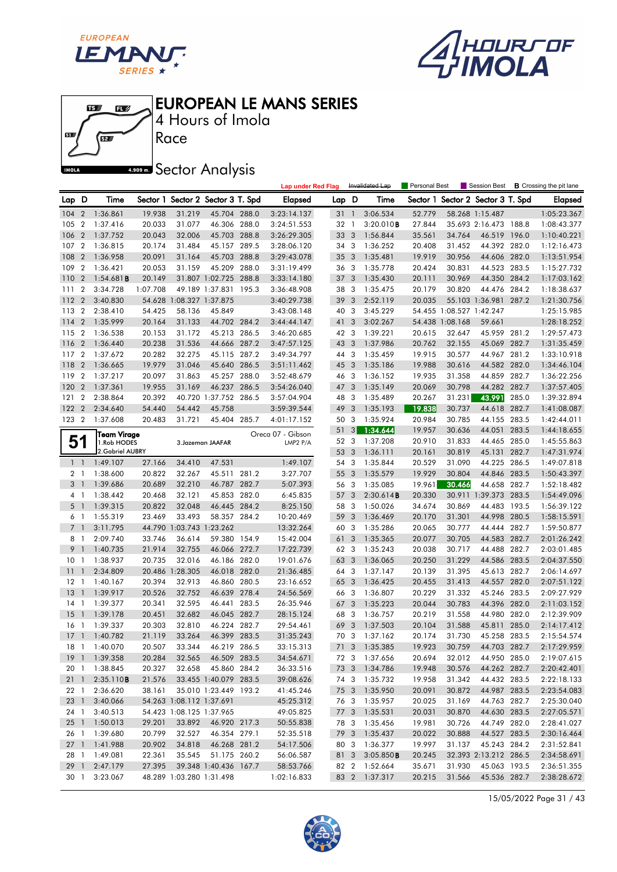





4 Hours of Imola

**A.509 mm** Sector Analysis

|                |                |                        |          |                          |                                   |       | <b>Lap under Red Flag</b> |       |                         | Invalidated Lap | Personal Best |                          | Session Best             |       | <b>B</b> Crossing the pit lane |
|----------------|----------------|------------------------|----------|--------------------------|-----------------------------------|-------|---------------------------|-------|-------------------------|-----------------|---------------|--------------------------|--------------------------|-------|--------------------------------|
| Lap D          |                | Time                   |          |                          | Sector 1 Sector 2 Sector 3 T. Spd |       | <b>Elapsed</b>            | Lap D |                         | Time            | Sector 1      |                          | Sector 2 Sector 3 T. Spd |       | <b>Elapsed</b>                 |
| 104            | $\overline{2}$ | 1:36.861               | 19.938   | 31.219                   | 45.704 288.0                      |       | 3:23:14.137               | 31 1  |                         | 3:06.534        | 52.779        |                          | 58.268 1:15.487          |       | 1:05:23.367                    |
| 105            | $\overline{2}$ | 1:37.416               | 20.033   | 31.077                   | 46.306                            | 288.0 | 3:24:51.553               | 32    | $\overline{1}$          | 3:20.010B       | 27.844        |                          | 35.693 2:16.473 188.8    |       | 1:08:43.377                    |
| 106            | $\overline{2}$ | 1:37.752               | 20.043   | 32.006                   | 45.703 288.8                      |       | 3:26:29.305               | 33    | 3                       | 1:56.844        | 35.561        | 34.764                   | 46.519 196.0             |       | 1:10:40.221                    |
| 107            | $\overline{2}$ | 1:36.815               | 20.174   | 31.484                   | 45.157 289.5                      |       | 3:28:06.120               | 34 3  |                         | 1:36.252        | 20.408        | 31.452                   | 44.392 282.0             |       | 1:12:16.473                    |
| 108            | $\overline{2}$ | 1:36.958               | 20.091   | 31.164                   | 45.703                            | 288.8 | 3:29:43.078               | 35    | 3                       | 1:35.481        | 19.919        | 30.956                   | 44.606 282.0             |       | 1:13:51.954                    |
| 109            | $\overline{2}$ | 1:36.421               | 20.053   | 31.159                   | 45.209                            | 288.0 | 3:31:19.499               | 36 3  |                         | 1:35.778        | 20.424        | 30.831                   | 44.523 283.5             |       | 1:15:27.732                    |
| 110            | $\overline{2}$ | $1:54.681$ <b>B</b>    | 20.149   |                          | 31.807 1:02.725 288.8             |       | 3:33:14.180               | 37    | 3                       | 1:35.430        | 20.111        | 30.969                   | 44.350 284.2             |       | 1:17:03.162                    |
| 111            | $\overline{2}$ | 3:34.728               | 1:07.708 |                          | 49.189 1:37.831 195.3             |       | 3:36:48.908               | 38    | 3                       | 1:35.475        | 20.179        | 30.820                   | 44.476 284.2             |       | 1:18:38.637                    |
| 112            | $\overline{2}$ | 3:40.830               |          | 54.628 1:08.327 1:37.875 |                                   |       | 3:40:29.738               | 39    | 3                       | 2:52.119        | 20.035        |                          | 55.103 1:36.981          | 287.2 | 1:21:30.756                    |
| 113            | $\overline{2}$ | 2:38.410               | 54.425   | 58.136                   | 45.849                            |       | 3:43:08.148               | 40    | 3                       | 3:45.229        |               | 54.455 1:08.527 1:42.247 |                          |       | 1:25:15.985                    |
| 114            | $\overline{2}$ | 1:35.999               | 20.164   | 31.133                   | 44.702 284.2                      |       | 3:44:44.147               | 41    | 3                       | 3:02.267        |               | 54.438 1:08.168          | 59.661                   |       | 1:28:18.252                    |
| 115            | $\overline{2}$ | 1:36.538               | 20.153   | 31.172                   | 45.213 286.5                      |       | 3:46:20.685               | 42 3  |                         | 1:39.221        | 20.615        | 32.647                   | 45.959 281.2             |       | 1:29:57.473                    |
| 116            | $\overline{2}$ | 1:36.440               | 20.238   | 31.536                   | 44.666 287.2                      |       | 3:47:57.125               | 43    | 3                       | 1:37.986        | 20.762        | 32.155                   | 45.069                   | 282.7 | 1:31:35.459                    |
| 117            | $\overline{2}$ | 1:37.672               | 20.282   | 32.275                   | 45.115 287.2                      |       | 3:49:34.797               | 44 3  |                         | 1:35.459        | 19.915        | 30.577                   | 44.967 281.2             |       | 1:33:10.918                    |
| 118            | $\overline{2}$ | 1:36.665               | 19.979   | 31.046                   | 45.640 286.5                      |       | 3:51:11.462               | 45    | 3                       | 1:35.186        | 19.988        | 30.616                   | 44.582 282.0             |       | 1:34:46.104                    |
| 119            | $\overline{2}$ | 1:37.217               | 20.097   | 31.863                   | 45.257 288.0                      |       | 3:52:48.679               | 46 3  |                         | 1:36.152        | 19.935        | 31.358                   | 44.859 282.7             |       | 1:36:22.256                    |
| 120            | $\overline{2}$ | 1:37.361               | 19.955   | 31.169                   | 46.237 286.5                      |       | 3:54:26.040               | 47    | 3                       | 1:35.149        | 20.069        | 30.798                   | 44.282                   | 282.7 | 1:37:57.405                    |
| 121            | $\overline{2}$ | 2:38.864               | 20.392   |                          | 40.720 1:37.752 286.5             |       | 3:57:04.904               | 48    | 3                       | 1:35.489        | 20.267        | 31.231                   | 43.991                   | 285.0 | 1:39:32.894                    |
| 122            | $\overline{2}$ | 2:34.640               | 54.440   | 54.442                   | 45.758                            |       | 3:59:39.544               | 49    | 3                       | 1:35.193        | 19.838        | 30.737                   | 44.618 282.7             |       | 1:41:08.087                    |
| 123 2          |                | 1:37.608               | 20.483   | 31.721                   | 45.404 285.7                      |       | 4:01:17.152               | 50    | 3                       | 1:35.924        | 20.984        | 30.785                   | 44.155 283.5             |       | 1:42:44.011                    |
|                |                | Team Virage            |          |                          |                                   |       | Oreca 07 - Gibson         | 51    | 3 <sup>1</sup>          | 1:34.644        | 19.957        | 30.636                   | 44.051                   | 283.5 | 1:44:18.655                    |
| 51             |                | 1.Rob HODES            |          |                          | 3. Jazeman JAAFAR                 |       | LMP2 P/A                  | 52 3  |                         | 1:37.208        | 20.910        | 31.833                   | 44.465 285.0             |       | 1:45:55.863                    |
|                |                | 2. Gabriel AUBRY       |          |                          |                                   |       |                           | 53    | 3                       | 1:36.111        | 20.161        | 30.819                   | 45.131                   | 282.7 | 1:47:31.974                    |
| $1\quad$       |                | 1:49.107               | 27.166   | 34.410                   | 47.531                            |       | 1:49.107                  | 54 3  |                         | 1:35.844        | 20.529        | 31.090                   | 44.225 286.5             |       | 1:49:07.818                    |
| 21             |                | 1:38.600               | 20.822   | 32.267                   | 45.511 281.2                      |       | 3:27.707                  | 55    | $\overline{\mathbf{3}}$ | 1:35.579        | 19.929        | 30.804                   | 44.846                   | 283.5 | 1:50:43.397                    |
| 3 <sup>1</sup> |                | 1:39.686               | 20.689   | 32.210                   | 46.787 282.7                      |       | 5:07.393                  | 56 3  |                         | 1:35.085        | 19.961        | 30.466                   | 44.658 282.7             |       | 1:52:18.482                    |
| 41             |                | 1:38.442               | 20.468   | 32.121                   | 45.853 282.0                      |       | 6:45.835                  | 57    | 3                       | 2:30.614B       | 20.330        |                          | 30.911 1:39.373 283.5    |       | 1:54:49.096                    |
| 5 <sub>1</sub> |                | 1:39.315               | 20.822   | 32.048                   | 46.445 284.2                      |       | 8:25.150                  | 58    | 3                       | 1:50.026        | 34.674        | 30.869                   | 44.483 193.5             |       | 1:56:39.122                    |
| 61             |                | 1:55.319               | 23.469   | 33.493                   | 58.357 284.2                      |       | 10:20.469                 | 59    | $\overline{\mathbf{3}}$ | 1:36.469        | 20.170        | 31.301                   | 44.998 280.5             |       | 1:58:15.591                    |
| 7              | $\overline{1}$ | 3:11.795               |          | 44.790 1:03.743 1:23.262 |                                   |       | 13:32.264                 | 60 3  |                         | 1:35.286        | 20.065        | 30.777                   | 44.444 282.7             |       | 1:59:50.877                    |
| 8              | $\overline{1}$ | 2:09.740               | 33.746   | 36.614                   | 59.380 154.9                      |       | 15:42.004                 | 61    | 3                       | 1:35.365        | 20.077        | 30.705                   | 44.583 282.7             |       | 2:01:26.242                    |
| 9              | $\overline{1}$ | 1:40.735               | 21.914   | 32.755                   | 46.066 272.7                      |       | 17:22.739                 | 62 3  |                         | 1:35.243        | 20.038        | 30.717                   | 44.488 282.7             |       | 2:03:01.485                    |
| 10             | -1             | 1:38.937               | 20.735   | 32.016                   | 46.186 282.0                      |       | 19:01.676                 | 63    | $\overline{\mathbf{3}}$ | 1:36.065        | 20.250        | 31.229                   | 44.586                   | 283.5 | 2:04:37.550                    |
| 11             | $\mathbf{1}$   | 2:34.809               |          | 20.486 1:28.305          | 46.018 282.0                      |       | 21:36.485                 | 64 3  |                         | 1:37.147        | 20.139        | 31.395                   | 45.613 282.7             |       | 2:06:14.697                    |
| 12             | -1             | 1:40.167               | 20.394   | 32.913                   | 46.860 280.5                      |       | 23:16.652                 | 65 3  |                         | 1:36.425        | 20.455        | 31.413                   | 44.557                   | 282.0 | 2:07:51.122                    |
| 13             | $\overline{1}$ | 1:39.917               | 20.526   | 32.752                   | 46.639 278.4                      |       | 24:56.569                 | 66 3  |                         | 1:36.807        | 20.229        | 31.332                   | 45.246 283.5             |       | 2:09:27.929                    |
| 14             | 1              | 1:39.377               | 20.341   | 32.595                   | 46.441                            | 283.5 | 26:35.946                 | 67    | 3                       | 1:35.223        | 20.044        | 30.783                   | 44.396 282.0             |       | 2:11:03.152                    |
| 15             | -1             | 1:39.178               | 20.451   | 32.682                   | 46.045 282.7                      |       | 28:15.124                 | 68    | 3                       | 1:36.757        | 20.219        | 31.558                   | 44.980 282.0             |       | 2:12:39.909                    |
| 16             | -1             | 1:39.337               | 20.303   | 32.810                   | 46.224 282.7                      |       | 29:54.461                 | 69    | 3                       | 1:37.503        | 20.104        | 31.588                   | 45.811                   | 285.0 | 2:14:17.412                    |
|                |                | 17 1 1:40.782          | 21.119   | 33.264                   | 46.399 283.5                      |       | 31:35.243                 | 70 3  |                         | 1:37.162        | 20.174        | 31.730                   | 45.258 283.5             |       | 2:15:54.574                    |
|                |                | 18 1 1:40.070          | 20.507   | 33.344                   | 46.219 286.5                      |       | 33:15.313                 |       |                         | 71 3 1:35.385   | 19.923        | 30.759                   | 44.703 282.7             |       | 2:17:29.959                    |
|                |                | 19 1 1:39.358          | 20.284   | 32.565                   | 46.509 283.5                      |       | 34:54.671                 |       |                         | 72 3 1:37.656   | 20.694        | 32.012                   | 44.950 285.0             |       | 2:19:07.615                    |
|                |                | 20 1 1:38.845          | 20.327   | 32.658                   | 45.860 284.2                      |       | 36:33.516                 |       |                         | 73 3 1:34.786   | 19.948        | 30.576                   | 44.262 282.7             |       | 2:20:42.401                    |
|                |                | 21 1 2:35.110 <b>B</b> | 21.576   |                          | 33.455 1:40.079 283.5             |       | 39:08.626                 |       |                         | 74 3 1:35.732   | 19.958        | 31.342                   | 44.432 283.5             |       | 2:22:18.133                    |
| 22 1           |                | 2:36.620               | 38.161   |                          | 35.010 1:23.449 193.2             |       | 41:45.246                 |       |                         | 75 3 1:35.950   | 20.091        | 30.872                   | 44.987 283.5             |       | 2:23:54.083                    |
|                | 23 1           | 3:40.066               |          | 54.263 1:08.112 1:37.691 |                                   |       | 45:25.312                 |       |                         | 76 3 1:35.957   | 20.025        | 31.169                   | 44.763 282.7             |       | 2:25:30.040                    |
| 24 1           |                | 3:40.513               |          | 54.423 1:08.125 1:37.965 |                                   |       | 49:05.825                 |       |                         | 77 3 1:35.531   | 20.031        | 30.870                   | 44.630 283.5             |       | 2:27:05.571                    |
| $25 \quad 1$   |                | 1:50.013               | 29.201   | 33.892                   | 46.920 217.3                      |       | 50:55.838                 |       | 783                     | 1:35.456        | 19.981        | 30.726                   | 44.749 282.0             |       | 2:28:41.027                    |
| 26 1           |                | 1:39.680               | 20.799   | 32.527                   | 46.354 279.1                      |       | 52:35.518                 |       | 79 3                    | 1:35.437        | 20.022        | 30.888                   | 44.527 283.5             |       | 2:30:16.464                    |
| $27-1$         |                | 1:41.988               | 20.902   | 34.818                   | 46.268 281.2                      |       | 54:17.506                 |       |                         | 80 3 1:36.377   | 19.997        | 31.137                   | 45.243 284.2             |       | 2:31:52.841                    |
| 28 1           |                | 1:49.081               | 22.361   | 35.545                   | 51.175 260.2                      |       | 56:06.587                 |       | 81 3                    | 3:05.850B       | 20.245        |                          | 32.393 2:13.212 286.5    |       | 2:34:58.691                    |
| 29 1           |                | 2:47.179               | 27.395   |                          | 39.348 1:40.436 167.7             |       | 58:53.766                 |       |                         | 82 2 1:52.664   | 35.671        | 31.930                   | 45.063 193.5             |       | 2:36:51.355                    |
| 30 1           |                | 3:23.067               |          | 48.289 1:03.280 1:31.498 |                                   |       | 1:02:16.833               |       |                         | 83 2 1:37.317   | 20.215        | 31.566                   | 45.536 282.7             |       | 2:38:28.672                    |

15/05/2022 Page 31 / 43

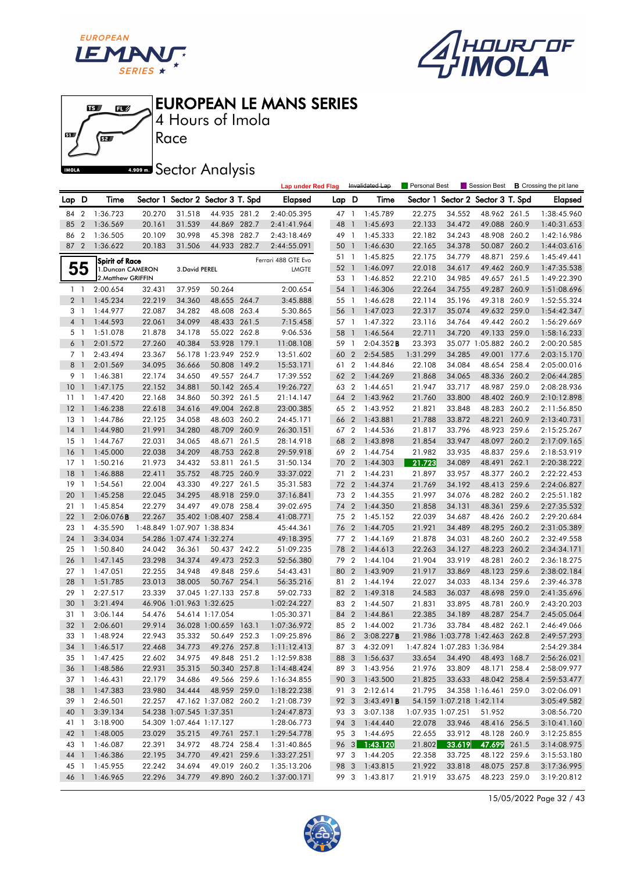





4 Hours of Imola

**A.509 mm** Sector Analysis

|                    |                                |                                |                  |                            |                                       |       | <b>Lap under Red Flag</b>  |       |                        | Invalidated Lap                | Personal Best              |                          | Session Best                      |       | <b>B</b> Crossing the pit lane |
|--------------------|--------------------------------|--------------------------------|------------------|----------------------------|---------------------------------------|-------|----------------------------|-------|------------------------|--------------------------------|----------------------------|--------------------------|-----------------------------------|-------|--------------------------------|
| Lap D              |                                | Time                           |                  |                            | Sector 1 Sector 2 Sector 3 T. Spd     |       | <b>Elapsed</b>             | Lap D |                        | Time                           |                            |                          | Sector 1 Sector 2 Sector 3 T. Spd |       | <b>Elapsed</b>                 |
| 84                 | $\overline{2}$                 | 1:36.723                       | 20.270           | 31.518                     | 44.935 281.2                          |       | 2:40:05.395                |       | 47 1                   | 1:45.789                       | 22.275                     | 34.552                   | 48.962 261.5                      |       | 1:38:45.960                    |
| 85                 | $\overline{2}$                 | 1:36.569                       | 20.161           | 31.539                     | 44.869 282.7                          |       | 2:41:41.964                | 48    | $\overline{1}$         | 1:45.693                       | 22.133                     | 34.472                   | 49.088 260.9                      |       | 1:40:31.653                    |
| 86                 | $\overline{2}$                 | 1:36.505                       | 20.109           | 30.998                     | 45.398 282.7                          |       | 2:43:18.469                | 49 1  |                        | 1:45.333                       | 22.182                     | 34.243                   | 48.908 260.2                      |       | 1:42:16.986                    |
| 87                 | $\overline{2}$                 | 1:36.622                       | 20.183           | 31.506                     | 44.933 282.7                          |       | 2:44:55.091                | 50 1  |                        | 1:46.630                       | 22.165                     | 34.378                   | 50.087 260.2                      |       | 1:44:03.616                    |
|                    |                                | <b>Spirit of Race</b>          |                  |                            |                                       |       | Ferrari 488 GTE Evo        | 51 1  |                        | 1:45.825                       | 22.175                     | 34.779                   | 48.871                            | 259.6 | 1:45:49.441                    |
|                    | 55                             | 1. Duncan CAMERON              |                  | 3. David PEREL             |                                       |       | <b>LMGTE</b>               | 52    | $\overline{1}$         | 1:46.097                       | 22.018                     | 34.617                   | 49.462 260.9                      |       | 1:47:35.538                    |
|                    |                                | 2. Matthew GRIFFIN             |                  |                            |                                       |       |                            | 53 1  |                        | 1:46.852                       | 22.210                     | 34.985                   | 49.657 261.5                      |       | 1:49:22.390                    |
|                    | $1\quad$                       | 2:00.654                       | 32.431           | 37.959                     | 50.264                                |       | 2:00.654                   | 54 1  |                        | 1:46.306                       | 22.264                     | 34.755                   | 49.287                            | 260.9 | 1:51:08.696                    |
|                    | 2 <sub>1</sub>                 | 1:45.234                       | 22.219           | 34.360                     | 48.655 264.7                          |       | 3:45.888                   | 55 1  |                        | 1:46.628                       | 22.114                     | 35.196                   | 49.318 260.9                      |       | 1:52:55.324                    |
|                    | 3 1                            | 1:44.977                       | 22.087           | 34.282                     | 48.608 263.4                          |       | 5:30.865                   | 56    | $\overline{1}$         | 1:47.023                       | 22.317                     | 35.074                   | 49.632 259.0                      |       | 1:54:42.347                    |
|                    | 4 1                            | 1:44.593                       | 22.061           | 34.099                     | 48.433 261.5                          |       | 7:15.458                   | 57 1  |                        | 1:47.322                       | 23.116                     | 34.764                   | 49.442 260.2                      |       | 1:56:29.669                    |
|                    | 51                             | 1:51.078                       | 21.878           | 34.178                     | 55.022 262.8                          |       | 9:06.536                   | 58 1  |                        | 1:46.564                       | 22.711                     | 34.720                   | 49.133 259.0                      |       | 1:58:16.233                    |
|                    | 6 <sup>1</sup>                 | 2:01.572                       | 27.260           | 40.384                     | 53.928                                | 179.1 | 11:08.108                  | 59    | $\overline{1}$         | 2:04.352B                      | 23.393                     |                          | 35.077 1:05.882 260.2             |       | 2:00:20.585                    |
|                    | 7 <sub>1</sub>                 | 2:43.494                       | 23.367           |                            | 56.178 1:23.949 252.9                 |       | 13:51.602                  | 60    | $\overline{2}$         | 2:54.585                       | 1:31.299                   | 34.285                   | 49.001 177.6                      |       | 2:03:15.170                    |
| 8                  | $\overline{1}$                 | 2:01.569                       | 34.095           | 36.666                     | 50.808 149.2                          |       | 15:53.171                  | 61 2  |                        | 1:44.846                       | 22.108                     | 34.084                   | 48.654 258.4                      |       | 2:05:00.016                    |
|                    | 9 1                            | 1:46.381                       | 22.174           | 34.650                     | 49.557 264.7                          |       | 17:39.552                  | 62 2  |                        | 1:44.269                       | 21.868                     | 34.065                   | 48.336 260.2                      |       | 2:06:44.285                    |
| 10                 | $\overline{1}$                 | 1:47.175                       | 22.152           | 34.881                     | 50.142 265.4                          |       | 19:26.727                  | 63 2  |                        | 1:44.651                       | 21.947                     | 33.717                   | 48.987 259.0                      |       | 2:08:28.936                    |
| 11                 | -1                             | 1:47.420                       | 22.168           | 34.860                     | 50.392 261.5                          |       | 21:14.147                  | 64    | $\overline{2}$         | 1:43.962                       | 21.760                     | 33.800                   | 48.402 260.9                      |       | 2:10:12.898                    |
| 12                 | $\overline{1}$                 | 1:46.238                       | 22.618           | 34.616                     | 49.004 262.8                          |       | 23:00.385                  | 65 2  |                        | 1:43.952                       | 21.821                     | 33.848                   | 48.283 260.2                      |       | 2:11:56.850                    |
| 13                 | $\overline{1}$                 | 1:44.786                       | 22.125           | 34.058                     | 48.603 260.2                          |       | 24:45.171                  | 66 2  |                        | 1:43.881                       | 21.788                     | 33.872                   | 48.221                            | 260.9 | 2:13:40.731                    |
| 14                 | $\overline{1}$                 | 1:44.980                       | 21.991           | 34.280                     | 48.709                                | 260.9 | 26:30.151                  | 67 2  |                        | 1:44.536                       | 21.817                     | 33.796                   | 48.923 259.6                      |       | 2:15:25.267                    |
| 15                 | $\overline{1}$                 | 1:44.767                       | 22.031           | 34.065                     | 48.671 261.5                          |       | 28:14.918                  | 68    | $\overline{2}$         | 1:43.898                       | 21.854                     | 33.947                   | 48.097 260.2                      |       | 2:17:09.165                    |
| 16                 | $\overline{1}$                 | 1:45.000                       | 22.038           | 34.209                     | 48.753 262.8                          |       | 29:59.918                  | 69 2  |                        | 1:44.754                       | 21.982                     | 33.935                   | 48.837 259.6                      |       | 2:18:53.919                    |
| 17                 | $\overline{1}$                 | 1:50.216                       | 21.973           | 34.432                     | 53.811 261.5                          |       | 31:50.134                  | 70    | $\overline{2}$         | 1:44.303                       | 21.723                     | 34.089                   | 48.491                            | 262.1 | 2:20:38.222                    |
| 18                 | $\mathbf{1}$                   | 1:46.888                       | 22.411           | 35.752                     | 48.725 260.9                          |       | 33:37.022                  | 71    | $\overline{2}$         | 1:44.231                       | 21.897                     | 33.957                   | 48.377 260.2                      |       | 2:22:22.453                    |
| 19                 | - 1                            | 1:54.561                       | 22.004           | 43.330                     | 49.227 261.5                          |       | 35:31.583                  | 72    | $\overline{2}$         | 1:44.374                       | 21.769                     | 34.192                   | 48.413 259.6                      |       | 2:24:06.827                    |
| 20                 | $\overline{1}$                 | 1:45.258                       | 22.045           | 34.295                     | 48.918 259.0                          |       | 37:16.841                  | 73 2  |                        | 1:44.355                       | 21.997                     | 34.076                   | 48.282 260.2                      |       | 2:25:51.182                    |
| 21                 | -1                             | 1:45.854                       | 22.279           | 34.497                     | 49.078 258.4                          |       | 39:02.695                  | 74    | $\overline{2}$         | 1:44.350                       | 21.858                     | 34.131                   | 48.361                            | 259.6 | 2:27:35.532                    |
| 22                 | $\overline{1}$                 | $2:06.076$ B                   | 22.267           |                            | 35.402 1:08.407 258.4                 |       | 41:08.771                  | 75 2  |                        | 1:45.152                       | 22.039                     | 34.687                   | 48.426 260.2                      |       | 2:29:20.684                    |
| 23                 | - 1                            | 4:35.590                       |                  | 1:48.849 1:07.907 1:38.834 |                                       |       | 45:44.361                  | 76    | $\overline{2}$         | 1:44.705                       | 21.921                     | 34.489                   | 48.295 260.2                      |       | 2:31:05.389                    |
| 24                 | $\mathbf{1}$                   | 3:34.034                       |                  | 54.286 1:07.474 1:32.274   |                                       |       | 49:18.395                  | 77 2  |                        | 1:44.169                       | 21.878                     | 34.031                   | 48.260 260.2                      |       | 2:32:49.558                    |
| 25                 | $\overline{1}$                 | 1:50.840                       | 24.042           | 36.361                     | 50.437 242.2                          |       | 51:09.235                  | 78    | $\overline{2}$         | 1:44.613                       | 22.263                     | 34.127                   | 48.223 260.2                      |       | 2:34:34.171                    |
| 26                 | $\mathbf{1}$                   | 1:47.145                       | 23.298           | 34.374                     | 49.473 252.3                          |       | 52:56.380                  | 79    | $\overline{2}$         | 1:44.104                       | 21.904                     | 33.919                   | 48.281                            | 260.2 | 2:36:18.275                    |
| 27                 | - 1                            | 1:47.051                       | 22.255           | 34.948                     | 49.848 259.6                          |       | 54:43.431                  | 80    | $\overline{2}$         | 1:43.909                       | 21.917                     | 33.869                   | 48.123 259.6                      |       | 2:38:02.184                    |
| 28                 | $\mathbf{1}$                   | 1:51.785                       | 23.013           | 38.005                     | 50.767 254.1                          |       | 56:35.216                  | 81    | $\overline{2}$         | 1:44.194                       | 22.027                     | 34.033                   | 48.134 259.6                      |       | 2:39:46.378                    |
| 29                 | $\overline{1}$                 | 2:27.517                       | 23.339           |                            | 37.045 1:27.133 257.8                 |       | 59:02.733                  | 82    | $\overline{2}$         | 1:49.318                       | 24.583                     | 36.037                   | 48.698 259.0                      |       | 2:41:35.696                    |
| 30                 | $\mathbf{1}$                   | 3:21.494                       |                  | 46.906 1:01.963 1:32.625   |                                       |       | 1:02:24.227                | 83 2  |                        | 1:44.507                       | 21.831                     | 33.895                   | 48.781                            | 260.9 | 2:43:20.203                    |
| $31 \quad 1$<br>32 |                                | 3:06.144<br>2:06.601           | 54.476           |                            | 54.614 1:17.054                       |       | 1:05:30.371                | 84    | $\overline{2}$<br>85 2 | 1:44.861                       | 22.385                     | 34.189                   | 48.287 254.7<br>48.482 262.1      |       | 2:45:05.064                    |
| 33                 | $\mathbf{1}$<br>$\overline{1}$ | 1:48.924                       | 29.914<br>22.943 | 35.332                     | 36.028 1:00.659 163.1<br>50.649 252.3 |       | 1:07:36.972<br>1:09:25.896 | 86 2  |                        | 1:44.002<br>3:08.227B          | 21.736                     | 33.784                   | 21.986 1:03.778 1:42.463 262.8    |       | 2:46:49.066<br>2:49:57.293     |
|                    |                                |                                | 22.468           | 34.773                     | 49.276 257.8                          |       | 1:11:12.413                |       | 87 3                   | 4:32.091                       | 1:47.824 1:07.283 1:36.984 |                          |                                   |       | 2:54:29.384                    |
|                    |                                | 34 1 1:46.517                  |                  |                            |                                       |       |                            |       |                        |                                | 33.654                     | 34.490                   |                                   |       |                                |
|                    |                                | 35 1 1:47.425<br>36 1 1:48.586 | 22.602<br>22.931 | 34.975<br>35.315           | 49.848 251.2<br>50.340 257.8          |       | 1:12:59.838<br>1:14:48.424 |       |                        | 88 3 1:56.637<br>89 3 1:43.956 | 21.976                     | 33.809                   | 48.493 168.7<br>48.171 258.4      |       | 2:56:26.021                    |
| 37 1               |                                | 1:46.431                       | 22.179           | 34.686                     | 49.566 259.6                          |       | 1:16:34.855                |       |                        | 90 3 1:43.500                  | 21.825                     | 33.633                   | 48.042 258.4                      |       | 2:58:09.977                    |
| 38 1               |                                | 1:47.383                       | 23.980           | 34.444                     | 48.959 259.0                          |       | 1:18:22.238                |       | 91 3                   | 2:12.614                       | 21.795                     |                          | 34.358 1:16.461 259.0             |       | 2:59:53.477<br>3:02:06.091     |
|                    |                                | 39 1 2:46.501                  | 22.257           |                            | 47.162 1:37.082 260.2                 |       | 1:21:08.739                |       | 92 3                   | 3:43.491B                      |                            | 54.159 1:07.218 1:42.114 |                                   |       | 3:05:49.582                    |
| 40 1               |                                | 3:39.134                       |                  | 54.238 1:07.545 1:37.351   |                                       |       | 1:24:47.873                |       | 93 3                   | 3:07.138                       |                            | 1:07.935 1:07.251        | 51.952                            |       | 3:08:56.720                    |
| 41 1               |                                | 3:18.900                       |                  |                            | 54.309 1:07.464 1:17.127              |       | 1:28:06.773                |       |                        | 94 3 1:44.440                  | 22.078                     | 33.946                   | 48.416 256.5                      |       | 3:10:41.160                    |
| 42 1               |                                | 1:48.005                       | 23.029           | 35.215                     | 49.761 257.1                          |       | 1:29:54.778                |       |                        | 95 3 1:44.695                  | 22.655                     | 33.912                   | 48.128 260.9                      |       | 3:12:25.855                    |
| 43 1               |                                | 1:46.087                       | 22.391           | 34.972                     | 48.724 258.4                          |       | 1:31:40.865                |       |                        | 96 3 1:43.120                  | 21.802                     | 33.619                   | 47.699 261.5                      |       | 3:14:08.975                    |
| 44 1               |                                | 1:46.386                       | 22.195           | 34.770                     | 49.421 259.6                          |       | 1:33:27.251                |       |                        | 97 3 1:44.205                  | 22.358                     | 33.725                   | 48.122 259.6                      |       | 3:15:53.180                    |
| 45 1               |                                | 1:45.955                       | 22.242           | 34.694                     | 49.019 260.2                          |       | 1:35:13.206                |       |                        | 98 3 1:43.815                  | 21.922                     | 33.818                   | 48.075 257.8                      |       | 3:17:36.995                    |
| 46 1               |                                | 1:46.965                       | 22.296           | 34.779                     | 49.890 260.2                          |       | 1:37:00.171                |       |                        | 99 3 1:43.817                  | 21.919                     | 33.675                   | 48.223 259.0                      |       | 3:19:20.812                    |
|                    |                                |                                |                  |                            |                                       |       |                            |       |                        |                                |                            |                          |                                   |       |                                |

15/05/2022 Page 32 / 43

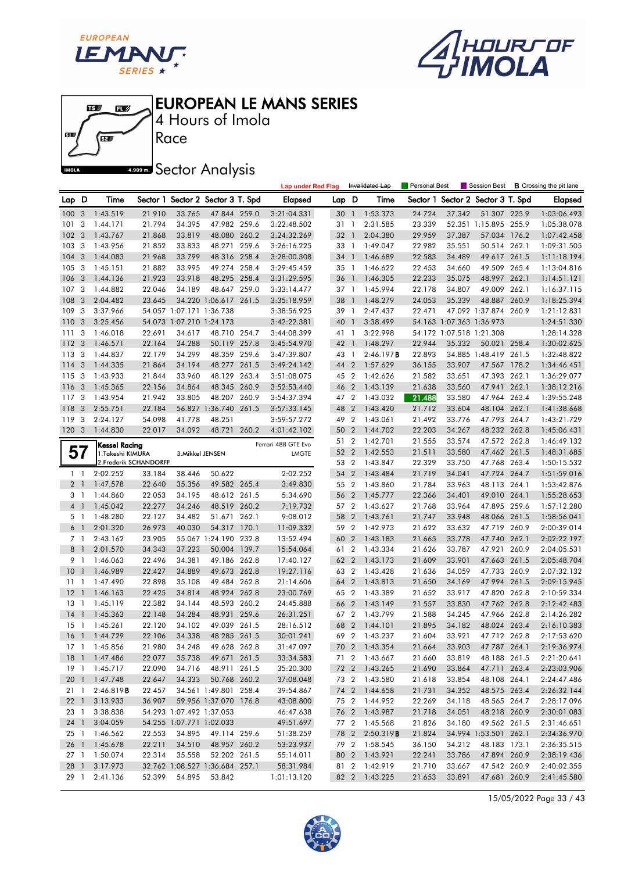





4 Hours of Imola

**A.909mm** Sector Analysis

|                 |                |                        |        |                          |                                   |       | <b>Lap under Red Flag</b> |       |                | Invalidated Lap        | <b>Personal Best</b> |                          | Session Best             |       | <b>B</b> Crossing the pit lane |
|-----------------|----------------|------------------------|--------|--------------------------|-----------------------------------|-------|---------------------------|-------|----------------|------------------------|----------------------|--------------------------|--------------------------|-------|--------------------------------|
| Lap D           |                | Time                   |        |                          | Sector 1 Sector 2 Sector 3 T. Spd |       | <b>Elapsed</b>            | Lap D |                | Time                   | Sector 1             |                          | Sector 2 Sector 3 T. Spd |       | <b>Elapsed</b>                 |
| 100             | 3              | 1:43.519               | 21.910 | 33.765                   | 47.844 259.0                      |       | 3:21:04.331               | 30    | $\overline{1}$ | 1:53.373               | 24.724               | 37.342                   | 51.307 225.9             |       | 1:03:06.493                    |
| 101             | 3              | 1:44.171               | 21.794 | 34.395                   | 47.982 259.6                      |       | 3:22:48.502               | 31    | -1             | 2:31.585               | 23.339               |                          | 52.351 1:15.895 255.9    |       | 1:05:38.078                    |
| 102             | 3              | 1:43.767               | 21.868 | 33.819                   | 48.080 260.2                      |       | 3:24:32.269               | 32    | $\overline{1}$ | 2:04.380               | 29.959               | 37.387                   | 57.034 176.2             |       | 1:07:42.458                    |
| 103             | 3              | 1:43.956               | 21.852 | 33.833                   | 48.271 259.6                      |       | 3:26:16.225               | 33 1  |                | 1:49.047               | 22.982               | 35.551                   | 50.514 262.1             |       | 1:09:31.505                    |
| 104             | 3              | 1:44.083               | 21.968 | 33.799                   | 48.316 258.4                      |       | 3:28:00.308               | 34 1  |                | 1:46.689               | 22.583               | 34.489                   | 49.617                   | 261.5 | 1:11:18.194                    |
| 105             | 3              | 1:45.151               | 21.882 | 33.995                   | 49.274                            | 258.4 | 3:29:45.459               | 35 1  |                | 1:46.622               | 22.453               | 34.660                   | 49.509 265.4             |       | 1:13:04.816                    |
| 106             | 3              | 1:44.136               | 21.923 | 33.918                   | 48.295 258.4                      |       | 3:31:29.595               | 36    | $\mathbf{1}$   | 1:46.305               | 22.233               | 35.075                   | 48.997 262.1             |       | 1:14:51.121                    |
| 107             | 3              | 1:44.882               | 22.046 | 34.189                   | 48.647 259.0                      |       | 3:33:14.477               | 37 1  |                | 1:45.994               | 22.178               | 34.807                   | 49.009 262.1             |       | 1:16:37.115                    |
| 108             | 3              | 2:04.482               | 23.645 |                          | 34.220 1:06.617 261.5             |       | 3:35:18.959               | 38    | $\overline{1}$ | 1:48.279               | 24.053               | 35.339                   | 48.887                   | 260.9 | 1:18:25.394                    |
| 109             | 3              | 3:37.966               |        | 54.057 1:07.171 1:36.738 |                                   |       | 3:38:56.925               | 39    | -1             | 2:47.437               | 22.471               |                          | 47.092 1:37.874 260.9    |       | 1:21:12.831                    |
| 110             | 3              | 3:25.456               |        | 54.073 1:07.210 1:24.173 |                                   |       | 3:42:22.381               | 40    | $\overline{1}$ | 3:38.499               |                      | 54.163 1:07.363 1:36.973 |                          |       | 1:24:51.330                    |
| 111             | 3              | 1:46.018               | 22.691 | 34.617                   | 48.710 254.7                      |       | 3:44:08.399               | 41    | $\overline{1}$ | 3:22.998               |                      | 54.172 1:07.518 1:21.308 |                          |       | 1:28:14.328                    |
| 112             | 3              | 1:46.571               | 22.164 | 34.288                   | 50.119 257.8                      |       | 3:45:54.970               | 42 1  |                | 1:48.297               | 22.944               | 35.332                   | 50.021 258.4             |       | 1:30:02.625                    |
| 113             | 3              | 1:44.837               | 22.179 | 34.299                   | 48.359 259.6                      |       | 3:47:39.807               | 43    | - 1            | 2:46.197B              | 22.893               |                          | 34.885 1:48.419 261.5    |       | 1:32:48.822                    |
| 114             | 3              | 1:44.335               | 21.864 | 34.194                   | 48.277 261.5                      |       | 3:49:24.142               | 44 2  |                | 1:57.629               | 36.155               | 33.907                   | 47.567 178.2             |       | 1:34:46.451                    |
| 115             | 3              | 1:43.933               | 21.844 | 33.960                   | 48.129 263.4                      |       | 3:51:08.075               | 45 2  |                | 1:42.626               | 21.582               | 33.651                   | 47.393 262.1             |       | 1:36:29.077                    |
| 116             | 3              | 1:45.365               | 22.156 | 34.864                   | 48.345 260.9                      |       | 3:52:53.440               | 46    | $\overline{2}$ | 1:43.139               | 21.638               | 33.560                   | 47.941                   | 262.1 | 1:38:12.216                    |
| 117             | 3              | 1:43.954               | 21.942 | 33.805                   | 48.207 260.9                      |       | 3:54:37.394               | 47 2  |                | 1:43.032               | 21.488               | 33.580                   | 47.964 263.4             |       | 1:39:55.248                    |
| 118             | 3              | 2:55.751               | 22.184 |                          | 56.827 1:36.740 261.5             |       | 3:57:33.145               | 48    | $\overline{2}$ | 1:43.420               | 21.712               | 33.604                   | 48.104 262.1             |       | 1:41:38.668                    |
| 119             | 3              | 2:24.127               | 54.098 | 41.778                   | 48.251                            |       | 3:59:57.272               | 49 2  |                | 1:43.061               | 21.492               | 33.776                   | 47.793 264.7             |       | 1:43:21.729                    |
| 120             | 3              | 1:44.830               | 22.017 | 34.092                   | 48.721                            | 260.2 | 4:01:42.102               | 50    | $\overline{2}$ | 1:44.702               | 22.203               | 34.267                   | 48.232 262.8             |       | 1:45:06.431                    |
|                 |                | Kessel Racing          |        |                          |                                   |       | Ferrari 488 GTE Evo       | 51    | $\overline{2}$ | 1:42.701               | 21.555               | 33.574                   | 47.572 262.8             |       | 1:46:49.132                    |
| 57              |                | 1.Takeshi KIMURA       |        | 3. Mikkel JENSEN         |                                   |       | <b>LMGTE</b>              | 52 2  |                | 1:42.553               | 21.511               | 33.580                   | 47.462 261.5             |       | 1:48:31.685                    |
|                 |                | 2. Frederik SCHANDORFF |        |                          |                                   |       |                           | 53 2  |                | 1:43.847               | 22.329               | 33.750                   | 47.768 263.4             |       | 1:50:15.532                    |
| 1 <sub>1</sub>  |                | 2:02.252               | 33.184 | 38.446                   | 50.622                            |       | 2:02.252                  | 54    | $\overline{2}$ | 1:43.484               | 21.719               | 34.041                   | 47.724 264.7             |       | 1:51:59.016                    |
| 2 <sub>1</sub>  |                | 1:47.578               | 22.640 | 35.356                   | 49.582 265.4                      |       | 3:49.830                  | 55 2  |                | 1:43.860               | 21.784               | 33.963                   | 48.113 264.1             |       | 1:53:42.876                    |
| 3 <sup>1</sup>  |                | 1:44.860               | 22.053 | 34.195                   | 48.612 261.5                      |       | 5:34.690                  | 56 2  |                | 1:45.777               | 22.366               | 34.401                   | 49.010 264.1             |       | 1:55:28.653                    |
| 4 <sup>1</sup>  |                | 1:45.042               | 22.277 | 34.246                   | 48.519 260.2                      |       | 7:19.732                  | 57 2  |                | 1:43.627               | 21.768               | 33.964                   | 47.895 259.6             |       | 1:57:12.280                    |
| 5 <sub>1</sub>  |                | 1:48.280               | 22.127 | 34.482                   | 51.671                            | 262.1 | 9:08.012                  | 58    | $\overline{2}$ | 1:43.761               | 21.747               | 33.948                   | 48.066 261.5             |       | 1:58:56.041                    |
| 6 1             |                | 2:01.320               | 26.973 | 40.030                   | 54.317 170.1                      |       | 11:09.332                 | 59 2  |                | 1:42.973               | 21.622               | 33.632                   | 47.719 260.9             |       | 2:00:39.014                    |
| 7 <sup>1</sup>  |                | 2:43.162               | 23.905 |                          | 55.067 1:24.190 232.8             |       | 13:52.494                 | 60    | $\overline{2}$ | 1:43.183               | 21.665               | 33.778                   | 47.740 262.1             |       | 2:02:22.197                    |
| 8               | $\overline{1}$ | 2:01.570               | 34.343 | 37.223                   | 50.004 139.7                      |       | 15:54.064                 | 61 2  |                | 1:43.334               | 21.626               | 33.787                   | 47.921 260.9             |       | 2:04:05.531                    |
| 9               | - 1            | 1:46.063               | 22.496 | 34.381                   | 49.186 262.8                      |       | 17:40.127                 | 62    | $\overline{2}$ | 1:43.173               | 21.609               | 33.901                   | 47.663 261.5             |       | 2:05:48.704                    |
| 10              | $\mathbf{1}$   | 1:46.989               | 22.427 | 34.889                   | 49.673 262.8                      |       | 19:27.116                 | 63 2  |                | 1:43.428               | 21.636               | 34.059                   | 47.733 260.9             |       | 2:07:32.132                    |
| 11              | -1             | 1:47.490               | 22.898 | 35.108                   | 49.484 262.8                      |       | 21:14.606                 | 64 2  |                | 1:43.813               | 21.650               | 34.169                   | 47.994 261.5             |       | 2:09:15.945                    |
| 12              | $\overline{1}$ | 1:46.163               | 22.425 | 34.814                   | 48.924 262.8                      |       | 23:00.769                 | 65 2  |                | 1:43.389               | 21.652               | 33.917                   | 47.820 262.8             |       | 2:10:59.334                    |
| 13              | -1             | 1:45.119               | 22.382 | 34.144                   | 48.593 260.2                      |       | 24:45.888                 | 66    | $\overline{2}$ | 1:43.149               | 21.557               | 33.830                   | 47.762 262.8             |       | 2:12:42.483                    |
| 14              | $\overline{1}$ | 1:45.363               | 22.148 | 34.284                   | 48.931 259.6                      |       | 26:31.251                 | 672   |                | 1:43.799               | 21.588               | 34.245                   | 47.966 262.8             |       | 2:14:26.282                    |
| 15              | -1             | 1:45.261               | 22.120 | 34.102                   | 49.039 261.5                      |       | 28:16.512                 | 68    | $\overline{2}$ | 1:44.101               | 21.895               | 34.182                   | 48.024                   | 263.4 | 2:16:10.383                    |
| 16 <sub>1</sub> |                | 1:44.729               | 22.106 | 34.338                   | 48.285 261.5                      |       | 30:01.241                 | 69    | $\overline{2}$ | 1:43.237               | 21.604               | 33.921                   | 47.712 262.8             |       | 2:17:53.620                    |
|                 |                | 17 1 1:45.856          | 21.980 | 34.248                   | 49.628 262.8                      |       | 31:47.097                 |       |                | 70 2 1:43.354          | 21.664               | 33.903                   | 47.787 264.1             |       | 2:19:36.974                    |
|                 |                | 18 1 1:47.486          | 22.077 | 35.738                   | 49.671 261.5                      |       | 33:34.583                 |       |                | 71 2 1:43.667          | 21.660               | 33.819                   | 48.188 261.5             |       | 2:21:20.641                    |
| 19 1            |                | 1:45.717               | 22.090 | 34.716                   | 48.911 261.5                      |       | 35:20.300                 |       |                | 72 2 1:43.265          | 21.690               | 33.864                   | 47.711 263.4             |       | 2:23:03.906                    |
|                 |                | 20 1 1:47.748          | 22.647 |                          | 34.333 50.768 260.2               |       | 37:08.048                 |       |                | 73 2 1:43.580          | 21.618               | 33.854                   | 48.108 264.1             |       | 2:24:47.486                    |
| 21 1            |                | 2:46.819B              | 22.457 |                          | 34.561 1:49.801 258.4             |       | 39:54.867                 |       |                | 74 2 1:44.658          | 21.731               | 34.352                   | 48.575 263.4             |       | 2:26:32.144                    |
|                 |                | 22 1 3:13.933          | 36.907 |                          | 59.956 1:37.070 176.8             |       | 43:08.800                 |       |                | 75 2 1:44.952          | 22.269               | 34.118                   | 48.565 264.7             |       | 2:28:17.096                    |
| 23 1            |                | 3:38.838               |        | 54.293 1:07.492 1:37.053 |                                   |       | 46:47.638                 |       |                | 76 2 1:43.987          | 21.718               | 34.051                   | 48.218 260.9             |       | 2:30:01.083                    |
| 24 1            |                | 3:04.059               |        | 54.255 1:07.771 1:02.033 |                                   |       | 49:51.697                 |       |                | 77 2 1:45.568          | 21.826               | 34.180                   | 49.562 261.5             |       | 2:31:46.651                    |
| 25 1            |                | 1:46.562               | 22.553 | 34.895                   | 49.114 259.6                      |       | 51:38.259                 |       |                | 78 2 2:50.319 <b>B</b> | 21.824               |                          | 34.994 1:53.501 262.1    |       | 2:34:36.970                    |
| 26 1            |                | 1:45.678               | 22.211 | 34.510                   | 48.957 260.2                      |       | 53:23.937                 |       |                | 79 2 1:58.545          | 36.150               | 34.212                   | 48.183 173.1             |       | 2:36:35.515                    |
| 27 1            |                | 1:50.074               | 22.314 | 35.558                   | 52.202 261.5                      |       | 55:14.011                 |       |                | 80 2 1:43.921          | 22.241               | 33.786                   | 47.894 260.9             |       | 2:38:19.436                    |
| 28 1            |                | 3:17.973               |        |                          | 32.762 1:08.527 1:36.684 257.1    |       | 58:31.984                 |       |                | 81 2 1:42.919          | 21.710               | 33.667                   | 47.542 260.9             |       | 2:40:02.355                    |
| 29 1            |                | 2:41.136               | 52.399 | 54.895                   | 53.842                            |       | 1:01:13.120               |       |                | 82 2 1:43.225          | 21.653               | 33.891                   | 47.681 260.9             |       | 2:41:45.580                    |

15/05/2022 Page 33 / 43

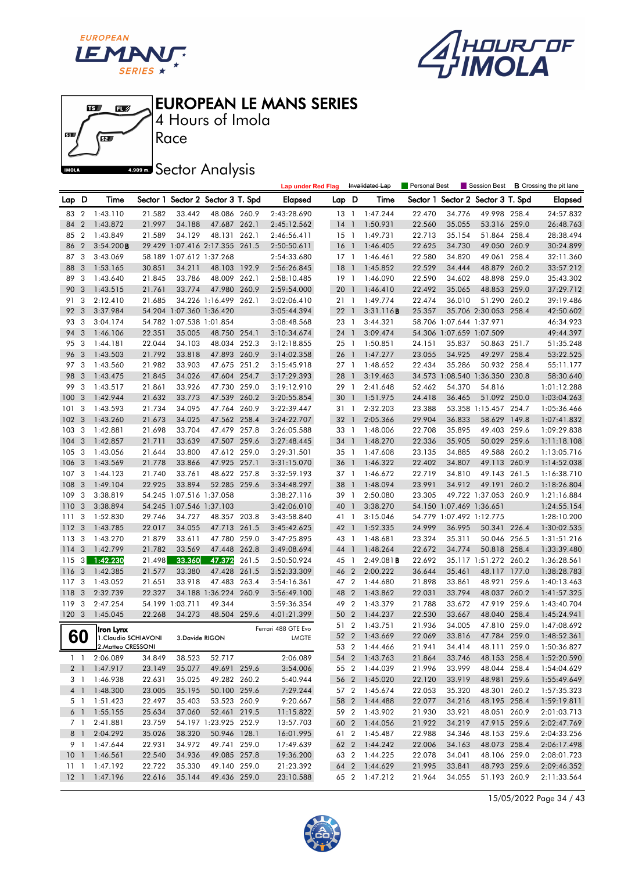





4 Hours of Imola

**A.509 mm** Sector Analysis

|              |                |                      |        |                 |                                   |       | <b>Lap under Red Flag</b> |        |                          | Invalidated Lap | Personal Best |                          | Session Best                   |       | <b>B</b> Crossing the pit lane |
|--------------|----------------|----------------------|--------|-----------------|-----------------------------------|-------|---------------------------|--------|--------------------------|-----------------|---------------|--------------------------|--------------------------------|-------|--------------------------------|
| Lap D        |                | Time                 |        |                 | Sector 1 Sector 2 Sector 3 T. Spd |       | Elapsed                   | Lap D  |                          | Time            | Sector 1      |                          | Sector 2 Sector 3 T. Spd       |       | <b>Elapsed</b>                 |
| 83           | $\overline{2}$ | 1:43.110             | 21.582 | 33.442          | 48.086 260.9                      |       | 2:43:28.690               | $13-1$ |                          | 1:47.244        | 22.470        | 34.776                   | 49.998 258.4                   |       | 24:57.832                      |
| 84           | $\overline{2}$ | 1:43.872             | 21.997 | 34.188          | 47.687 262.1                      |       | 2:45:12.562               | 14     | $\overline{1}$           | 1:50.931        | 22.560        | 35.055                   | 53.316 259.0                   |       | 26:48.763                      |
| 85           | $\overline{2}$ | 1:43.849             | 21.589 | 34.129          | 48.131 262.1                      |       | 2:46:56.411               | $15-1$ |                          | 1:49.731        | 22.713        | 35.154                   | 51.864 258.4                   |       | 28:38.494                      |
| 86           | $\overline{2}$ | 3:54.200B            |        |                 | 29.429 1:07.416 2:17.355 261.5    |       | 2:50:50.611               | 16     | $\overline{\phantom{0}}$ | 1:46.405        | 22.625        | 34.730                   | 49.050                         | 260.9 | 30:24.899                      |
| 87           | 3              | 3:43.069             |        |                 | 58.189 1:07.612 1:37.268          |       | 2:54:33.680               | 17     | $\overline{1}$           | 1:46.461        | 22.580        | 34.820                   | 49.061                         | 258.4 | 32:11.360                      |
| 88           | 3              | 1:53.165             | 30.851 | 34.211          | 48.103 192.9                      |       | 2:56:26.845               | 18     | $\overline{\phantom{a}}$ | 1:45.852        | 22.529        | 34.444                   | 48.879 260.2                   |       | 33:57.212                      |
| 89           | -3             | 1:43.640             | 21.845 | 33.786          | 48.009 262.1                      |       | 2:58:10.485               | $19-1$ |                          | 1:46.090        | 22.590        | 34.602                   | 48.898 259.0                   |       | 35:43.302                      |
| 90           | 3              | 1:43.515             | 21.761 | 33.774          | 47.980 260.9                      |       | 2:59:54.000               | 201    |                          | 1:46.410        | 22.492        | 35.065                   | 48.853 259.0                   |       | 37:29.712                      |
| 91           | 3              | 2:12.410             | 21.685 |                 | 34.226 1:16.499 262.1             |       | 3:02:06.410               | 21 1   |                          | 1:49.774        | 22.474        | 36.010                   | 51.290 260.2                   |       | 39:19.486                      |
| 92           | 3              | 3:37.984             |        |                 | 54.204 1:07.360 1:36.420          |       | 3:05:44.394               | 22     | $\overline{1}$           | 3:31.116B       | 25.357        |                          | 35.706 2:30.053 258.4          |       | 42:50.602                      |
| 93           | 3              | 3:04.174             |        |                 | 54.782 1:07.538 1:01.854          |       | 3:08:48.568               | 23 1   |                          | 3:44.321        |               | 58.706 1:07.644 1:37.971 |                                |       | 46:34.923                      |
| 94           | 3              | 1:46.106             | 22.351 | 35.005          | 48.750 254.1                      |       | 3:10:34.674               | 24 1   |                          | 3:09.474        |               | 54.306 1:07.659 1:07.509 |                                |       | 49:44.397                      |
| 95           | 3              | 1:44.181             | 22.044 | 34.103          | 48.034 252.3                      |       | 3:12:18.855               | 25 1   |                          | 1:50.851        | 24.151        | 35.837                   | 50.863 251.7                   |       | 51:35.248                      |
| 96           | 3              | 1:43.503             | 21.792 | 33.818          | 47.893 260.9                      |       | 3:14:02.358               | 26     | $\overline{\phantom{a}}$ | 1:47.277        | 23.055        | 34.925                   | 49.297 258.4                   |       | 53:22.525                      |
| 97           | -3             | 1:43.560             | 21.982 | 33.903          | 47.675 251.2                      |       | 3:15:45.918               | 27 1   |                          | 1:48.652        | 22.434        | 35.286                   | 50.932 258.4                   |       | 55:11.177                      |
| 98           | 3              | 1:43.475             | 21.845 | 34.026          | 47.604 254.7                      |       | 3:17:29.393               | 28     | $\overline{1}$           | 3:19.463        |               |                          | 34.573 1:08.540 1:36.350 230.8 |       | 58:30.640                      |
| 99           | 3              | 1:43.517             | 21.861 | 33.926          | 47.730 259.0                      |       | 3:19:12.910               | 29     | $\overline{1}$           | 2:41.648        | 52.462        | 54.370                   | 54.816                         |       | 1:01:12.288                    |
| 100          | 3              | 1:42.944             | 21.632 | 33.773          | 47.539 260.2                      |       | 3:20:55.854               | 30     | $\mathbf{1}$             | 1:51.975        | 24.418        | 36.465                   | 51.092 250.0                   |       | 1:03:04.263                    |
| 101          | 3              | 1:43.593             | 21.734 | 34.095          | 47.764 260.9                      |       | 3:22:39.447               | 31 1   |                          | 2:32.203        | 23.388        |                          | 53.358 1:15.457 254.7          |       | 1:05:36.466                    |
| 102          | 3              | 1:43.260             | 21.673 | 34.025          | 47.562 258.4                      |       | 3:24:22.707               | 32 1   |                          | 2:05.366        | 29.904        | 36.833                   | 58.629 149.8                   |       | 1:07:41.832                    |
| 103          | 3              | 1:42.881             | 21.698 | 33.704          | 47.479                            | 257.8 | 3:26:05.588               | 33 1   |                          | 1:48.006        | 22.708        | 35.895                   | 49.403 259.6                   |       | 1:09:29.838                    |
| 104          | 3              | 1:42.857             | 21.711 | 33.639          | 47.507 259.6                      |       | 3:27:48.445               | 34     | $\overline{1}$           | 1:48.270        | 22.336        | 35.905                   | 50.029 259.6                   |       | 1:11:18.108                    |
| 105          | -3             | 1:43.056             | 21.644 | 33.800          | 47.612 259.0                      |       | 3:29:31.501               | 35 1   |                          | 1:47.608        | 23.135        | 34.885                   | 49.588 260.2                   |       | 1:13:05.716                    |
| 106          | 3              | 1:43.569             | 21.778 | 33.866          | 47.925 257.1                      |       | 3:31:15.070               | 36 1   |                          | 1:46.322        | 22.402        | 34.807                   | 49.113                         | 260.9 | 1:14:52.038                    |
| 107          | 3              | 1:44.123             | 21.740 | 33.761          | 48.622 257.8                      |       | 3:32:59.193               | 37 1   |                          | 1:46.672        | 22.719        | 34.810                   | 49.143                         | 261.5 | 1:16:38.710                    |
| 108          | -3             | 1:49.104             | 22.925 | 33.894          | 52.285 259.6                      |       | 3:34:48.297               | 38     | $\mathbf{1}$             | 1:48.094        | 23.991        | 34.912                   | 49.191                         | 260.2 | 1:18:26.804                    |
| 109          | 3              | 3:38.819             |        |                 | 54.245 1:07.516 1:37.058          |       | 3:38:27.116               | 39 1   |                          | 2:50.080        | 23.305        |                          | 49.722 1:37.053 260.9          |       | 1:21:16.884                    |
| 110          | 3              | 3:38.894             |        |                 | 54.245 1:07.546 1:37.103          |       | 3:42:06.010               | 40 1   |                          | 3:38.270        |               | 54.150 1:07.469 1:36.651 |                                |       | 1:24:55.154                    |
| 111          | 3              | 1:52.830             | 29.746 | 34.727          | 48.357 203.8                      |       | 3:43:58.840               | 41 1   |                          | 3:15.046        |               | 54.779 1:07.492 1:12.775 |                                |       | 1:28:10.200                    |
| 112          | -3             | 1:43.785             | 22.017 | 34.055          | 47.713 261.5                      |       | 3:45:42.625               | 42     | $\overline{1}$           | 1:52.335        | 24.999        | 36.995                   | 50.341 226.4                   |       | 1:30:02.535                    |
| 113          | 3              | 1:43.270             | 21.879 | 33.611          | 47.780 259.0                      |       | 3:47:25.895               | 43 1   |                          | 1:48.681        | 23.324        | 35.311                   | 50.046 256.5                   |       | 1:31:51.216                    |
| 114          | 3              | 1:42.799             | 21.782 | 33.569          | 47.448                            | 262.8 | 3:49:08.694               | 44 1   |                          | 1:48.264        | 22.672        | 34.774                   | 50.818 258.4                   |       | 1:33:39.480                    |
| 115          | 3 <sup>1</sup> | 1:42.230             | 21.498 | 33.360          | 47.372                            | 261.5 | 3:50:50.924               | 45     | $\overline{1}$           | 2:49.081B       | 22.692        |                          | 35.117 1:51.272 260.2          |       | 1:36:28.561                    |
| 116          | 3              | 1:42.385             | 21.577 | 33.380          | 47.428 261.5                      |       | 3:52:33.309               | 46     | $\overline{2}$           | 2:00.222        | 36.644        | 35.461                   | 48.117 177.0                   |       | 1:38:28.783                    |
| 117          | 3              | 1:43.052             | 21.651 | 33.918          | 47.483 263.4                      |       | 3:54:16.361               | 47 2   |                          | 1:44.680        | 21.898        | 33.861                   | 48.921 259.6                   |       | 1:40:13.463                    |
| 118          | 3              | 2:32.739             | 22.327 |                 | 34.188 1:36.224 260.9             |       | 3:56:49.100               | 48     | $\overline{2}$           | 1:43.862        | 22.031        | 33.794                   | 48.037                         | 260.2 | 1:41:57.325                    |
| 119          | 3              | 2:47.254             |        | 54.199 1:03.711 | 49.344                            |       | 3:59:36.354               | 49     | $\overline{2}$           | 1:43.379        | 21.788        | 33.672                   | 47.919 259.6                   |       | 1:43:40.704                    |
| 120.3        |                | 1:45.045             | 22.268 | 34.273          | 48.504 259.6                      |       | 4:01:21.399               | 50     | $\overline{2}$           | 1:44.237        | 22.530        | 33.667                   | 48.040 258.4                   |       | 1:45:24.941                    |
|              |                | Iron Lynx            |        |                 |                                   |       | Ferrari 488 GTE Evo       | 51     | $\overline{2}$           | 1:43.751        | 21.936        | 34.005                   | 47.810 259.0                   |       | 1:47:08.692                    |
|              | 60             | 1. Claudio SCHIAVONI |        | 3. Davide RIGON |                                   |       | <b>LMGTE</b>              | 52 2   |                          | 1:43.669        | 22.069        | 33.816                   | 47.784 259.0                   |       | 1:48:52.361                    |
|              |                | 2. Matteo CRESSONI   |        |                 |                                   |       |                           |        |                          | 53 2 1:44.466   | 21.941        | 34.414                   | 48.111 259.0                   |       | 1:50:36.827                    |
|              |                | 1 1 2:06.089         | 34.849 | 38.523          | 52.717                            |       | 2:06.089                  |        |                          | 54 2 1:43.763   | 21.864        | 33.746                   | 48.153 258.4                   |       | 1:52:20.590                    |
|              |                | 2 1 1:47.917         | 23.149 | 35.077          | 49.691 259.6                      |       | 3:54.006                  |        |                          | 55 2 1:44.039   | 21.996        | 33.999                   | 48.044 258.4                   |       | 1:54:04.629                    |
|              |                | 3 1 1:46.938         | 22.631 | 35.025          | 49.282 260.2                      |       | 5:40.944                  |        |                          | 56 2 1:45.020   | 22.120        | 33.919                   | 48.981 259.6                   |       | 1:55:49.649                    |
|              |                | 4 1 1:48.300         | 23.005 | 35.195          | 50.100 259.6                      |       | 7:29.244                  |        | 57 2                     | 1:45.674        | 22.053        | 35.320                   | 48.301 260.2                   |       | 1:57:35.323                    |
|              |                | 5 1 1:51.423         | 22.497 | 35.403          | 53.523 260.9                      |       | 9:20.667                  |        |                          | 58 2 1:44.488   | 22.077        | 34.216                   | 48.195 258.4                   |       | 1:59:19.811                    |
|              |                | 6 1 1:55.155         | 25.634 | 37.060          | 52.461 219.5                      |       | 11:15.822                 |        |                          | 59 2 1:43.902   | 21.930        | 33.921                   | 48.051 260.9                   |       | 2:01:03.713                    |
|              | 7 1            | 2:41.881             | 23.759 |                 | 54.197 1:23.925 252.9             |       | 13:57.703                 |        |                          | 60 2 1:44.056   | 21.922        | 34.219                   | 47.915 259.6                   |       | 2:02:47.769                    |
|              | 8 1            | 2:04.292             | 35.026 | 38.320          | 50.946 128.1                      |       | 16:01.995                 |        |                          | 61 2 1:45.487   | 22.988        | 34.346                   | 48.153 259.6                   |       | 2:04:33.256                    |
|              |                | 9 1 1:47.644         | 22.931 | 34.972          | 49.741 259.0                      |       | 17:49.639                 |        |                          | 62 2 1:44.242   | 22.006        | 34.163                   | 48.073 258.4                   |       | 2:06:17.498                    |
|              |                | 10 1 1:46.561        | 22.540 | 34.936          | 49.085 257.8                      |       | 19:36.200                 |        |                          | 63 2 1:44.225   | 22.078        | 34.041                   | 48.106 259.0                   |       | 2:08:01.723                    |
| $11 \quad 1$ |                | 1:47.192             | 22.722 | 35.330          | 49.140 259.0                      |       | 21:23.392                 |        |                          | 64 2 1:44.629   | 21.995        | 33.841                   | 48.793 259.6                   |       | 2:09:46.352                    |
| $12-1$       |                | 1:47.196             | 22.616 | 35.144          | 49.436 259.0                      |       | 23:10.588                 |        |                          | 65 2 1:47.212   | 21.964        | 34.055                   | 51.193 260.9                   |       | 2:11:33.564                    |

15/05/2022 Page 34 / 43

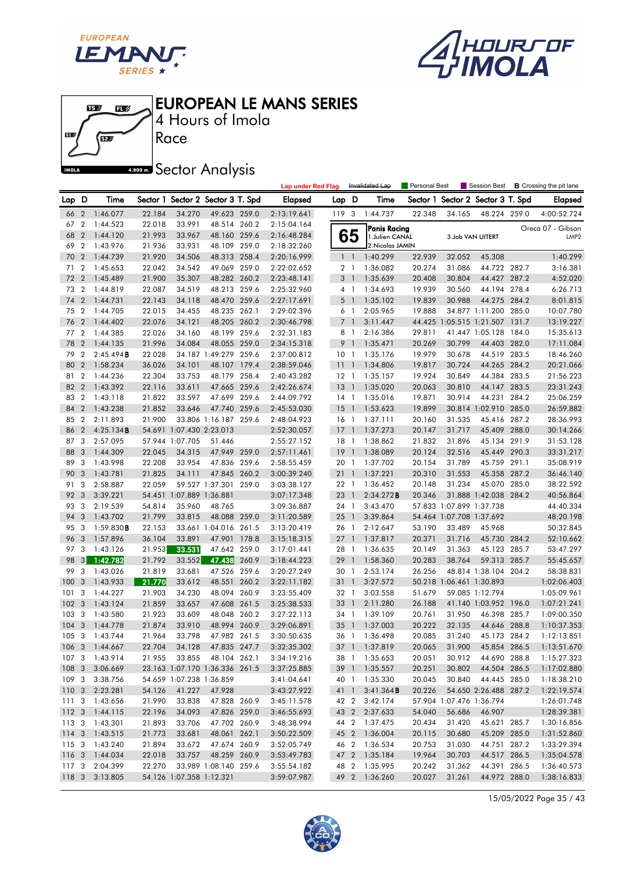





4 Hours of Imola

**A.909mm** Sector Analysis

|                  |                         |                |        |                                   |                       |       | <b>Lap under Red Flag</b> |                 |                | Invalidated Lap                | Personal Best    |                          | Session Best             |       | <b>B</b> Crossing the pit lane |
|------------------|-------------------------|----------------|--------|-----------------------------------|-----------------------|-------|---------------------------|-----------------|----------------|--------------------------------|------------------|--------------------------|--------------------------|-------|--------------------------------|
| Lap D            |                         | Time           |        | Sector 1 Sector 2 Sector 3 T. Spd |                       |       | Elapsed                   | Lap D           |                | Time                           | Sector 1         |                          | Sector 2 Sector 3 T. Spd |       | <b>Elapsed</b>                 |
| 66               | $\overline{2}$          | 1:46.077       | 22.184 | 34.270                            | 49.623 259.0          |       | 2:13:19.641               | 119 3           |                | 1:44.737                       | 22.348           | 34.165                   | 48.224 259.0             |       | 4:00:52.724                    |
| 67               | $\boldsymbol{2}$        | 1:44.523       | 22.018 | 33.991                            | 48.514 260.2          |       | 2:15:04.164               |                 |                | Panis Racing                   |                  |                          |                          |       | Oreca 07 - Gibson              |
| 68               | $\overline{2}$          | 1:44.120       | 21.993 | 33.967                            | 48.160 259.6          |       | 2:16:48.284               |                 | 65             | 1. Julien CANAL                |                  |                          | 3.Job VAN UITERT         |       | LMP <sub>2</sub>               |
| 69               | $\overline{2}$          | 1:43.976       | 21.936 | 33.931                            | 48.109 259.0          |       | 2:18:32.260               |                 |                | 2. Nicolas JAMIN               |                  |                          |                          |       |                                |
| 70               | $\overline{2}$          | 1:44.739       | 21.920 | 34.506                            | 48.313 258.4          |       | 2:20:16.999               |                 | $1\quad$       | 1:40.299                       | 22.939           | 32.052                   | 45.308                   |       | 1:40.299                       |
| 71               | $\overline{2}$          | 1:45.653       | 22.042 | 34.542                            | 49.069 259.0          |       | 2:22:02.652               |                 | 2 <sub>1</sub> | 1:36.082                       | 20.274           | 31.086                   | 44.722 282.7             |       | 3:16.381                       |
| 72               | $\overline{2}$          | 1:45.489       | 21.900 | 35.307                            | 48.282 260.2          |       | 2:23:48.141               |                 | 3 <sup>1</sup> | 1:35.639                       | 20.408           | 30.804                   | 44.427 287.2             |       | 4:52.020                       |
| 73               | $\overline{2}$          | 1:44.819       | 22.087 | 34.519                            | 48.213 259.6          |       | 2:25:32.960               |                 | $4-1$          | 1:34.693                       | 19.939           | 30.560                   | 44.194 278.4             |       | 6:26.713                       |
| 74               | $\overline{2}$          | 1:44.731       | 22.143 | 34.118                            | 48.470 259.6          |       | 2:27:17.691               |                 | 5 <sub>1</sub> | 1:35.102                       | 19.839           | 30.988                   | 44.275 284.2             |       | 8:01.815                       |
| 75               | $\overline{2}$          | 1:44.705       | 22.015 | 34.455                            | 48.235 262.1          |       | 2:29:02.396               |                 | 6 1            | 2:05.965                       | 19.888           |                          | 34.877 1:11.200 285.0    |       | 10:07.780                      |
| 76               | $\overline{2}$          | 1:44.402       | 22.076 | 34.121                            | 48.205 260.2          |       | 2:30:46.798               |                 | 7 <sup>1</sup> | 3:11.447                       | 44.425           |                          | 1:05.515 1:21.507 131.7  |       | 13:19.227                      |
| 77               | $\overline{2}$          | 1:44.385       | 22.026 | 34.160                            | 48.199 259.6          |       | 2:32:31.183               |                 | 8 1            | 2:16.386                       | 29.811           |                          | 41.447 1:05.128 184.0    |       | 15:35.613                      |
| 78               | $\overline{2}$          | 1:44.135       | 21.996 | 34.084                            | 48.055 259.0          |       | 2:34:15.318               | 9               | $\overline{1}$ | 1:35.471                       | 20.269           | 30.799                   | 44.403 282.0             |       | 17:11.084                      |
| 79               | $\overline{2}$          | 2:45.494B      | 22.028 |                                   | 34.187 1:49.279 259.6 |       | 2:37:00.812               | 10 <sub>1</sub> |                | 1:35.176                       | 19.979           | 30.678                   | 44.519 283.5             |       | 18:46.260                      |
| 80               | $\overline{2}$          | 1:58.234       | 36.026 | 34.101                            | 48.107 179.4          |       | 2:38:59.046               | $11-1$          |                | 1:34.806                       | 19.817           | 30.724                   | 44.265 284.2             |       | 20:21.066                      |
| 81               | $\overline{2}$          | 1:44.236       | 22.304 | 33.753                            | 48.179 258.4          |       | 2:40:43.282               | $12-1$          |                | 1:35.157                       | 19.924           | 30.849                   | 44.384 283.5             |       | 21:56.223                      |
| 82               | $\overline{2}$          | 1:43.392       | 22.116 | 33.611                            | 47.665 259.6          |       | 2:42:26.674               | $13-1$          |                | 1:35.020                       | 20.063           | 30.810                   | 44.147                   | 283.5 | 23:31.243                      |
| 83               | $\overline{2}$          | 1:43.118       | 21.822 | 33.597                            | 47.699 259.6          |       | 2:44:09.792               | $14-1$          |                | 1:35.016                       | 19.871           | 30.914                   | 44.231                   | 284.2 | 25:06.259                      |
| 84               | $\overline{2}$          | 1:43.238       | 21.852 | 33.646                            | 47.740 259.6          |       | 2:45:53.030               | $15-1$          |                | 1:53.623                       | 19.899           |                          | 30.814 1:02.910 285.0    |       | 26:59.882                      |
| 85               | $\overline{2}$          | 2:11.893       | 21.900 |                                   | 33.806 1:16.187 259.6 |       | 2:48:04.923               | 16 1            |                | 1:37.111                       | 20.160           | 31.535                   | 45.416 287.2             |       | 28:36.993                      |
| 86               | $\overline{2}$          | 4:25.134B      |        | 54.691 1:07.430 2:23.013          |                       |       | 2:52:30.057               | $17-1$          |                | 1:37.273                       | 20.147           | 31.717                   | 45.409                   | 288.0 | 30:14.266                      |
| 87               | 3                       | 2:57.095       |        | 57.944 1:07.705                   | 51.446                |       | 2:55:27.152               | 18 1            |                | 1:38.862                       | 21.832           | 31.896                   | 45.134 291.9             |       | 31:53.128                      |
| 88               | 3                       | 1:44.309       | 22.045 | 34.315                            | 47.949 259.0          |       | 2:57:11.461               | $19-1$          |                | 1:38.089                       | 20.124           | 32.516                   | 45.449 290.3             |       | 33:31.217                      |
| 89               | 3                       | 1:43.998       | 22.208 | 33.954                            | 47.836 259.6          |       | 2:58:55.459               | 20 1            |                | 1:37.702                       | 20.154           | 31.789                   | 45.759 291.1             |       | 35:08.919                      |
| 90               | 3                       | 1:43.781       | 21.825 | 34.111                            | 47.845 260.2          |       | 3:00:39.240               | 211             |                | 1:37.221                       | 20.310           | 31.553                   | 45.358 287.2             |       | 36:46.140                      |
| 91               | 3                       | 2:58.887       | 22.059 |                                   | 59.527 1:37.301 259.0 |       | 3:03:38.127               | 22 1            |                | 1:36.452                       | 20.148           | 31.234                   | 45.070 285.0             |       | 38:22.592                      |
| 92               | 3                       | 3:39.221       |        | 54.451 1:07.889 1:36.881          |                       |       | 3:07:17.348               | 23 1            |                | 2:34.272B                      | 20.346           |                          | 31.888 1:42.038 284.2    |       | 40:56.864                      |
| 93               | 3                       | 2:19.539       | 54.814 | 35.960                            | 48.765                |       | 3:09:36.887               | 24 1            |                | 3:43.470                       |                  | 57.833 1:07.899 1:37.738 |                          |       | 44:40.334                      |
| 94               | 3                       | 1:43.702       | 21.799 | 33.815                            | 48.088 259.0          |       | 3:11:20.589               | $25 \quad 1$    |                | 3:39.864                       |                  | 54.464 1:07.708 1:37.692 |                          |       | 48:20.198                      |
| 95               | $\overline{\mathbf{3}}$ | 1:59.830B      | 22.153 |                                   | 33.661 1:04.016 261.5 |       | 3:13:20.419               | 26 1            |                | 2:12.647                       | 53.190           | 33.489                   | 45.968                   |       | 50:32.845                      |
| 96               | 3                       | 1:57.896       | 36.104 | 33.891                            | 47.901 178.8          |       | 3:15:18.315               | $27-1$          |                | 1:37.817                       | 20.371           | 31.716                   | 45.730 284.2             |       | 52:10.662                      |
| 97               | 3                       | 1:43.126       | 21.953 | 33.531                            | 47.642 259.0          |       | 3:17:01.441               | 28 1            |                | 1:36.635                       | 20.149           | 31.363                   | 45.123 285.7             |       | 53:47.297                      |
| 98               | 3                       | 1:42.782       | 21.792 | 33.552                            | 47.438                | 260.9 | 3:18:44.223               | 29 1            |                | 1:58.360                       | 20.283           | 38.764                   | 59.313 285.7             |       | 55:45.657                      |
| 99               | 3                       | 1:43.026       | 21.819 | 33.681                            | 47.526 259.6          |       | 3:20:27.249               | 30 1            |                | 2:53.174                       | 26.256           |                          | 48.814 1:38.104 204.2    |       | 58:38.831                      |
| 100              | 3                       | 1:43.933       | 21.770 | 33.612                            | 48.551                | 260.2 | 3:22:11.182               | 31 1            |                | 3:27.572                       |                  | 50.218 1:06.461 1:30.893 |                          |       | 1:02:06.403                    |
| 101              | 3                       | 1:44.227       | 21.903 | 34.230                            | 48.094 260.9          |       | 3:23:55.409               | 32 1            |                | 3:03.558                       | 51.679           |                          | 59.085 1:12.794          |       | 1:05:09.961                    |
| 102              | $\overline{3}$          | 1:43.124       | 21.859 | 33.657                            | 47.608 261.5          |       | 3:25:38.533               | 33 1            |                | 2:11.280                       | 26.188           |                          | 41.140 1:03.952 196.0    |       | 1:07:21.241                    |
| 103              | $\overline{\mathbf{3}}$ | 1:43.580       | 21.923 | 33.609                            | 48.048 260.2          |       | 3:27:22.113               | 34 1            |                | 1:39.109                       | 20.761           | 31.950                   | 46.398 285.7             |       | 1:09:00.350                    |
| 104              | $\mathbf{3}$            | 1:44.778       | 21.874 | 33.910                            | 48.994 260.9          |       | 3:29:06.891               | 35 <sup>1</sup> |                | 1:37.003                       | 20.222           | 32.135                   | 44.646 288.8             |       | 1:10:37.353                    |
| 105              | $\mathbf{3}$            | 1:43.744       | 21.964 | 33.798                            | 47.982 261.5          |       | 3:30:50.635               | 36 1            |                | 1:36.498                       | 20.085           | 31.240                   | 45.173 284.2             |       | 1:12:13.851                    |
|                  |                         | 106 3 1:44.667 | 22.704 | 34.128                            | 47.835 247.7          |       | 3:32:35.302               |                 |                | 37 1 1:37.819                  | 20.065           |                          | 31.900 45.854 286.5      |       | 1:13:51.670                    |
|                  |                         | 107 3 1:43.914 |        | 21.955 33.855 48.104 262.1        |                       |       | 3:34:19.216               |                 |                | 38 1 1:35.653                  | 20.051           | 30.912                   | 44.690 288.8             |       | 1:15:27.323                    |
| 108 <sub>3</sub> |                         | 3:06.669       |        | 23.163 1:07.170 1:36.336 261.5    |                       |       | 3:37:25.885               |                 |                | 39 1 1:35.557                  | 20.251           | 30.802                   | 44.504 286.5             |       | 1:17:02.880                    |
| 109 3            |                         | 3:38.756       |        | 54.659 1:07.238 1:36.859          |                       |       | 3:41:04.641               |                 |                | 40 1 1:35.330                  | 20.045           | 30.840                   | 44.445 285.0             |       | 1:18:38.210                    |
|                  |                         | 110 3 2:23.281 | 54.126 | 41.227                            | 47.928                |       | 3:43:27.922               |                 | 41 1           | 3:41.364B                      | 20.226           |                          | 54.650 2:26.488 287.2    |       | 1:22:19.574                    |
|                  |                         | 111 3 1:43.656 | 21.990 | 33.838                            | 47.828 260.9          |       | 3:45:11.578               |                 |                | 42 2 3:42.174                  |                  | 57.904 1:07.476 1:36.794 |                          |       | 1:26:01.748                    |
| 1123             |                         | 1:44.115       | 22.196 | 34.093                            | 47.826 259.0          |       | 3:46:55.693               |                 |                | 43 2 2:37.633                  | 54.040           | 56.686                   | 46.907                   |       | 1:28:39.381                    |
| 113 3            |                         | 1:43.301       | 21.893 | 33.706                            | 47.702 260.9          |       | 3:48:38.994               |                 | 44 2           | 1:37.475                       | 20.434           | 31.420                   | 45.621 285.7             |       | 1:30:16.856                    |
| $114 - 3$        |                         | 1:43.515       | 21.773 | 33.681                            | 48.061 262.1          |       | 3:50:22.509               |                 | 45 2           | 1:36.004                       | 20.115           | 30.680                   | 45.209 285.0             |       | 1:31:52.860                    |
| 115 3            |                         | 1:43.240       | 21.894 | 33.672                            | 47.674 260.9          |       | 3:52:05.749               |                 |                | 46 2 1:36.534                  | 20.753           | 31.030                   | 44.751 287.2             |       | 1:33:29.394                    |
|                  |                         | 116 3 1:44.034 | 22.018 | 33.757                            | 48.259 260.9          |       | 3:53:49.783               |                 |                | 47 2 1:35.184<br>48 2 1:35.995 | 19.964           | 30.703                   | 44.517 286.5             |       | 1:35:04.578                    |
| 117 3            |                         | 2:04.399       | 22.270 |                                   | 33.989 1:08.140 259.6 |       | 3:55:54.182               |                 |                |                                | 20.242<br>20.027 | 31.362                   | 44.391 286.5             |       | 1:36:40.573                    |
| 118 3            |                         | 3:13.805       |        | 54.126 1:07.358 1:12.321          |                       |       | 3:59:07.987               |                 |                | 49 2 1:36.260                  |                  | 31.261                   | 44.972 288.0             |       | 1:38:16.833                    |

15/05/2022 Page 35 / 43

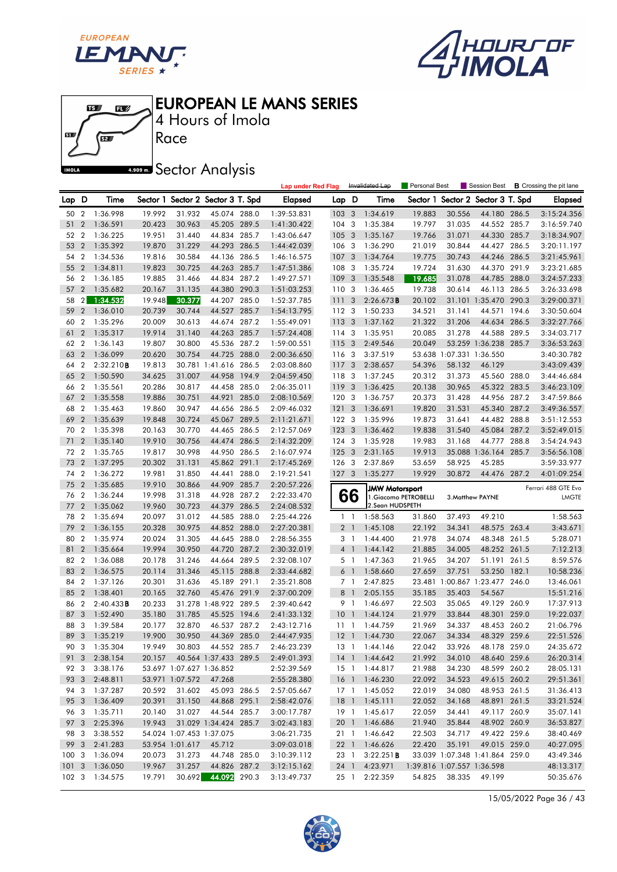





Race 4 Hours of Imola

**A.509 mm** Sector Analysis

|      |                  |               |        |                          |                                     |       | <b>Lap under Red Flag</b> |                  |                         | Invalidated Lap                                | Personal Best |                                      | Session Best                   |       | <b>B</b> Crossing the pit lane      |
|------|------------------|---------------|--------|--------------------------|-------------------------------------|-------|---------------------------|------------------|-------------------------|------------------------------------------------|---------------|--------------------------------------|--------------------------------|-------|-------------------------------------|
| Lap  | D                | Time          |        |                          | Sector 1 Sector 2 Sector 3 T. Spd   |       | Elapsed                   | Lap D            |                         | Time                                           | Sector 1      |                                      | Sector 2 Sector 3 T. Spd       |       | <b>Elapsed</b>                      |
| 50   | $\overline{2}$   | 1:36.998      | 19.992 | 31.932                   | 45.074 288.0                        |       | 1:39:53.831               | 103 <sub>3</sub> |                         | 1:34.619                                       | 19.883        | 30.556                               | 44.180 286.5                   |       | 3:15:24.356                         |
| 51   | $\boldsymbol{2}$ | 1:36.591      | 20.423 | 30.963                   | 45.205 289.5                        |       | 1:41:30.422               | 104              | 3                       | 1:35.384                                       | 19.797        | 31.035                               | 44.552 285.7                   |       | 3:16:59.740                         |
| 52 2 |                  | 1:36.225      | 19.951 | 31.440                   | 44.834 285.7                        |       | 1:43:06.647               | 105              | -3                      | 1:35.167                                       | 19.766        | 31.071                               | 44.330 285.7                   |       | 3:18:34.907                         |
| 53   | $\overline{2}$   | 1:35.392      | 19.870 | 31.229                   | 44.293 286.5                        |       | 1:44:42.039               | 106 3            |                         | 1:36.290                                       | 21.019        | 30.844                               | 44.427 286.5                   |       | 3:20:11.197                         |
| 54   | $\overline{2}$   | 1:34.536      | 19.816 | 30.584                   | 44.136 286.5                        |       | 1:46:16.575               | 107              | 3                       | 1:34.764                                       | 19.775        | 30.743                               | 44.246 286.5                   |       | 3:21:45.961                         |
| 55   | $\overline{2}$   | 1:34.811      | 19.823 | 30.725                   | 44.263 285.7                        |       | 1:47:51.386               | 108              | 3                       | 1:35.724                                       | 19.724        | 31.630                               | 44.370 291.9                   |       | 3:23:21.685                         |
| 56 2 |                  | 1:36.185      | 19.885 | 31.466                   | 44.834 287.2                        |       | 1:49:27.571               | 109              | -3                      | 1:35.548                                       | 19.685        | 31.078                               | 44.785 288.0                   |       | 3:24:57.233                         |
| 57   | $\overline{2}$   | 1:35.682      | 20.167 | 31.135                   | 44.380 290.3                        |       | 1:51:03.253               | 1103             |                         | 1:36.465                                       | 19.738        | 30.614                               | 46.113 286.5                   |       | 3:26:33.698                         |
| 58   | 2 <sub>1</sub>   | 1:34.532      | 19.948 | 30.377                   | 44.207                              | 285.0 | 1:52:37.785               | 111              | $\overline{\mathbf{3}}$ | 2:26.673B                                      | 20.102        |                                      | 31.101 1:35.470                | 290.3 | 3:29:00.371                         |
| 59   | $\overline{2}$   | 1:36.010      | 20.739 | 30.744                   | 44.527 285.7                        |       | 1:54:13.795               | 112 3            |                         | 1:50.233                                       | 34.521        | 31.141                               | 44.571                         | 194.6 | 3:30:50.604                         |
| 60   | $\overline{2}$   | 1:35.296      | 20.009 | 30.613                   | 44.674 287.2                        |       | 1:55:49.091               | 113 3            |                         | 1:37.162                                       | 21.322        | 31.206                               | 44.634                         | 286.5 | 3:32:27.766                         |
| 61   | $\overline{2}$   | 1:35.317      | 19.914 | 31.140                   | 44.263 285.7                        |       | 1:57:24.408               | 114 3            |                         | 1:35.951                                       | 20.085        | 31.278                               | 44.588 289.5                   |       | 3:34:03.717                         |
| 62   | $\overline{2}$   | 1:36.143      | 19.807 | 30.800                   | 45.536 287.2                        |       | 1:59:00.551               | 115 3            |                         | 2:49.546                                       | 20.049        |                                      | 53.259 1:36.238 285.7          |       | 3:36:53.263                         |
| 63   | $\overline{2}$   | 1:36.099      | 20.620 | 30.754                   | 44.725 288.0                        |       | 2:00:36.650               | 116 3            |                         | 3:37.519                                       |               | 53.638 1:07.331 1:36.550             |                                |       | 3:40:30.782                         |
| 64   | $\overline{2}$   | 2:32.210B     | 19.813 |                          | 30.781 1:41.616 286.5               |       | 2:03:08.860               | 117 3            |                         | 2:38.657                                       | 54.396        | 58.132                               | 46.129                         |       | 3:43:09.439                         |
| 65   | $\overline{2}$   | 1:50.590      | 34.625 | 31.007                   | 44.958                              | 194.9 | 2:04:59.450               | 118 3            |                         | 1:37.245                                       | 20.312        | 31.373                               | 45.560 288.0                   |       | 3:44:46.684                         |
| 66   | $\overline{2}$   | 1:35.561      | 20.286 | 30.817                   | 44.458 285.0                        |       | 2:06:35.011               | 119              | $\overline{\mathbf{3}}$ | 1:36.425                                       | 20.138        | 30.965                               | 45.322 283.5                   |       | 3:46:23.109                         |
| 67   | $\overline{2}$   | 1:35.558      | 19.886 | 30.751                   | 44.921                              | 285.0 | 2:08:10.569               | 120              | 3                       | 1:36.757                                       | 20.373        | 31.428                               | 44.956 287.2                   |       | 3:47:59.866                         |
| 68   | $\overline{2}$   | 1:35.463      | 19.860 | 30.947                   | 44.656 286.5                        |       | 2:09:46.032               | 121              | 3                       | 1:36.691                                       | 19.820        | 31.531                               | 45.340 287.2                   |       | 3:49:36.557                         |
| 69   | $\overline{2}$   | 1:35.639      | 19.848 | 30.724                   | 45.067 289.5                        |       | 2:11:21.671               | $122 - 3$        |                         | 1:35.996                                       | 19.873        | 31.641                               | 44.482 288.8                   |       | 3:51:12.553                         |
| 70   | $\overline{2}$   | 1:35.398      | 20.163 | 30.770                   | 44.465                              | 286.5 | 2:12:57.069               | 123              | $\overline{3}$          | 1:36.462                                       | 19.838        | 31.540                               | 45.084                         | 287.2 | 3:52:49.015                         |
| 71   | $\overline{2}$   | 1:35.140      | 19.910 | 30.756                   | 44.474 286.5                        |       | 2:14:32.209               | $124 - 3$        |                         | 1:35.928                                       | 19.983        | 31.168                               | 44.777 288.8                   |       | 3:54:24.943                         |
| 72 2 |                  | 1:35.765      | 19.817 | 30.998                   | 44.950 286.5                        |       | 2:16:07.974               | 1253             |                         | 2:31.165                                       | 19.913        |                                      | 35.088 1:36.164 285.7          |       | 3:56:56.108                         |
| 73   | $\overline{2}$   | 1:37.295      | 20.302 | 31.131                   | 45.862 291.1                        |       | 2:17:45.269               | 126 3            |                         | 2:37.869                                       | 53.659        | 58.925                               | 45.285                         |       | 3:59:33.977                         |
| 74   | $\overline{2}$   | 1:36.272      | 19.981 | 31.850                   | 44.441                              | 288.0 | 2:19:21.541               | 127 3            |                         | 1:35.277                                       | 19.929        | 30.872                               | 44.476 287.2                   |       | 4:01:09.254                         |
| 75   | $\overline{2}$   | 1:35.685      | 19.910 | 30.866                   | 44.909 285.7                        |       | 2:20:57.226               |                  |                         |                                                |               |                                      |                                |       |                                     |
|      |                  |               |        |                          |                                     |       |                           |                  |                         |                                                |               |                                      |                                |       |                                     |
| 76   | $\overline{2}$   | 1:36.244      | 19.998 | 31.318                   | 44.928                              | 287.2 | 2:22:33.470               |                  |                         | <b>JMW Motorsport</b><br>1. Giacomo PETROBELLI |               |                                      | 3. Matthew PAYNE               |       | Ferrari 488 GTE Evo<br><b>LMGTE</b> |
| 77   | $\overline{2}$   | 1:35.062      | 19.960 | 30.723                   | 44.379                              | 286.5 | 2:24:08.532               |                  | 66                      | 2.Sean HUDSPETH                                |               |                                      |                                |       |                                     |
| 78   | $\overline{2}$   | 1:35.694      | 20.097 | 31.012                   | 44.585 288.0                        |       | 2:25:44.226               | $1\quad$         |                         | 1:58.563                                       | 31.860        | 37.493                               | 49.210                         |       | 1:58.563                            |
| 79   | $\overline{2}$   | 1:36.155      | 20.328 | 30.975                   | 44.852 288.0                        |       | 2:27:20.381               | 2 <sub>1</sub>   |                         | 1:45.108                                       | 22.192        | 34.341                               | 48.575 263.4                   |       | 3:43.671                            |
| 80   | $\overline{2}$   | 1:35.974      | 20.024 | 31.305                   | 44.645 288.0                        |       | 2:28:56.355               | 3 1              |                         | 1:44.400                                       | 21.978        | 34.074                               | 48.348 261.5                   |       | 5:28.071                            |
| 81   | $\overline{2}$   | 1:35.664      | 19.994 | 30.950                   | 44.720 287.2                        |       | 2:30:32.019               | 4 1              |                         | 1:44.142                                       | 21.885        | 34.005                               | 48.252 261.5                   |       | 7:12.213                            |
| 82   | $\boldsymbol{2}$ | 1:36.088      | 20.178 | 31.246                   | 44.664                              | 289.5 | 2:32:08.107               | 5 1              |                         | 1:47.363                                       | 21.965        | 34.207                               | 51.191                         | 261.5 | 8:59.576                            |
| 83   | $\overline{2}$   | 1:36.575      | 20.114 | 31.346                   | 45.115 288.8                        |       | 2:33:44.682               | 6 1              |                         | 1:58.660                                       | 27.659        | 37.751                               | 53.250 182.1                   |       | 10:58.236                           |
| 84   | $\overline{2}$   | 1:37.126      | 20.301 | 31.636                   | 45.189                              | 291.1 | 2:35:21.808               | 7 <sup>1</sup>   |                         | 2:47.825                                       | 23.481        |                                      | 1:00.867 1:23.477 246.0        |       | 13:46.061                           |
| 85   | $\overline{2}$   | 1:38.401      | 20.165 | 32.760                   | 45.476 291.9                        |       | 2:37:00.209               | 8                | $\overline{1}$          | 2:05.155                                       | 35.185        | 35.403                               | 54.567                         |       | 15:51.216                           |
| 86   | $\overline{2}$   | 2:40.433B     | 20.233 |                          | 31.278 1:48.922 289.5               |       | 2:39:40.642               | 9 1              |                         | 1:46.697                                       | 22.503        | 35.065                               | 49.129                         | 260.9 | 17:37.913                           |
| 87   | 3                | 1:52.490      | 35.180 | 31.785                   | 45.525 194.6                        |       | 2:41:33.132               | 10               | $\overline{1}$          | 1:44.124                                       | 21.979        | 33.844                               | 48.301 259.0                   |       | 19:22.037                           |
| 88   | 3                | 1:39.584      | 20.177 | 32.870                   | 46.537 287.2                        |       | 2:43:12.716               | $11-1$           |                         | 1:44.759                                       | 21.969        | 34.337                               | 48.453 260.2                   |       | 21:06.796                           |
| 89   | $\overline{3}$   | 1:35.219      | 19.900 | 30.950                   | 44.369 285.0                        |       | 2:44:47.935               | $12-1$           |                         | 1:44.730                                       | 22.067        | 34.334                               | 48.329 259.6                   |       | 22:51.526                           |
|      |                  | 90 3 1:35.304 | 19.949 | 30.803                   | 44.552 285.7                        |       | 2:46:23.239               |                  |                         | 13 1 1:44.146                                  | 22.042        | 33.926                               | 48.178 259.0                   |       | 24:35.672                           |
|      |                  | 91 3 2:38.154 | 20.157 |                          | 40.564 1:37.433 289.5               |       | 2:49:01.393               |                  |                         | 14 1 1:44.642                                  | 21.992        | 34.010                               | 48.640 259.6                   |       | 26:20.314                           |
| 92 3 |                  | 3:38.176      |        |                          | 53.697 1:07.627 1:36.852            |       | 2:52:39.569               |                  |                         | 15 1 1:44.817                                  | 21.988        | 34.230                               | 48.599 260.2                   |       | 28:05.131                           |
|      |                  | 93 3 2:48.811 |        | 53.971 1:07.572          | 47.268                              |       | 2:55:28.380               |                  |                         | 16 1 1:46.230                                  | 22.092        | 34.523                               | 49.615 260.2                   |       | 29:51.361                           |
| 94 3 |                  | 1:37.287      | 20.592 | 31.602                   | 45.093 286.5                        |       | 2:57:05.667               |                  |                         | 17 1 1:45.052                                  | 22.019        | 34.080                               | 48.953 261.5                   |       | 31:36.413                           |
| 95 3 |                  | 1:36.409      | 20.391 | 31.150                   | 44.868 295.1                        |       | 2:58:42.076               |                  |                         | 18 1 1:45.111                                  | 22.052        | 34.168                               | 48.891 261.5                   |       | 33:21.524                           |
| 96 3 |                  | 1:35.711      | 20.140 | 31.027                   | 44.544 285.7                        |       | 3:00:17.787               |                  |                         | 19 1 1:45.617                                  | 22.059        | 34.441                               | 49.117 260.9                   |       | 35:07.141                           |
| 97 3 |                  | 2:25.396      | 19.943 |                          | 31.029 1:34.424 285.7               |       | 3:02:43.183               |                  |                         | 20 1 1:46.686                                  | 21.940        | 35.844                               | 48.902 260.9                   |       | 36:53.827                           |
| 98 3 |                  | 3:38.552      |        | 54.024 1:07.453 1:37.075 |                                     |       | 3:06:21.735               |                  |                         | 21 1 1:46.642                                  | 22.503        | 34.717                               | 49.422 259.6                   |       | 38:40.469                           |
| 99 3 |                  | 2:41.283      |        | 53.954 1:01.617          | 45.712                              |       | 3:09:03.018               |                  |                         | 22 1 1:46.626                                  | 22.420        | 35.191                               | 49.015 259.0                   |       | 40:27.095                           |
| 1003 |                  | 1:36.094      | 20.073 | 31.273                   | 44.748 285.0                        |       | 3:10:39.112               | 23 1             |                         | 3:22.251B                                      |               |                                      | 33.039 1:07.348 1:41.864 259.0 |       | 43:49.346                           |
| 1013 |                  | 1:36.050      | 19.967 | 31.257                   | 44.826 287.2<br>30.692 44.092 290.3 |       | 3:12:15.162               | $25 \quad 1$     |                         | 24 1 4:23.971<br>2:22.359                      |               | 1:39.816 1:07.557 1:36.598<br>38.335 | 49.199                         |       | 48:13.317<br>50:35.676              |

15/05/2022 Page 36 / 43

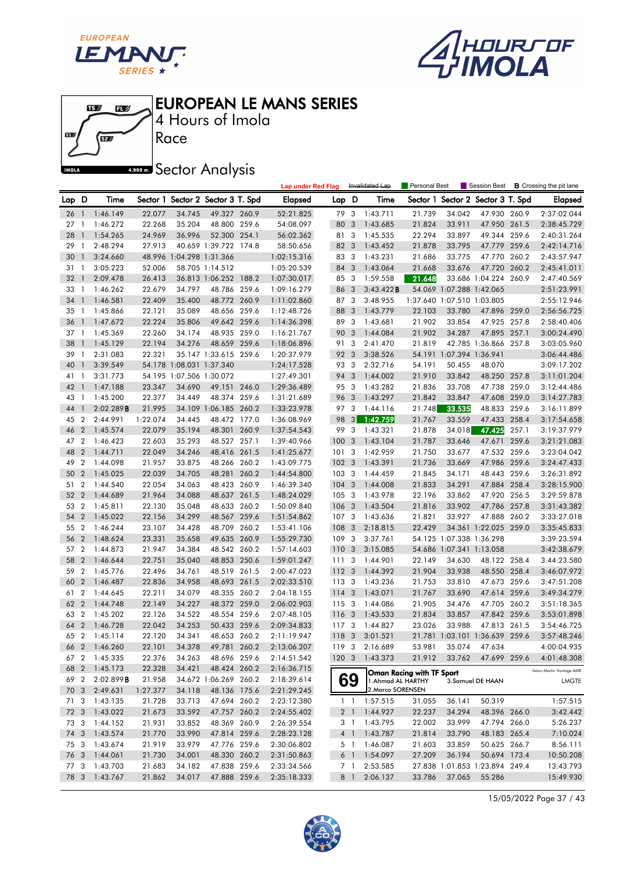





Race 4 Hours of Imola

**A.509 mm** Sector Analysis

|       |                |               |          |                          |                                   | <b>Lap under Red Flag</b> |                  |                         | Invalidated Lap    | <b>Personal Best</b>      |                            | Session Best                   |       | <b>B</b> Crossing the pit lane |
|-------|----------------|---------------|----------|--------------------------|-----------------------------------|---------------------------|------------------|-------------------------|--------------------|---------------------------|----------------------------|--------------------------------|-------|--------------------------------|
| Lap D |                | Time          |          |                          | Sector 1 Sector 2 Sector 3 T. Spd | Elapsed                   | Lap D            |                         | Time               | Sector 1                  |                            | Sector 2 Sector 3 T. Spd       |       | <b>Elapsed</b>                 |
| 26    | $\overline{1}$ | 1:46.149      | 22.077   | 34.745                   | 49.327 260.9                      | 52:21.825                 | 79               | 3                       | 1:43.711           | 21.739                    | 34.042                     | 47.930 260.9                   |       | 2:37:02.044                    |
| 27    | -1             | 1:46.272      | 22.268   | 35.204                   | 48.800 259.6                      | 54:08.097                 | 80               | 3                       | 1:43.685           | 21.824                    | 33.911                     | 47.950 261.5                   |       | 2:38:45.729                    |
| 28    | $\mathbf{1}$   | 1:54.265      | 24.969   | 36.996                   | 52.300 254.1                      | 56:02.362                 | 81 3             |                         | 1:45.535           | 22.294                    | 33.897                     | 49.344 259.6                   |       | 2:40:31.264                    |
| 29    | -1             | 2:48.294      | 27.913   |                          | 40.659 1:39.722 174.8             | 58:50.656                 | 82 3             |                         | 1:43.452           | 21.878                    | 33.795                     | 47.779 259.6                   |       | 2:42:14.716                    |
| 30    | $\mathbf{1}$   | 3:24.660      |          | 48.996 1:04.298 1:31.366 |                                   | 1:02:15.316               | 83               | 3                       | 1:43.231           | 21.686                    | 33.775                     | 47.770 260.2                   |       | 2:43:57.947                    |
| 31    | -1             | 3:05.223      | 52.006   |                          | 58.705 1:14.512                   | 1:05:20.539               | 84               | 3                       | 1:43.064           | 21.668                    | 33.676                     | 47.720 260.2                   |       | 2:45:41.011                    |
| 32    | -1             | 2:09.478      | 26.413   |                          | 36.813 1:06.252 188.2             | 1:07:30.017               | 85 3             |                         | 1:59.558           | 21.648                    |                            | 33.686 1:04.224 260.9          |       | 2:47:40.569                    |
| 33    | $\overline{1}$ | 1:46.262      | 22.679   | 34.797                   | 48.786 259.6                      | 1:09:16.279               | 86 3             |                         | 3:43.422B          |                           | 54.069 1:07.288 1:42.065   |                                |       | 2:51:23.991                    |
| 34    | $\mathbf{1}$   | 1:46.581      | 22.409   | 35.400                   | 48.772 260.9                      | 1:11:02.860               | 87 3             |                         | 3:48.955           |                           | 1:37.640 1:07.510 1:03.805 |                                |       | 2:55:12.946                    |
| 35    | $\mathbf{1}$   | 1:45.866      | 22.121   | 35.089                   | 48.656 259.6                      | 1:12:48.726               | 88               | 3                       | 1:43.779           | 22.103                    | 33.780                     | 47.896 259.0                   |       | 2:56:56.725                    |
| 36    | $\mathbf{1}$   | 1:47.672      | 22.224   | 35.806                   | 49.642 259.6                      | 1:14:36.398               | 89               | 3                       | 1:43.681           | 21.902                    | 33.854                     | 47.925 257.8                   |       | 2:58:40.406                    |
| 37    | $\mathbf{1}$   | 1:45.369      | 22.260   | 34.174                   | 48.935 259.0                      | 1:16:21.767               | 90 3             |                         | 1:44.084           | 21.902                    | 34.287                     | 47.895 257.1                   |       | 3:00:24.490                    |
| 38    | $\mathbf{1}$   | 1:45.129      | 22.194   | 34.276                   | 48.659 259.6                      | 1:18:06.896               | 91               | 3                       | 2:41.470           | 21.819                    |                            | 42.785 1:36.866 257.8          |       | 3:03:05.960                    |
| 39    | $\mathbf{1}$   | 2:31.083      | 22.321   |                          | 35.147 1:33.615 259.6             | 1:20:37.979               | 92 3             |                         | 3:38.526           |                           | 54.191 1:07.394 1:36.941   |                                |       | 3:06:44.486                    |
| 40    | $\mathbf{1}$   | 3:39.549      |          | 54.178 1:08.031 1:37.340 |                                   | 1:24:17.528               | 93 3             |                         | 2:32.716           | 54.191                    | 50.455                     | 48.070                         |       | 3:09:17.202                    |
| 41    | $\mathbf{1}$   | 3:31.773      |          | 54.195 1:07.506 1:30.072 |                                   | 1:27:49.301               | 94 3             |                         | 1:44.002           | 21.910                    | 33.842                     | 48.250 257.8                   |       | 3:11:01.204                    |
| 42    | $\overline{1}$ | 1:47.188      | 23.347   | 34.690                   | 49.151 246.0                      | 1:29:36.489               | 95 3             |                         | 1:43.282           | 21.836                    | 33.708                     | 47.738 259.0                   |       | 3:12:44.486                    |
| 43    | -1             | 1:45.200      | 22.377   | 34.449                   | 48.374 259.6                      | 1:31:21.689               | 96               | 3                       | 1:43.297           | 21.842                    | 33.847                     | 47.608 259.0                   |       | 3:14:27.783                    |
| 44    | $\mathbf{1}$   | 2:02.289B     | 21.995   |                          | 34.109 1:06.185 260.2             | 1:33:23.978               | 97 3             |                         | 1:44.116           | 21.748                    | 33.535                     | 48.833 259.6                   |       | 3:16:11.899                    |
| 45    | $\overline{2}$ | 2:44.991      | 1:22.074 | 34.445                   | 48.472 177.0                      | 1:36:08.969               | 98               | 3                       | 1:42.759           | 21.767                    | 33.559                     | 47.433 258.4                   |       | 3:17:54.658                    |
| 46    | $\overline{2}$ | 1:45.574      | 22.079   | 35.194                   | 48.301 260.9                      | 1:37:54.543               | 99               | $\overline{\mathbf{3}}$ | 1:43.321           | 21.878                    | 34.018                     | 47.425                         | 257.1 | 3:19:37.979                    |
| 47 2  |                | 1:46.423      | 22.603   | 35.293                   | 48.527 257.1                      | 1:39:40.966               | 100              | $\overline{\mathbf{3}}$ | 1:43.104           | 21.787                    | 33.646                     | 47.671                         | 259.6 | 3:21:21.083                    |
| 48    | $\overline{2}$ | 1:44.711      | 22.049   | 34.246                   | 48.416 261.5                      | 1:41:25.677               | 1013             |                         | 1:42.959           | 21.750                    | 33.677                     | 47.532 259.6                   |       | 3:23:04.042                    |
| 49    | $\overline{2}$ | 1:44.098      | 21.957   | 33.875                   | 48.266 260.2                      | 1:43:09.775               | 102 <sub>3</sub> |                         | 1:43.391           | 21.736                    | 33.669                     | 47.986 259.6                   |       | 3:24:47.433                    |
| 50    | $\overline{2}$ | 1:45.025      | 22.039   | 34.705                   | 48.281 260.2                      | 1:44:54.800               | 103 <sub>3</sub> |                         | 1:44.459           | 21.845                    | 34.171                     | 48.443 259.6                   |       | 3:26:31.892                    |
| 51 2  |                | 1:44.540      | 22.054   | 34.063                   | 48.423 260.9                      | 1:46:39.340               | $104 - 3$        |                         | 1:44.008           | 21.833                    | 34.291                     | 47.884 258.4                   |       | 3:28:15.900                    |
| 52    | $\overline{2}$ | 1:44.689      | 21.964   | 34.088                   | 48.637 261.5                      | 1:48:24.029               | 105 3            |                         | 1:43.978           | 22.196                    | 33.862                     | 47.920 256.5                   |       | 3:29:59.878                    |
| 53    | $\overline{2}$ | 1:45.811      | 22.130   | 35.048                   | 48.633 260.2                      | 1:50:09.840               | 106 3            |                         | 1:43.504           | 21.816                    | 33.902                     | 47.786 257.8                   |       | 3:31:43.382                    |
| 54    | $\overline{2}$ | 1:45.022      | 22.156   | 34.299                   | 48.567 259.6                      | 1:51:54.862               | 107 3            |                         | 1:43.636           | 21.821                    | 33.927                     | 47.888 260.2                   |       | 3:33:27.018                    |
| 55 2  |                | 1:46.244      | 23.107   | 34.428                   | 48.709 260.2                      | 1:53:41.106               | 108              | 3                       | 2:18.815           | 22.429                    |                            | 34.361 1:22.025 259.0          |       | 3:35:45.833                    |
| 56    | $\overline{2}$ | 1:48.624      | 23.331   | 35.658                   | 49.635 260.9                      | 1:55:29.730               | 109 3            |                         | 3:37.761           |                           | 54.125 1:07.338 1:36.298   |                                |       | 3:39:23.594                    |
| 57    | $\overline{2}$ | 1:44.873      | 21.947   | 34.384                   | 48.542 260.2                      | 1:57:14.603               | 110 <sub>3</sub> |                         | 3:15.085           |                           | 54.686 1:07.341 1:13.058   |                                |       | 3:42:38.679                    |
| 58    | $\overline{2}$ | 1:46.644      | 22.751   | 35.040                   | 48.853 250.6                      | 1:59:01.247               | 111              | 3                       | 1:44.901           | 22.149                    | 34.630                     | 48.122 258.4                   |       | 3:44:23.580                    |
| 59    | $\overline{2}$ | 1:45.776      | 22.496   | 34.761                   | 48.519 261.5                      | 2:00:47.023               | 112 3            |                         | 1:44.392           | 21.904                    | 33.938                     | 48.550 258.4                   |       | 3:46:07.972                    |
| 60    | $\overline{2}$ | 1:46.487      | 22.836   | 34.958                   | 48.693 261.5                      | 2:02:33.510               | 1133             |                         | 1:43.236           | 21.753                    | 33.810                     | 47.673 259.6                   |       | 3:47:51.208                    |
| 61    | $\overline{2}$ | 1:44.645      | 22.211   | 34.079                   | 48.355 260.2                      | 2:04:18.155               | 114              | 3                       | 1:43.071           | 21.767                    | 33.690                     | 47.614                         | 259.6 | 3:49:34.279                    |
| 62    | $\overline{2}$ | 1:44.748      | 22.149   | 34.227                   | 48.372 259.0                      | 2:06:02.903               | 1153             |                         | 1:44.086           | 21.905                    | 34.476                     | 47.705 260.2                   |       | 3:51:18.365                    |
| 63 2  |                | 1:45.202      | 22.126   | 34.522                   | 48.554 259.6                      | 2:07:48.105               | 116 3            |                         | 1:43.533           | 21.834                    | 33.857                     | 47.842 259.6                   |       | 3:53:01.898                    |
| 64    | $\overline{2}$ | 1:46.728      | 22.042   | 34.253                   | 50.433 259.6                      | 2:09:34.833               | 117 3            |                         | 1:44.827           | 23.026                    | 33.988                     | 47.813 261.5                   |       | 3:54:46.725                    |
| 65    | $\overline{2}$ | 1:45.114      | 22.120   | 34.341                   | 48.653 260.2                      | 2:11:19.947               | 118 3            |                         | 3:01.521           |                           |                            | 21.781 1:03.101 1:36.639 259.6 |       | 3:57:48.246                    |
|       |                | 66 2 1:46.260 | 22.101   | 34.378                   | 49.781 260.2                      | 2:13:06.207               | 119 3            |                         | 2:16.689           | 53.981                    |                            | 35.074 47.634                  |       | 4:00:04.935                    |
|       |                | 67 2 1:45.335 | 22.376   | 34.263                   | 48.696 259.6                      | 2:14:51.542               |                  |                         | 120 3 1:43.373     | 21.912                    |                            | 33.762 47.699 259.6            |       | 4:01:48.308                    |
|       |                | 68 2 1:45.173 | 22.328   | 34.421                   | 48.424 260.2                      | 2:16:36.715               |                  |                         |                    | Oman Racing with TF Sport |                            |                                |       | Aston Martin Vantage AMR       |
| 69    | $\overline{2}$ | 2:02.899B     | 21.958   |                          | 34.672 1:06.269 260.2             | 2:18:39.614               |                  | 69                      | 1. Ahmad AL HARTHY |                           |                            | 3.Samuel DE HAAN               |       | LMGTE                          |
| 70 3  |                | 2:49.631      | 1:27.377 | 34.118                   | 48.136 175.6                      | 2:21:29.245               |                  |                         | 2. Marco SORENSEN  |                           |                            |                                |       |                                |
| 71 3  |                | 1:43.135      | 21.728   | 33.713                   | 47.694 260.2                      | 2:23:12.380               |                  | $1\quad1$               | 1:57.515           | 31.055                    | 36.141                     | 50.319                         |       | 1:57.515                       |
| 72 3  |                | 1:43.022      | 21.673   | 33.592                   | 47.757 260.2                      | 2:24:55.402               |                  | 2 1                     | 1:44.927           | 22.237                    | 34.294                     | 48.396 266.0                   |       | 3:42.442                       |
| 73 3  |                | 1:44.152      | 21.931   | 33.852                   | 48.369 260.9                      | 2:26:39.554               |                  | 3 1                     | 1:43.795           | 22.002                    | 33.999                     | 47.794 266.0                   |       | 5:26.237                       |
| 74 3  |                | 1:43.574      | 21.770   | 33.990                   | 47.814 259.6                      | 2:28:23.128               |                  | $4 \quad 1$             | 1:43.787           | 21.814                    | 33.790                     | 48.183 265.4                   |       | 7:10.024                       |
| 75 3  |                | 1:43.674      | 21.919   | 33.979                   | 47.776 259.6                      | 2:30:06.802               |                  | 5 1                     | 1:46.087           | 21.603                    | 33.859                     | 50.625 266.7                   |       | 8:56.111                       |
| 76 3  |                | 1:44.061      | 21.730   | 34.001                   | 48.330 260.2                      | 2:31:50.863               |                  | 6 1                     | 1:54.097           | 27.209                    | 36.194                     | 50.694 173.4                   |       | 10:50.208                      |
| 77 3  |                | 1:43.703      | 21.683   | 34.182                   | 47.838 259.6                      | 2:33:34.566               |                  | 7 1                     | 2:53.585           |                           |                            | 27.838 1:01.853 1:23.894 249.4 |       | 13:43.793                      |
| 78 3  |                | 1:43.767      | 21.862   | 34.017                   | 47.888 259.6                      | 2:35:18.333               |                  | 8 1                     | 2:06.137           | 33.786                    | 37.065                     | 55.286                         |       | 15:49.930                      |

15/05/2022 Page 37 / 43

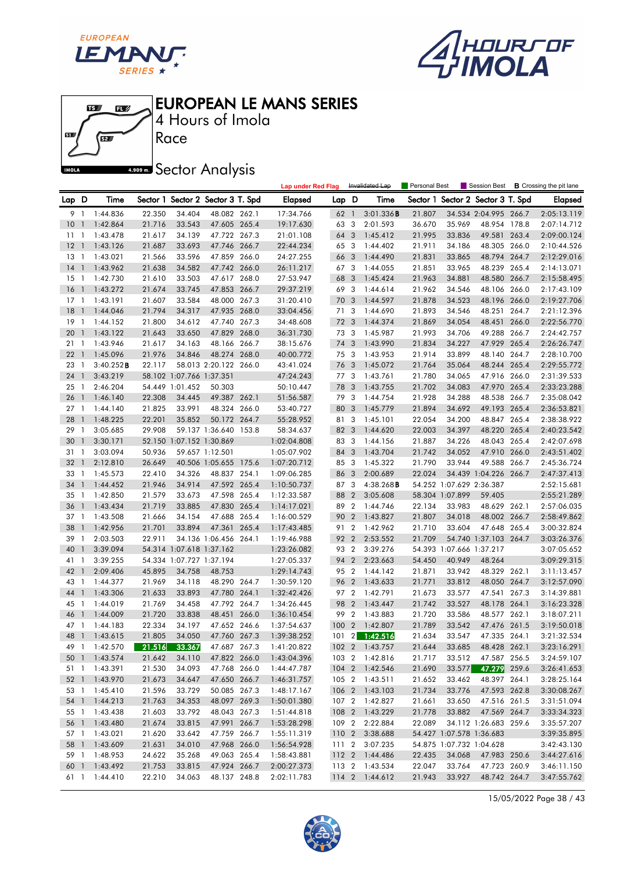





4 Hours of Imola EUROPEAN LE MANS SERIES

Race

**A.909mm** Sector Analysis

|        |                          |                                |                  |                          |                                   |       | <b>Lap under Red Flag</b>  |       |                | Invalidated Lap                  | Personal Best    |                          |                                                   |       | Session Best <b>B</b> Crossing the pit lane |
|--------|--------------------------|--------------------------------|------------------|--------------------------|-----------------------------------|-------|----------------------------|-------|----------------|----------------------------------|------------------|--------------------------|---------------------------------------------------|-------|---------------------------------------------|
| Lap D  |                          | Time                           |                  |                          | Sector 1 Sector 2 Sector 3 T. Spd |       | Elapsed                    | Lap D |                | Time                             |                  |                          | Sector 1 Sector 2 Sector 3 T. Spd                 |       | <b>Elapsed</b>                              |
| 91     |                          | 1:44.836                       | 22.350           | 34.404                   | 48.082 262.1                      |       | 17:34.766                  | 62 1  |                | 3:01.336B                        | 21.807           |                          | 34.534 2:04.995 266.7                             |       | 2:05:13.119                                 |
| 10     | $\overline{1}$           | 1:42.864                       | 21.716           | 33.543                   | 47.605 265.4                      |       | 19:17.630                  | 63    | $\mathbf{3}$   | 2:01.593                         | 36.670           | 35.969                   | 48.954 178.8                                      |       | 2:07:14.712                                 |
| $11-1$ |                          | 1:43.478                       | 21.617           | 34.139                   | 47.722 267.3                      |       | 21:01.108                  | 64    | 3              | 1:45.412                         | 21.995           | 33.836                   | 49.581 263.4                                      |       | 2:09:00.124                                 |
| 12     | $\overline{1}$           | 1:43.126                       | 21.687           | 33.693                   | 47.746 266.7                      |       | 22:44.234                  | 65 3  |                | 1:44.402                         | 21.911           | 34.186                   | 48.305 266.0                                      |       | 2:10:44.526                                 |
| 13     | $\overline{1}$           | 1:43.021                       | 21.566           | 33.596                   | 47.859 266.0                      |       | 24:27.255                  | 66    | 3              | 1:44.490                         | 21.831           | 33.865                   | 48.794 264.7                                      |       | 2:12:29.016                                 |
| 14     | $\overline{1}$           | 1:43.962                       | 21.638           | 34.582                   | 47.742 266.0                      |       | 26:11.217                  | 67 3  |                | 1:44.055                         | 21.851           | 33.965                   | 48.239 265.4                                      |       | 2:14:13.071                                 |
| 15 1   |                          | 1:42.730                       | 21.610           | 33.503                   | 47.617 268.0                      |       | 27:53.947                  | 68    | 3              | 1:45.424                         | 21.963           | 34.881                   | 48.580 266.7                                      |       | 2:15:58.495                                 |
| 16     | $\overline{1}$           | 1:43.272                       | 21.674           | 33.745                   | 47.853 266.7                      |       | 29:37.219                  | 69    | $\mathbf{3}$   | 1:44.614                         | 21.962           | 34.546                   | 48.106 266.0                                      |       | 2:17:43.109                                 |
| 17     | $\overline{1}$           | 1:43.191                       | 21.607           | 33.584                   | 48.000 267.3                      |       | 31:20.410                  | 70    | $\overline{3}$ | 1:44.597                         | 21.878           | 34.523                   | 48.196 266.0                                      |       | 2:19:27.706                                 |
| 18     | $\mathbf{1}$             | 1:44.046                       | 21.794           | 34.317                   | 47.935 268.0                      |       | 33:04.456                  | 71    | 3              | 1:44.690                         | 21.893           | 34.546                   | 48.251 264.7                                      |       | 2:21:12.396                                 |
| $19-1$ |                          | 1:44.152                       | 21.800           | 34.612                   | 47.740 267.3                      |       | 34:48.608                  | 72    | 3              | 1:44.374                         | 21.869           | 34.054                   | 48.451                                            | 266.0 | 2:22:56.770                                 |
| 20     | $\overline{1}$           | 1:43.122                       | 21.643           | 33.650                   | 47.829 268.0                      |       | 36:31.730                  | 73 3  |                | 1:45.987                         | 21.993           | 34.706                   | 49.288 266.7                                      |       | 2:24:42.757                                 |
| 21     | $\overline{1}$           | 1:43.946                       | 21.617           | 34.163                   | 48.166 266.7                      |       | 38:15.676                  | 74    | 3              | 1:43.990                         | 21.834           | 34.227                   | 47.929 265.4                                      |       | 2:26:26.747                                 |
| 22     | $\overline{1}$           | 1:45.096                       | 21.976           | 34.846                   | 48.274 268.0                      |       | 40:00.772                  | 75 3  |                | 1:43.953                         | 21.914           | 33.899                   | 48.140 264.7                                      |       | 2:28:10.700                                 |
| 23     | $\overline{1}$           | $3:40.252$ <b>B</b>            | 22.117           |                          | 58.013 2:20.122 266.0             |       | 43:41.024                  | 76 3  |                | 1:45.072                         | 21.764           | 35.064                   | 48.244 265.4                                      |       | 2:29:55.772                                 |
| 24     | $\overline{1}$           | 3:43.219                       |                  | 58.102 1:07.766 1:37.351 |                                   |       | 47:24.243                  | 77 3  |                | 1:43.761                         | 21.780           | 34.065                   | 47.916 266.0                                      |       | 2:31:39.533                                 |
| 25     | $\overline{1}$           | 2:46.204                       |                  | 54.449 1:01.452          | 50.303                            |       | 50:10.447                  | 78    | $\mathbf{3}$   | 1:43.755                         | 21.702           | 34.083                   | 47.970 265.4                                      |       | 2:33:23.288                                 |
| 26     | $\mathbf{1}$             | 1:46.140                       | 22.308           | 34.445                   | 49.387 262.1                      |       | 51:56.587                  | 79    | 3              | 1:44.754                         | 21.928           | 34.288                   | 48.538 266.7                                      |       | 2:35:08.042                                 |
| $27-1$ |                          | 1:44.140                       | 21.825           | 33.991                   | 48.324 266.0                      |       | 53:40.727                  | 80 3  |                | 1:45.779                         | 21.894           | 34.692                   | 49.193 265.4                                      |       | 2:36:53.821                                 |
| 28     | $\overline{1}$           | 1:48.225                       | 22.201           | 35.852                   | 50.172 264.7                      |       | 55:28.952                  | 81 3  |                | 1:45.101                         | 22.054           | 34.200                   | 48.847 265.4                                      |       | 2:38:38.922                                 |
| 29     | $\overline{1}$           | 3:05.685                       | 29.908           |                          | 59.137 1:36.640                   | 153.8 | 58:34.637                  | 82 3  |                | 1:44.620                         | 22.003           | 34.397                   | 48.220 265.4                                      |       | 2:40:23.542                                 |
| 30     | $\mathbf{1}$             | 3:30.171                       |                  | 52.150 1:07.152 1:30.869 |                                   |       | 1:02:04.808                | 83 3  |                | 1:44.156                         | 21.887           | 34.226                   | 48.043 265.4                                      |       | 2:42:07.698                                 |
| 311    |                          | 3:03.094                       | 50.936           |                          | 59.657 1:12.501                   |       | 1:05:07.902                | 84 3  |                | 1:43.704                         | 21.742           | 34.052                   | 47.910 266.0                                      |       | 2:43:51.402                                 |
| 32     | $\overline{1}$           | 2:12.810                       | 26.649           |                          | 40.506 1:05.655 175.6             |       | 1:07:20.712                | 85 3  |                | 1:45.322                         | 21.790           | 33.944                   | 49.588 266.7                                      |       | 2:45:36.724                                 |
| 33     | $\overline{1}$           | 1:45.573                       | 22.410           | 34.326                   | 48.837 254.1                      |       | 1:09:06.285                | 86 3  |                | 2:00.689                         | 22.024           |                          | 34.439 1:04.226 266.7                             |       | 2:47:37.413                                 |
| 34     | $\overline{1}$           | 1:44.452                       | 21.946           | 34.914                   | 47.592 265.4                      |       | 1:10:50.737                | 873   |                | 4:38.268B                        |                  | 54.252 1:07.629 2:36.387 |                                                   |       | 2:52:15.681                                 |
| 35     | $\overline{\phantom{a}}$ | 1:42.850                       | 21.579           | 33.673                   | 47.598 265.4                      |       | 1:12:33.587                | 88 2  |                | 3:05.608                         |                  | 58.304 1:07.899          | 59.405                                            |       | 2:55:21.289                                 |
| 36     | $\overline{1}$           | 1:43.434                       | 21.719           | 33.885                   | 47.830 265.4                      |       | 1:14:17.021                | 89 2  |                | 1:44.746                         | 22.134           | 33.983                   | 48.629 262.1                                      |       | 2:57:06.035                                 |
| 37     | $\overline{1}$           | 1:43.508                       | 21.666           | 34.154                   | 47.688                            | 265.4 | 1:16:00.529                | 90 2  |                | 1:43.827                         | 21.807           | 34.018                   | 48.002 266.7                                      |       | 2:58:49.862                                 |
| 38     | $\overline{1}$           | 1:42.956                       | 21.701           | 33.894                   | 47.361                            | 265.4 | 1:17:43.485                | 912   |                | 1:42.962                         | 21.710           | 33.604                   | 47.648 265.4                                      |       | 3:00:32.824                                 |
| 39     | - 1                      | 2:03.503                       | 22.911           |                          | 34.136 1:06.456 264.1             |       | 1:19:46.988                | 92 2  |                | 2:53.552                         | 21.709           |                          | 54.740 1:37.103 264.7                             |       | 3:03:26.376                                 |
| 40     | $\mathbf{1}$             | 3:39.094                       |                  | 54.314 1:07.618 1:37.162 |                                   |       | 1:23:26.082                | 93 2  |                | 3:39.276                         |                  | 54.393 1:07.666 1:37.217 |                                                   |       | 3:07:05.652                                 |
| 41     | -1                       | 3:39.255                       |                  | 54.334 1:07.727 1:37.194 |                                   |       | 1:27:05.337                | 94 2  |                | 2:23.663                         | 54.450           | 40.949                   | 48.264                                            |       | 3:09:29.315                                 |
| 42     | $\overline{1}$           | 2:09.406                       | 45.895           | 34.758                   | 48.753                            |       | 1:29:14.743                | 95 2  |                | 1:44.142                         | 21.871           | 33.942                   | 48.329 262.1                                      |       | 3:11:13.457                                 |
| 43     | $\overline{1}$           | 1:44.377                       | 21.969           | 34.118                   | 48.290 264.7                      |       | 1:30:59.120                | 96 2  |                | 1:43.633                         | 21.771           | 33.812                   | 48.050 264.7                                      |       | 3:12:57.090                                 |
| 44     | $\overline{1}$           | 1:43.306                       | 21.633           | 33.893                   | 47.780 264.1                      |       | 1:32:42.426                | 97 2  |                | 1:42.791                         | 21.673           | 33.577                   | 47.541                                            | 267.3 | 3:14:39.881                                 |
| 45     | - 1                      | 1:44.019                       | 21.769           | 34.458                   | 47.792 264.7                      |       | 1:34:26.445                | 98    | $\overline{2}$ | 1:43.447                         | 21.742           | 33.527                   | 48.178 264.1                                      |       | 3:16:23.328                                 |
| 46     | $\overline{1}$           | 1:44.009                       | 21.720           | 33.838                   | 48.451 266.0                      |       | 1:36:10.454                | 99    | $\overline{2}$ | 1:43.883                         | 21.720           | 33.586                   | 48.577 262.1                                      |       | 3:18:07.211                                 |
| 47     | -1                       | 1:44.183                       | 22.334           | 34.197                   | 47.652 246.6                      |       | 1:37:54.637                | 1002  |                | 1:42.807                         | 21.789           | 33.542<br>33.547         | 47.476 261.5                                      |       | 3:19:50.018                                 |
| 48     | $\overline{1}$           | 1:43.615                       | 21.805           | 34.050                   | 47.760 267.3                      |       | 1:39:38.252                | 1012  |                | 1:42.516                         | 21.634           |                          | 47.335 264.1                                      |       | 3:21:32.534                                 |
|        |                          | 49 1 1:42.570                  | 21.516           | 33.367                   | 47.687 267.3                      |       | 1:41:20.822                |       |                | 102 2 1:43.757                   | 21.644           | 33.685                   | 48.428 262.1                                      |       | 3:23:16.291                                 |
|        |                          | 50 1 1:43.574                  | 21.642           | 34.110                   | 47.822 266.0                      |       | 1:43:04.396                |       |                | 103 2 1:42.816                   | 21.717           |                          | 33.512 47.587 256.5                               |       | 3:24:59.107                                 |
|        |                          | 51 1 1:43.391                  | 21.530           | 34.093                   | 47.768 266.0                      |       | 1:44:47.787                |       |                | 104 2 1:42.546                   | 21.690           |                          | 33.577 47.279 259.6                               |       | 3:26:41.653                                 |
|        |                          | 52 1 1:43.970                  | 21.673<br>21.596 | 34.647                   | 47.650 266.7                      |       | 1:46:31.757                |       |                | 105 2 1:43.511<br>106 2 1:43.103 | 21.652<br>21.734 | 33.462                   | 48.397 264.1<br>47.593 262.8                      |       | 3:28:25.164                                 |
|        |                          | 53 1 1:45.410<br>54 1 1:44.213 |                  | 33.729                   | 50.085 267.3                      |       | 1:48:17.167                |       |                |                                  |                  | 33.776                   | 47.516 261.5                                      |       | 3:30:08.267                                 |
|        |                          | 55 1 1:43.438                  | 21.763<br>21.603 | 34.353<br>33.792         | 48.097 269.3<br>48.043 267.3      |       | 1:50:01.380<br>1:51:44.818 |       |                | 107 2 1:42.827<br>108 2 1:43.229 | 21.661<br>21.778 | 33.650<br>33.882         | 47.569 264.7                                      |       | 3:31:51.094<br>3:33:34.323                  |
|        |                          |                                |                  |                          |                                   |       |                            |       |                | 109 2 2:22.884                   | 22.089           |                          |                                                   |       |                                             |
|        |                          | 56 1 1:43.480<br>57 1 1:43.021 | 21.674<br>21.620 | 33.815<br>33.642         | 47.991 266.7<br>47.759 266.7      |       | 1:53:28.298<br>1:55:11.319 |       |                | 110 2 3:38.688                   |                  |                          | 34.112 1:26.683 259.6<br>54.427 1:07.578 1:36.683 |       | 3:35:57.207<br>3:39:35.895                  |
|        |                          | 58 1 1:43.609                  | 21.631           | 34.010                   | 47.968 266.0                      |       | 1:56:54.928                |       |                | 111 2 3:07.235                   |                  |                          | 54.875 1:07.732 1:04.628                          |       | 3:42:43.130                                 |
|        |                          | 59 1 1:48.953                  | 24.622           | 35.268                   | 49.063 265.4                      |       | 1:58:43.881                |       |                | 112 2 1:44.486                   | 22.435           | 34.068                   | 47.983 250.6                                      |       | 3:44:27.616                                 |
|        |                          | 60 1 1:43.492                  | 21.753           | 33.815                   | 47.924 266.7                      |       | 2:00:27.373                |       |                | 113 2 1:43.534                   | 22.047           | 33.764                   | 47.723 260.9                                      |       | 3:46:11.150                                 |
|        |                          | 61 1 1:44.410                  | 22.210           | 34.063                   | 48.137 248.8                      |       | 2:02:11.783                |       |                | 114 2 1:44.612                   | 21.943           | 33.927                   | 48.742 264.7                                      |       | 3:47:55.762                                 |
|        |                          |                                |                  |                          |                                   |       |                            |       |                |                                  |                  |                          |                                                   |       |                                             |

15/05/2022 Page 38 / 43

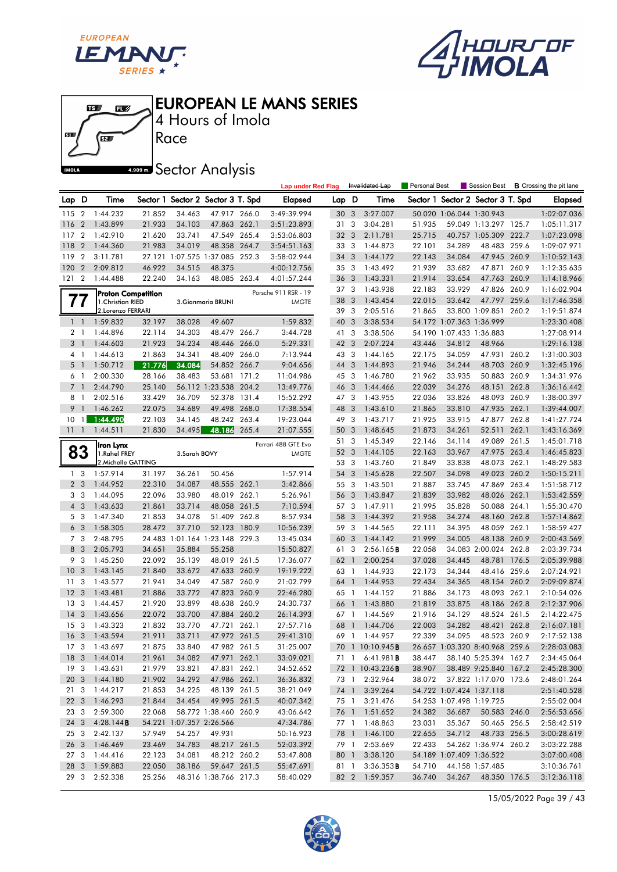





4 Hours of Imola

**A.509 mm** Sector Analysis

|                 |                |                           |        |                          |                                   |       | <b>Lap under Red Flag</b> |                 |                         | Invalidated Lap         | Personal Best |                          | Session Best                      |       | <b>B</b> Crossing the pit lane |
|-----------------|----------------|---------------------------|--------|--------------------------|-----------------------------------|-------|---------------------------|-----------------|-------------------------|-------------------------|---------------|--------------------------|-----------------------------------|-------|--------------------------------|
| Lap D           |                | Time                      |        |                          | Sector 1 Sector 2 Sector 3 T. Spd |       | <b>Elapsed</b>            | Lap D           |                         | Time                    |               |                          | Sector 1 Sector 2 Sector 3 T. Spd |       | Elapsed                        |
| 115             | $\overline{2}$ | 1:44.232                  | 21.852 | 34.463                   | 47.917 266.0                      |       | 3:49:39.994               | 30              | 3                       | 3:27.007                |               | 50.020 1:06.044 1:30.943 |                                   |       | 1:02:07.036                    |
| 116             | $\overline{2}$ | 1:43.899                  | 21.933 | 34.103                   | 47.863 262.1                      |       | 3:51:23.893               | 31              | 3                       | 3:04.281                | 51.935        |                          | 59.049 1:13.297 125.7             |       | 1:05:11.317                    |
| 117             | $\overline{2}$ | 1:42.910                  | 21.620 | 33.741                   | 47.549 265.4                      |       | 3:53:06.803               | 32              | 3                       | 2:11.781                | 25.715        |                          | 40.757 1:05.309 222.7             |       | 1:07:23.098                    |
| 118             | $\overline{2}$ | 1:44.360                  | 21.983 | 34.019                   | 48.358 264.7                      |       | 3:54:51.163               | 33 3            |                         | 1:44.873                | 22.101        | 34.289                   | 48.483 259.6                      |       | 1:09:07.971                    |
| 119             | $\overline{2}$ | 3:11.781                  |        |                          | 27.121 1:07.575 1:37.085 252.3    |       | 3:58:02.944               | 34              | 3                       | 1:44.172                | 22.143        | 34.084                   | 47.945 260.9                      |       | 1:10:52.143                    |
| 120             | $\overline{2}$ | 2:09.812                  | 46.922 | 34.515                   | 48.375                            |       | 4:00:12.756               | 35 3            |                         | 1:43.492                | 21.939        | 33.682                   | 47.871                            | 260.9 | 1:12:35.635                    |
| 121             | $\overline{2}$ | 1:44.488                  | 22.240 | 34.163                   | 48.085 263.4                      |       | 4:01:57.244               | 36              | 3                       | 1:43.331                | 21.914        | 33.654                   | 47.763 260.9                      |       | 1:14:18.966                    |
|                 |                | <b>Proton Competition</b> |        |                          |                                   |       | Porsche 911 RSR - 19      | 37 3            |                         | 1:43.938                | 22.183        | 33.929                   | 47.826 260.9                      |       | 1:16:02.904                    |
| $\prime\prime$  |                | 1. Christian RIED         |        |                          | 3. Gianmaria BRUNI                |       | <b>LMGTE</b>              | 38              | $\overline{3}$          | 1:43.454                | 22.015        | 33.642                   | 47.797                            | 259.6 | 1:17:46.358                    |
|                 |                | 2.Lorenzo FERRARI         |        |                          |                                   |       |                           | 39              | 3                       | 2:05.516                | 21.865        |                          | 33.800 1:09.851 260.2             |       | 1:19:51.874                    |
| $1 \quad 1$     |                | 1:59.832                  | 32.197 | 38.028                   | 49.607                            |       | 1:59.832                  | 40              | 3                       | 3:38.534                |               | 54.172 1:07.363 1:36.999 |                                   |       | 1:23:30.408                    |
| 2 <sub>1</sub>  |                | 1:44.896                  | 22.114 | 34.303                   | 48.479                            | 266.7 | 3:44.728                  | 41              | -3                      | 3:38.506                |               | 54.190 1:07.433 1:36.883 |                                   |       | 1:27:08.914                    |
| 3 1             |                | 1:44.603                  | 21.923 | 34.234                   | 48.446                            | 266.0 | 5:29.331                  | 42 <sub>3</sub> |                         | 2:07.224                | 43.446        | 34.812                   | 48.966                            |       | 1:29:16.138                    |
| 4 1             |                | 1:44.613                  | 21.863 | 34.341                   | 48.409                            | 266.0 | 7:13.944                  | 43 3            |                         | 1:44.165                | 22.175        | 34.059                   | 47.931 260.2                      |       | 1:31:00.303                    |
| 5 <sub>1</sub>  |                | 1:50.712                  | 21.776 | 34.084                   | 54.852 266.7                      |       | 9:04.656                  | 44              | 3                       | 1:44.893                | 21.946        | 34.244                   | 48.703 260.9                      |       | 1:32:45.196                    |
| 61              |                | 2:00.330                  | 28.166 | 38.483                   | 53.681 171.2                      |       | 11:04.986                 | 45 3            |                         | 1:46.780                | 21.962        | 33.935                   | 50.883 260.9                      |       | 1:34:31.976                    |
| $\overline{7}$  | $\overline{1}$ | 2:44.790                  | 25.140 |                          | 56.112 1:23.538                   | 204.2 | 13:49.776                 | 46              | $\overline{\mathbf{3}}$ | 1:44.466                | 22.039        | 34.276                   | 48.151                            | 262.8 | 1:36:16.442                    |
| 8               | $\overline{1}$ | 2:02.516                  | 33.429 | 36.709                   | 52.378 131.4                      |       | 15:52.292                 | 473             |                         | 1:43.955                | 22.036        | 33.826                   | 48.093 260.9                      |       | 1:38:00.397                    |
| 9               | $\overline{1}$ | 1:46.262                  | 22.075 | 34.689                   | 49.498                            | 268.0 | 17:38.554                 | 48              | 3                       | 1:43.610                | 21.865        | 33.810                   | 47.935 262.1                      |       | 1:39:44.007                    |
| 10              | $\mathbf{1}$   | 1:44.490                  | 22.103 | 34.145                   | 48.242 263.4                      |       | 19:23.044                 | 49              | $\mathbf{3}$            | 1:43.717                | 21.925        | 33.915                   | 47.877 262.8                      |       | 1:41:27.724                    |
| 1111            |                | 1:44.511                  | 21.830 | 34.495                   | 48.186                            | 265.4 | 21:07.555                 | 50              | 3                       | 1:48.645                | 21.873        | 34.261                   | 52.511                            | 262.1 | 1:43:16.369                    |
|                 |                | Iron Lynx                 |        |                          |                                   |       | Ferrari 488 GTE Evo       | 51              | -3                      | 1:45.349                | 22.146        | 34.114                   | 49.089 261.5                      |       | 1:45:01.718                    |
|                 | 83             | 1.Rahel FREY              |        | 3. Sarah BOVY            |                                   |       | <b>LMGTE</b>              | 52              | 3                       | 1:44.105                | 22.163        | 33.967                   | 47.975 263.4                      |       | 1:46:45.823                    |
|                 |                | 2. Michelle GATTING       |        |                          |                                   |       |                           | 53 3            |                         | 1:43.760                | 21.849        | 33.838                   | 48.073 262.1                      |       | 1:48:29.583                    |
| 1 <sub>3</sub>  |                | 1:57.914                  | 31.197 | 36.261                   | 50.456                            |       | 1:57.914                  | 54              | 3                       | 1:45.628                | 22.507        | 34.098                   | 49.023 260.2                      |       | 1:50:15.211                    |
| 2 <sub>3</sub>  |                | 1:44.952                  | 22.310 | 34.087                   | 48.555 262.1                      |       | 3:42.866                  | 55 3            |                         | 1:43.501                | 21.887        | 33.745                   | 47.869 263.4                      |       | 1:51:58.712                    |
|                 | 33             | 1:44.095                  | 22.096 | 33.980                   | 48.019 262.1                      |       | 5:26.961                  | 56 3            |                         | 1:43.847                | 21.839        | 33.982                   | 48.026 262.1                      |       | 1:53:42.559                    |
| $\overline{4}$  | 3              | 1:43.633                  | 21.861 | 33.714                   | 48.058 261.5                      |       | 7:10.594                  | 57 3            |                         | 1:47.911                | 21.995        | 35.828                   | 50.088 264.1                      |       | 1:55:30.470                    |
|                 | 5 <sub>3</sub> | 1:47.340                  | 21.853 | 34.078                   | 51.409 262.8                      |       | 8:57.934                  | 58              | $\overline{3}$          | 1:44.392                | 21.958        | 34.274                   | 48.160 262.8                      |       | 1:57:14.862                    |
| 6               | -3             | 1:58.305                  | 28.472 | 37.710                   | 52.123 180.9                      |       | 10:56.239                 | 59              | - 3                     | 1:44.565                | 22.111        | 34.395                   | 48.059 262.1                      |       | 1:58:59.427                    |
| 7 <sub>3</sub>  |                | 2:48.795                  |        |                          | 24.483 1:01.164 1:23.148 229.3    |       | 13:45.034                 | 60              | $\overline{\mathbf{3}}$ | 1:44.142                | 21.999        | 34.005                   | 48.138 260.9                      |       | 2:00:43.569                    |
| 8               | 3              | 2:05.793                  | 34.651 | 35.884                   | 55.258                            |       | 15:50.827                 | 61 3            |                         | 2:56.165B               | 22.058        |                          | 34.083 2:00.024 262.8             |       | 2:03:39.734                    |
| 9               | 3              | 1:45.250                  | 22.092 | 35.139                   | 48.019 261.5                      |       | 17:36.077                 | 62              | $\overline{1}$          | 2:00.254                | 37.028        | 34.445                   | 48.781 176.5                      |       | 2:05:39.988                    |
| 10              | 3              | 1:43.145                  | 21.840 | 33.672                   | 47.633 260.9                      |       | 19:19.222                 | 63 1            |                         | 1:44.933                | 22.173        | 34.344                   | 48.416 259.6                      |       | 2:07:24.921                    |
| 11              | 3              | 1:43.577                  | 21.941 | 34.049                   | 47.587 260.9                      |       | 21:02.799                 | 64 1            |                         | 1:44.953                | 22.434        | 34.365                   | 48.154                            | 260.2 | 2:09:09.874                    |
| -12             | 3              | 1:43.481                  | 21.886 | 33.772                   | 47.823 260.9                      |       | 22:46.280                 | 65              | $\overline{1}$          | 1:44.152                | 21.886        | 34.173                   | 48.093 262.1                      |       | 2:10:54.026                    |
| 13              | 3              | 1:44.457                  | 21.920 | 33.899                   | 48.638 260.9                      |       | 24:30.737                 | 66              | $\overline{1}$          | 1:43.880                | 21.819        | 33.875                   | 48.186 262.8                      |       | 2:12:37.906                    |
| 14              | 3              | 1:43.656                  | 22.072 | 33.700                   | 47.884 260.2                      |       | 26:14.393                 | 67 1            |                         | 1:44.569                | 21.916        | 34.129                   | 48.524 261.5                      |       | 2:14:22.475                    |
| 15              | 3              | 1:43.323                  | 21.832 | 33.770                   | 47.721 262.1                      |       | 27:57.716                 | 68              | $\overline{1}$          | 1:44.706                | 22.003        | 34.282                   | 48.421                            | 262.8 | 2:16:07.181                    |
| 16              | $\mathbf{3}$   | 1:43.594                  | 21.911 | 33.711                   | 47.972 261.5                      |       | 29:41.310                 | 69 1            |                         | 1:44.957                | 22.339        | 34.095                   | 48.523 260.9                      |       | 2:17:52.138                    |
|                 |                | 17 3 1:43.697             | 21.875 | 33.840                   | 47.982 261.5                      |       | 31:25.007                 |                 |                         | 70 1 10:10.945B         |               |                          | 26.657 1:03.320 8:40.968 259.6    |       | 2:28:03.083                    |
|                 |                | 18 3 1:44.014             | 21.961 | 34.082                   | 47.971 262.1                      |       | 33:09.021                 |                 |                         | 71 1 6:41.981 <b>B</b>  | 38.447        |                          | 38.140 5:25.394 162.7             |       | 2:34:45.064                    |
| 19 3            |                | 1:43.631                  | 21.979 | 33.821                   | 47.831 262.1                      |       | 34:52.652                 |                 |                         | 72 1 10:43.236 <b>B</b> | 38.907        |                          | 38.489 9:25.840 167.2             |       | 2:45:28.300                    |
| 20 3            |                | 1:44.180                  | 21.902 | 34.292                   | 47.986 262.1                      |       | 36:36.832                 |                 |                         | 73 1 2:32.964           | 38.072        |                          | 37.822 1:17.070 173.6             |       | 2:48:01.264                    |
| 21 3            |                | 1:44.217                  | 21.853 | 34.225                   | 48.139 261.5                      |       | 38:21.049                 | 74 1            |                         | 3:39.264                |               | 54.722 1:07.424 1:37.118 |                                   |       | 2:51:40.528                    |
| 22 3            |                | 1:46.293                  | 21.844 | 34.454                   | 49.995 261.5                      |       | 40:07.342                 | 75 1            |                         | 3:21.476                |               | 54.253 1:07.498 1:19.725 |                                   |       | 2:55:02.004                    |
| 23 3            |                | 2:59.300                  | 22.068 |                          | 58.772 1:38.460 260.9             |       | 43:06.642                 |                 |                         | 76 1 1:51.652           | 24.382        | 36.687                   | 50.583 246.0                      |       | 2:56:53.656                    |
| 24 3            |                | 4:28.144B                 |        | 54.221 1:07.357 2:26.566 |                                   |       | 47:34.786                 |                 |                         | 77 1 1:48.863           | 23.031        | 35.367                   | 50.465 256.5                      |       | 2:58:42.519                    |
| 25 <sub>3</sub> |                | 2:42.137                  | 57.949 | 54.257                   | 49.931                            |       | 50:16.923                 |                 |                         | 78 1 1:46.100           | 22.655        | 34.712                   | 48.733 256.5                      |       | 3:00:28.619                    |
| 26 3            |                | 1:46.469                  | 23.469 | 34.783                   | 48.217 261.5                      |       | 52:03.392                 | 79 1            |                         | 2:53.669                | 22.433        |                          | 54.262 1:36.974 260.2             |       | 3:03:22.288                    |
| 27 <sub>3</sub> |                | 1:44.416                  | 22.123 | 34.081                   | 48.212 260.2                      |       | 53:47.808                 | 80 1            |                         | 3:38.120                |               | 54.189 1:07.409 1:36.522 |                                   |       | 3:07:00.408                    |
| 28 3            |                | 1:59.883                  | 22.050 | 38.186                   | 59.647 261.5                      |       | 55:47.691                 | 81 1            |                         | 3:36.353B               | 54.710        |                          | 44.158 1:57.485                   |       | 3:10:36.761                    |
|                 | 29 3           | 2:52.338                  | 25.256 |                          | 48.316 1:38.766 217.3             |       | 58:40.029                 |                 |                         | 82 2 1:59.357           | 36.740        | 34.267                   | 48.350 176.5                      |       | 3:12:36.118                    |

15/05/2022 Page 39 / 43

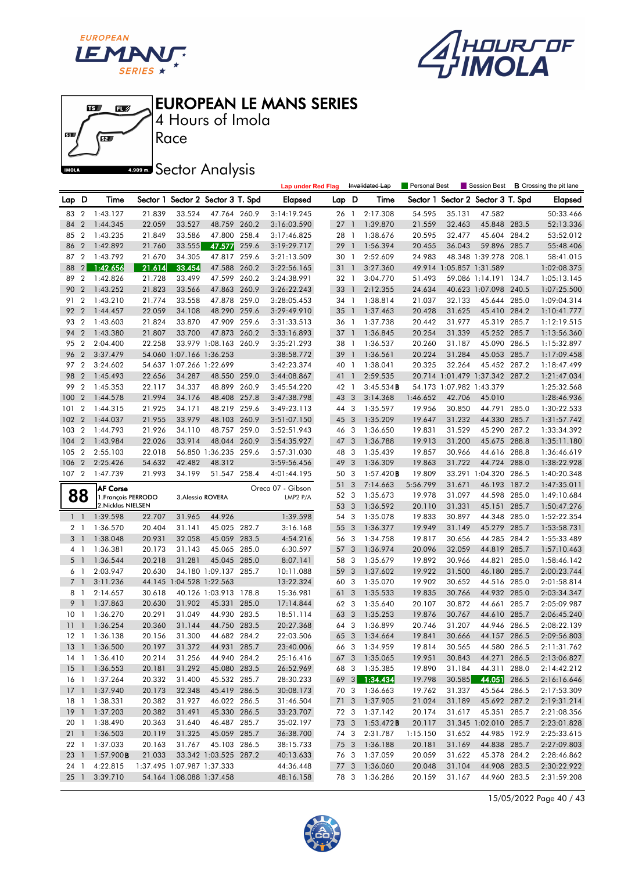





4 Hours of Imola

**A.509 mm** Sector Analysis

|                 |                |                     |        |                            |                                   |       | <b>Lap under Red Flag</b> |       |                | Invalidated Lap | Personal Best |                          | Session Best                      |       | <b>B</b> Crossing the pit lane |
|-----------------|----------------|---------------------|--------|----------------------------|-----------------------------------|-------|---------------------------|-------|----------------|-----------------|---------------|--------------------------|-----------------------------------|-------|--------------------------------|
| Lap D           |                | Time                |        |                            | Sector 1 Sector 2 Sector 3 T. Spd |       | Elapsed                   | Lap D |                | Time            |               |                          | Sector 1 Sector 2 Sector 3 T. Spd |       | Elapsed                        |
| 83              | $\overline{2}$ | 1:43.127            | 21.839 | 33.524                     | 47.764 260.9                      |       | 3:14:19.245               | 26 1  |                | 2:17.308        | 54.595        | 35.131                   | 47.582                            |       | 50:33.466                      |
| 84              | $\overline{2}$ | 1:44.345            | 22.059 | 33.527                     | 48.759 260.2                      |       | 3:16:03.590               | 27    | $\overline{1}$ | 1:39.870        | 21.559        | 32.463                   | 45.848 283.5                      |       | 52:13.336                      |
| 85              | $\overline{2}$ | 1:43.235            | 21.849 | 33.586                     | 47.800 258.4                      |       | 3:17:46.825               | 28 1  |                | 1:38.676        | 20.595        | 32.477                   | 45.604 284.2                      |       | 53:52.012                      |
| 86              | $\overline{2}$ | 1:42.892            | 21.760 | 33.555                     | 47.577                            | 259.6 | 3:19:29.717               | 29 1  |                | 1:56.394        | 20.455        | 36.043                   | 59.896 285.7                      |       | 55:48.406                      |
| 87              | $\overline{2}$ | 1:43.792            | 21.670 | 34.305                     | 47.817 259.6                      |       | 3:21:13.509               | 30 1  |                | 2:52.609        | 24.983        |                          | 48.348 1:39.278 208.1             |       | 58:41.015                      |
| 88              | 2              | 1:42.656            | 21.614 | 33.454                     | 47.588 260.2                      |       | 3:22:56.165               | 31 1  |                | 3:27.360        |               | 49.914 1:05.857 1:31.589 |                                   |       | 1:02:08.375                    |
| 89              | $\overline{2}$ | 1:42.826            | 21.728 | 33.499                     | 47.599 260.2                      |       | 3:24:38.991               | 32 1  |                | 3:04.770        | 51.493        |                          | 59.086 1:14.191 134.7             |       | 1:05:13.145                    |
| 90              | $\overline{2}$ | 1:43.252            | 21.823 | 33.566                     | 47.863 260.9                      |       | 3:26:22.243               | 33 1  |                | 2:12.355        | 24.634        |                          | 40.623 1:07.098 240.5             |       | 1:07:25.500                    |
| 91              | $\overline{2}$ | 1:43.210            | 21.774 | 33.558                     | 47.878 259.0                      |       | 3:28:05.453               | 34 1  |                | 1:38.814        | 21.037        | 32.133                   | 45.644 285.0                      |       | 1:09:04.314                    |
| 92              | $\overline{2}$ | 1:44.457            | 22.059 | 34.108                     | 48.290 259.6                      |       | 3:29:49.910               | 35    | $\overline{1}$ | 1:37.463        | 20.428        | 31.625                   | 45.410 284.2                      |       | 1:10:41.777                    |
| 93              | $\overline{2}$ | 1:43.603            | 21.824 | 33.870                     | 47.909 259.6                      |       | 3:31:33.513               | 36 1  |                | 1:37.738        | 20.442        | 31.977                   | 45.319 285.7                      |       | 1:12:19.515                    |
| 94              | $\overline{2}$ | 1:43.380            | 21.807 | 33.700                     | 47.873 260.2                      |       | 3:33:16.893               | 37 1  |                | 1:36.845        | 20.254        | 31.339                   | 45.252 285.7                      |       | 1:13:56.360                    |
| 95              | $\overline{2}$ | 2:04.400            | 22.258 |                            | 33.979 1:08.163 260.9             |       | 3:35:21.293               | 38 1  |                | 1:36.537        | 20.260        | 31.187                   | 45.090 286.5                      |       | 1:15:32.897                    |
| 96              | $\overline{2}$ | 3:37.479            |        | 54.060 1:07.166 1:36.253   |                                   |       | 3:38:58.772               | 39    | $\overline{1}$ | 1:36.561        | 20.224        | 31.284                   | 45.053 285.7                      |       | 1:17:09.458                    |
| 97 2            |                | 3:24.602            |        | 54.637 1:07.266 1:22.699   |                                   |       | 3:42:23.374               | 40 1  |                | 1:38.041        | 20.325        | 32.264                   | 45.452 287.2                      |       | 1:18:47.499                    |
| 98              | $\overline{2}$ | 1:45.493            | 22.656 | 34.287                     | 48.550 259.0                      |       | 3:44:08.867               | 41 1  |                | 2:59.535        |               |                          | 20.714 1:01.479 1:37.342 287.2    |       | 1:21:47.034                    |
| 99              | $\overline{2}$ | 1:45.353            | 22.117 | 34.337                     | 48.899                            | 260.9 | 3:45:54.220               | 42 1  |                | 3:45.534B       |               | 54.173 1:07.982 1:43.379 |                                   |       | 1:25:32.568                    |
| 100             | $\overline{2}$ | 1:44.578            | 21.994 | 34.176                     | 48.408 257.8                      |       | 3:47:38.798               | 43 3  |                | 3:14.368        | 1:46.652      | 42.706                   | 45.010                            |       | 1:28:46.936                    |
| 101             | $\overline{2}$ | 1:44.315            | 21.925 | 34.171                     | 48.219 259.6                      |       | 3:49:23.113               | 44 3  |                | 1:35.597        | 19.956        | 30.850                   | 44.791 285.0                      |       | 1:30:22.533                    |
| 102             | $\overline{2}$ | 1:44.037            | 21.955 | 33.979                     | 48.103 260.9                      |       | 3:51:07.150               | 45 3  |                | 1:35.209        | 19.647        | 31.232                   | 44.330 285.7                      |       | 1:31:57.742                    |
| 103             | $\overline{2}$ | 1:44.793            | 21.926 | 34.110                     | 48.757 259.0                      |       | 3:52:51.943               | 46 3  |                | 1:36.650        | 19.831        | 31.529                   | 45.290 287.2                      |       | 1:33:34.392                    |
| 104             | $\overline{2}$ | 1:43.984            | 22.026 | 33.914                     | 48.044 260.9                      |       | 3:54:35.927               | 47 3  |                | 1:36.788        | 19.913        | 31.200                   | 45.675 288.8                      |       | 1:35:11.180                    |
| 105             | $\overline{2}$ | 2:55.103            | 22.018 |                            | 56.850 1:36.235 259.6             |       | 3:57:31.030               | 48 3  |                | 1:35.439        | 19.857        | 30.966                   | 44.616 288.8                      |       | 1:36:46.619                    |
| 106             | $\overline{2}$ | 2:25.426            | 54.632 | 42.482                     | 48.312                            |       | 3:59:56.456               | 49    | 3              | 1:36.309        | 19.863        | 31.722                   | 44.724 288.0                      |       | 1:38:22.928                    |
| 107             | $\overline{2}$ | 1:47.739            | 21.993 | 34.199                     | 51.547 258.4                      |       | 4:01:44.195               | 50 3  |                | 1:57.420B       | 19.809        |                          | 33.291 1:04.320 286.5             |       | 1:40:20.348                    |
|                 |                | <b>AF Corse</b>     |        |                            |                                   |       | Oreca 07 - Gibson         | 51    | 3              | 7:14.663        | 5:56.799      | 31.671                   | 46.193 187.2                      |       | 1:47:35.011                    |
|                 | 88             | 1. François PERRODO |        |                            | 3. Alessio ROVERA                 |       | LMP2 P/A                  | 52 3  |                | 1:35.673        | 19.978        | 31.097                   | 44.598 285.0                      |       | 1:49:10.684                    |
|                 |                | 2. Nicklas NIELSEN  |        |                            |                                   |       |                           | 53 3  |                | 1:36.592        | 20.110        | 31.331                   | 45.151                            | 285.7 | 1:50:47.276                    |
| $1\quad$        |                | 1:39.598            | 22.707 | 31.965                     | 44.926                            |       | 1:39.598                  | 54 3  |                | 1:35.078        | 19.833        | 30.897                   | 44.348 285.0                      |       | 1:52:22.354                    |
| 21              |                | 1:36.570            | 20.404 | 31.141                     | 45.025 282.7                      |       | 3:16.168                  | 55 3  |                | 1:36.377        | 19.949        | 31.149                   | 45.279 285.7                      |       | 1:53:58.731                    |
| 3 <sup>1</sup>  |                | 1:38.048            | 20.931 | 32.058                     | 45.059 283.5                      |       | 4:54.216                  | 56 3  |                | 1:34.758        | 19.817        | 30.656                   | 44.285 284.2                      |       | 1:55:33.489                    |
| 41              |                | 1:36.381            | 20.173 | 31.143                     | 45.065 285.0                      |       | 6:30.597                  | 57    | 3              | 1:36.974        | 20.096        | 32.059                   | 44.819                            | 285.7 | 1:57:10.463                    |
| 5               | $\overline{1}$ | 1:36.544            | 20.218 | 31.281                     | 45.045 285.0                      |       | 8:07.141                  | 58 3  |                | 1:35.679        | 19.892        | 30.966                   | 44.821                            | 285.0 | 1:58:46.142                    |
| 6 1             |                | 2:03.947            | 20.630 |                            | 34.180 1:09.137 285.7             |       | 10:11.088                 | 59    | 3              | 1:37.602        | 19.922        | 31.500                   | 46.180 285.7                      |       | 2:00:23.744                    |
| 7 <sub>1</sub>  |                | 3:11.236            |        | 44.145 1:04.528 1:22.563   |                                   |       | 13:22.324                 | 60 3  |                | 1:35.070        | 19.902        | 30.652                   | 44.516 285.0                      |       | 2:01:58.814                    |
| 81              |                | 2:14.657            | 30.618 |                            | 40.126 1:03.913 178.8             |       | 15:36.981                 | 61    | 3              | 1:35.533        | 19.835        | 30.766                   | 44.932 285.0                      |       | 2:03:34.347                    |
| 9               | $\overline{1}$ | 1:37.863            | 20.630 | 31.902                     | 45.331 285.0                      |       | 17:14.844                 | 62 3  |                | 1:35.640        | 20.107        | 30.872                   | 44.661                            | 285.7 | 2:05:09.987                    |
| 10 <sub>1</sub> |                | 1:36.270            | 20.291 | 31.049                     | 44.930 283.5                      |       | 18:51.114                 | 63    | 3              | 1:35.253        | 19.876        | 30.767                   | 44.610 285.7                      |       | 2:06:45.240                    |
| 11              | $\overline{1}$ | 1:36.254            | 20.360 | 31.144                     | 44.750 283.5                      |       | 20:27.368                 | 64 3  |                | 1:36.899        | 20.746        | 31.207                   | 44.946 286.5                      |       | 2:08:22.139                    |
| $12-1$          |                | 1:36.138            | 20.156 | 31.300                     | 44.682 284.2                      |       | 22:03.506                 | 65 3  |                | 1:34.664        | 19.841        | 30.666                   | 44.157 286.5                      |       | 2:09:56.803                    |
|                 |                | 13 1 1:36.500       | 20.197 | 31.372                     | 44.931 285.7                      |       | 23:40.006                 |       |                | 66 3 1:34.959   | 19.814        | 30.565                   | 44.580 286.5                      |       | 2:11:31.762                    |
|                 |                | 14 1 1:36.410       | 20.214 | 31.256                     | 44.940 284.2                      |       | 25:16.416                 |       |                | 67 3 1:35.065   | 19.951        | 30.843                   | 44.271 286.5                      |       | 2:13:06.827                    |
|                 |                | 15 1 1:36.553       | 20.181 | 31.292                     | 45.080 283.5                      |       | 26:52.969                 |       |                | 68 3 1:35.385   | 19.890        | 31.184                   | 44.311 288.0                      |       | 2:14:42.212                    |
|                 |                | 16 1 1:37.264       | 20.332 | 31.400                     | 45.532 285.7                      |       | 28:30.233                 |       |                | 69 3 1:34.434   | 19.798        | 30.585                   | 44.051 286.5                      |       | 2:16:16.646                    |
|                 |                | 17 1 1:37.940       | 20.173 | 32.348                     | 45.419 286.5                      |       | 30:08.173                 |       |                | 70 3 1:36.663   | 19.762        | 31.337                   | 45.564 286.5                      |       | 2:17:53.309                    |
|                 |                | 18 1 1:38.331       | 20.382 | 31.927                     | 46.022 286.5                      |       | 31:46.504                 |       |                | 71 3 1:37.905   | 21.024        | 31.189                   | 45.692 287.2                      |       | 2:19:31.214                    |
| $19-1$          |                | 1:37.203            | 20.382 | 31.491                     | 45.330 286.5                      |       | 33:23.707                 |       |                | 72 3 1:37.142   | 20.174        | 31.617                   | 45.351 285.7                      |       | 2:21:08.356                    |
| 20 1            |                | 1:38.490            | 20.363 | 31.640                     | 46.487 285.7                      |       | 35:02.197                 | 73 3  |                | $1:53.472$ B    | 20.117        |                          | 31.345 1:02.010 285.7             |       | 2:23:01.828                    |
| $21 \quad 1$    |                | 1:36.503            | 20.119 | 31.325                     | 45.059 285.7                      |       | 36:38.700                 | 743   |                | 2:31.787        | 1:15.150      | 31.652                   | 44.985 192.9                      |       | 2:25:33.615                    |
| 22 1            |                | 1:37.033            | 20.163 | 31.767                     | 45.103 286.5                      |       | 38:15.733                 | 75 3  |                | 1:36.188        | 20.181        | 31.169                   | 44.838 285.7                      |       | 2:27:09.803                    |
| $23 \quad 1$    |                | 1:57.900B           | 21.033 |                            | 33.342 1:03.525 287.2             |       | 40:13.633                 |       |                | 76 3 1:37.059   | 20.059        | 31.622                   | 45.378 284.2                      |       | 2:28:46.862                    |
| 24 1            |                | 4:22.815            |        | 1:37.495 1:07.987 1:37.333 |                                   |       | 44:36.448                 |       |                | 77 3 1:36.060   | 20.048        | 31.104                   | 44.908 283.5                      |       | 2:30:22.922                    |
| 251             |                | 3:39.710            |        | 54.164 1:08.088 1:37.458   |                                   |       | 48:16.158                 |       |                | 78 3 1:36.286   | 20.159        | 31.167                   | 44.960 283.5                      |       | 2:31:59.208                    |

15/05/2022 Page 40 / 43

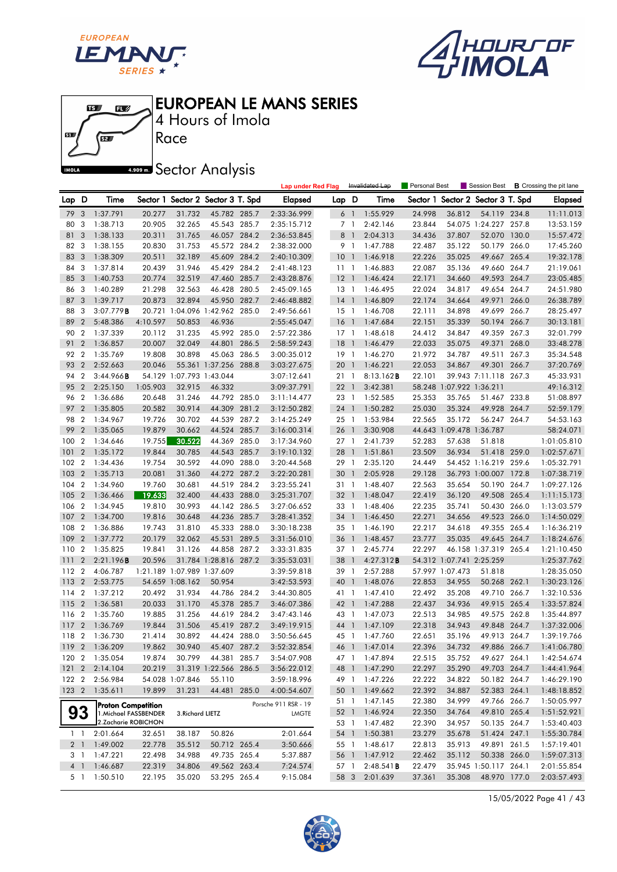





4 Hours of Imola

**A.509 mm** Sector Analysis

|                |                |                       |          |                            |                                   |       | <b>Lap under Red Flag</b> |                 |                | Invalidated Lap   | Personal Best |                          | Session Best             |       | <b>B</b> Crossing the pit lane |
|----------------|----------------|-----------------------|----------|----------------------------|-----------------------------------|-------|---------------------------|-----------------|----------------|-------------------|---------------|--------------------------|--------------------------|-------|--------------------------------|
| Lap D          |                | Time                  |          |                            | Sector 1 Sector 2 Sector 3 T. Spd |       | Elapsed                   | Lap D           |                | Time              | Sector 1      |                          | Sector 2 Sector 3 T. Spd |       | <b>Elapsed</b>                 |
| 79             | 3              | 1:37.791              | 20.277   | 31.732                     | 45.782 285.7                      |       | 2:33:36.999               |                 | 6 1            | 1:55.929          | 24.998        | 36.812                   | 54.119 234.8             |       | 11:11.013                      |
| 80             | 3              | 1:38.713              | 20.905   | 32.265                     | 45.543 285.7                      |       | 2:35:15.712               |                 | 7 <sub>1</sub> | 2:42.146          | 23.844        |                          | 54.075 1:24.227 257.8    |       | 13:53.159                      |
| 81             | 3              | 1:38.133              | 20.311   | 31.765                     | 46.057 284.2                      |       | 2:36:53.845               |                 | 8 <sup>1</sup> | 2:04.313          | 34.436        | 37.807                   | 52.070 130.0             |       | 15:57.472                      |
| 82             | 3              | 1:38.155              | 20.830   | 31.753                     | 45.572 284.2                      |       | 2:38:32.000               | 9 1             |                | 1:47.788          | 22.487        | 35.122                   | 50.179 266.0             |       | 17:45.260                      |
| 83             | 3              | 1:38.309              | 20.511   | 32.189                     | 45.609 284.2                      |       | 2:40:10.309               | 10 <sub>1</sub> |                | 1:46.918          | 22.226        | 35.025                   | 49.667                   | 265.4 | 19:32.178                      |
| 84             | 3              | 1:37.814              | 20.439   | 31.946                     | 45.429 284.2                      |       | 2:41:48.123               | 11              | $\overline{1}$ | 1:46.883          | 22.087        | 35.136                   | 49.660                   | 264.7 | 21:19.061                      |
| 85             | $\overline{3}$ | 1:40.753              | 20.774   | 32.519                     | 47.460 285.7                      |       | 2:43:28.876               | $12-1$          |                | 1:46.424          | 22.171        | 34.660                   | 49.593 264.7             |       | 23:05.485                      |
| 86             | 3              | 1:40.289              | 21.298   | 32.563                     | 46.428 280.5                      |       | 2:45:09.165               | $13-1$          |                | 1:46.495          | 22.024        | 34.817                   | 49.654 264.7             |       | 24:51.980                      |
| 87             | 3              | 1:39.717              | 20.873   | 32.894                     | 45.950 282.7                      |       | 2:46:48.882               | $14-1$          |                | 1:46.809          | 22.174        | 34.664                   | 49.971                   | 266.0 | 26:38.789                      |
| 88             | 3              | 3:07.779B             |          |                            | 20.721 1:04.096 1:42.962 285.0    |       | 2:49:56.661               | $15-1$          |                | 1:46.708          | 22.111        | 34.898                   | 49.699                   | 266.7 | 28:25.497                      |
| 89             | $\overline{2}$ | 5:48.386              | 4:10.597 | 50.853                     | 46.936                            |       | 2:55:45.047               | 16 <sub>1</sub> |                | 1:47.684          | 22.151        | 35.339                   | 50.194 266.7             |       | 30:13.181                      |
| 90             | $\overline{2}$ | 1:37.339              | 20.112   | 31.235                     | 45.992 285.0                      |       | 2:57:22.386               | $17-1$          |                | 1:48.618          | 24.412        | 34.847                   | 49.359 267.3             |       | 32:01.799                      |
| 91             | $\overline{2}$ | 1:36.857              | 20.007   | 32.049                     | 44.801                            | 286.5 | 2:58:59.243               | 18              | $\overline{1}$ | 1:46.479          | 22.033        | 35.075                   | 49.371                   | 268.0 | 33:48.278                      |
| 92             | $\overline{2}$ | 1:35.769              | 19.808   | 30.898                     | 45.063 286.5                      |       | 3:00:35.012               | $19-1$          |                | 1:46.270          | 21.972        | 34.787                   | 49.511 267.3             |       | 35:34.548                      |
| 93             | $\overline{2}$ | 2:52.663              | 20.046   |                            | 55.361 1:37.256 288.8             |       | 3:03:27.675               | 20 1            |                | 1:46.221          | 22.053        | 34.867                   | 49.301 266.7             |       | 37:20.769                      |
| 94             | $\overline{2}$ | 3:44.966B             |          | 54.129 1:07.793 1:43.044   |                                   |       | 3:07:12.641               | 21 1            |                | 8:13.162 <b>B</b> | 22.101        |                          | 39.943 7:11.118 267.3    |       | 45:33.931                      |
| 95             | $\overline{2}$ | 2:25.150              | 1:05.903 | 32.915                     | 46.332                            |       | 3:09:37.791               | $22 \quad 1$    |                | 3:42.381          |               | 58.248 1:07.922 1:36.211 |                          |       | 49:16.312                      |
| 96             | $\overline{2}$ | 1:36.686              | 20.648   | 31.246                     | 44.792 285.0                      |       | 3:11:14.477               | 23 1            |                | 1:52.585          | 25.353        | 35.765                   | 51.467 233.8             |       | 51:08.897                      |
| 97             | $\overline{2}$ | 1:35.805              | 20.582   | 30.914                     | 44.309 281.2                      |       | 3:12:50.282               | 24 1            |                | 1:50.282          | 25.030        | 35.324                   | 49.928 264.7             |       | 52:59.179                      |
| 98             | $\overline{2}$ | 1:34.967              | 19.726   | 30.702                     | 44.539 287.2                      |       | 3:14:25.249               | 25 <sub>1</sub> |                | 1:53.984          | 22.565        | 35.172                   | 56.247 264.7             |       | 54:53.163                      |
| 99             | $\overline{2}$ | 1:35.065              | 19.879   | 30.662                     | 44.524 285.7                      |       | 3:16:00.314               | 26 1            |                | 3:30.908          |               | 44.643 1:09.478 1:36.787 |                          |       | 58:24.071                      |
| 100            | $\overline{2}$ | 1:34.646              | 19.755   | 30.522                     | 44.369 285.0                      |       | 3:17:34.960               | 27 <sub>1</sub> |                | 2:41.739          | 52.283        | 57.638                   | 51.818                   |       | 1:01:05.810                    |
| 101            | $\overline{2}$ | 1:35.172              | 19.844   | 30.785                     | 44.543 285.7                      |       | 3:19:10.132               | 28 1            |                | 1:51.861          | 23.509        | 36.934                   | 51.418 259.0             |       | 1:02:57.671                    |
| 102            | $\overline{2}$ | 1:34.436              | 19.754   | 30.592                     | 44.090 288.0                      |       | 3:20:44.568               | 29 1            |                | 2:35.120          | 24.449        |                          | 54.452 1:16.219 259.6    |       | 1:05:32.791                    |
| 103            | $\overline{2}$ | 1:35.713              | 20.081   | 31.360                     | 44.272 287.2                      |       | 3:22:20.281               | 30              | $\overline{1}$ | 2:05.928          | 29.128        |                          | 36.793 1:00.007 172.8    |       | 1:07:38.719                    |
| 104            | $\overline{2}$ | 1:34.960              | 19.760   | 30.681                     | 44.519 284.2                      |       | 3:23:55.241               | 31 1            |                | 1:48.407          | 22.563        | 35.654                   | 50.190 264.7             |       | 1:09:27.126                    |
| 105            | $\overline{2}$ | 1:36.466              | 19.633   | 32.400                     | 44.433 288.0                      |       | 3:25:31.707               | 32 1            |                | 1:48.047          | 22.419        | 36.120                   | 49.508 265.4             |       | 1:11:15.173                    |
| 106            | $\overline{2}$ | 1:34.945              | 19.810   | 30.993                     | 44.142 286.5                      |       | 3:27:06.652               | 33 1            |                | 1:48.406          | 22.235        | 35.741                   | 50.430 266.0             |       | 1:13:03.579                    |
| 107            | $\overline{2}$ | 1:34.700              | 19.816   | 30.648                     | 44.236 285.7                      |       | 3:28:41.352               | 34 1            |                | 1:46.450          | 22.271        | 34.656                   | 49.523 266.0             |       | 1:14:50.029                    |
| 108            | $\overline{2}$ | 1:36.886              | 19.743   | 31.810                     | 45.333 288.0                      |       | 3:30:18.238               | $35-1$          |                | 1:46.190          | 22.217        | 34.618                   | 49.355 265.4             |       | 1:16:36.219                    |
| 109            | $\overline{2}$ | 1:37.772              | 20.179   | 32.062                     | 45.531                            | 289.5 | 3:31:56.010               | 36 1            |                | 1:48.457          | 23.777        | 35.035                   | 49.645 264.7             |       | 1:18:24.676                    |
| 110            | $\overline{2}$ | 1:35.825              | 19.841   | 31.126                     | 44.858 287.2                      |       | 3:33:31.835               | 37 1            |                | 2:45.774          | 22.297        |                          | 46.158 1:37.319 265.4    |       | 1:21:10.450                    |
| 111            | $\overline{2}$ | 2:21.196B             | 20.596   |                            | 31.784 1:28.816 287.2             |       | 3:35:53.031               | 38              | $\overline{1}$ | 4:27.312B         |               | 54.312 1:07.741 2:25.259 |                          |       | 1:25:37.762                    |
| 112            | $\overline{2}$ | 4:06.787              |          | 1:21.189 1:07.989 1:37.609 |                                   |       | 3:39:59.818               | 39 1            |                | 2:57.288          |               | 57.997 1:07.473          | 51.818                   |       | 1:28:35.050                    |
| 113            | $\overline{2}$ | 2:53.775              |          | 54.659 1:08.162            | 50.954                            |       | 3:42:53.593               | 40 1            |                | 1:48.076          | 22.853        | 34.955                   | 50.268 262.1             |       | 1:30:23.126                    |
| 114            | $\overline{2}$ | 1:37.212              | 20.492   | 31.934                     | 44.786 284.2                      |       | 3:44:30.805               | 41 1            |                | 1:47.410          | 22.492        | 35.208                   | 49.710 266.7             |       | 1:32:10.536                    |
| 115            | $\overline{2}$ | 1:36.581              | 20.033   | 31.170                     | 45.378 285.7                      |       | 3:46:07.386               | 42 1            |                | 1:47.288          | 22.437        | 34.936                   | 49.915 265.4             |       | 1:33:57.824                    |
| 116            | $\overline{2}$ | 1:35.760              | 19.885   | 31.256                     | 44.619 284.2                      |       | 3:47:43.146               | 43 1            |                | 1:47.073          | 22.513        | 34.985                   | 49.575 262.8             |       | 1:35:44.897                    |
| 117            | $\overline{2}$ | 1:36.769              | 19.844   | 31.506                     | 45.419 287.2                      |       | 3:49:19.915               | 44 1            |                | 1:47.109          | 22.318        | 34.943                   | 49.848 264.7             |       | 1:37:32.006                    |
| 118            | $\overline{2}$ | 1:36.730              | 21.414   | 30.892                     | 44.424 288.0                      |       | 3:50:56.645               | 45 1            |                | 1:47.760          | 22.651        | 35.196                   | 49.913 264.7             |       | 1:39:19.766                    |
|                |                | 119 2 1:36.209        | 19.862   | 30.940                     | 45.407 287.2                      |       | 3:52:32.854               |                 |                | 46 1 1:47.014     | 22.396        | 34.732                   | 49.886 266.7             |       | 1:41:06.780                    |
|                |                | 120 2 1:35.054        | 19.874   | 30.799                     | 44.381 285.7                      |       | 3:54:07.908               |                 |                | 47 1 1:47.894     | 22.515        | 35.752                   | 49.627 264.1             |       | 1:42:54.674                    |
|                |                | 121 2 2:14.104        | 20.219   |                            | 31.319 1:22.566 286.5             |       | 3:56:22.012               |                 |                | 48 1 1:47.290     | 22.297        | 35.290                   | 49.703 264.7             |       | 1:44:41.964                    |
| 122 2          |                | 2:56.984              |          | 54.028 1:07.846            | 55.110                            |       | 3:59:18.996               |                 |                | 49 1 1:47.226     | 22.222        | 34.822                   | 50.182 264.7             |       | 1:46:29.190                    |
| 123 2          |                | 1:35.611              | 19.899   | 31.231                     | 44.481 285.0                      |       | 4:00:54.607               |                 |                | 50 1 1:49.662     | 22.392        | 34.887                   | 52.383 264.1             |       | 1:48:18.852                    |
|                |                | Proton Competition    |          |                            |                                   |       | Porsche 911 RSR - 19      |                 |                | 51 1 1:47.145     | 22.380        | 34.999                   | 49.766 266.7             |       | 1:50:05.997                    |
|                | 93             | 1. Michael FASSBENDER |          | 3. Richard LIETZ           |                                   |       | <b>LMGTE</b>              |                 |                | 52 1 1:46.924     | 22.350        | 34.764                   | 49.810 265.4             |       | 1:51:52.921                    |
|                |                | 2. Zacharie ROBICHON  |          |                            |                                   |       |                           |                 |                | 53 1 1:47.482     | 22.390        | 34.957                   | 50.135 264.7             |       | 1:53:40.403                    |
|                | $1\quad1$      | 2:01.664              | 32.651   | 38.187                     | 50.826                            |       | 2:01.664                  |                 | 54 1           | 1:50.381          | 23.279        | 35.678                   | 51.424 247.1             |       | 1:55:30.784                    |
|                |                | 2 1 1:49.002          | 22.778   | 35.512                     | 50.712 265.4                      |       | 3:50.666                  |                 |                | 55 1 1:48.617     | 22.813        | 35.913                   | 49.891 261.5             |       | 1:57:19.401                    |
|                | 3 1            | 1:47.221              | 22.498   | 34.988                     | 49.735 265.4                      |       | 5:37.887                  |                 |                | 56 1 1:47.912     | 22.462        | 35.112                   | 50.338 266.0             |       | 1:59:07.313                    |
| 4 <sup>1</sup> |                | 1:46.687              | 22.319   | 34.806                     | 49.562 263.4                      |       | 7:24.574                  | 57 1            |                | 2:48.541B         | 22.479        |                          | 35.945 1:50.117 264.1    |       | 2:01:55.854                    |
|                | 5 1            | 1:50.510              | 22.195   | 35.020                     | 53.295 265.4                      |       | 9:15.084                  |                 | 58 3           | 2:01.639          | 37.361        | 35.308                   | 48.970 177.0             |       | 2:03:57.493                    |

15/05/2022 Page 41 / 43

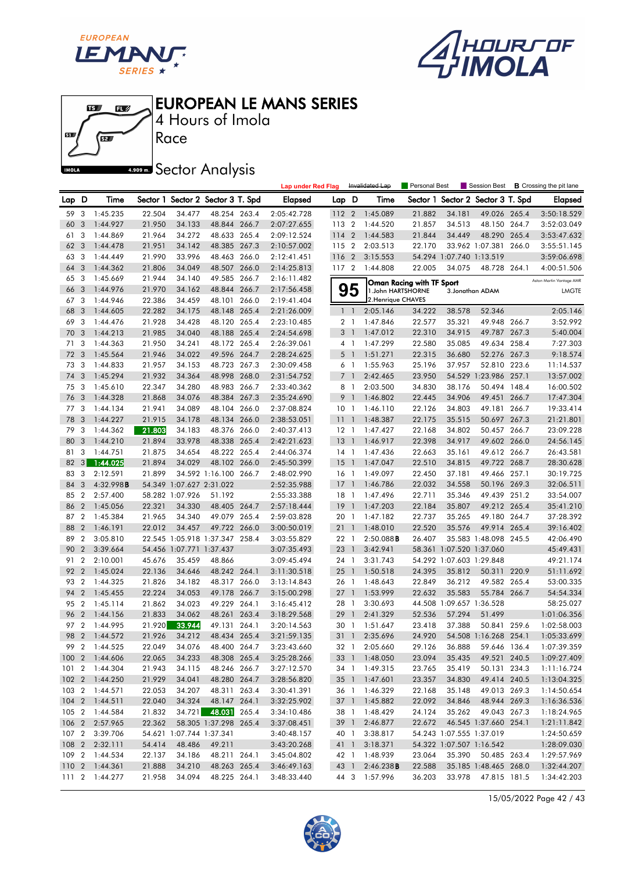





4 Hours of Imola

# **A.509 mm** Sector Analysis

|       |                  |                |        |                          |                                   |       | <b>Lap under Red Flag</b> |                 |                | Invalidated Lap        | <b>Personal Best</b>      |                          | Session Best                      |       | <b>B</b> Crossing the pit lane |
|-------|------------------|----------------|--------|--------------------------|-----------------------------------|-------|---------------------------|-----------------|----------------|------------------------|---------------------------|--------------------------|-----------------------------------|-------|--------------------------------|
| Lap D |                  | Time           |        |                          | Sector 1 Sector 2 Sector 3 T. Spd |       | <b>Elapsed</b>            | Lap D           |                | Time                   |                           |                          | Sector 1 Sector 2 Sector 3 T. Spd |       | Elapsed                        |
| 59    | 3                | 1:45.235       | 22.504 | 34.477                   | 48.254 263.4                      |       | 2:05:42.728               | 112 2           |                | 1:45.089               | 21.882                    | 34.181                   | 49.026 265.4                      |       | 3:50:18.529                    |
| 60    | 3                | 1:44.927       | 21.950 | 34.133                   | 48.844 266.7                      |       | 2:07:27.655               | 113             | $\overline{2}$ | 1:44.520               | 21.857                    | 34.513                   | 48.150 264.7                      |       | 3:52:03.049                    |
| 61    | 3                | 1:44.869       | 21.964 | 34.272                   | 48.633 265.4                      |       | 2:09:12.524               | 114             | $\overline{2}$ | 1:44.583               | 21.844                    | 34.449                   | 48.290 265.4                      |       | 3:53:47.632                    |
| 62    | 3                | 1:44.478       | 21.951 | 34.142                   | 48.385 267.3                      |       | 2:10:57.002               | 115             | $\overline{2}$ | 2:03.513               | 22.170                    |                          | 33.962 1:07.381 266.0             |       | 3:55:51.145                    |
| 63    | 3                | 1:44.449       | 21.990 | 33.996                   | 48.463 266.0                      |       | 2:12:41.451               | 116 2           |                | 3:15.553               |                           | 54.294 1:07.740 1:13.519 |                                   |       | 3:59:06.698                    |
| 64    | 3                | 1:44.362       | 21.806 | 34.049                   | 48.507 266.0                      |       | 2:14:25.813               | 117 2           |                | 1:44.808               | 22.005                    | 34.075                   | 48.728 264.1                      |       | 4:00:51.506                    |
| 65    | -3               | 1:45.669       | 21.944 | 34.140                   | 49.585 266.7                      |       | 2:16:11.482               |                 |                |                        | Oman Racing with TF Sport |                          |                                   |       | Aston Martin Vantage AMR       |
| 66    | 3                | 1:44.976       | 21.970 | 34.162                   | 48.844 266.7                      |       | 2:17:56.458               |                 | 95             | 1.John HARTSHORNE      |                           |                          | 3. Jonathan ADAM                  |       | <b>LMGTE</b>                   |
| 67    | 3                | 1:44.946       | 22.386 | 34.459                   | 48.101 266.0                      |       | 2:19:41.404               |                 |                | 2. Henrique CHAVES     |                           |                          |                                   |       |                                |
| 68    | 3                | 1:44.605       | 22.282 | 34.175                   | 48.148 265.4                      |       | 2:21:26.009               |                 | $1\quad$       | 2:05.146               | 34.222                    | 38.578                   | 52.346                            |       | 2:05.146                       |
| 69    | 3                | 1:44.476       | 21.928 | 34.428                   | 48.120 265.4                      |       | 2:23:10.485               |                 | 2 <sub>1</sub> | 1:47.846               | 22.577                    | 35.321                   | 49.948 266.7                      |       | 3:52.992                       |
| 70    | 3                | 1:44.213       | 21.985 | 34.040                   | 48.188 265.4                      |       | 2:24:54.698               | 3               | $\overline{1}$ | 1:47.012               | 22.310                    | 34.915                   | 49.787 267.3                      |       | 5:40.004                       |
| 71    | 3                | 1:44.363       | 21.950 | 34.241                   | 48.172 265.4                      |       | 2:26:39.061               |                 | 4 <sub>1</sub> | 1:47.299               | 22.580                    | 35.085                   | 49.634 258.4                      |       | 7:27.303                       |
| 72    | 3                | 1:45.564       | 21.946 | 34.022                   | 49.596 264.7                      |       | 2:28:24.625               | 5               | $\overline{1}$ | 1:51.271               | 22.315                    | 36.680                   | 52.276 267.3                      |       | 9:18.574                       |
| 73    | 3                | 1:44.833       | 21.957 | 34.153                   | 48.723 267.3                      |       | 2:30:09.458               |                 | 6 1            | 1:55.963               | 25.196                    | 37.957                   | 52.810 223.6                      |       | 11:14.537                      |
| 74    | 3                | 1:45.294       | 21.932 | 34.364                   | 48.998 268.0                      |       | 2:31:54.752               |                 | 7 <sup>1</sup> | 2:42.465               | 23.950                    |                          | 54.529 1:23.986 257.1             |       | 13:57.002                      |
| 75    | 3                | 1:45.610       | 22.347 | 34.280                   | 48.983                            | 266.7 | 2:33:40.362               | 8               | $\overline{1}$ | 2:03.500               | 34.830                    | 38.176                   | 50.494 148.4                      |       | 16:00.502                      |
| 76    | 3                | 1:44.328       | 21.868 | 34.076                   | 48.384 267.3                      |       | 2:35:24.690               | 9               | $\mathbf{1}$   | 1:46.802               | 22.445                    | 34.906                   | 49.451                            | 266.7 | 17:47.304                      |
| 77    | 3                | 1:44.134       | 21.941 | 34.089                   | 48.104 266.0                      |       | 2:37:08.824               | 10 <sub>1</sub> |                | 1:46.110               | 22.126                    | 34.803                   | 49.181 266.7                      |       | 19:33.414                      |
| 78    | 3                | 1:44.227       | 21.915 | 34.178                   | 48.134 266.0                      |       | 2:38:53.051               | 11              | $\overline{1}$ | 1:48.387               | 22.175                    | 35.515                   | 50.697 267.3                      |       | 21:21.801                      |
| 79    | 3                | 1:44.362       | 21.803 | 34.183                   | 48.376 266.0                      |       | 2:40:37.413               | $12-1$          |                | 1:47.427               | 22.168                    | 34.802                   | 50.457 266.7                      |       | 23:09.228                      |
| 80    | 3                | 1:44.210       | 21.894 | 33.978                   | 48.338 265.4                      |       | 2:42:21.623               | 13              | $\mathbf{1}$   | 1:46.917               | 22.398                    | 34.917                   | 49.602 266.0                      |       | 24:56.145                      |
| 81    | 3                | 1:44.751       | 21.875 | 34.654                   | 48.222 265.4                      |       | 2:44:06.374               | 14 1            |                | 1:47.436               | 22.663                    | 35.161                   | 49.612 266.7                      |       | 26:43.581                      |
| 82    | 3                | 1:44.025       | 21.894 | 34.029                   | 48.102 266.0                      |       | 2:45:50.399               | 15              | $\overline{1}$ | 1:47.047               | 22.510                    | 34.815                   | 49.722 268.7                      |       | 28:30.628                      |
| 83    | 3                | 2:12.591       | 21.899 |                          | 34.592 1:16.100 266.7             |       | 2:48:02.990               | 16 <sub>1</sub> |                | 1:49.097               | 22.450                    | 37.181                   | 49.466 257.1                      |       | 30:19.725                      |
| 84    | 3                | 4:32.998B      |        | 54.349 1:07.627 2:31.022 |                                   |       | 2:52:35.988               | 17              | $\mathbf{1}$   | 1:46.786               | 22.032                    | 34.558                   | 50.196 269.3                      |       | 32:06.511                      |
| 85    | $\overline{2}$   | 2:57.400       |        | 58.282 1:07.926          | 51.192                            |       | 2:55:33.388               | $18-1$          |                | 1:47.496               | 22.711                    | 35.346                   | 49.439 251.2                      |       | 33:54.007                      |
| 86    | $\overline{2}$   | 1:45.056       | 22.321 | 34.330                   | 48.405 264.7                      |       | 2:57:18.444               | 19              | $\overline{1}$ | 1:47.203               | 22.184                    | 35.807                   | 49.212 265.4                      |       | 35:41.210                      |
| 87    | $\overline{2}$   | 1:45.384       | 21.965 | 34.340                   | 49.079 265.4                      |       | 2:59:03.828               | 20              | $\overline{1}$ | 1:47.182               | 22.737                    | 35.265                   | 49.180 264.7                      |       | 37:28.392                      |
| 88    | $\overline{2}$   | 1:46.191       | 22.012 | 34.457                   | 49.722 266.0                      |       | 3:00:50.019               | 21              | $\mathbf{1}$   | 1:48.010               | 22.520                    | 35.576                   | 49.914 265.4                      |       | 39:16.402                      |
| 89    | $\boldsymbol{2}$ | 3:05.810       |        |                          | 22.545 1:05.918 1:37.347 258.4    |       | 3:03:55.829               | 22 1            |                | $2:50.088$ B           | 26.407                    |                          | 35.583 1:48.098 245.5             |       | 42:06.490                      |
| 90    | $\overline{2}$   | 3:39.664       |        | 54.456 1:07.771 1:37.437 |                                   |       | 3:07:35.493               | 23              | $\overline{1}$ | 3:42.941               |                           | 58.361 1:07.520 1:37.060 |                                   |       | 45:49.431                      |
| 91    | $\boldsymbol{2}$ | 2:10.001       | 45.676 | 35.459                   | 48.866                            |       | 3:09:45.494               | 24              | $\overline{1}$ | 3:31.743               |                           | 54.292 1:07.603 1:29.848 |                                   |       | 49:21.174                      |
| 92    | $\overline{2}$   | 1:45.024       | 22.136 | 34.646                   | 48.242 264.1                      |       | 3:11:30.518               | 25              | $\mathbf{1}$   | 1:50.518               | 24.395                    | 35.812                   | 50.311 220.9                      |       | 51:11.692                      |
| 93    | $\boldsymbol{2}$ | 1:44.325       | 21.826 | 34.182                   | 48.317 266.0                      |       | 3:13:14.843               | 26 1            |                | 1:48.643               | 22.849                    | 36.212                   | 49.582 265.4                      |       | 53:00.335                      |
| 94    | $\overline{2}$   | 1:45.455       | 22.224 | 34.053                   | 49.178 266.7                      |       | 3:15:00.298               | 27              | $\overline{1}$ | 1:53.999               | 22.632                    | 35.583                   | 55.784 266.7                      |       | 54:54.334                      |
| 95    | $\overline{2}$   | 1:45.114       | 21.862 | 34.023                   | 49.229                            | 264.1 | 3:16:45.412               | 28              | $\overline{1}$ | 3:30.693               |                           | 44.508 1:09.657 1:36.528 |                                   |       | 58:25.027                      |
| 96    | $\overline{2}$   | 1:44.156       | 21.833 | 34.062                   | 48.261 263.4                      |       | 3:18:29.568               | 29              | $\mathbf{1}$   | 2:41.329               | 52.536                    | 57.294                   | 51.499                            |       | 1:01:06.356                    |
| 97    | $\overline{2}$   | 1:44.995       | 21.920 | 33.944                   | 49.131 264.1                      |       | 3:20:14.563               | 30 1            |                | 1:51.647               | 23.418                    | 37.388                   | 50.841 259.6                      |       | 1:02:58.003                    |
| 98    | $\overline{2}$   | 1:44.572       | 21.926 | 34.212                   | 48.434 265.4                      |       | 3:21:59.135               | 31 1            |                | 2:35.696               | 24.920                    |                          | 54.508 1:16.268 254.1             |       | 1:05:33.699                    |
| 99    | $\overline{2}$   | 1:44.525       | 22.049 | 34.076                   | 48.400 264.7                      |       | 3:23:43.660               | 32 1            |                | 2:05.660               | 29.126                    | 36.888                   | 59.646 136.4                      |       | 1:07:39.359                    |
|       |                  | 100 2 1:44.606 | 22.065 | 34.233                   | 48.308 265.4                      |       | 3:25:28.266               |                 |                | 33 1 1:48.050          | 23.094                    | 35.435                   | 49.521 240.5                      |       | 1:09:27.409                    |
|       |                  | 101 2 1:44.304 | 21.943 | 34.115                   | 48.246 266.7                      |       | 3:27:12.570               |                 |                | 34 1 1:49.315          | 23.765                    | 35.419                   | 50.131 234.3                      |       | 1:11:16.724                    |
|       |                  | 102 2 1:44.250 | 21.929 | 34.041                   | 48.280 264.7                      |       | 3:28:56.820               |                 |                | 35 1 1:47.601          | 23.357                    | 34.830                   | 49.414 240.5                      |       | 1:13:04.325                    |
|       |                  | 103 2 1:44.571 | 22.053 | 34.207                   | 48.311 263.4                      |       | 3:30:41.391               |                 |                | 36 1 1:46.329          | 22.168                    | 35.148                   | 49.013 269.3                      |       | 1:14:50.654                    |
|       |                  | 104 2 1:44.511 | 22.040 | 34.324                   | 48.147 264.1                      |       | 3:32:25.902               |                 |                | 37 1 1:45.882          | 22.092                    | 34.846                   | 48.944 269.3                      |       | 1:16:36.536                    |
|       |                  | 105 2 1:44.584 | 21.832 |                          | 34.721 48.031 265.4               |       | 3:34:10.486               |                 |                | 38 1 1:48.429          | 24.124                    | 35.262                   | 49.043 267.3                      |       | 1:18:24.965                    |
|       |                  | 106 2 2:57.965 | 22.362 |                          | 58.305 1:37.298 265.4             |       | 3:37:08.451               |                 | 39 1           | 2:46.877               | 22.672                    |                          | 46.545 1:37.660 254.1             |       | 1:21:11.842                    |
|       |                  | 107 2 3:39.706 |        | 54.621 1:07.744 1:37.341 |                                   |       | 3:40:48.157               |                 | 40 1           | 3:38.817               |                           | 54.243 1:07.555 1:37.019 |                                   |       | 1:24:50.659                    |
|       |                  | 108 2 2:32.111 | 54.414 | 48.486                   | 49.211                            |       | 3:43:20.268               |                 | 41 1           | 3:18.371               |                           | 54.322 1:07.507 1:16.542 |                                   |       | 1:28:09.030                    |
|       |                  | 109 2 1:44.534 | 22.137 | 34.186                   | 48.211 264.1                      |       | 3:45:04.802               |                 |                | 42 1 1:48.939          | 23.064                    | 35.390                   | 50.485 263.4                      |       | 1:29:57.969                    |
|       |                  | 110 2 1:44.361 | 21.888 | 34.210                   | 48.263 265.4                      |       | 3:46:49.163               |                 |                | 43 1 2:46.238 <b>B</b> | 22.588                    |                          | 35.185 1:48.465 268.0             |       | 1:32:44.207                    |
|       |                  | 111 2 1:44.277 | 21.958 | 34.094                   | 48.225 264.1                      |       | 3:48:33.440               |                 |                | 44 3 1:57.996          | 36.203                    | 33.978                   | 47.815 181.5                      |       | 1:34:42.203                    |

15/05/2022 Page 42 / 43